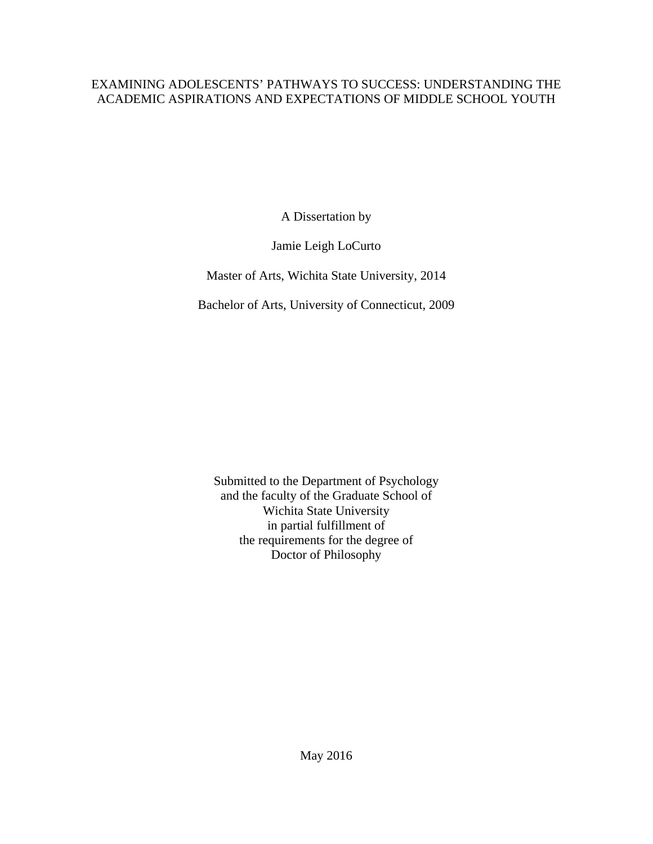### EXAMINING ADOLESCENTS' PATHWAYS TO SUCCESS: UNDERSTANDING THE ACADEMIC ASPIRATIONS AND EXPECTATIONS OF MIDDLE SCHOOL YOUTH

A Dissertation by

Jamie Leigh LoCurto

Master of Arts, Wichita State University, 2014

Bachelor of Arts, University of Connecticut, 2009

Submitted to the Department of Psychology and the faculty of the Graduate School of Wichita State University in partial fulfillment of the requirements for the degree of Doctor of Philosophy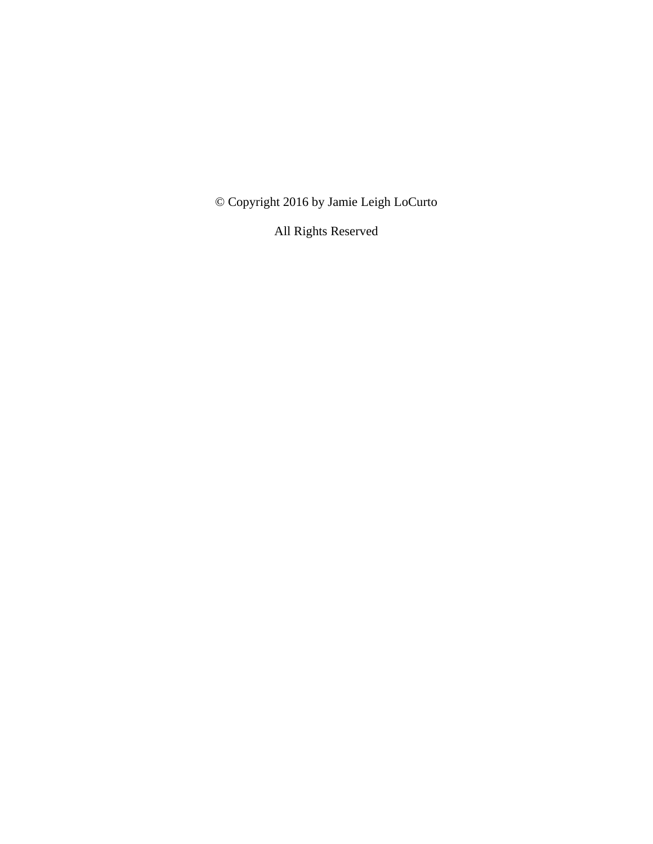© Copyright 2016 by Jamie Leigh LoCurto

All Rights Reserved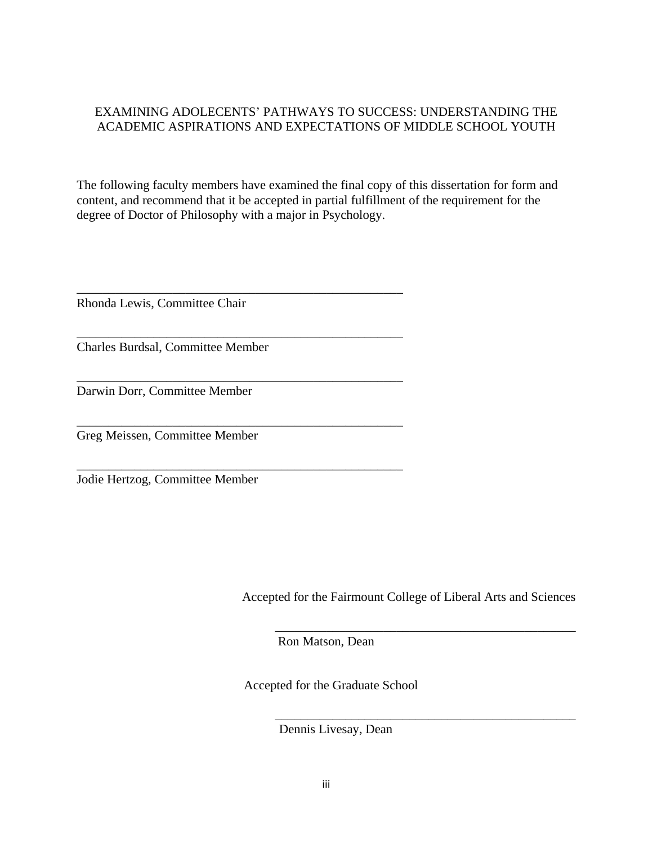### EXAMINING ADOLECENTS' PATHWAYS TO SUCCESS: UNDERSTANDING THE ACADEMIC ASPIRATIONS AND EXPECTATIONS OF MIDDLE SCHOOL YOUTH

The following faculty members have examined the final copy of this dissertation for form and content, and recommend that it be accepted in partial fulfillment of the requirement for the degree of Doctor of Philosophy with a major in Psychology.

\_\_\_\_\_\_\_\_\_\_\_\_\_\_\_\_\_\_\_\_\_\_\_\_\_\_\_\_\_\_\_\_\_\_\_\_\_\_\_\_\_\_\_\_\_\_\_\_\_\_\_ Rhonda Lewis, Committee Chair

\_\_\_\_\_\_\_\_\_\_\_\_\_\_\_\_\_\_\_\_\_\_\_\_\_\_\_\_\_\_\_\_\_\_\_\_\_\_\_\_\_\_\_\_\_\_\_\_\_\_\_ Charles Burdsal, Committee Member

\_\_\_\_\_\_\_\_\_\_\_\_\_\_\_\_\_\_\_\_\_\_\_\_\_\_\_\_\_\_\_\_\_\_\_\_\_\_\_\_\_\_\_\_\_\_\_\_\_\_\_

\_\_\_\_\_\_\_\_\_\_\_\_\_\_\_\_\_\_\_\_\_\_\_\_\_\_\_\_\_\_\_\_\_\_\_\_\_\_\_\_\_\_\_\_\_\_\_\_\_\_\_

\_\_\_\_\_\_\_\_\_\_\_\_\_\_\_\_\_\_\_\_\_\_\_\_\_\_\_\_\_\_\_\_\_\_\_\_\_\_\_\_\_\_\_\_\_\_\_\_\_\_\_

Darwin Dorr, Committee Member

Greg Meissen, Committee Member

Jodie Hertzog, Committee Member

Accepted for the Fairmount College of Liberal Arts and Sciences

\_\_\_\_\_\_\_\_\_\_\_\_\_\_\_\_\_\_\_\_\_\_\_\_\_\_\_\_\_\_\_\_\_\_\_\_\_\_\_\_\_\_\_\_\_\_\_

\_\_\_\_\_\_\_\_\_\_\_\_\_\_\_\_\_\_\_\_\_\_\_\_\_\_\_\_\_\_\_\_\_\_\_\_\_\_\_\_\_\_\_\_\_\_\_

Ron Matson, Dean

Accepted for the Graduate School

Dennis Livesay, Dean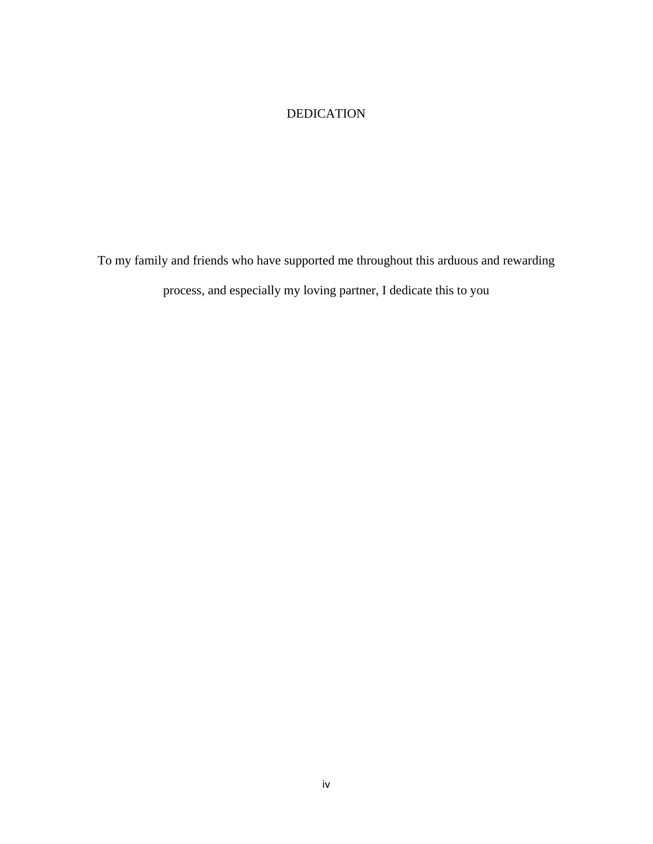### DEDICATION

To my family and friends who have supported me throughout this arduous and rewarding process, and especially my loving partner, I dedicate this to you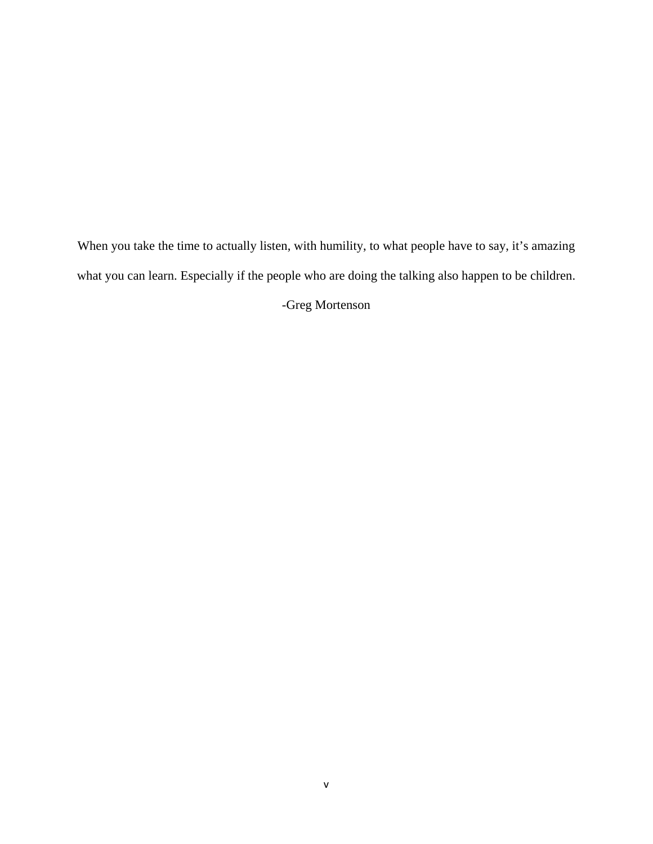When you take the time to actually listen, with humility, to what people have to say, it's amazing what you can learn. Especially if the people who are doing the talking also happen to be children.

-Greg Mortenson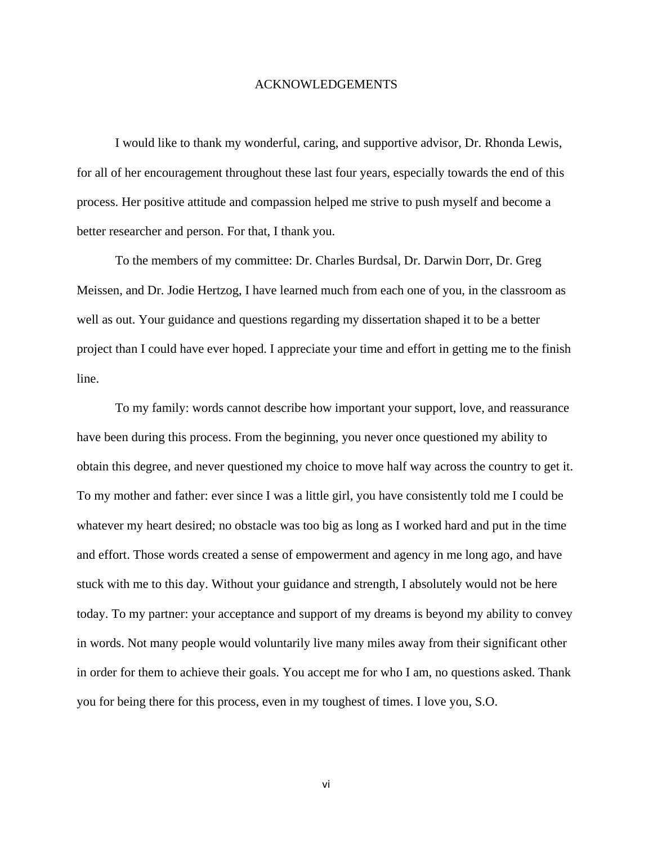#### ACKNOWLEDGEMENTS

 I would like to thank my wonderful, caring, and supportive advisor, Dr. Rhonda Lewis, for all of her encouragement throughout these last four years, especially towards the end of this process. Her positive attitude and compassion helped me strive to push myself and become a better researcher and person. For that, I thank you.

To the members of my committee: Dr. Charles Burdsal, Dr. Darwin Dorr, Dr. Greg Meissen, and Dr. Jodie Hertzog, I have learned much from each one of you, in the classroom as well as out. Your guidance and questions regarding my dissertation shaped it to be a better project than I could have ever hoped. I appreciate your time and effort in getting me to the finish line.

 To my family: words cannot describe how important your support, love, and reassurance have been during this process. From the beginning, you never once questioned my ability to obtain this degree, and never questioned my choice to move half way across the country to get it. To my mother and father: ever since I was a little girl, you have consistently told me I could be whatever my heart desired; no obstacle was too big as long as I worked hard and put in the time and effort. Those words created a sense of empowerment and agency in me long ago, and have stuck with me to this day. Without your guidance and strength, I absolutely would not be here today. To my partner: your acceptance and support of my dreams is beyond my ability to convey in words. Not many people would voluntarily live many miles away from their significant other in order for them to achieve their goals. You accept me for who I am, no questions asked. Thank you for being there for this process, even in my toughest of times. I love you, S.O.

vi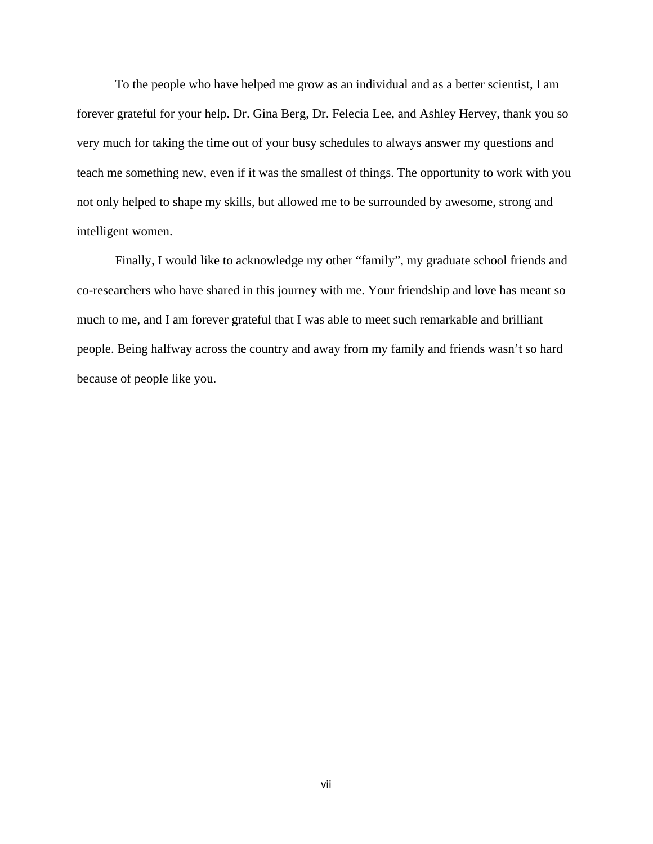To the people who have helped me grow as an individual and as a better scientist, I am forever grateful for your help. Dr. Gina Berg, Dr. Felecia Lee, and Ashley Hervey, thank you so very much for taking the time out of your busy schedules to always answer my questions and teach me something new, even if it was the smallest of things. The opportunity to work with you not only helped to shape my skills, but allowed me to be surrounded by awesome, strong and intelligent women.

 Finally, I would like to acknowledge my other "family", my graduate school friends and co-researchers who have shared in this journey with me. Your friendship and love has meant so much to me, and I am forever grateful that I was able to meet such remarkable and brilliant people. Being halfway across the country and away from my family and friends wasn't so hard because of people like you.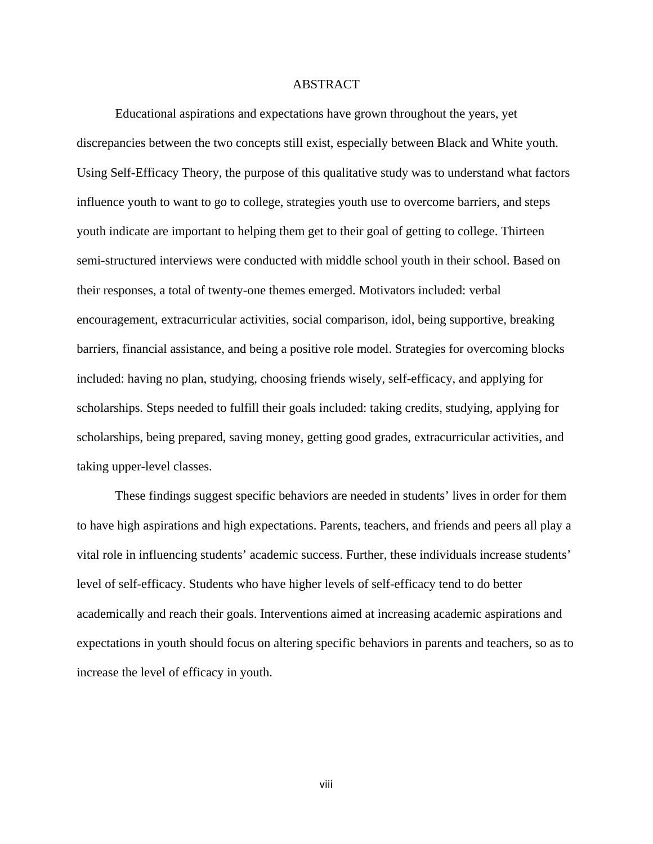### ABSTRACT

 Educational aspirations and expectations have grown throughout the years, yet discrepancies between the two concepts still exist, especially between Black and White youth. Using Self-Efficacy Theory, the purpose of this qualitative study was to understand what factors influence youth to want to go to college, strategies youth use to overcome barriers, and steps youth indicate are important to helping them get to their goal of getting to college. Thirteen semi-structured interviews were conducted with middle school youth in their school. Based on their responses, a total of twenty-one themes emerged. Motivators included: verbal encouragement, extracurricular activities, social comparison, idol, being supportive, breaking barriers, financial assistance, and being a positive role model. Strategies for overcoming blocks included: having no plan, studying, choosing friends wisely, self-efficacy, and applying for scholarships. Steps needed to fulfill their goals included: taking credits, studying, applying for scholarships, being prepared, saving money, getting good grades, extracurricular activities, and taking upper-level classes.

 These findings suggest specific behaviors are needed in students' lives in order for them to have high aspirations and high expectations. Parents, teachers, and friends and peers all play a vital role in influencing students' academic success. Further, these individuals increase students' level of self-efficacy. Students who have higher levels of self-efficacy tend to do better academically and reach their goals. Interventions aimed at increasing academic aspirations and expectations in youth should focus on altering specific behaviors in parents and teachers, so as to increase the level of efficacy in youth.

viii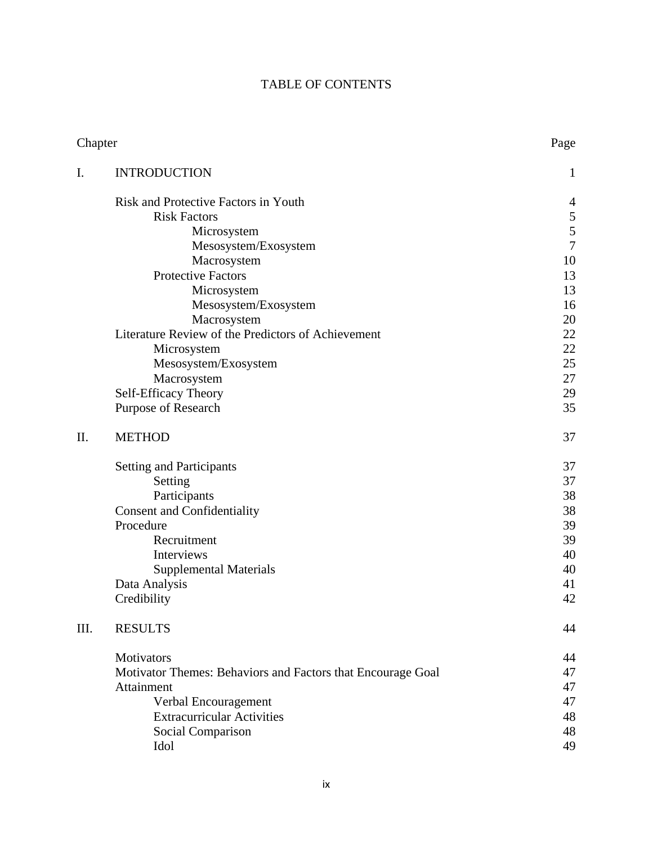## TABLE OF CONTENTS

| Chapter |                                                             | Page           |
|---------|-------------------------------------------------------------|----------------|
| I.      | <b>INTRODUCTION</b>                                         | 1              |
|         | <b>Risk and Protective Factors in Youth</b>                 | $\overline{4}$ |
|         | <b>Risk Factors</b>                                         |                |
|         | Microsystem                                                 | $\frac{5}{5}$  |
|         | Mesosystem/Exosystem                                        | $\overline{7}$ |
|         | Macrosystem                                                 | 10             |
|         | <b>Protective Factors</b>                                   | 13             |
|         | Microsystem                                                 | 13             |
|         | Mesosystem/Exosystem                                        | 16             |
|         | Macrosystem                                                 | 20             |
|         | Literature Review of the Predictors of Achievement          | 22             |
|         | Microsystem                                                 | 22             |
|         | Mesosystem/Exosystem                                        | 25             |
|         | Macrosystem                                                 | 27             |
|         | Self-Efficacy Theory                                        | 29             |
|         | Purpose of Research                                         | 35             |
| II.     | <b>METHOD</b>                                               | 37             |
|         | <b>Setting and Participants</b>                             | 37             |
|         | Setting                                                     | 37             |
|         | Participants                                                | 38             |
|         | <b>Consent and Confidentiality</b>                          | 38             |
|         | Procedure                                                   | 39             |
|         | Recruitment                                                 | 39             |
|         | Interviews                                                  | 40             |
|         | <b>Supplemental Materials</b>                               | 40             |
|         | Data Analysis                                               | 41             |
|         | Credibility                                                 | 42             |
| III.    | <b>RESULTS</b>                                              | 44             |
|         | Motivators                                                  | 44             |
|         | Motivator Themes: Behaviors and Factors that Encourage Goal | 47             |
|         | Attainment                                                  | 47             |
|         | Verbal Encouragement                                        | 47             |
|         | <b>Extracurricular Activities</b>                           | 48             |
|         | Social Comparison                                           | 48             |
|         | Idol                                                        | 49             |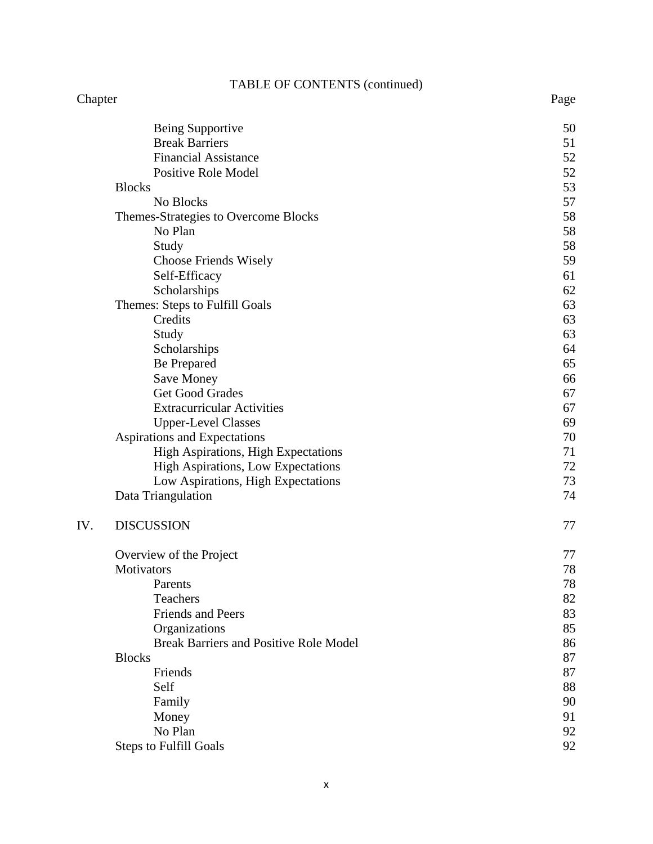# TABLE OF CONTENTS (continued)

### Chapter Page

|     | Being Supportive                                | 50 |
|-----|-------------------------------------------------|----|
|     | <b>Break Barriers</b>                           | 51 |
|     | <b>Financial Assistance</b>                     | 52 |
|     | <b>Positive Role Model</b>                      | 52 |
|     | <b>Blocks</b>                                   | 53 |
|     | No Blocks                                       | 57 |
|     |                                                 | 58 |
|     | Themes-Strategies to Overcome Blocks<br>No Plan | 58 |
|     |                                                 | 58 |
|     | Study                                           | 59 |
|     | Choose Friends Wisely                           |    |
|     | Self-Efficacy                                   | 61 |
|     | Scholarships                                    | 62 |
|     | Themes: Steps to Fulfill Goals                  | 63 |
|     | Credits                                         | 63 |
|     | Study                                           | 63 |
|     | Scholarships                                    | 64 |
|     | <b>Be Prepared</b>                              | 65 |
|     | <b>Save Money</b>                               | 66 |
|     | Get Good Grades                                 | 67 |
|     | <b>Extracurricular Activities</b>               | 67 |
|     | <b>Upper-Level Classes</b>                      | 69 |
|     | Aspirations and Expectations                    | 70 |
|     | High Aspirations, High Expectations             | 71 |
|     | High Aspirations, Low Expectations              | 72 |
|     | Low Aspirations, High Expectations              | 73 |
|     | Data Triangulation                              | 74 |
| IV. | <b>DISCUSSION</b>                               | 77 |
|     | Overview of the Project                         | 77 |
|     | Motivators                                      | 78 |
|     | Parents                                         | 78 |
|     | Teachers                                        | 82 |
|     | <b>Friends and Peers</b>                        | 83 |
|     | Organizations                                   | 85 |
|     | <b>Break Barriers and Positive Role Model</b>   | 86 |
|     | <b>Blocks</b>                                   | 87 |
|     | Friends                                         | 87 |
|     | Self                                            | 88 |
|     | Family                                          | 90 |
|     | Money                                           | 91 |
|     | No Plan                                         | 92 |
|     | <b>Steps to Fulfill Goals</b>                   | 92 |
|     |                                                 |    |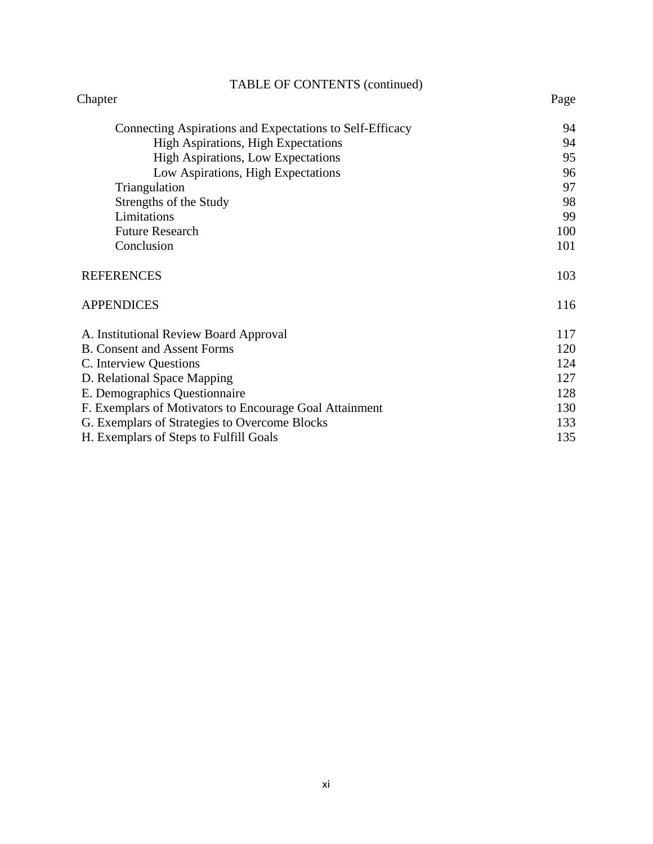| <b>TABLE OF CONTENTS (continued)</b>                     |      |  |
|----------------------------------------------------------|------|--|
| Chapter                                                  | Page |  |
| Connecting Aspirations and Expectations to Self-Efficacy | 94   |  |
| <b>High Aspirations, High Expectations</b>               | 94   |  |
| <b>High Aspirations, Low Expectations</b>                | 95   |  |
| Low Aspirations, High Expectations                       | 96   |  |
| Triangulation                                            | 97   |  |
| Strengths of the Study                                   | 98   |  |
| Limitations                                              | 99   |  |
| <b>Future Research</b>                                   | 100  |  |
| Conclusion                                               | 101  |  |
| <b>REFERENCES</b>                                        | 103  |  |
| <b>APPENDICES</b>                                        | 116  |  |
| A. Institutional Review Board Approval                   | 117  |  |
| <b>B.</b> Consent and Assent Forms                       |      |  |
| C. Interview Questions                                   |      |  |
| D. Relational Space Mapping                              |      |  |
| E. Demographics Questionnaire                            |      |  |
| F. Exemplars of Motivators to Encourage Goal Attainment  |      |  |
| G. Exemplars of Strategies to Overcome Blocks            |      |  |
| H. Exemplars of Steps to Fulfill Goals                   |      |  |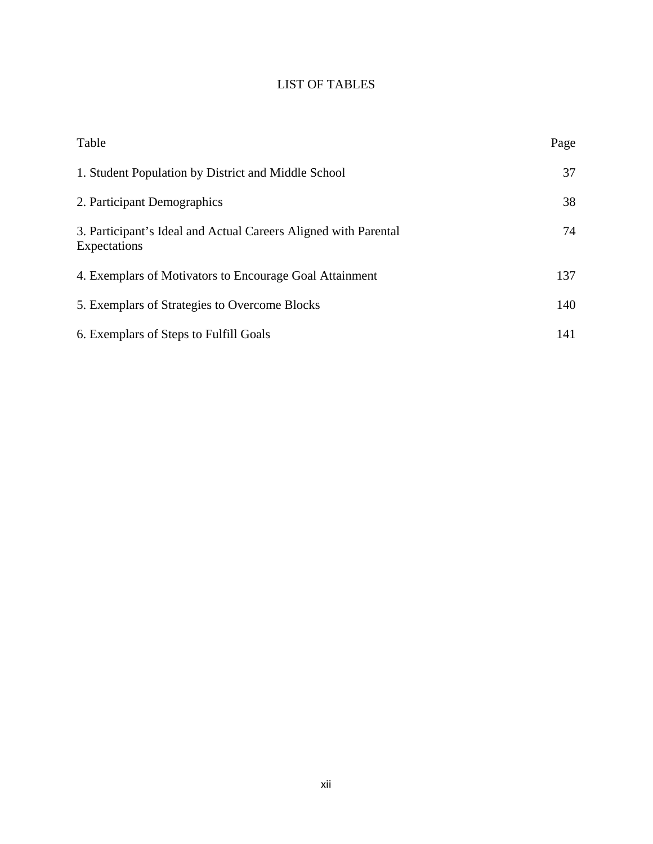# LIST OF TABLES

| Table                                                                           | Page |
|---------------------------------------------------------------------------------|------|
| 1. Student Population by District and Middle School                             | 37   |
| 2. Participant Demographics                                                     | 38   |
| 3. Participant's Ideal and Actual Careers Aligned with Parental<br>Expectations | 74   |
| 4. Exemplars of Motivators to Encourage Goal Attainment                         | 137  |
| 5. Exemplars of Strategies to Overcome Blocks                                   | 140  |
| 6. Exemplars of Steps to Fulfill Goals                                          | 141  |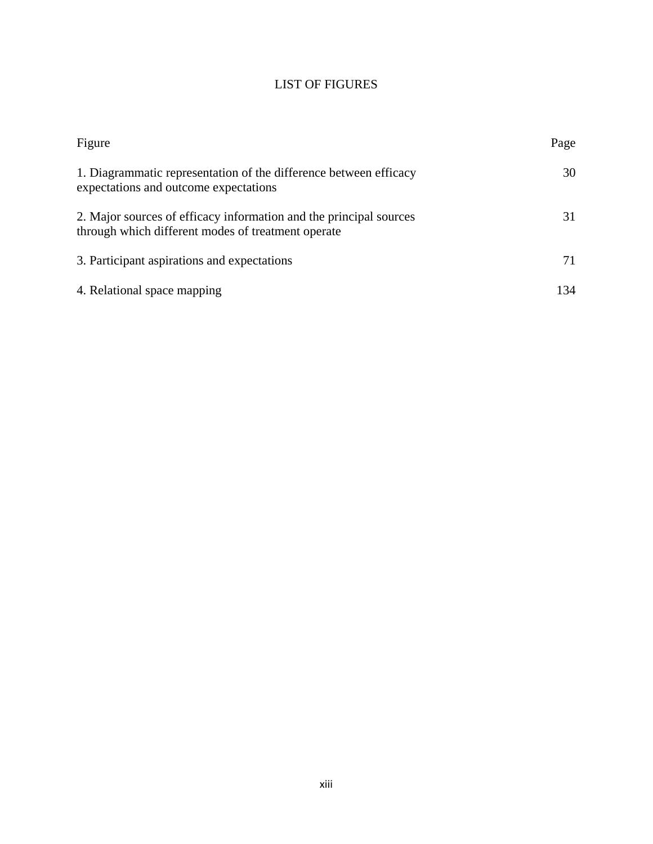## LIST OF FIGURES

| Figure                                                                                                                   | Page |
|--------------------------------------------------------------------------------------------------------------------------|------|
| 1. Diagrammatic representation of the difference between efficacy<br>expectations and outcome expectations               | 30   |
| 2. Major sources of efficacy information and the principal sources<br>through which different modes of treatment operate | 31   |
| 3. Participant aspirations and expectations                                                                              | 71   |
| 4. Relational space mapping                                                                                              | 134  |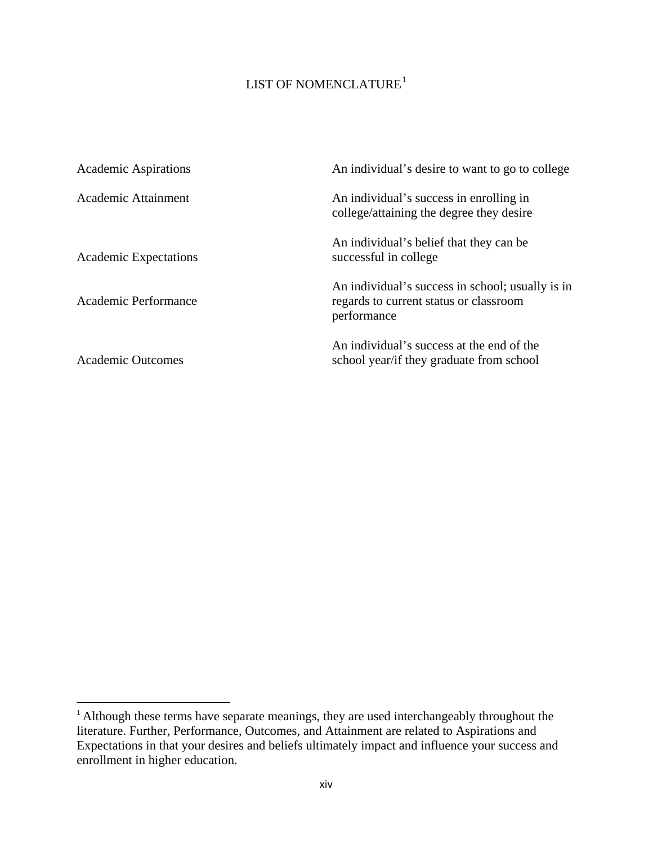## LIST OF NOMENCLATURE $^1$  $^1$

| <b>Academic Aspirations</b>  | An individual's desire to want to go to college                                                           |
|------------------------------|-----------------------------------------------------------------------------------------------------------|
| Academic Attainment          | An individual's success in enrolling in<br>college/attaining the degree they desire                       |
| <b>Academic Expectations</b> | An individual's belief that they can be<br>successful in college.                                         |
| Academic Performance         | An individual's success in school; usually is in<br>regards to current status or classroom<br>performance |
| <b>Academic Outcomes</b>     | An individual's success at the end of the<br>school year/if they graduate from school                     |

 $\overline{\phantom{a}}$ 

<span id="page-13-0"></span><sup>&</sup>lt;sup>1</sup> Although these terms have separate meanings, they are used interchangeably throughout the literature. Further, Performance, Outcomes, and Attainment are related to Aspirations and Expectations in that your desires and beliefs ultimately impact and influence your success and enrollment in higher education.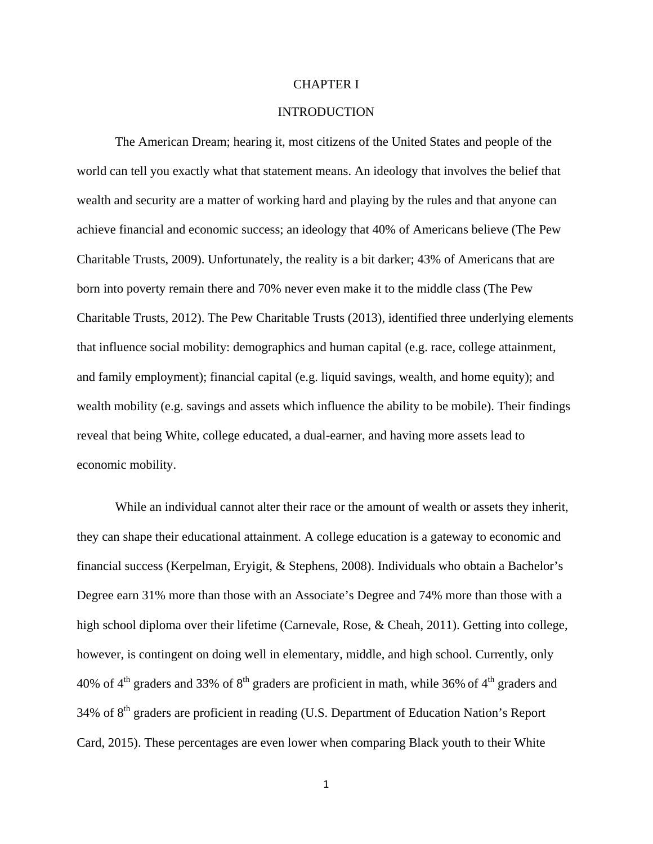### CHAPTER I

### **INTRODUCTION**

The American Dream; hearing it, most citizens of the United States and people of the world can tell you exactly what that statement means. An ideology that involves the belief that wealth and security are a matter of working hard and playing by the rules and that anyone can achieve financial and economic success; an ideology that 40% of Americans believe (The Pew Charitable Trusts, 2009). Unfortunately, the reality is a bit darker; 43% of Americans that are born into poverty remain there and 70% never even make it to the middle class (The Pew Charitable Trusts, 2012). The Pew Charitable Trusts (2013), identified three underlying elements that influence social mobility: demographics and human capital (e.g. race, college attainment, and family employment); financial capital (e.g. liquid savings, wealth, and home equity); and wealth mobility (e.g. savings and assets which influence the ability to be mobile). Their findings reveal that being White, college educated, a dual-earner, and having more assets lead to economic mobility.

While an individual cannot alter their race or the amount of wealth or assets they inherit, they can shape their educational attainment. A college education is a gateway to economic and financial success (Kerpelman, Eryigit, & Stephens, 2008). Individuals who obtain a Bachelor's Degree earn 31% more than those with an Associate's Degree and 74% more than those with a high school diploma over their lifetime (Carnevale, Rose, & Cheah, 2011). Getting into college, however, is contingent on doing well in elementary, middle, and high school. Currently, only 40% of  $4<sup>th</sup>$  graders and 33% of  $8<sup>th</sup>$  graders are proficient in math, while 36% of  $4<sup>th</sup>$  graders and  $34\%$  of  $8<sup>th</sup>$  graders are proficient in reading (U.S. Department of Education Nation's Report Card, 2015). These percentages are even lower when comparing Black youth to their White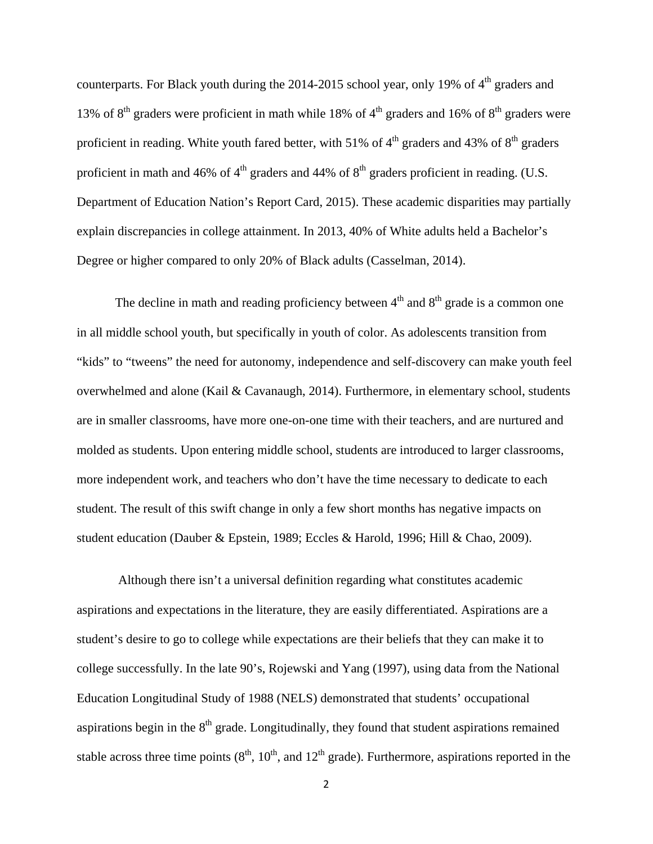counterparts. For Black youth during the 2014-2015 school year, only 19% of  $4<sup>th</sup>$  graders and 13% of  $8<sup>th</sup>$  graders were proficient in math while 18% of  $4<sup>th</sup>$  graders and 16% of  $8<sup>th</sup>$  graders were proficient in reading. White youth fared better, with 51% of  $4<sup>th</sup>$  graders and 43% of  $8<sup>th</sup>$  graders proficient in math and 46% of  $4<sup>th</sup>$  graders and 44% of  $8<sup>th</sup>$  graders proficient in reading. (U.S. Department of Education Nation's Report Card, 2015). These academic disparities may partially explain discrepancies in college attainment. In 2013, 40% of White adults held a Bachelor's Degree or higher compared to only 20% of Black adults (Casselman, 2014).

The decline in math and reading proficiency between  $4<sup>th</sup>$  and  $8<sup>th</sup>$  grade is a common one in all middle school youth, but specifically in youth of color. As adolescents transition from "kids" to "tweens" the need for autonomy, independence and self-discovery can make youth feel overwhelmed and alone (Kail & Cavanaugh, 2014). Furthermore, in elementary school, students are in smaller classrooms, have more one-on-one time with their teachers, and are nurtured and molded as students. Upon entering middle school, students are introduced to larger classrooms, more independent work, and teachers who don't have the time necessary to dedicate to each student. The result of this swift change in only a few short months has negative impacts on student education (Dauber & Epstein, 1989; Eccles & Harold, 1996; Hill & Chao, 2009).

Although there isn't a universal definition regarding what constitutes academic aspirations and expectations in the literature, they are easily differentiated. Aspirations are a student's desire to go to college while expectations are their beliefs that they can make it to college successfully. In the late 90's, Rojewski and Yang (1997), using data from the National Education Longitudinal Study of 1988 (NELS) demonstrated that students' occupational aspirations begin in the  $8<sup>th</sup>$  grade. Longitudinally, they found that student aspirations remained stable across three time points  $(8<sup>th</sup>, 10<sup>th</sup>,$  and  $12<sup>th</sup>$  grade). Furthermore, aspirations reported in the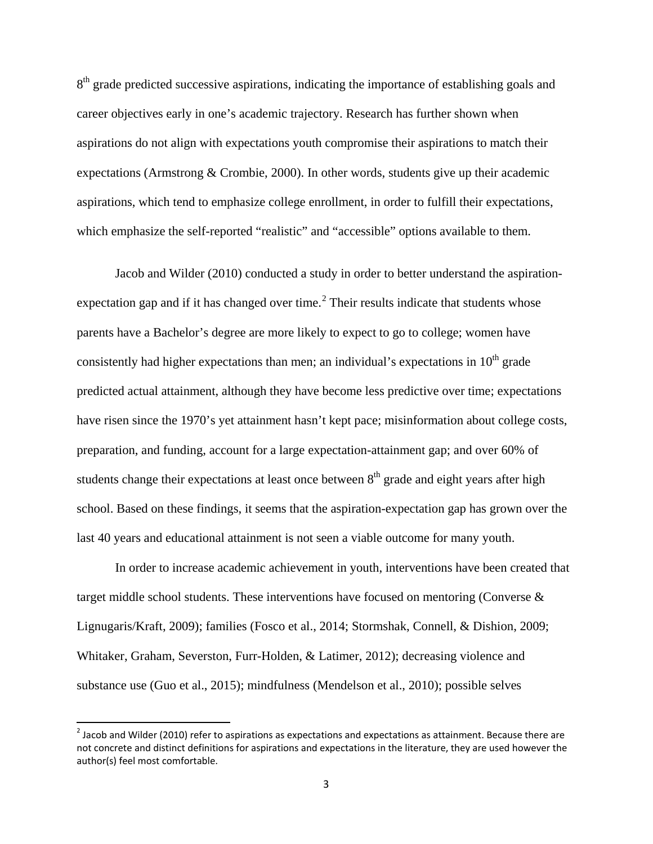8<sup>th</sup> grade predicted successive aspirations, indicating the importance of establishing goals and career objectives early in one's academic trajectory. Research has further shown when aspirations do not align with expectations youth compromise their aspirations to match their expectations (Armstrong & Crombie, 2000). In other words, students give up their academic aspirations, which tend to emphasize college enrollment, in order to fulfill their expectations, which emphasize the self-reported "realistic" and "accessible" options available to them.

Jacob and Wilder (2010) conducted a study in order to better understand the aspiration-expectation gap and if it has changed over time.<sup>[2](#page-16-0)</sup> Their results indicate that students whose parents have a Bachelor's degree are more likely to expect to go to college; women have consistently had higher expectations than men; an individual's expectations in  $10<sup>th</sup>$  grade predicted actual attainment, although they have become less predictive over time; expectations have risen since the 1970's yet attainment hasn't kept pace; misinformation about college costs, preparation, and funding, account for a large expectation-attainment gap; and over 60% of students change their expectations at least once between  $8<sup>th</sup>$  grade and eight years after high school. Based on these findings, it seems that the aspiration-expectation gap has grown over the last 40 years and educational attainment is not seen a viable outcome for many youth.

In order to increase academic achievement in youth, interventions have been created that target middle school students. These interventions have focused on mentoring (Converse & Lignugaris/Kraft, 2009); families (Fosco et al., 2014; Stormshak, Connell, & Dishion, 2009; Whitaker, Graham, Severston, Furr-Holden, & Latimer, 2012); decreasing violence and substance use (Guo et al., 2015); mindfulness (Mendelson et al., 2010); possible selves

l

<span id="page-16-0"></span> $2$  Jacob and Wilder (2010) refer to aspirations as expectations and expectations as attainment. Because there are not concrete and distinct definitions for aspirations and expectations in the literature, they are used however the author(s) feel most comfortable.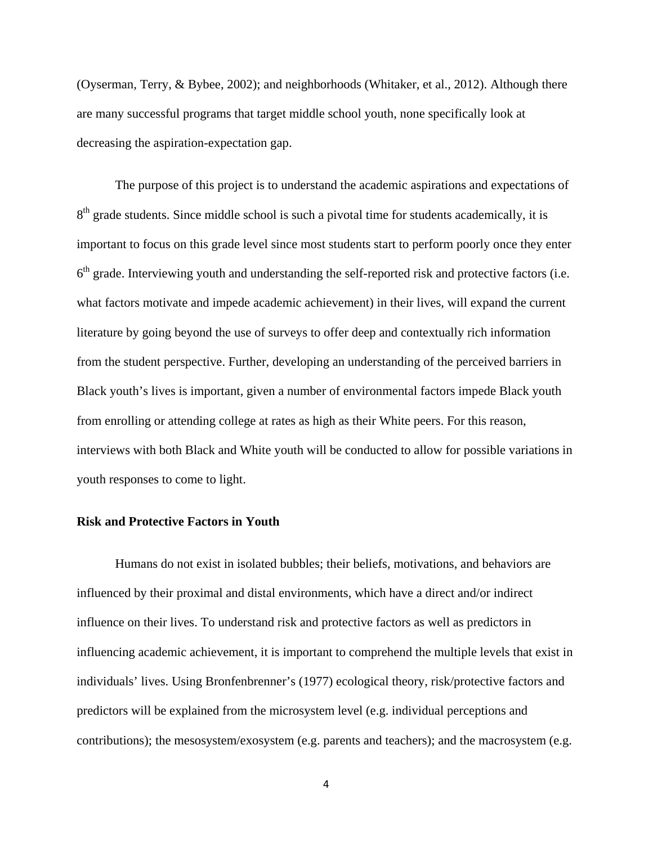(Oyserman, Terry, & Bybee, 2002); and neighborhoods (Whitaker, et al., 2012). Although there are many successful programs that target middle school youth, none specifically look at decreasing the aspiration-expectation gap.

The purpose of this project is to understand the academic aspirations and expectations of  $8<sup>th</sup>$  grade students. Since middle school is such a pivotal time for students academically, it is important to focus on this grade level since most students start to perform poorly once they enter  $6<sup>th</sup>$  grade. Interviewing youth and understanding the self-reported risk and protective factors (i.e. what factors motivate and impede academic achievement) in their lives, will expand the current literature by going beyond the use of surveys to offer deep and contextually rich information from the student perspective. Further, developing an understanding of the perceived barriers in Black youth's lives is important, given a number of environmental factors impede Black youth from enrolling or attending college at rates as high as their White peers. For this reason, interviews with both Black and White youth will be conducted to allow for possible variations in youth responses to come to light.

### **Risk and Protective Factors in Youth**

 Humans do not exist in isolated bubbles; their beliefs, motivations, and behaviors are influenced by their proximal and distal environments, which have a direct and/or indirect influence on their lives. To understand risk and protective factors as well as predictors in influencing academic achievement, it is important to comprehend the multiple levels that exist in individuals' lives. Using Bronfenbrenner's (1977) ecological theory, risk/protective factors and predictors will be explained from the microsystem level (e.g. individual perceptions and contributions); the mesosystem/exosystem (e.g. parents and teachers); and the macrosystem (e.g.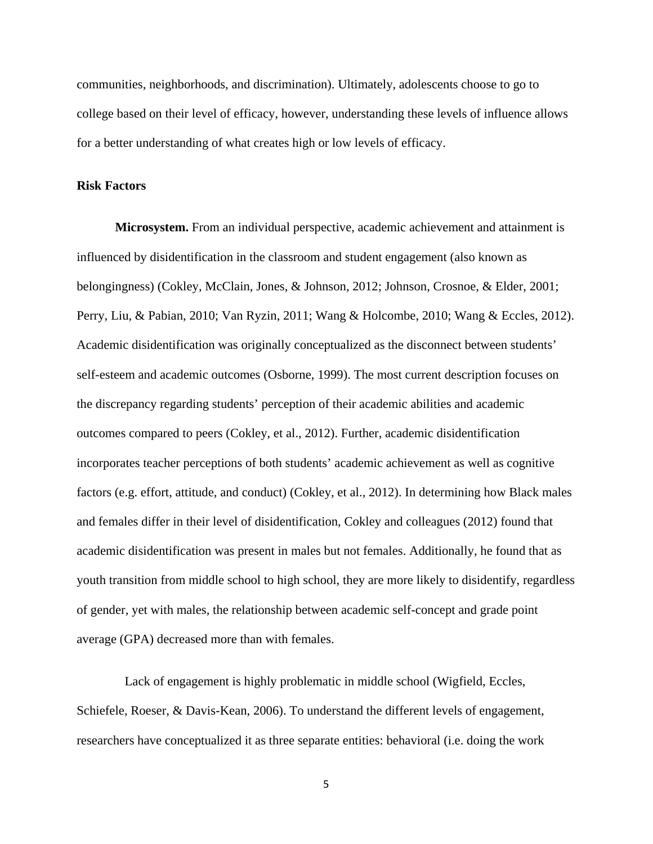communities, neighborhoods, and discrimination). Ultimately, adolescents choose to go to college based on their level of efficacy, however, understanding these levels of influence allows for a better understanding of what creates high or low levels of efficacy.

### **Risk Factors**

**Microsystem.** From an individual perspective, academic achievement and attainment is influenced by disidentification in the classroom and student engagement (also known as belongingness) (Cokley, McClain, Jones, & Johnson, 2012; Johnson, Crosnoe, & Elder, 2001; Perry, Liu, & Pabian, 2010; Van Ryzin, 2011; Wang & Holcombe, 2010; Wang & Eccles, 2012). Academic disidentification was originally conceptualized as the disconnect between students' self-esteem and academic outcomes (Osborne, 1999). The most current description focuses on the discrepancy regarding students' perception of their academic abilities and academic outcomes compared to peers (Cokley, et al., 2012). Further, academic disidentification incorporates teacher perceptions of both students' academic achievement as well as cognitive factors (e.g. effort, attitude, and conduct) (Cokley, et al., 2012). In determining how Black males and females differ in their level of disidentification, Cokley and colleagues (2012) found that academic disidentification was present in males but not females. Additionally, he found that as youth transition from middle school to high school, they are more likely to disidentify, regardless of gender, yet with males, the relationship between academic self-concept and grade point average (GPA) decreased more than with females.

 Lack of engagement is highly problematic in middle school (Wigfield, Eccles, Schiefele, Roeser, & Davis-Kean, 2006). To understand the different levels of engagement, researchers have conceptualized it as three separate entities: behavioral (i.e. doing the work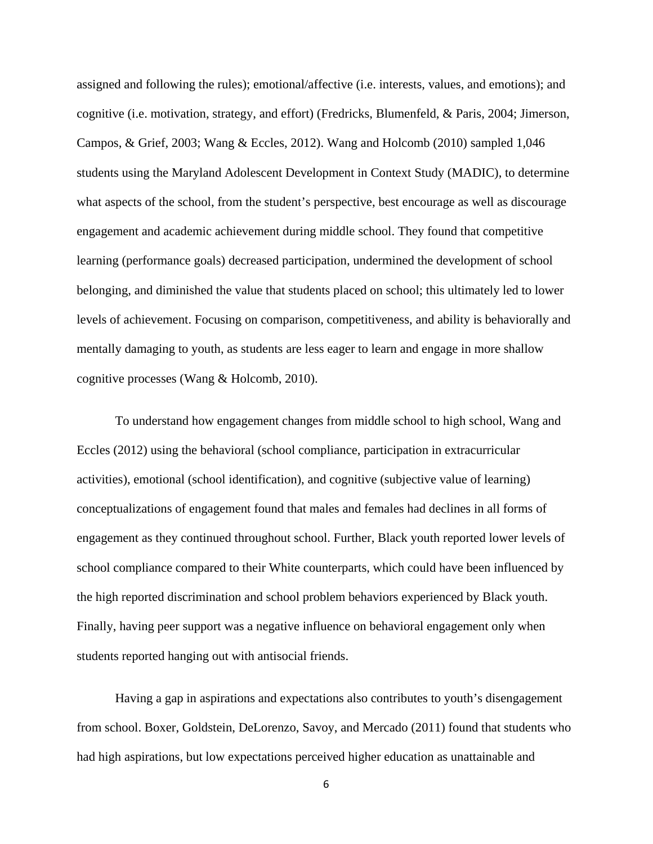assigned and following the rules); emotional/affective (i.e. interests, values, and emotions); and cognitive (i.e. motivation, strategy, and effort) (Fredricks, Blumenfeld, & Paris, 2004; Jimerson, Campos, & Grief, 2003; Wang & Eccles, 2012). Wang and Holcomb (2010) sampled 1,046 students using the Maryland Adolescent Development in Context Study (MADIC), to determine what aspects of the school, from the student's perspective, best encourage as well as discourage engagement and academic achievement during middle school. They found that competitive learning (performance goals) decreased participation, undermined the development of school belonging, and diminished the value that students placed on school; this ultimately led to lower levels of achievement. Focusing on comparison, competitiveness, and ability is behaviorally and mentally damaging to youth, as students are less eager to learn and engage in more shallow cognitive processes (Wang & Holcomb, 2010).

To understand how engagement changes from middle school to high school, Wang and Eccles (2012) using the behavioral (school compliance, participation in extracurricular activities), emotional (school identification), and cognitive (subjective value of learning) conceptualizations of engagement found that males and females had declines in all forms of engagement as they continued throughout school. Further, Black youth reported lower levels of school compliance compared to their White counterparts, which could have been influenced by the high reported discrimination and school problem behaviors experienced by Black youth. Finally, having peer support was a negative influence on behavioral engagement only when students reported hanging out with antisocial friends.

Having a gap in aspirations and expectations also contributes to youth's disengagement from school. Boxer, Goldstein, DeLorenzo, Savoy, and Mercado (2011) found that students who had high aspirations, but low expectations perceived higher education as unattainable and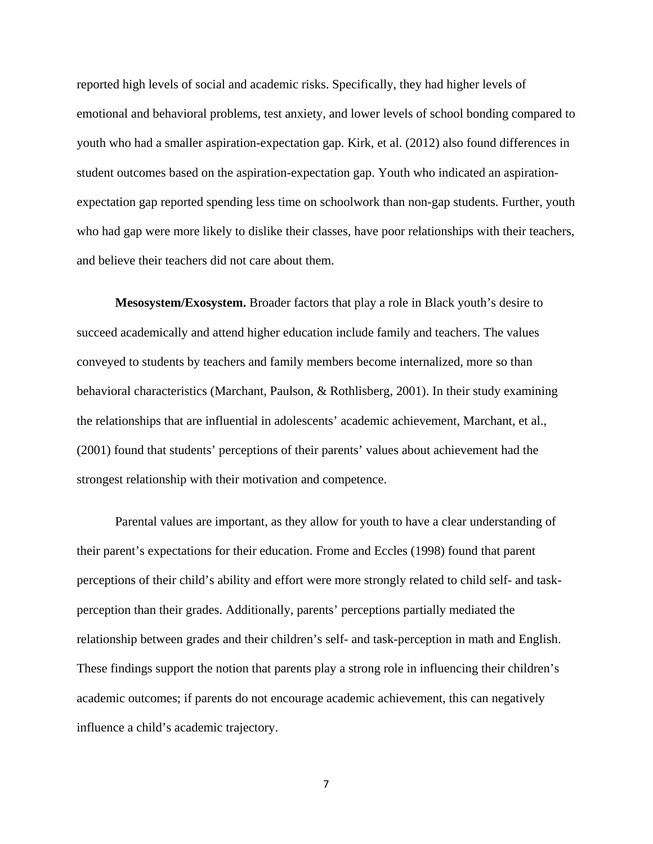reported high levels of social and academic risks. Specifically, they had higher levels of emotional and behavioral problems, test anxiety, and lower levels of school bonding compared to youth who had a smaller aspiration-expectation gap. Kirk, et al. (2012) also found differences in student outcomes based on the aspiration-expectation gap. Youth who indicated an aspirationexpectation gap reported spending less time on schoolwork than non-gap students. Further, youth who had gap were more likely to dislike their classes, have poor relationships with their teachers, and believe their teachers did not care about them.

**Mesosystem/Exosystem.** Broader factors that play a role in Black youth's desire to succeed academically and attend higher education include family and teachers. The values conveyed to students by teachers and family members become internalized, more so than behavioral characteristics (Marchant, Paulson, & Rothlisberg, 2001). In their study examining the relationships that are influential in adolescents' academic achievement, Marchant, et al., (2001) found that students' perceptions of their parents' values about achievement had the strongest relationship with their motivation and competence.

Parental values are important, as they allow for youth to have a clear understanding of their parent's expectations for their education. Frome and Eccles (1998) found that parent perceptions of their child's ability and effort were more strongly related to child self- and taskperception than their grades. Additionally, parents' perceptions partially mediated the relationship between grades and their children's self- and task-perception in math and English. These findings support the notion that parents play a strong role in influencing their children's academic outcomes; if parents do not encourage academic achievement, this can negatively influence a child's academic trajectory.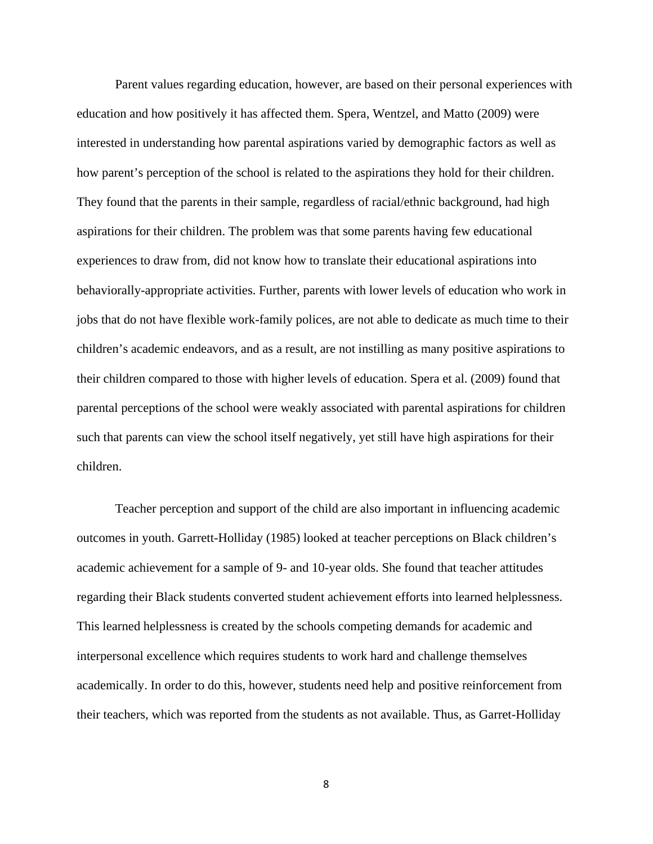Parent values regarding education, however, are based on their personal experiences with education and how positively it has affected them. Spera, Wentzel, and Matto (2009) were interested in understanding how parental aspirations varied by demographic factors as well as how parent's perception of the school is related to the aspirations they hold for their children. They found that the parents in their sample, regardless of racial/ethnic background, had high aspirations for their children. The problem was that some parents having few educational experiences to draw from, did not know how to translate their educational aspirations into behaviorally-appropriate activities. Further, parents with lower levels of education who work in jobs that do not have flexible work-family polices, are not able to dedicate as much time to their children's academic endeavors, and as a result, are not instilling as many positive aspirations to their children compared to those with higher levels of education. Spera et al. (2009) found that parental perceptions of the school were weakly associated with parental aspirations for children such that parents can view the school itself negatively, yet still have high aspirations for their children.

Teacher perception and support of the child are also important in influencing academic outcomes in youth. Garrett-Holliday (1985) looked at teacher perceptions on Black children's academic achievement for a sample of 9- and 10-year olds. She found that teacher attitudes regarding their Black students converted student achievement efforts into learned helplessness. This learned helplessness is created by the schools competing demands for academic and interpersonal excellence which requires students to work hard and challenge themselves academically. In order to do this, however, students need help and positive reinforcement from their teachers, which was reported from the students as not available. Thus, as Garret-Holliday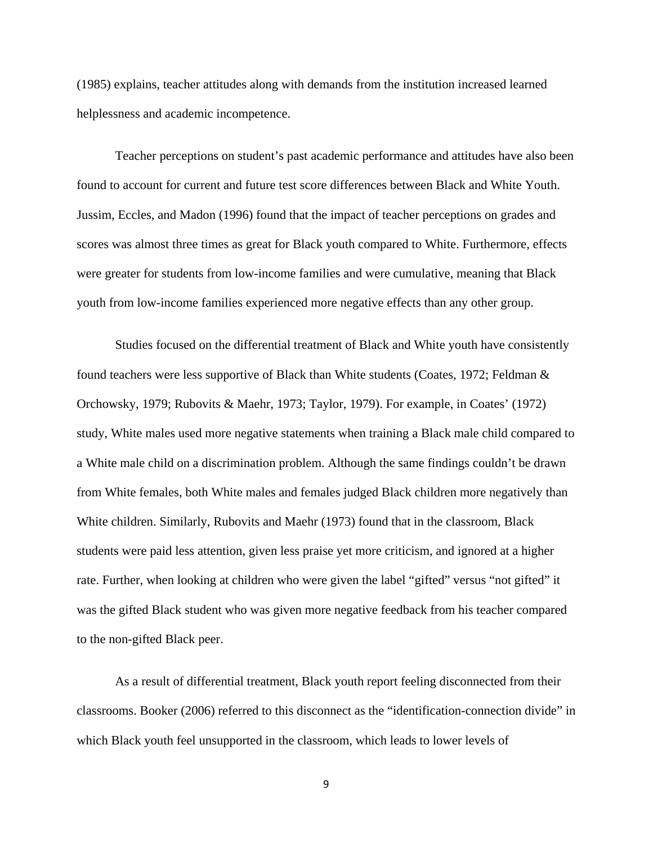(1985) explains, teacher attitudes along with demands from the institution increased learned helplessness and academic incompetence.

Teacher perceptions on student's past academic performance and attitudes have also been found to account for current and future test score differences between Black and White Youth. Jussim, Eccles, and Madon (1996) found that the impact of teacher perceptions on grades and scores was almost three times as great for Black youth compared to White. Furthermore, effects were greater for students from low-income families and were cumulative, meaning that Black youth from low-income families experienced more negative effects than any other group.

 Studies focused on the differential treatment of Black and White youth have consistently found teachers were less supportive of Black than White students (Coates, 1972; Feldman & Orchowsky, 1979; Rubovits & Maehr, 1973; Taylor, 1979). For example, in Coates' (1972) study, White males used more negative statements when training a Black male child compared to a White male child on a discrimination problem. Although the same findings couldn't be drawn from White females, both White males and females judged Black children more negatively than White children. Similarly, Rubovits and Maehr (1973) found that in the classroom, Black students were paid less attention, given less praise yet more criticism, and ignored at a higher rate. Further, when looking at children who were given the label "gifted" versus "not gifted" it was the gifted Black student who was given more negative feedback from his teacher compared to the non-gifted Black peer.

As a result of differential treatment, Black youth report feeling disconnected from their classrooms. Booker (2006) referred to this disconnect as the "identification-connection divide" in which Black youth feel unsupported in the classroom, which leads to lower levels of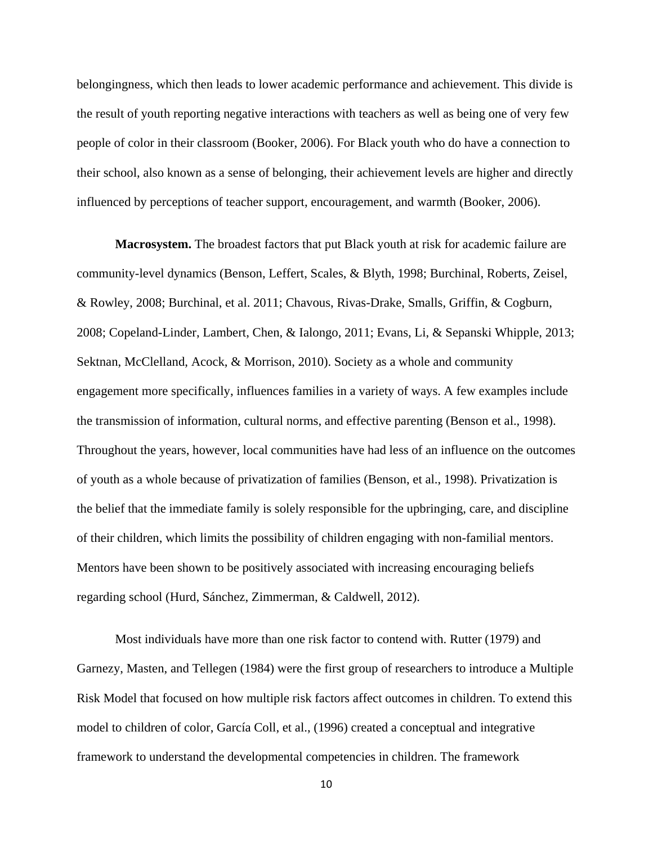belongingness, which then leads to lower academic performance and achievement. This divide is the result of youth reporting negative interactions with teachers as well as being one of very few people of color in their classroom (Booker, 2006). For Black youth who do have a connection to their school, also known as a sense of belonging, their achievement levels are higher and directly influenced by perceptions of teacher support, encouragement, and warmth (Booker, 2006).

**Macrosystem.** The broadest factors that put Black youth at risk for academic failure are community-level dynamics (Benson, Leffert, Scales, & Blyth, 1998; Burchinal, Roberts, Zeisel, & Rowley, 2008; Burchinal, et al. 2011; Chavous, Rivas-Drake, Smalls, Griffin, & Cogburn, 2008; Copeland-Linder, Lambert, Chen, & Ialongo, 2011; Evans, Li, & Sepanski Whipple, 2013; Sektnan, McClelland, Acock, & Morrison, 2010). Society as a whole and community engagement more specifically, influences families in a variety of ways. A few examples include the transmission of information, cultural norms, and effective parenting (Benson et al., 1998). Throughout the years, however, local communities have had less of an influence on the outcomes of youth as a whole because of privatization of families (Benson, et al., 1998). Privatization is the belief that the immediate family is solely responsible for the upbringing, care, and discipline of their children, which limits the possibility of children engaging with non-familial mentors. Mentors have been shown to be positively associated with increasing encouraging beliefs regarding school (Hurd, Sánchez, Zimmerman, & Caldwell, 2012).

 Most individuals have more than one risk factor to contend with. Rutter (1979) and Garnezy, Masten, and Tellegen (1984) were the first group of researchers to introduce a Multiple Risk Model that focused on how multiple risk factors affect outcomes in children. To extend this model to children of color, García Coll, et al., (1996) created a conceptual and integrative framework to understand the developmental competencies in children. The framework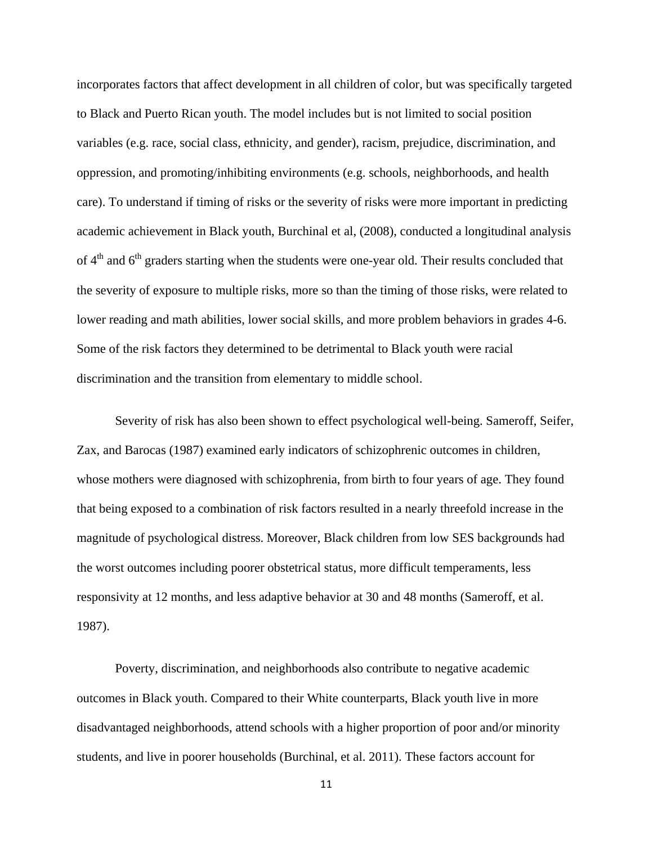incorporates factors that affect development in all children of color, but was specifically targeted to Black and Puerto Rican youth. The model includes but is not limited to social position variables (e.g. race, social class, ethnicity, and gender), racism, prejudice, discrimination, and oppression, and promoting/inhibiting environments (e.g. schools, neighborhoods, and health care). To understand if timing of risks or the severity of risks were more important in predicting academic achievement in Black youth, Burchinal et al, (2008), conducted a longitudinal analysis of  $4<sup>th</sup>$  and  $6<sup>th</sup>$  graders starting when the students were one-year old. Their results concluded that the severity of exposure to multiple risks, more so than the timing of those risks, were related to lower reading and math abilities, lower social skills, and more problem behaviors in grades 4-6. Some of the risk factors they determined to be detrimental to Black youth were racial discrimination and the transition from elementary to middle school.

 Severity of risk has also been shown to effect psychological well-being. Sameroff, Seifer, Zax, and Barocas (1987) examined early indicators of schizophrenic outcomes in children, whose mothers were diagnosed with schizophrenia, from birth to four years of age. They found that being exposed to a combination of risk factors resulted in a nearly threefold increase in the magnitude of psychological distress. Moreover, Black children from low SES backgrounds had the worst outcomes including poorer obstetrical status, more difficult temperaments, less responsivity at 12 months, and less adaptive behavior at 30 and 48 months (Sameroff, et al. 1987).

 Poverty, discrimination, and neighborhoods also contribute to negative academic outcomes in Black youth. Compared to their White counterparts, Black youth live in more disadvantaged neighborhoods, attend schools with a higher proportion of poor and/or minority students, and live in poorer households (Burchinal, et al. 2011). These factors account for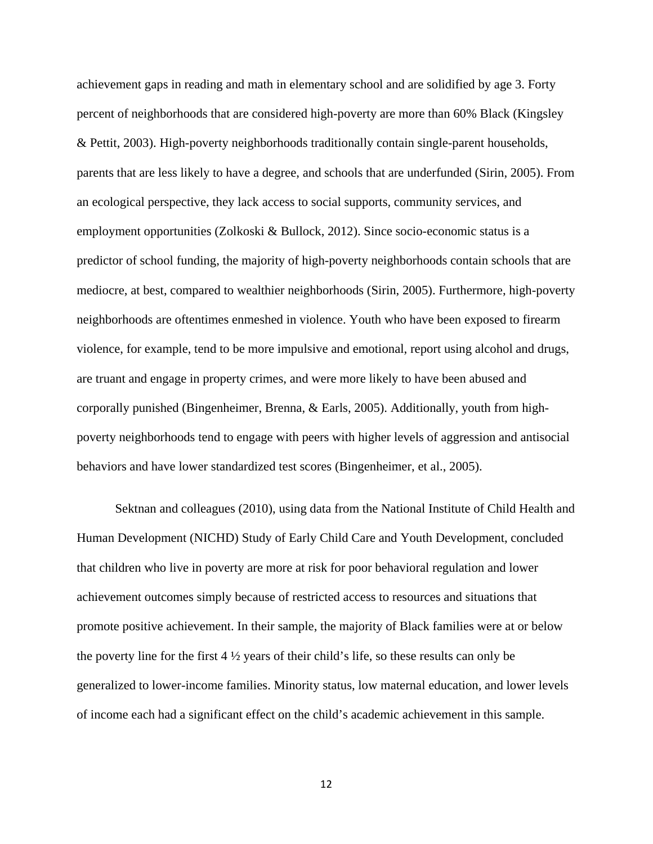achievement gaps in reading and math in elementary school and are solidified by age 3. Forty percent of neighborhoods that are considered high-poverty are more than 60% Black (Kingsley & Pettit, 2003). High-poverty neighborhoods traditionally contain single-parent households, parents that are less likely to have a degree, and schools that are underfunded (Sirin, 2005). From an ecological perspective, they lack access to social supports, community services, and employment opportunities (Zolkoski & Bullock, 2012). Since socio-economic status is a predictor of school funding, the majority of high-poverty neighborhoods contain schools that are mediocre, at best, compared to wealthier neighborhoods (Sirin, 2005). Furthermore, high-poverty neighborhoods are oftentimes enmeshed in violence. Youth who have been exposed to firearm violence, for example, tend to be more impulsive and emotional, report using alcohol and drugs, are truant and engage in property crimes, and were more likely to have been abused and corporally punished (Bingenheimer, Brenna, & Earls, 2005). Additionally, youth from highpoverty neighborhoods tend to engage with peers with higher levels of aggression and antisocial behaviors and have lower standardized test scores (Bingenheimer, et al., 2005).

 Sektnan and colleagues (2010), using data from the National Institute of Child Health and Human Development (NICHD) Study of Early Child Care and Youth Development, concluded that children who live in poverty are more at risk for poor behavioral regulation and lower achievement outcomes simply because of restricted access to resources and situations that promote positive achievement. In their sample, the majority of Black families were at or below the poverty line for the first 4 ½ years of their child's life, so these results can only be generalized to lower-income families. Minority status, low maternal education, and lower levels of income each had a significant effect on the child's academic achievement in this sample.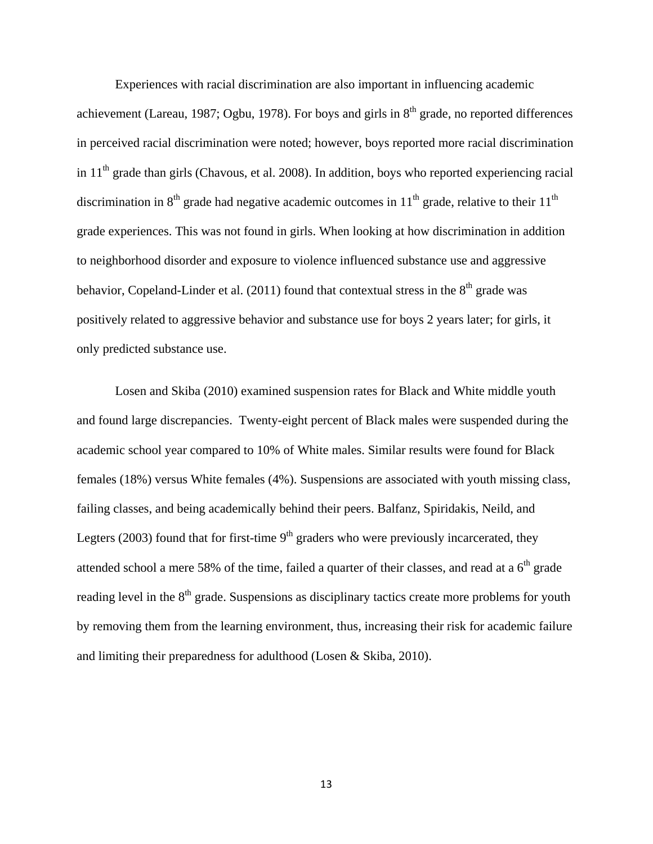Experiences with racial discrimination are also important in influencing academic achievement (Lareau, 1987; Ogbu, 1978). For boys and girls in  $8<sup>th</sup>$  grade, no reported differences in perceived racial discrimination were noted; however, boys reported more racial discrimination in  $11<sup>th</sup>$  grade than girls (Chavous, et al. 2008). In addition, boys who reported experiencing racial discrimination in  $8<sup>th</sup>$  grade had negative academic outcomes in  $11<sup>th</sup>$  grade, relative to their  $11<sup>th</sup>$ grade experiences. This was not found in girls. When looking at how discrimination in addition to neighborhood disorder and exposure to violence influenced substance use and aggressive behavior, Copeland-Linder et al. (2011) found that contextual stress in the  $8<sup>th</sup>$  grade was positively related to aggressive behavior and substance use for boys 2 years later; for girls, it only predicted substance use.

Losen and Skiba (2010) examined suspension rates for Black and White middle youth and found large discrepancies. Twenty-eight percent of Black males were suspended during the academic school year compared to 10% of White males. Similar results were found for Black females (18%) versus White females (4%). Suspensions are associated with youth missing class, failing classes, and being academically behind their peers. Balfanz, Spiridakis, Neild, and Legters (2003) found that for first-time  $9<sup>th</sup>$  graders who were previously incarcerated, they attended school a mere 58% of the time, failed a quarter of their classes, and read at a  $6<sup>th</sup>$  grade reading level in the 8<sup>th</sup> grade. Suspensions as disciplinary tactics create more problems for youth by removing them from the learning environment, thus, increasing their risk for academic failure and limiting their preparedness for adulthood (Losen & Skiba, 2010).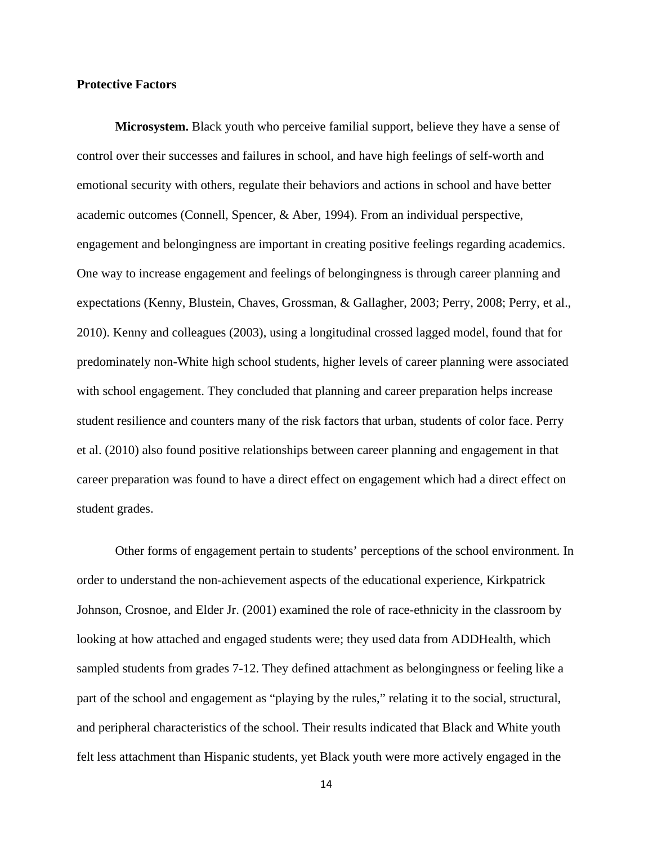### **Protective Factors**

**Microsystem.** Black youth who perceive familial support, believe they have a sense of control over their successes and failures in school, and have high feelings of self-worth and emotional security with others, regulate their behaviors and actions in school and have better academic outcomes (Connell, Spencer, & Aber, 1994). From an individual perspective, engagement and belongingness are important in creating positive feelings regarding academics. One way to increase engagement and feelings of belongingness is through career planning and expectations (Kenny, Blustein, Chaves, Grossman, & Gallagher, 2003; Perry, 2008; Perry, et al., 2010). Kenny and colleagues (2003), using a longitudinal crossed lagged model, found that for predominately non-White high school students, higher levels of career planning were associated with school engagement. They concluded that planning and career preparation helps increase student resilience and counters many of the risk factors that urban, students of color face. Perry et al. (2010) also found positive relationships between career planning and engagement in that career preparation was found to have a direct effect on engagement which had a direct effect on student grades.

 Other forms of engagement pertain to students' perceptions of the school environment. In order to understand the non-achievement aspects of the educational experience, Kirkpatrick Johnson, Crosnoe, and Elder Jr. (2001) examined the role of race-ethnicity in the classroom by looking at how attached and engaged students were; they used data from ADDHealth, which sampled students from grades 7-12. They defined attachment as belongingness or feeling like a part of the school and engagement as "playing by the rules," relating it to the social, structural, and peripheral characteristics of the school. Their results indicated that Black and White youth felt less attachment than Hispanic students, yet Black youth were more actively engaged in the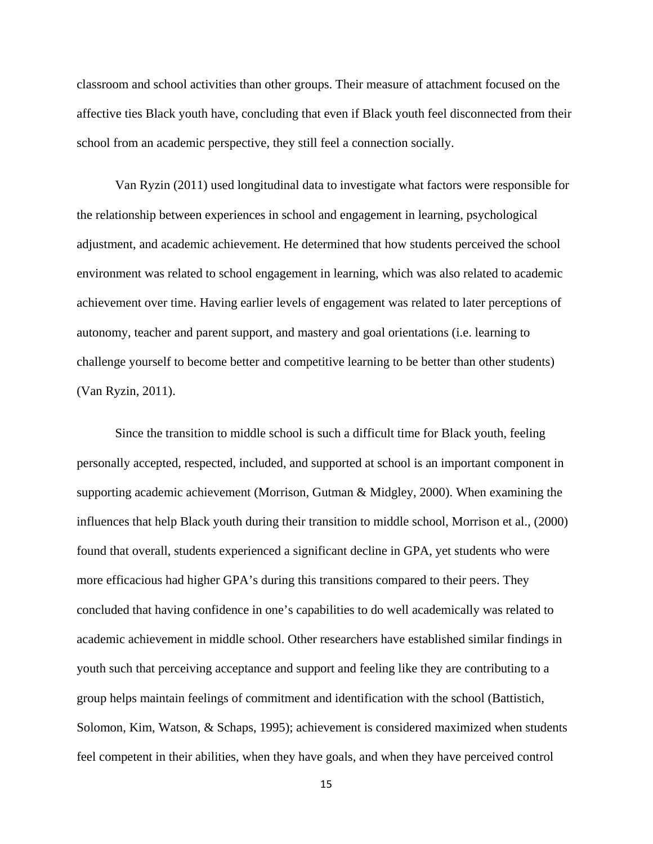classroom and school activities than other groups. Their measure of attachment focused on the affective ties Black youth have, concluding that even if Black youth feel disconnected from their school from an academic perspective, they still feel a connection socially.

 Van Ryzin (2011) used longitudinal data to investigate what factors were responsible for the relationship between experiences in school and engagement in learning, psychological adjustment, and academic achievement. He determined that how students perceived the school environment was related to school engagement in learning, which was also related to academic achievement over time. Having earlier levels of engagement was related to later perceptions of autonomy, teacher and parent support, and mastery and goal orientations (i.e. learning to challenge yourself to become better and competitive learning to be better than other students) (Van Ryzin, 2011).

Since the transition to middle school is such a difficult time for Black youth, feeling personally accepted, respected, included, and supported at school is an important component in supporting academic achievement (Morrison, Gutman & Midgley, 2000). When examining the influences that help Black youth during their transition to middle school, Morrison et al., (2000) found that overall, students experienced a significant decline in GPA, yet students who were more efficacious had higher GPA's during this transitions compared to their peers. They concluded that having confidence in one's capabilities to do well academically was related to academic achievement in middle school. Other researchers have established similar findings in youth such that perceiving acceptance and support and feeling like they are contributing to a group helps maintain feelings of commitment and identification with the school (Battistich, Solomon, Kim, Watson, & Schaps, 1995); achievement is considered maximized when students feel competent in their abilities, when they have goals, and when they have perceived control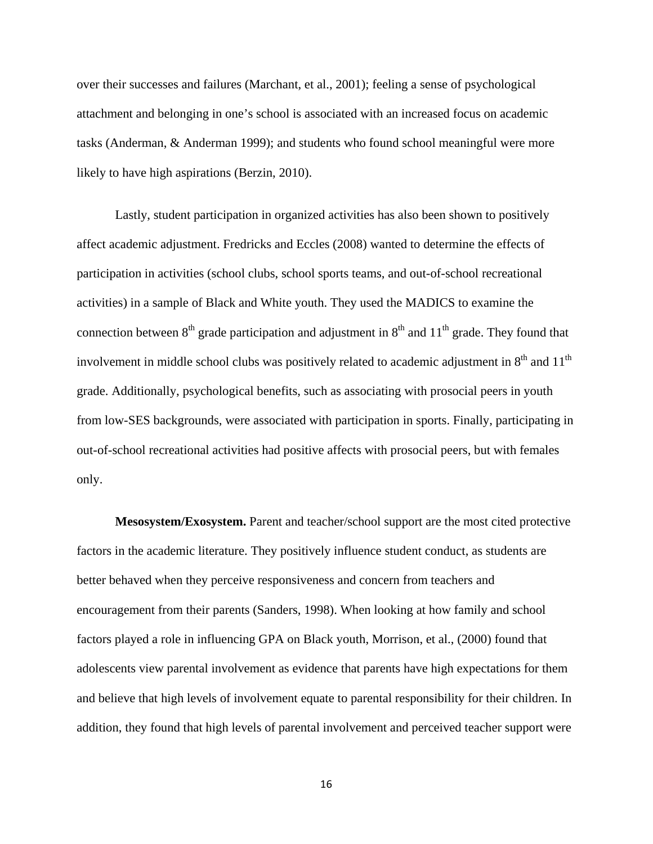over their successes and failures (Marchant, et al., 2001); feeling a sense of psychological attachment and belonging in one's school is associated with an increased focus on academic tasks (Anderman, & Anderman 1999); and students who found school meaningful were more likely to have high aspirations (Berzin, 2010).

 Lastly, student participation in organized activities has also been shown to positively affect academic adjustment. Fredricks and Eccles (2008) wanted to determine the effects of participation in activities (school clubs, school sports teams, and out-of-school recreational activities) in a sample of Black and White youth. They used the MADICS to examine the connection between  $8<sup>th</sup>$  grade participation and adjustment in  $8<sup>th</sup>$  and  $11<sup>th</sup>$  grade. They found that involvement in middle school clubs was positively related to academic adjustment in  $8<sup>th</sup>$  and  $11<sup>th</sup>$ grade. Additionally, psychological benefits, such as associating with prosocial peers in youth from low-SES backgrounds, were associated with participation in sports. Finally, participating in out-of-school recreational activities had positive affects with prosocial peers, but with females only.

**Mesosystem/Exosystem.** Parent and teacher/school support are the most cited protective factors in the academic literature. They positively influence student conduct, as students are better behaved when they perceive responsiveness and concern from teachers and encouragement from their parents (Sanders, 1998). When looking at how family and school factors played a role in influencing GPA on Black youth, Morrison, et al., (2000) found that adolescents view parental involvement as evidence that parents have high expectations for them and believe that high levels of involvement equate to parental responsibility for their children. In addition, they found that high levels of parental involvement and perceived teacher support were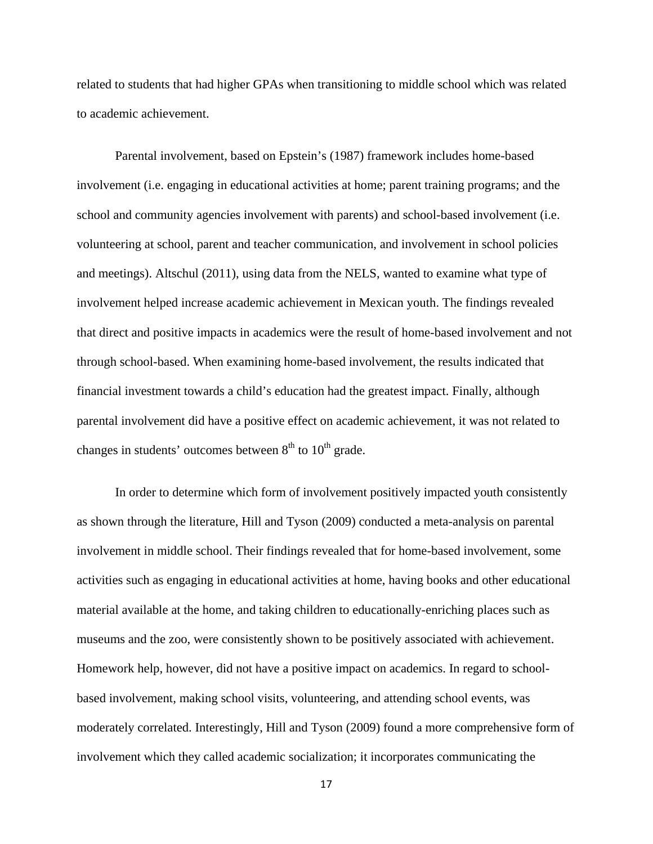related to students that had higher GPAs when transitioning to middle school which was related to academic achievement.

Parental involvement, based on Epstein's (1987) framework includes home-based involvement (i.e. engaging in educational activities at home; parent training programs; and the school and community agencies involvement with parents) and school-based involvement (i.e. volunteering at school, parent and teacher communication, and involvement in school policies and meetings). Altschul (2011), using data from the NELS, wanted to examine what type of involvement helped increase academic achievement in Mexican youth. The findings revealed that direct and positive impacts in academics were the result of home-based involvement and not through school-based. When examining home-based involvement, the results indicated that financial investment towards a child's education had the greatest impact. Finally, although parental involvement did have a positive effect on academic achievement, it was not related to changes in students' outcomes between  $8<sup>th</sup>$  to  $10<sup>th</sup>$  grade.

In order to determine which form of involvement positively impacted youth consistently as shown through the literature, Hill and Tyson (2009) conducted a meta-analysis on parental involvement in middle school. Their findings revealed that for home-based involvement, some activities such as engaging in educational activities at home, having books and other educational material available at the home, and taking children to educationally-enriching places such as museums and the zoo, were consistently shown to be positively associated with achievement. Homework help, however, did not have a positive impact on academics. In regard to schoolbased involvement, making school visits, volunteering, and attending school events, was moderately correlated. Interestingly, Hill and Tyson (2009) found a more comprehensive form of involvement which they called academic socialization; it incorporates communicating the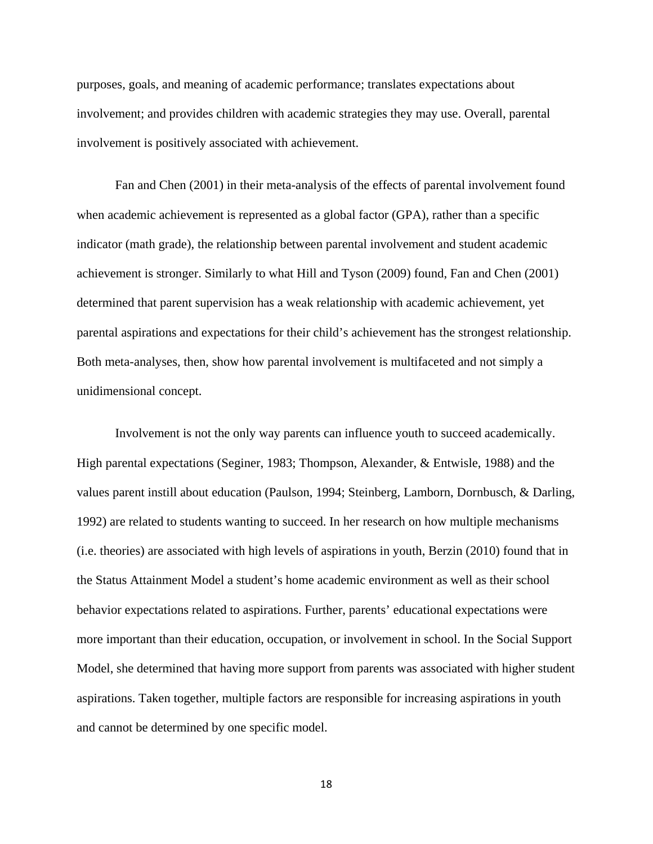purposes, goals, and meaning of academic performance; translates expectations about involvement; and provides children with academic strategies they may use. Overall, parental involvement is positively associated with achievement.

 Fan and Chen (2001) in their meta-analysis of the effects of parental involvement found when academic achievement is represented as a global factor (GPA), rather than a specific indicator (math grade), the relationship between parental involvement and student academic achievement is stronger. Similarly to what Hill and Tyson (2009) found, Fan and Chen (2001) determined that parent supervision has a weak relationship with academic achievement, yet parental aspirations and expectations for their child's achievement has the strongest relationship. Both meta-analyses, then, show how parental involvement is multifaceted and not simply a unidimensional concept.

 Involvement is not the only way parents can influence youth to succeed academically. High parental expectations (Seginer, 1983; Thompson, Alexander, & Entwisle, 1988) and the values parent instill about education (Paulson, 1994; Steinberg, Lamborn, Dornbusch, & Darling, 1992) are related to students wanting to succeed. In her research on how multiple mechanisms (i.e. theories) are associated with high levels of aspirations in youth, Berzin (2010) found that in the Status Attainment Model a student's home academic environment as well as their school behavior expectations related to aspirations. Further, parents' educational expectations were more important than their education, occupation, or involvement in school. In the Social Support Model, she determined that having more support from parents was associated with higher student aspirations. Taken together, multiple factors are responsible for increasing aspirations in youth and cannot be determined by one specific model.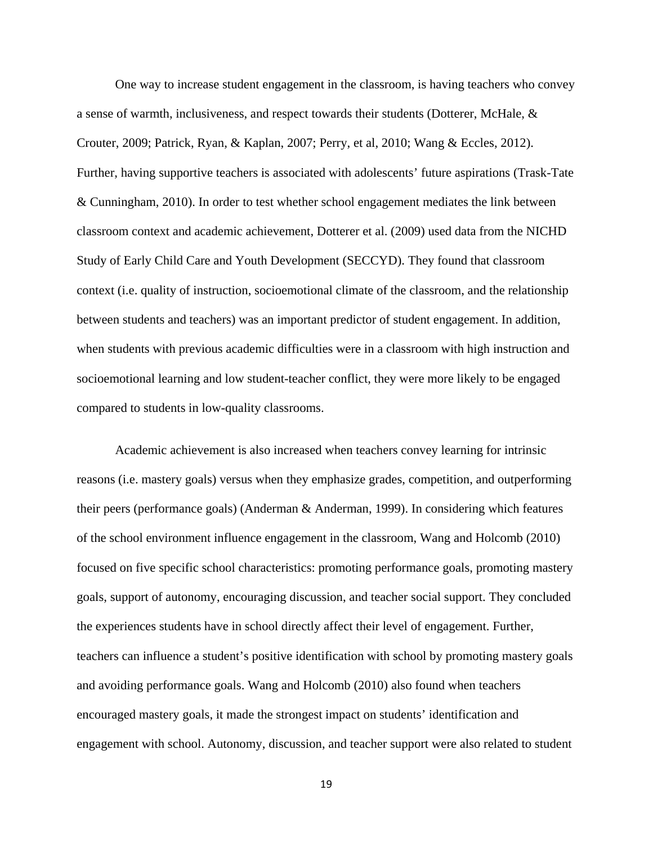One way to increase student engagement in the classroom, is having teachers who convey a sense of warmth, inclusiveness, and respect towards their students (Dotterer, McHale, & Crouter, 2009; Patrick, Ryan, & Kaplan, 2007; Perry, et al, 2010; Wang & Eccles, 2012). Further, having supportive teachers is associated with adolescents' future aspirations (Trask-Tate & Cunningham, 2010). In order to test whether school engagement mediates the link between classroom context and academic achievement, Dotterer et al. (2009) used data from the NICHD Study of Early Child Care and Youth Development (SECCYD). They found that classroom context (i.e. quality of instruction, socioemotional climate of the classroom, and the relationship between students and teachers) was an important predictor of student engagement. In addition, when students with previous academic difficulties were in a classroom with high instruction and socioemotional learning and low student-teacher conflict, they were more likely to be engaged compared to students in low-quality classrooms.

Academic achievement is also increased when teachers convey learning for intrinsic reasons (i.e. mastery goals) versus when they emphasize grades, competition, and outperforming their peers (performance goals) (Anderman & Anderman, 1999). In considering which features of the school environment influence engagement in the classroom, Wang and Holcomb (2010) focused on five specific school characteristics: promoting performance goals, promoting mastery goals, support of autonomy, encouraging discussion, and teacher social support. They concluded the experiences students have in school directly affect their level of engagement. Further, teachers can influence a student's positive identification with school by promoting mastery goals and avoiding performance goals. Wang and Holcomb (2010) also found when teachers encouraged mastery goals, it made the strongest impact on students' identification and engagement with school. Autonomy, discussion, and teacher support were also related to student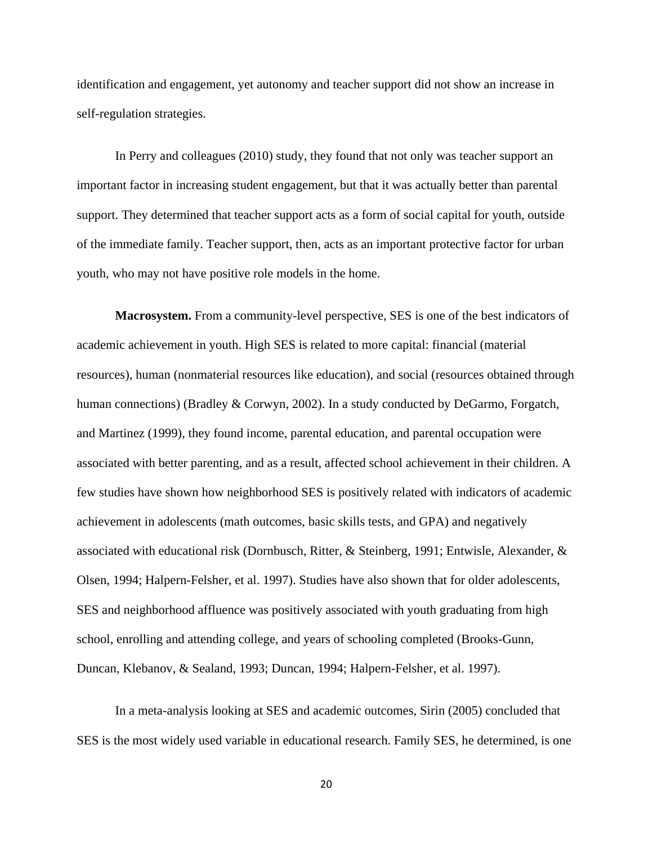identification and engagement, yet autonomy and teacher support did not show an increase in self-regulation strategies.

 In Perry and colleagues (2010) study, they found that not only was teacher support an important factor in increasing student engagement, but that it was actually better than parental support. They determined that teacher support acts as a form of social capital for youth, outside of the immediate family. Teacher support, then, acts as an important protective factor for urban youth, who may not have positive role models in the home.

**Macrosystem.** From a community-level perspective, SES is one of the best indicators of academic achievement in youth. High SES is related to more capital: financial (material resources), human (nonmaterial resources like education), and social (resources obtained through human connections) (Bradley & Corwyn, 2002). In a study conducted by DeGarmo, Forgatch, and Martinez (1999), they found income, parental education, and parental occupation were associated with better parenting, and as a result, affected school achievement in their children. A few studies have shown how neighborhood SES is positively related with indicators of academic achievement in adolescents (math outcomes, basic skills tests, and GPA) and negatively associated with educational risk (Dornbusch, Ritter, & Steinberg, 1991; Entwisle, Alexander, & Olsen, 1994; Halpern-Felsher, et al. 1997). Studies have also shown that for older adolescents, SES and neighborhood affluence was positively associated with youth graduating from high school, enrolling and attending college, and years of schooling completed (Brooks-Gunn, Duncan, Klebanov, & Sealand, 1993; Duncan, 1994; Halpern-Felsher, et al. 1997).

In a meta-analysis looking at SES and academic outcomes, Sirin (2005) concluded that SES is the most widely used variable in educational research. Family SES, he determined, is one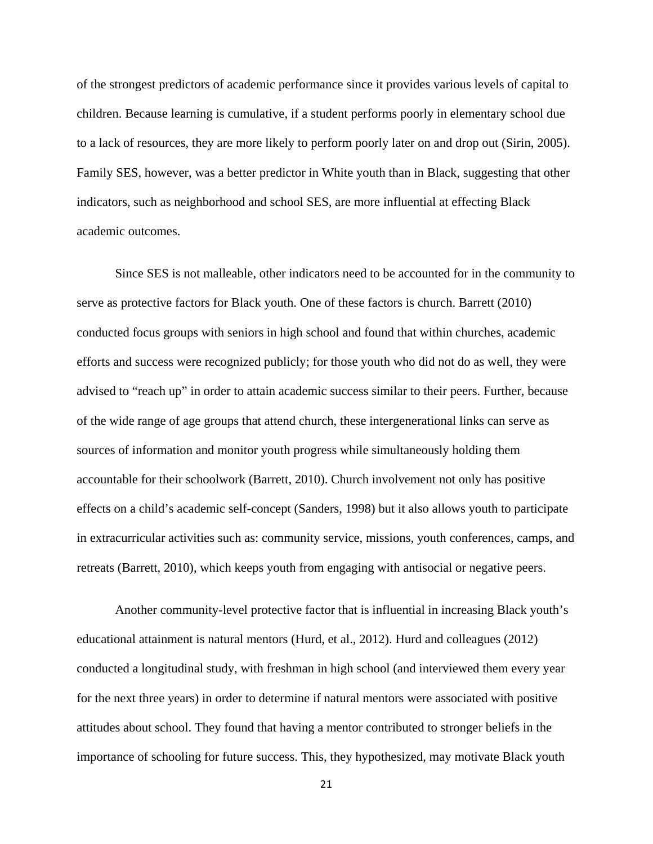of the strongest predictors of academic performance since it provides various levels of capital to children. Because learning is cumulative, if a student performs poorly in elementary school due to a lack of resources, they are more likely to perform poorly later on and drop out (Sirin, 2005). Family SES, however, was a better predictor in White youth than in Black, suggesting that other indicators, such as neighborhood and school SES, are more influential at effecting Black academic outcomes.

Since SES is not malleable, other indicators need to be accounted for in the community to serve as protective factors for Black youth. One of these factors is church. Barrett (2010) conducted focus groups with seniors in high school and found that within churches, academic efforts and success were recognized publicly; for those youth who did not do as well, they were advised to "reach up" in order to attain academic success similar to their peers. Further, because of the wide range of age groups that attend church, these intergenerational links can serve as sources of information and monitor youth progress while simultaneously holding them accountable for their schoolwork (Barrett, 2010). Church involvement not only has positive effects on a child's academic self-concept (Sanders, 1998) but it also allows youth to participate in extracurricular activities such as: community service, missions, youth conferences, camps, and retreats (Barrett, 2010), which keeps youth from engaging with antisocial or negative peers.

 Another community-level protective factor that is influential in increasing Black youth's educational attainment is natural mentors (Hurd, et al., 2012). Hurd and colleagues (2012) conducted a longitudinal study, with freshman in high school (and interviewed them every year for the next three years) in order to determine if natural mentors were associated with positive attitudes about school. They found that having a mentor contributed to stronger beliefs in the importance of schooling for future success. This, they hypothesized, may motivate Black youth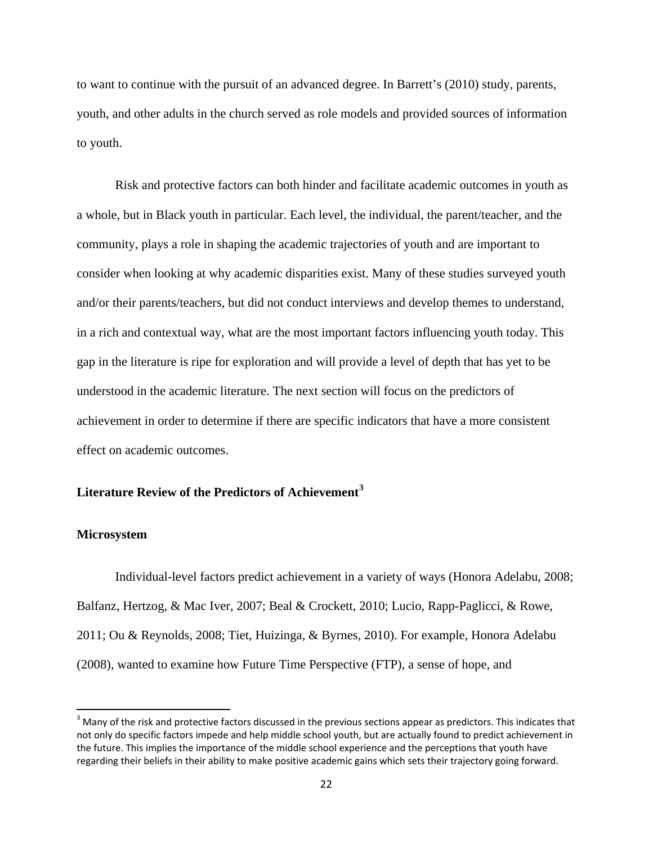to want to continue with the pursuit of an advanced degree. In Barrett's (2010) study, parents, youth, and other adults in the church served as role models and provided sources of information to youth.

Risk and protective factors can both hinder and facilitate academic outcomes in youth as a whole, but in Black youth in particular. Each level, the individual, the parent/teacher, and the community, plays a role in shaping the academic trajectories of youth and are important to consider when looking at why academic disparities exist. Many of these studies surveyed youth and/or their parents/teachers, but did not conduct interviews and develop themes to understand, in a rich and contextual way, what are the most important factors influencing youth today. This gap in the literature is ripe for exploration and will provide a level of depth that has yet to be understood in the academic literature. The next section will focus on the predictors of achievement in order to determine if there are specific indicators that have a more consistent effect on academic outcomes.

### **Literature Review of the Predictors of Achievement[3](#page-35-0)**

### **Microsystem**

 $\overline{\phantom{a}}$ 

Individual-level factors predict achievement in a variety of ways (Honora Adelabu, 2008; Balfanz, Hertzog, & Mac Iver, 2007; Beal & Crockett, 2010; Lucio, Rapp-Paglicci, & Rowe, 2011; Ou & Reynolds, 2008; Tiet, Huizinga, & Byrnes, 2010). For example, Honora Adelabu (2008), wanted to examine how Future Time Perspective (FTP), a sense of hope, and

<span id="page-35-0"></span><sup>&</sup>lt;sup>3</sup> Many of the risk and protective factors discussed in the previous sections appear as predictors. This indicates that not only do specific factors impede and help middle school youth, but are actually found to predict achievement in the future. This implies the importance of the middle school experience and the perceptions that youth have regarding their beliefs in their ability to make positive academic gains which sets their trajectory going forward.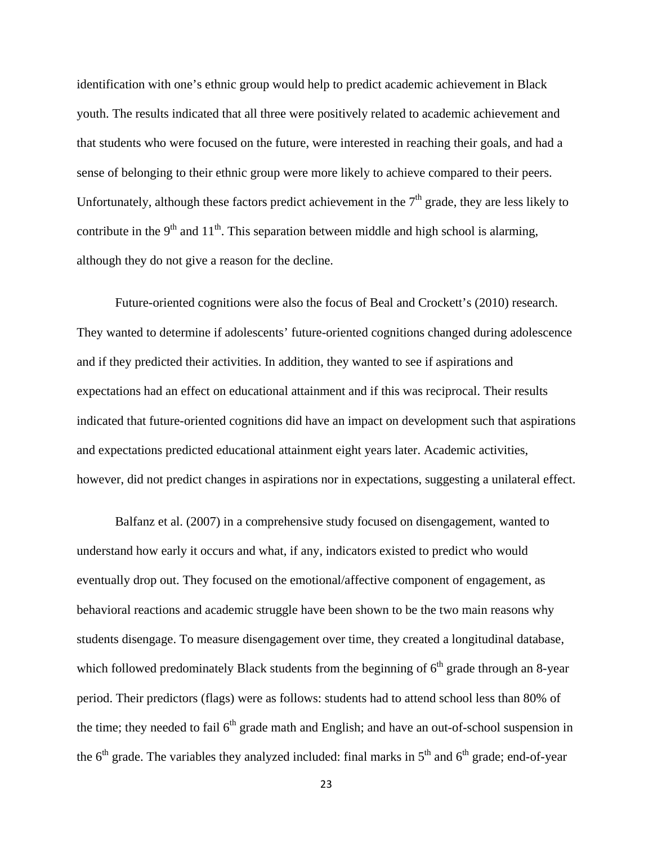identification with one's ethnic group would help to predict academic achievement in Black youth. The results indicated that all three were positively related to academic achievement and that students who were focused on the future, were interested in reaching their goals, and had a sense of belonging to their ethnic group were more likely to achieve compared to their peers. Unfortunately, although these factors predict achievement in the  $7<sup>th</sup>$  grade, they are less likely to contribute in the  $9<sup>th</sup>$  and  $11<sup>th</sup>$ . This separation between middle and high school is alarming, although they do not give a reason for the decline.

 Future-oriented cognitions were also the focus of Beal and Crockett's (2010) research. They wanted to determine if adolescents' future-oriented cognitions changed during adolescence and if they predicted their activities. In addition, they wanted to see if aspirations and expectations had an effect on educational attainment and if this was reciprocal. Their results indicated that future-oriented cognitions did have an impact on development such that aspirations and expectations predicted educational attainment eight years later. Academic activities, however, did not predict changes in aspirations nor in expectations, suggesting a unilateral effect.

 Balfanz et al. (2007) in a comprehensive study focused on disengagement, wanted to understand how early it occurs and what, if any, indicators existed to predict who would eventually drop out. They focused on the emotional/affective component of engagement, as behavioral reactions and academic struggle have been shown to be the two main reasons why students disengage. To measure disengagement over time, they created a longitudinal database, which followed predominately Black students from the beginning of  $6<sup>th</sup>$  grade through an 8-year period. Their predictors (flags) were as follows: students had to attend school less than 80% of the time; they needed to fail  $6<sup>th</sup>$  grade math and English; and have an out-of-school suspension in the  $6<sup>th</sup>$  grade. The variables they analyzed included: final marks in  $5<sup>th</sup>$  and  $6<sup>th</sup>$  grade; end-of-year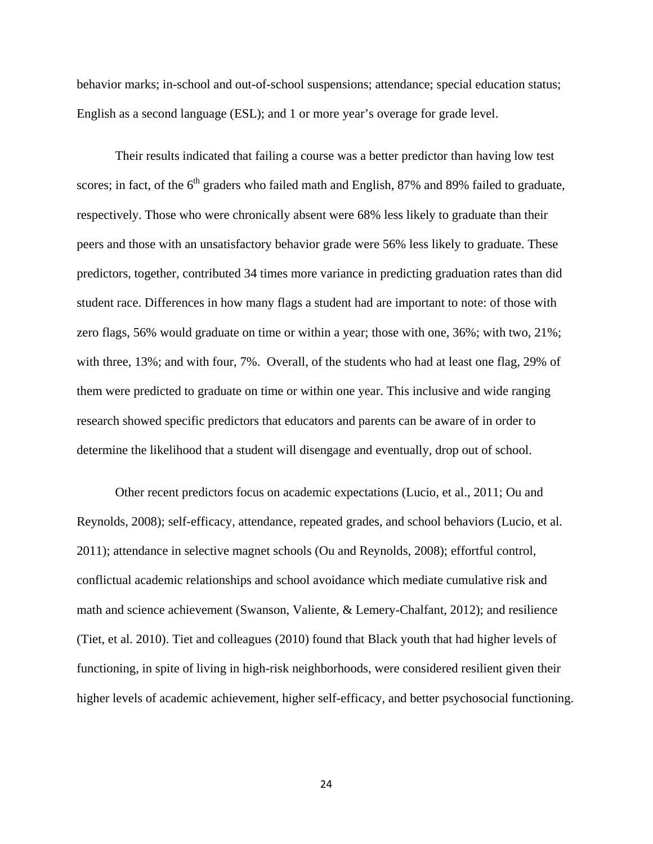behavior marks; in-school and out-of-school suspensions; attendance; special education status; English as a second language (ESL); and 1 or more year's overage for grade level.

Their results indicated that failing a course was a better predictor than having low test scores; in fact, of the  $6<sup>th</sup>$  graders who failed math and English, 87% and 89% failed to graduate, respectively. Those who were chronically absent were 68% less likely to graduate than their peers and those with an unsatisfactory behavior grade were 56% less likely to graduate. These predictors, together, contributed 34 times more variance in predicting graduation rates than did student race. Differences in how many flags a student had are important to note: of those with zero flags, 56% would graduate on time or within a year; those with one, 36%; with two, 21%; with three, 13%; and with four, 7%. Overall, of the students who had at least one flag, 29% of them were predicted to graduate on time or within one year. This inclusive and wide ranging research showed specific predictors that educators and parents can be aware of in order to determine the likelihood that a student will disengage and eventually, drop out of school.

Other recent predictors focus on academic expectations (Lucio, et al., 2011; Ou and Reynolds, 2008); self-efficacy, attendance, repeated grades, and school behaviors (Lucio, et al. 2011); attendance in selective magnet schools (Ou and Reynolds, 2008); effortful control, conflictual academic relationships and school avoidance which mediate cumulative risk and math and science achievement (Swanson, Valiente, & Lemery-Chalfant, 2012); and resilience (Tiet, et al. 2010). Tiet and colleagues (2010) found that Black youth that had higher levels of functioning, in spite of living in high-risk neighborhoods, were considered resilient given their higher levels of academic achievement, higher self-efficacy, and better psychosocial functioning.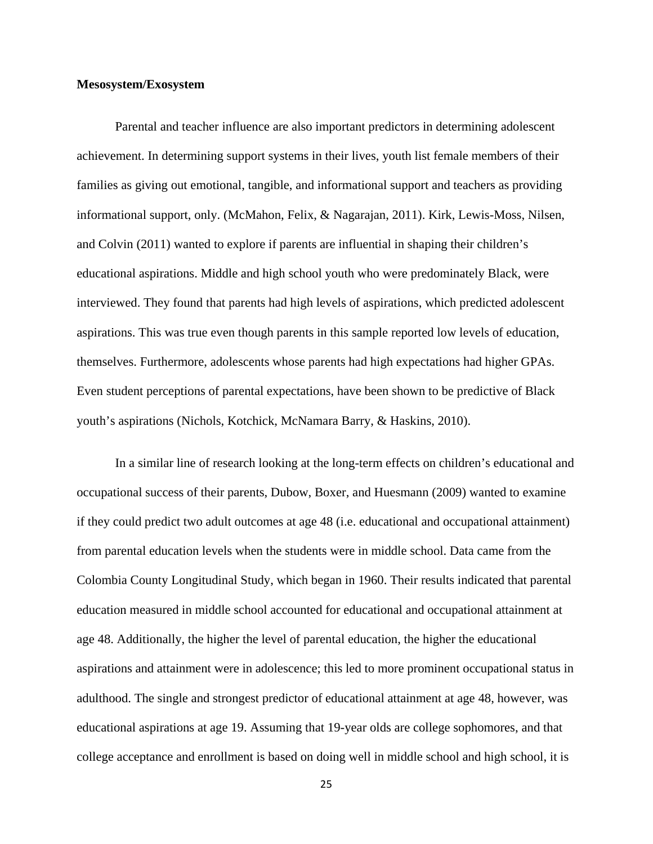# **Mesosystem/Exosystem**

Parental and teacher influence are also important predictors in determining adolescent achievement. In determining support systems in their lives, youth list female members of their families as giving out emotional, tangible, and informational support and teachers as providing informational support, only. (McMahon, Felix, & Nagarajan, 2011). Kirk, Lewis-Moss, Nilsen, and Colvin (2011) wanted to explore if parents are influential in shaping their children's educational aspirations. Middle and high school youth who were predominately Black, were interviewed. They found that parents had high levels of aspirations, which predicted adolescent aspirations. This was true even though parents in this sample reported low levels of education, themselves. Furthermore, adolescents whose parents had high expectations had higher GPAs. Even student perceptions of parental expectations, have been shown to be predictive of Black youth's aspirations (Nichols, Kotchick, McNamara Barry, & Haskins, 2010).

In a similar line of research looking at the long-term effects on children's educational and occupational success of their parents, Dubow, Boxer, and Huesmann (2009) wanted to examine if they could predict two adult outcomes at age 48 (i.e. educational and occupational attainment) from parental education levels when the students were in middle school. Data came from the Colombia County Longitudinal Study, which began in 1960. Their results indicated that parental education measured in middle school accounted for educational and occupational attainment at age 48. Additionally, the higher the level of parental education, the higher the educational aspirations and attainment were in adolescence; this led to more prominent occupational status in adulthood. The single and strongest predictor of educational attainment at age 48, however, was educational aspirations at age 19. Assuming that 19-year olds are college sophomores, and that college acceptance and enrollment is based on doing well in middle school and high school, it is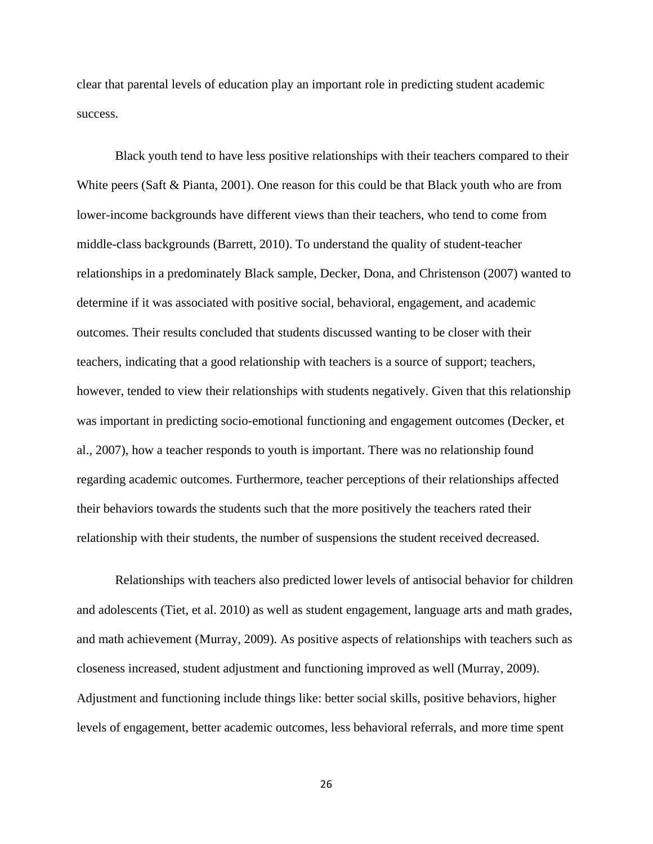clear that parental levels of education play an important role in predicting student academic success.

Black youth tend to have less positive relationships with their teachers compared to their White peers (Saft & Pianta, 2001). One reason for this could be that Black youth who are from lower-income backgrounds have different views than their teachers, who tend to come from middle-class backgrounds (Barrett, 2010). To understand the quality of student-teacher relationships in a predominately Black sample, Decker, Dona, and Christenson (2007) wanted to determine if it was associated with positive social, behavioral, engagement, and academic outcomes. Their results concluded that students discussed wanting to be closer with their teachers, indicating that a good relationship with teachers is a source of support; teachers, however, tended to view their relationships with students negatively. Given that this relationship was important in predicting socio-emotional functioning and engagement outcomes (Decker, et al., 2007), how a teacher responds to youth is important. There was no relationship found regarding academic outcomes. Furthermore, teacher perceptions of their relationships affected their behaviors towards the students such that the more positively the teachers rated their relationship with their students, the number of suspensions the student received decreased.

Relationships with teachers also predicted lower levels of antisocial behavior for children and adolescents (Tiet, et al. 2010) as well as student engagement, language arts and math grades, and math achievement (Murray, 2009). As positive aspects of relationships with teachers such as closeness increased, student adjustment and functioning improved as well (Murray, 2009). Adjustment and functioning include things like: better social skills, positive behaviors, higher levels of engagement, better academic outcomes, less behavioral referrals, and more time spent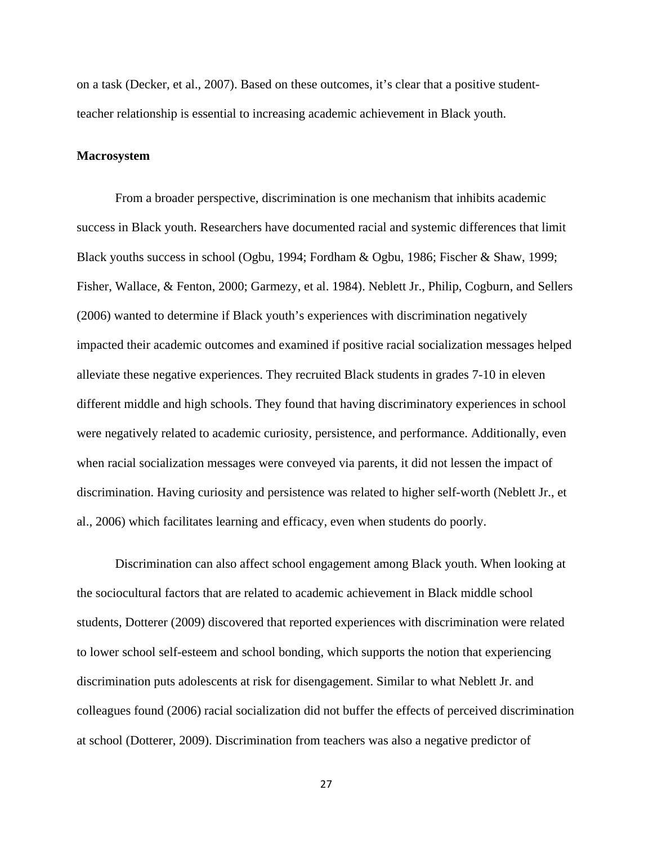on a task (Decker, et al., 2007). Based on these outcomes, it's clear that a positive studentteacher relationship is essential to increasing academic achievement in Black youth.

### **Macrosystem**

 From a broader perspective, discrimination is one mechanism that inhibits academic success in Black youth. Researchers have documented racial and systemic differences that limit Black youths success in school (Ogbu, 1994; Fordham & Ogbu, 1986; Fischer & Shaw, 1999; Fisher, Wallace, & Fenton, 2000; Garmezy, et al. 1984). Neblett Jr., Philip, Cogburn, and Sellers (2006) wanted to determine if Black youth's experiences with discrimination negatively impacted their academic outcomes and examined if positive racial socialization messages helped alleviate these negative experiences. They recruited Black students in grades 7-10 in eleven different middle and high schools. They found that having discriminatory experiences in school were negatively related to academic curiosity, persistence, and performance. Additionally, even when racial socialization messages were conveyed via parents, it did not lessen the impact of discrimination. Having curiosity and persistence was related to higher self-worth (Neblett Jr., et al., 2006) which facilitates learning and efficacy, even when students do poorly.

 Discrimination can also affect school engagement among Black youth. When looking at the sociocultural factors that are related to academic achievement in Black middle school students, Dotterer (2009) discovered that reported experiences with discrimination were related to lower school self-esteem and school bonding, which supports the notion that experiencing discrimination puts adolescents at risk for disengagement. Similar to what Neblett Jr. and colleagues found (2006) racial socialization did not buffer the effects of perceived discrimination at school (Dotterer, 2009). Discrimination from teachers was also a negative predictor of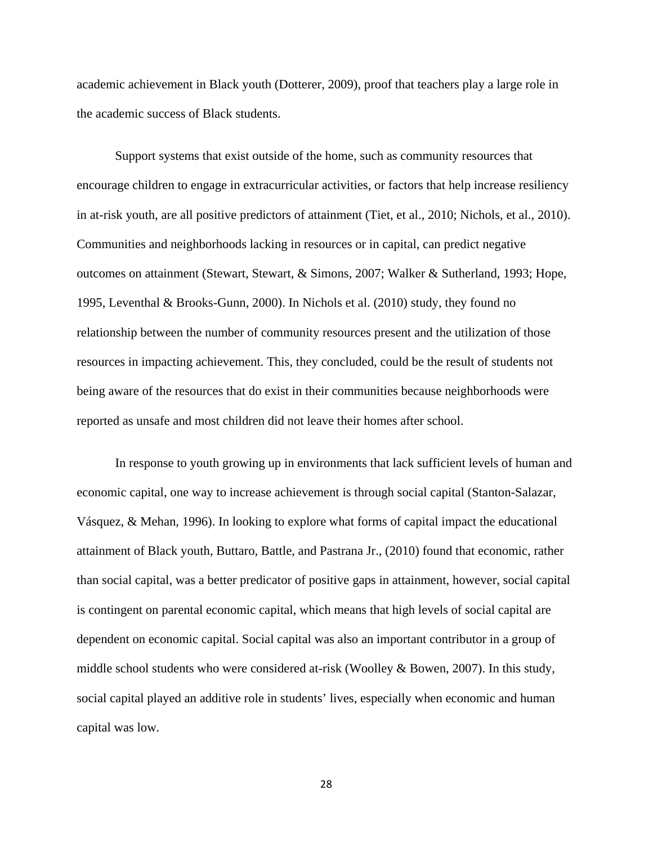academic achievement in Black youth (Dotterer, 2009), proof that teachers play a large role in the academic success of Black students.

 Support systems that exist outside of the home, such as community resources that encourage children to engage in extracurricular activities, or factors that help increase resiliency in at-risk youth, are all positive predictors of attainment (Tiet, et al., 2010; Nichols, et al., 2010). Communities and neighborhoods lacking in resources or in capital, can predict negative outcomes on attainment (Stewart, Stewart, & Simons, 2007; Walker & Sutherland, 1993; Hope, 1995, Leventhal & Brooks-Gunn, 2000). In Nichols et al. (2010) study, they found no relationship between the number of community resources present and the utilization of those resources in impacting achievement. This, they concluded, could be the result of students not being aware of the resources that do exist in their communities because neighborhoods were reported as unsafe and most children did not leave their homes after school.

 In response to youth growing up in environments that lack sufficient levels of human and economic capital, one way to increase achievement is through social capital (Stanton-Salazar, Vásquez, & Mehan, 1996). In looking to explore what forms of capital impact the educational attainment of Black youth, Buttaro, Battle, and Pastrana Jr., (2010) found that economic, rather than social capital, was a better predicator of positive gaps in attainment, however, social capital is contingent on parental economic capital, which means that high levels of social capital are dependent on economic capital. Social capital was also an important contributor in a group of middle school students who were considered at-risk (Woolley & Bowen, 2007). In this study, social capital played an additive role in students' lives, especially when economic and human capital was low.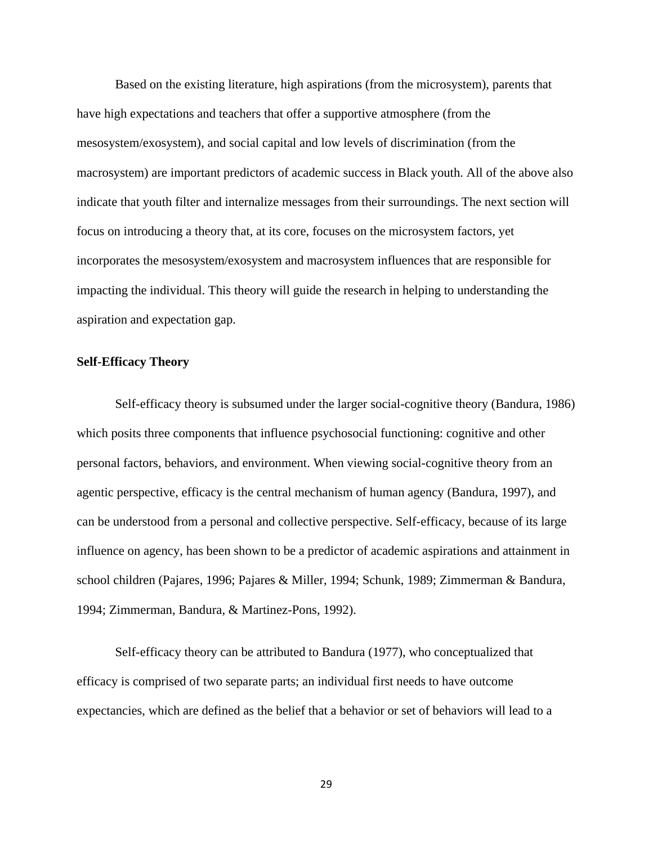Based on the existing literature, high aspirations (from the microsystem), parents that have high expectations and teachers that offer a supportive atmosphere (from the mesosystem/exosystem), and social capital and low levels of discrimination (from the macrosystem) are important predictors of academic success in Black youth. All of the above also indicate that youth filter and internalize messages from their surroundings. The next section will focus on introducing a theory that, at its core, focuses on the microsystem factors, yet incorporates the mesosystem/exosystem and macrosystem influences that are responsible for impacting the individual. This theory will guide the research in helping to understanding the aspiration and expectation gap.

#### **Self-Efficacy Theory**

Self-efficacy theory is subsumed under the larger social-cognitive theory (Bandura, 1986) which posits three components that influence psychosocial functioning: cognitive and other personal factors, behaviors, and environment. When viewing social-cognitive theory from an agentic perspective, efficacy is the central mechanism of human agency (Bandura, 1997), and can be understood from a personal and collective perspective. Self-efficacy, because of its large influence on agency, has been shown to be a predictor of academic aspirations and attainment in school children (Pajares, 1996; Pajares & Miller, 1994; Schunk, 1989; Zimmerman & Bandura, 1994; Zimmerman, Bandura, & Martinez-Pons, 1992).

Self-efficacy theory can be attributed to Bandura (1977), who conceptualized that efficacy is comprised of two separate parts; an individual first needs to have outcome expectancies, which are defined as the belief that a behavior or set of behaviors will lead to a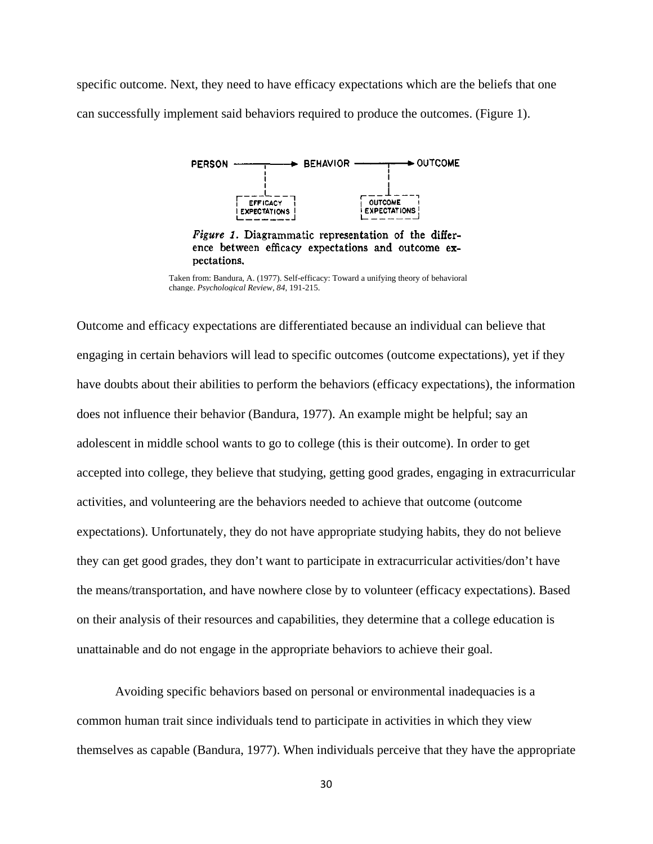specific outcome. Next, they need to have efficacy expectations which are the beliefs that one can successfully implement said behaviors required to produce the outcomes. (Figure 1).



Figure 1. Diagrammatic representation of the difference between efficacy expectations and outcome expectations.

Outcome and efficacy expectations are differentiated because an individual can believe that engaging in certain behaviors will lead to specific outcomes (outcome expectations), yet if they have doubts about their abilities to perform the behaviors (efficacy expectations), the information does not influence their behavior (Bandura, 1977). An example might be helpful; say an adolescent in middle school wants to go to college (this is their outcome). In order to get accepted into college, they believe that studying, getting good grades, engaging in extracurricular activities, and volunteering are the behaviors needed to achieve that outcome (outcome expectations). Unfortunately, they do not have appropriate studying habits, they do not believe they can get good grades, they don't want to participate in extracurricular activities/don't have the means/transportation, and have nowhere close by to volunteer (efficacy expectations). Based on their analysis of their resources and capabilities, they determine that a college education is unattainable and do not engage in the appropriate behaviors to achieve their goal.

 Avoiding specific behaviors based on personal or environmental inadequacies is a common human trait since individuals tend to participate in activities in which they view themselves as capable (Bandura, 1977). When individuals perceive that they have the appropriate

Taken from: Bandura, A. (1977). Self-efficacy: Toward a unifying theory of behavioral change. *Psychological Review, 84,* 191-215.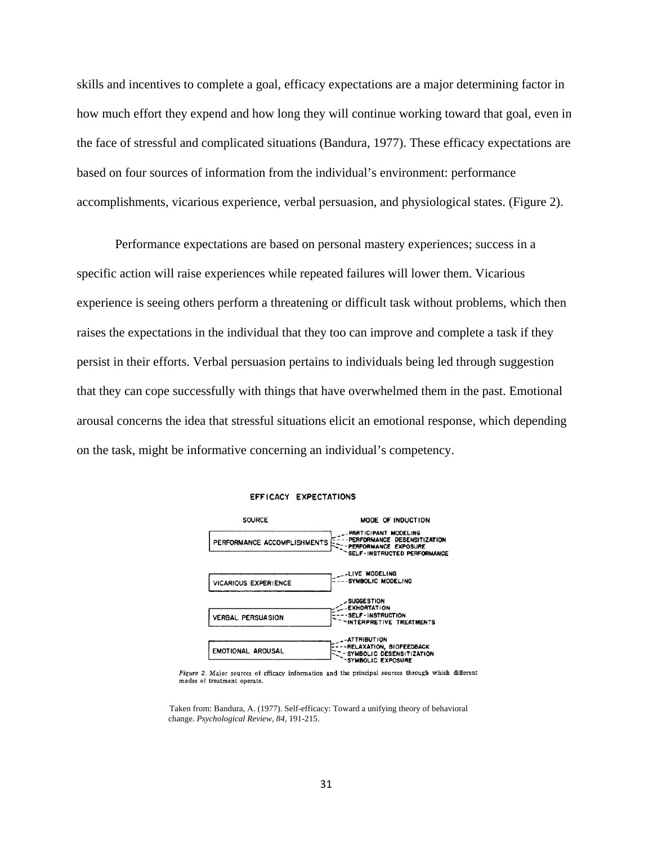skills and incentives to complete a goal, efficacy expectations are a major determining factor in how much effort they expend and how long they will continue working toward that goal, even in the face of stressful and complicated situations (Bandura, 1977). These efficacy expectations are based on four sources of information from the individual's environment: performance accomplishments, vicarious experience, verbal persuasion, and physiological states. (Figure 2).

Performance expectations are based on personal mastery experiences; success in a specific action will raise experiences while repeated failures will lower them. Vicarious experience is seeing others perform a threatening or difficult task without problems, which then raises the expectations in the individual that they too can improve and complete a task if they persist in their efforts. Verbal persuasion pertains to individuals being led through suggestion that they can cope successfully with things that have overwhelmed them in the past. Emotional arousal concerns the idea that stressful situations elicit an emotional response, which depending on the task, might be informative concerning an individual's competency.



#### EFFICACY EXPECTATIONS

Figure 2. Major sources of efficacy information and the principal sources through which different modes of treatment operate.

 Taken from: Bandura, A. (1977). Self-efficacy: Toward a unifying theory of behavioral change. *Psychological Review, 84,* 191-215.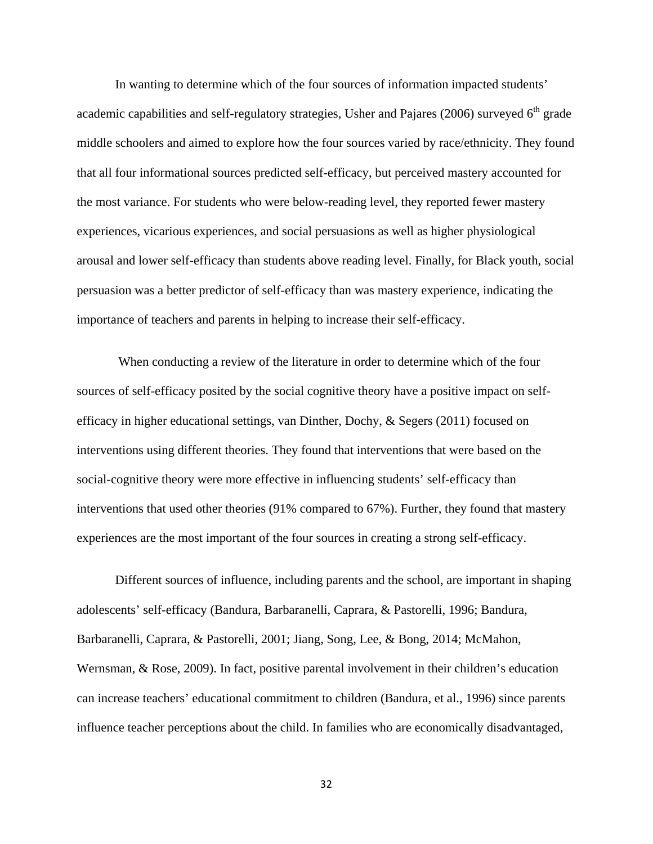In wanting to determine which of the four sources of information impacted students' academic capabilities and self-regulatory strategies, Usher and Pajares (2006) surveyed  $6<sup>th</sup>$  grade middle schoolers and aimed to explore how the four sources varied by race/ethnicity. They found that all four informational sources predicted self-efficacy, but perceived mastery accounted for the most variance. For students who were below-reading level, they reported fewer mastery experiences, vicarious experiences, and social persuasions as well as higher physiological arousal and lower self-efficacy than students above reading level. Finally, for Black youth, social persuasion was a better predictor of self-efficacy than was mastery experience, indicating the importance of teachers and parents in helping to increase their self-efficacy.

 When conducting a review of the literature in order to determine which of the four sources of self-efficacy posited by the social cognitive theory have a positive impact on selfefficacy in higher educational settings, van Dinther, Dochy, & Segers (2011) focused on interventions using different theories. They found that interventions that were based on the social-cognitive theory were more effective in influencing students' self-efficacy than interventions that used other theories (91% compared to 67%). Further, they found that mastery experiences are the most important of the four sources in creating a strong self-efficacy.

 Different sources of influence, including parents and the school, are important in shaping adolescents' self-efficacy (Bandura, Barbaranelli, Caprara, & Pastorelli, 1996; Bandura, Barbaranelli, Caprara, & Pastorelli, 2001; Jiang, Song, Lee, & Bong, 2014; McMahon, Wernsman, & Rose, 2009). In fact, positive parental involvement in their children's education can increase teachers' educational commitment to children (Bandura, et al., 1996) since parents influence teacher perceptions about the child. In families who are economically disadvantaged,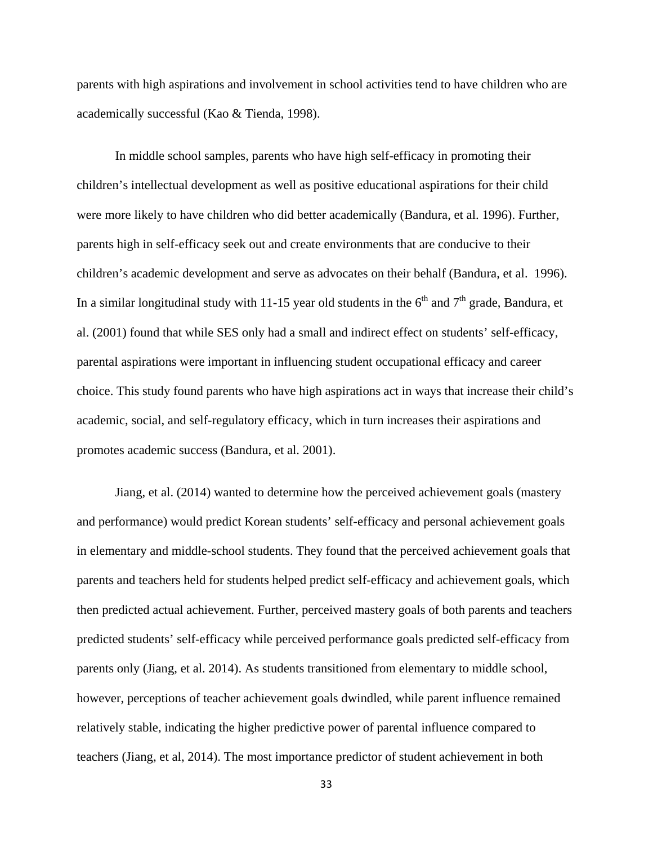parents with high aspirations and involvement in school activities tend to have children who are academically successful (Kao & Tienda, 1998).

In middle school samples, parents who have high self-efficacy in promoting their children's intellectual development as well as positive educational aspirations for their child were more likely to have children who did better academically (Bandura, et al. 1996). Further, parents high in self-efficacy seek out and create environments that are conducive to their children's academic development and serve as advocates on their behalf (Bandura, et al. 1996). In a similar longitudinal study with 11-15 year old students in the  $6<sup>th</sup>$  and  $7<sup>th</sup>$  grade, Bandura, et al. (2001) found that while SES only had a small and indirect effect on students' self-efficacy, parental aspirations were important in influencing student occupational efficacy and career choice. This study found parents who have high aspirations act in ways that increase their child's academic, social, and self-regulatory efficacy, which in turn increases their aspirations and promotes academic success (Bandura, et al. 2001).

Jiang, et al. (2014) wanted to determine how the perceived achievement goals (mastery and performance) would predict Korean students' self-efficacy and personal achievement goals in elementary and middle-school students. They found that the perceived achievement goals that parents and teachers held for students helped predict self-efficacy and achievement goals, which then predicted actual achievement. Further, perceived mastery goals of both parents and teachers predicted students' self-efficacy while perceived performance goals predicted self-efficacy from parents only (Jiang, et al. 2014). As students transitioned from elementary to middle school, however, perceptions of teacher achievement goals dwindled, while parent influence remained relatively stable, indicating the higher predictive power of parental influence compared to teachers (Jiang, et al, 2014). The most importance predictor of student achievement in both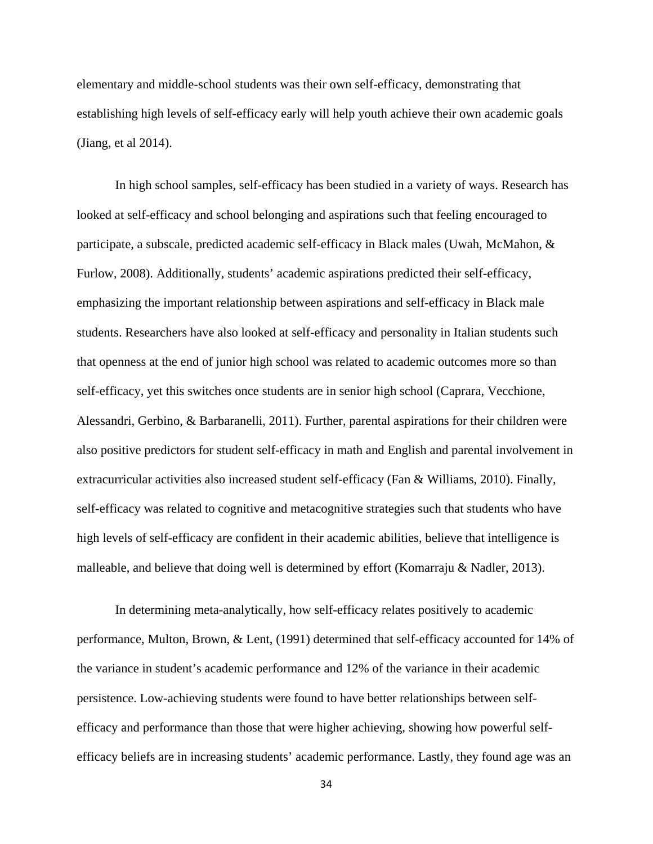elementary and middle-school students was their own self-efficacy, demonstrating that establishing high levels of self-efficacy early will help youth achieve their own academic goals (Jiang, et al 2014).

In high school samples, self-efficacy has been studied in a variety of ways. Research has looked at self-efficacy and school belonging and aspirations such that feeling encouraged to participate, a subscale, predicted academic self-efficacy in Black males (Uwah, McMahon, & Furlow, 2008). Additionally, students' academic aspirations predicted their self-efficacy, emphasizing the important relationship between aspirations and self-efficacy in Black male students. Researchers have also looked at self-efficacy and personality in Italian students such that openness at the end of junior high school was related to academic outcomes more so than self-efficacy, yet this switches once students are in senior high school (Caprara, Vecchione, Alessandri, Gerbino, & Barbaranelli, 2011). Further, parental aspirations for their children were also positive predictors for student self-efficacy in math and English and parental involvement in extracurricular activities also increased student self-efficacy (Fan & Williams, 2010). Finally, self-efficacy was related to cognitive and metacognitive strategies such that students who have high levels of self-efficacy are confident in their academic abilities, believe that intelligence is malleable, and believe that doing well is determined by effort (Komarraju & Nadler, 2013).

In determining meta-analytically, how self-efficacy relates positively to academic performance, Multon, Brown, & Lent, (1991) determined that self-efficacy accounted for 14% of the variance in student's academic performance and 12% of the variance in their academic persistence. Low-achieving students were found to have better relationships between selfefficacy and performance than those that were higher achieving, showing how powerful selfefficacy beliefs are in increasing students' academic performance. Lastly, they found age was an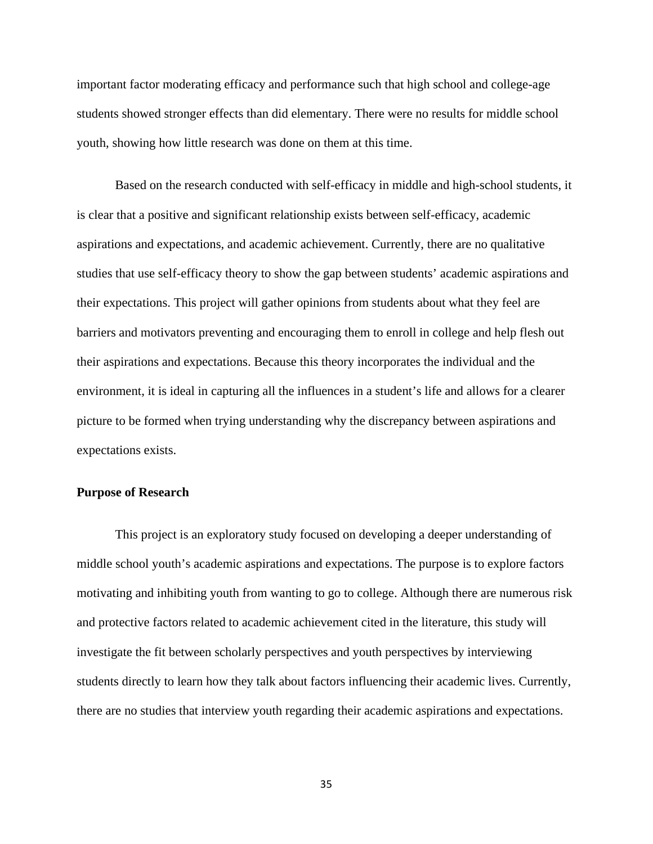important factor moderating efficacy and performance such that high school and college-age students showed stronger effects than did elementary. There were no results for middle school youth, showing how little research was done on them at this time.

Based on the research conducted with self-efficacy in middle and high-school students, it is clear that a positive and significant relationship exists between self-efficacy, academic aspirations and expectations, and academic achievement. Currently, there are no qualitative studies that use self-efficacy theory to show the gap between students' academic aspirations and their expectations. This project will gather opinions from students about what they feel are barriers and motivators preventing and encouraging them to enroll in college and help flesh out their aspirations and expectations. Because this theory incorporates the individual and the environment, it is ideal in capturing all the influences in a student's life and allows for a clearer picture to be formed when trying understanding why the discrepancy between aspirations and expectations exists.

# **Purpose of Research**

This project is an exploratory study focused on developing a deeper understanding of middle school youth's academic aspirations and expectations. The purpose is to explore factors motivating and inhibiting youth from wanting to go to college. Although there are numerous risk and protective factors related to academic achievement cited in the literature, this study will investigate the fit between scholarly perspectives and youth perspectives by interviewing students directly to learn how they talk about factors influencing their academic lives. Currently, there are no studies that interview youth regarding their academic aspirations and expectations.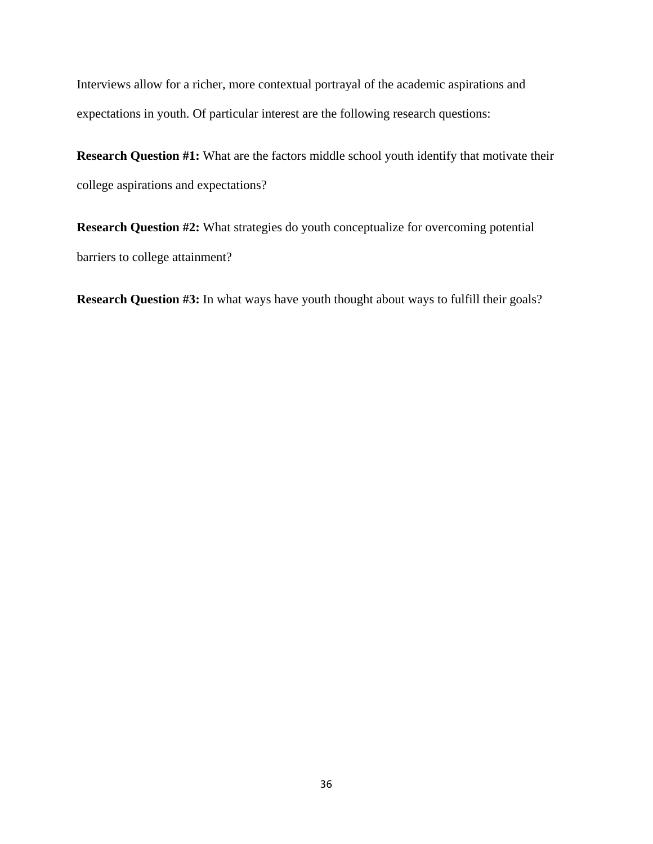Interviews allow for a richer, more contextual portrayal of the academic aspirations and expectations in youth. Of particular interest are the following research questions:

**Research Question #1:** What are the factors middle school youth identify that motivate their college aspirations and expectations?

**Research Question #2:** What strategies do youth conceptualize for overcoming potential barriers to college attainment?

**Research Question #3:** In what ways have youth thought about ways to fulfill their goals?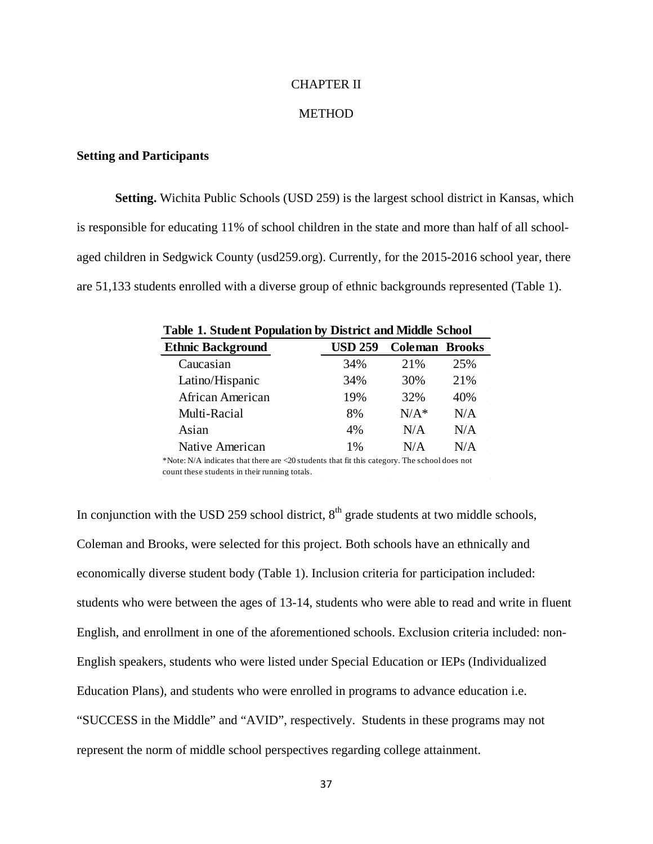# CHAPTER II

# METHOD

# **Setting and Participants**

**Setting.** Wichita Public Schools (USD 259) is the largest school district in Kansas, which is responsible for educating 11% of school children in the state and more than half of all schoolaged children in Sedgwick County (usd259.org). Currently, for the 2015-2016 school year, there are 51,133 students enrolled with a diverse group of ethnic backgrounds represented (Table 1).

| <b>Table 1. Student Population by District and Middle School</b> |         |                       |  |  |  |  |  |
|------------------------------------------------------------------|---------|-----------------------|--|--|--|--|--|
| <b>USD 259</b>                                                   |         |                       |  |  |  |  |  |
| 34%                                                              | 21%     | 25%                   |  |  |  |  |  |
| 34%                                                              | 30%     | 21%                   |  |  |  |  |  |
| 19%                                                              | 32%     | 40%                   |  |  |  |  |  |
| 8%                                                               | $N/A^*$ | N/A                   |  |  |  |  |  |
| 4%                                                               | N/A     | N/A                   |  |  |  |  |  |
| 1%                                                               | N/A     | N/A                   |  |  |  |  |  |
|                                                                  |         | <b>Coleman Brooks</b> |  |  |  |  |  |

\*Note: N/A indicates that there are <20 students that fit this category. The school does not count these students in their running totals.

In conjunction with the USD 259 school district,  $8<sup>th</sup>$  grade students at two middle schools, Coleman and Brooks, were selected for this project. Both schools have an ethnically and economically diverse student body (Table 1). Inclusion criteria for participation included: students who were between the ages of 13-14, students who were able to read and write in fluent English, and enrollment in one of the aforementioned schools. Exclusion criteria included: non-English speakers, students who were listed under Special Education or IEPs (Individualized Education Plans), and students who were enrolled in programs to advance education i.e. "SUCCESS in the Middle" and "AVID", respectively. Students in these programs may not represent the norm of middle school perspectives regarding college attainment.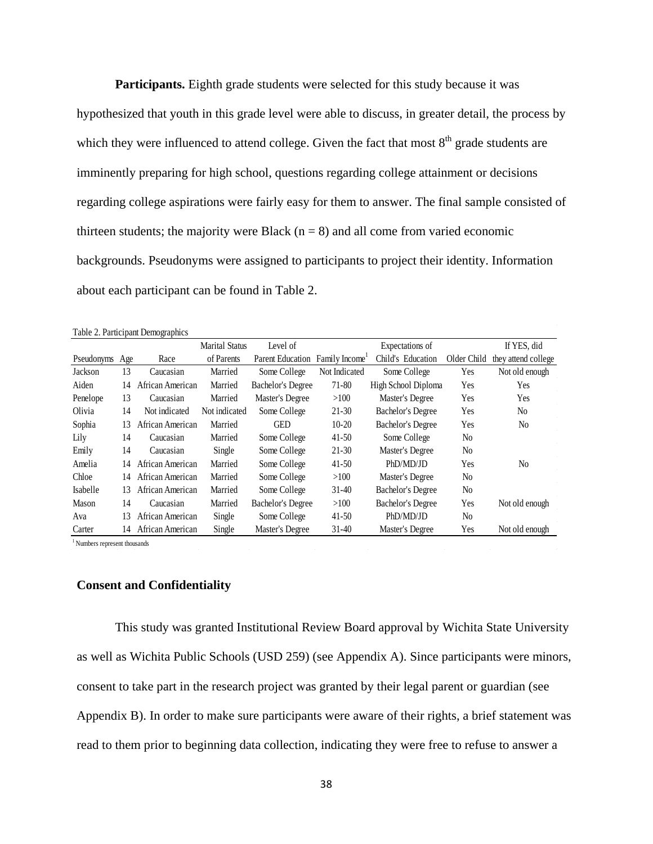**Participants.** Eighth grade students were selected for this study because it was hypothesized that youth in this grade level were able to discuss, in greater detail, the process by which they were influenced to attend college. Given the fact that most  $8<sup>th</sup>$  grade students are imminently preparing for high school, questions regarding college attainment or decisions regarding college aspirations were fairly easy for them to answer. The final sample consisted of thirteen students; the majority were Black  $(n = 8)$  and all come from varied economic backgrounds. Pseudonyms were assigned to participants to project their identity. Information about each participant can be found in Table 2.

|  | Table 2. Participant Demographics |
|--|-----------------------------------|
|  |                                   |

|              |     |                  | <b>Marital Status</b> | Level of                 |               | Expectations of          |                | If YES, did         |
|--------------|-----|------------------|-----------------------|--------------------------|---------------|--------------------------|----------------|---------------------|
| Pseudonyms   | Age | Race             | of Parents            | Parent Education         | Family Income | Child's Education        | Older Child    | they attend college |
| Jackson      | 13  | Caucasian        | Married               | Some College             | Not Indicated | Some College             | <b>Yes</b>     | Not old enough      |
| Aiden        | 14  | African American | Married               | <b>Bachelor's Degree</b> | 71-80         | High School Diploma      | Yes            | Yes                 |
| Penelope     | 13  | Caucasian        | Married               | Master's Degree          | >100          | Master's Degree          | Yes            | Yes                 |
| Olivia       | 14  | Not indicated    | Not indicated         | Some College             | $21-30$       | Bachelor's Degree        | Yes            | N <sub>0</sub>      |
| Sophia       | 13  | African American | Married               | <b>GED</b>               | $10-20$       | Bachelor's Degree        | Yes            | N <sub>0</sub>      |
| Lily         | 14  | Caucasian        | Married               | Some College             | $41-50$       | Some College             | N <sub>0</sub> |                     |
| Emily        | 14  | Caucasian        | Single                | Some College             | $21-30$       | Master's Degree          | N <sub>0</sub> |                     |
| Amelia       | 14  | African American | Married               | Some College             | $41-50$       | PhD/MD/JD                | Yes            | N <sub>0</sub>      |
| Chloe        | 14  | African American | Married               | Some College             | >100          | Master's Degree          | N <sub>0</sub> |                     |
| Isabelle     | 13  | African American | Married               | Some College             | $31-40$       | Bachelor's Degree        | N <sub>0</sub> |                     |
| <b>Mason</b> | 14  | Caucasian        | Married               | <b>Bachelor's Degree</b> | >100          | <b>Bachelor's Degree</b> | Yes            | Not old enough      |
| Ava          | 13  | African American | Single                | Some College             | $41-50$       | PhD/MD/JD                | N <sub>0</sub> |                     |
| Carter       | 14  | African American | Single                | Master's Degree          | $31 - 40$     | Master's Degree          | Yes            | Not old enough      |

<sup>1</sup> Numbers represent thousands

### **Consent and Confidentiality**

This study was granted Institutional Review Board approval by Wichita State University as well as Wichita Public Schools (USD 259) (see Appendix A). Since participants were minors, consent to take part in the research project was granted by their legal parent or guardian (see Appendix B). In order to make sure participants were aware of their rights, a brief statement was read to them prior to beginning data collection, indicating they were free to refuse to answer a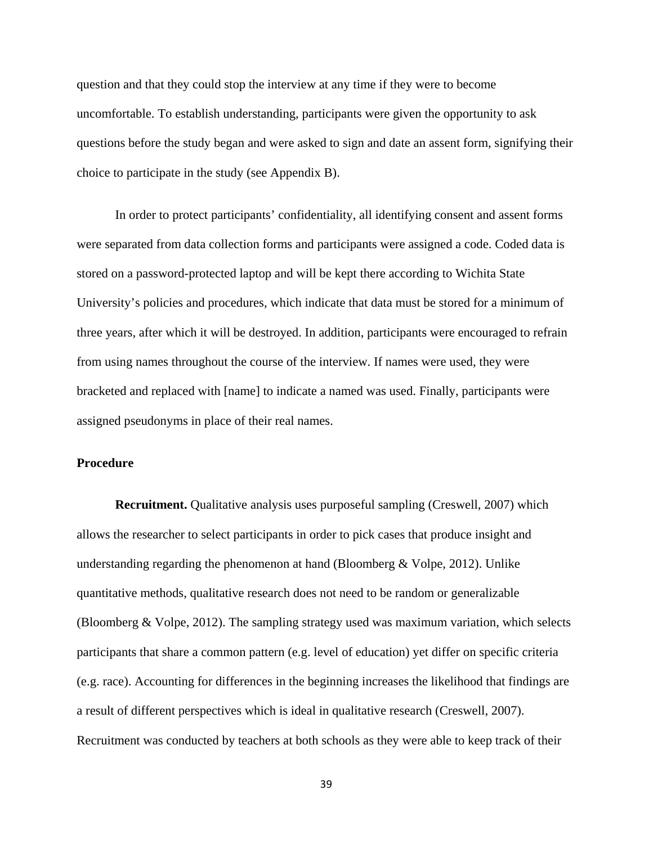question and that they could stop the interview at any time if they were to become uncomfortable. To establish understanding, participants were given the opportunity to ask questions before the study began and were asked to sign and date an assent form, signifying their choice to participate in the study (see Appendix B).

In order to protect participants' confidentiality, all identifying consent and assent forms were separated from data collection forms and participants were assigned a code. Coded data is stored on a password-protected laptop and will be kept there according to Wichita State University's policies and procedures, which indicate that data must be stored for a minimum of three years, after which it will be destroyed. In addition, participants were encouraged to refrain from using names throughout the course of the interview. If names were used, they were bracketed and replaced with [name] to indicate a named was used. Finally, participants were assigned pseudonyms in place of their real names.

# **Procedure**

**Recruitment.** Qualitative analysis uses purposeful sampling (Creswell, 2007) which allows the researcher to select participants in order to pick cases that produce insight and understanding regarding the phenomenon at hand (Bloomberg & Volpe, 2012). Unlike quantitative methods, qualitative research does not need to be random or generalizable (Bloomberg & Volpe, 2012). The sampling strategy used was maximum variation, which selects participants that share a common pattern (e.g. level of education) yet differ on specific criteria (e.g. race). Accounting for differences in the beginning increases the likelihood that findings are a result of different perspectives which is ideal in qualitative research (Creswell, 2007). Recruitment was conducted by teachers at both schools as they were able to keep track of their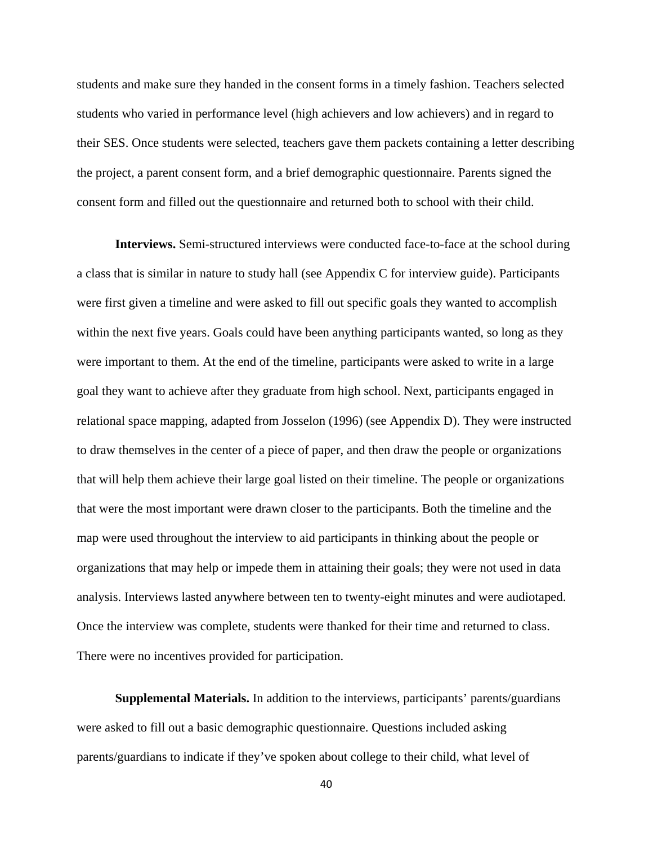students and make sure they handed in the consent forms in a timely fashion. Teachers selected students who varied in performance level (high achievers and low achievers) and in regard to their SES. Once students were selected, teachers gave them packets containing a letter describing the project, a parent consent form, and a brief demographic questionnaire. Parents signed the consent form and filled out the questionnaire and returned both to school with their child.

**Interviews.** Semi-structured interviews were conducted face-to-face at the school during a class that is similar in nature to study hall (see Appendix C for interview guide). Participants were first given a timeline and were asked to fill out specific goals they wanted to accomplish within the next five years. Goals could have been anything participants wanted, so long as they were important to them. At the end of the timeline, participants were asked to write in a large goal they want to achieve after they graduate from high school. Next, participants engaged in relational space mapping, adapted from Josselon (1996) (see Appendix D). They were instructed to draw themselves in the center of a piece of paper, and then draw the people or organizations that will help them achieve their large goal listed on their timeline. The people or organizations that were the most important were drawn closer to the participants. Both the timeline and the map were used throughout the interview to aid participants in thinking about the people or organizations that may help or impede them in attaining their goals; they were not used in data analysis. Interviews lasted anywhere between ten to twenty-eight minutes and were audiotaped. Once the interview was complete, students were thanked for their time and returned to class. There were no incentives provided for participation.

**Supplemental Materials.** In addition to the interviews, participants' parents/guardians were asked to fill out a basic demographic questionnaire. Questions included asking parents/guardians to indicate if they've spoken about college to their child, what level of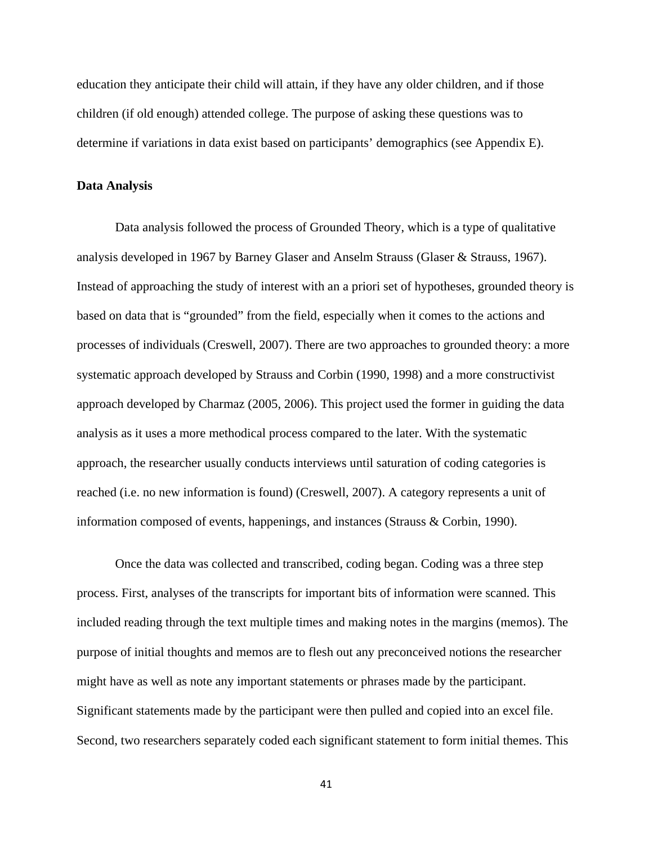education they anticipate their child will attain, if they have any older children, and if those children (if old enough) attended college. The purpose of asking these questions was to determine if variations in data exist based on participants' demographics (see Appendix E).

### **Data Analysis**

Data analysis followed the process of Grounded Theory, which is a type of qualitative analysis developed in 1967 by Barney Glaser and Anselm Strauss (Glaser & Strauss, 1967). Instead of approaching the study of interest with an a priori set of hypotheses, grounded theory is based on data that is "grounded" from the field, especially when it comes to the actions and processes of individuals (Creswell, 2007). There are two approaches to grounded theory: a more systematic approach developed by Strauss and Corbin (1990, 1998) and a more constructivist approach developed by Charmaz (2005, 2006). This project used the former in guiding the data analysis as it uses a more methodical process compared to the later. With the systematic approach, the researcher usually conducts interviews until saturation of coding categories is reached (i.e. no new information is found) (Creswell, 2007). A category represents a unit of information composed of events, happenings, and instances (Strauss & Corbin, 1990).

Once the data was collected and transcribed, coding began. Coding was a three step process. First, analyses of the transcripts for important bits of information were scanned. This included reading through the text multiple times and making notes in the margins (memos). The purpose of initial thoughts and memos are to flesh out any preconceived notions the researcher might have as well as note any important statements or phrases made by the participant. Significant statements made by the participant were then pulled and copied into an excel file. Second, two researchers separately coded each significant statement to form initial themes. This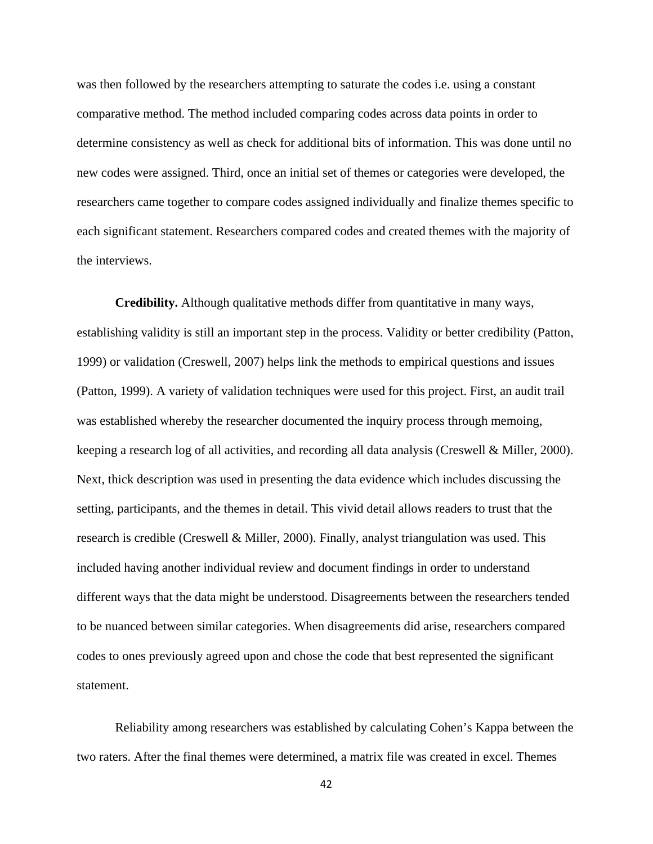was then followed by the researchers attempting to saturate the codes i.e. using a constant comparative method. The method included comparing codes across data points in order to determine consistency as well as check for additional bits of information. This was done until no new codes were assigned. Third, once an initial set of themes or categories were developed, the researchers came together to compare codes assigned individually and finalize themes specific to each significant statement. Researchers compared codes and created themes with the majority of the interviews.

**Credibility.** Although qualitative methods differ from quantitative in many ways, establishing validity is still an important step in the process. Validity or better credibility (Patton, 1999) or validation (Creswell, 2007) helps link the methods to empirical questions and issues (Patton, 1999). A variety of validation techniques were used for this project. First, an audit trail was established whereby the researcher documented the inquiry process through memoing, keeping a research log of all activities, and recording all data analysis (Creswell & Miller, 2000). Next, thick description was used in presenting the data evidence which includes discussing the setting, participants, and the themes in detail. This vivid detail allows readers to trust that the research is credible (Creswell & Miller, 2000). Finally, analyst triangulation was used. This included having another individual review and document findings in order to understand different ways that the data might be understood. Disagreements between the researchers tended to be nuanced between similar categories. When disagreements did arise, researchers compared codes to ones previously agreed upon and chose the code that best represented the significant statement.

Reliability among researchers was established by calculating Cohen's Kappa between the two raters. After the final themes were determined, a matrix file was created in excel. Themes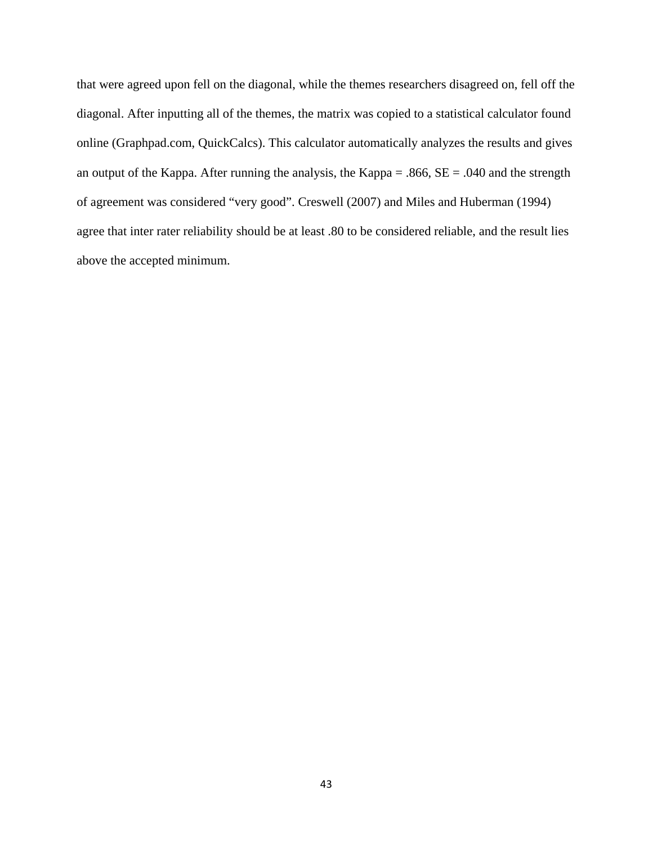that were agreed upon fell on the diagonal, while the themes researchers disagreed on, fell off the diagonal. After inputting all of the themes, the matrix was copied to a statistical calculator found online (Graphpad.com, QuickCalcs). This calculator automatically analyzes the results and gives an output of the Kappa. After running the analysis, the Kappa = .866, SE = .040 and the strength of agreement was considered "very good". Creswell (2007) and Miles and Huberman (1994) agree that inter rater reliability should be at least .80 to be considered reliable, and the result lies above the accepted minimum.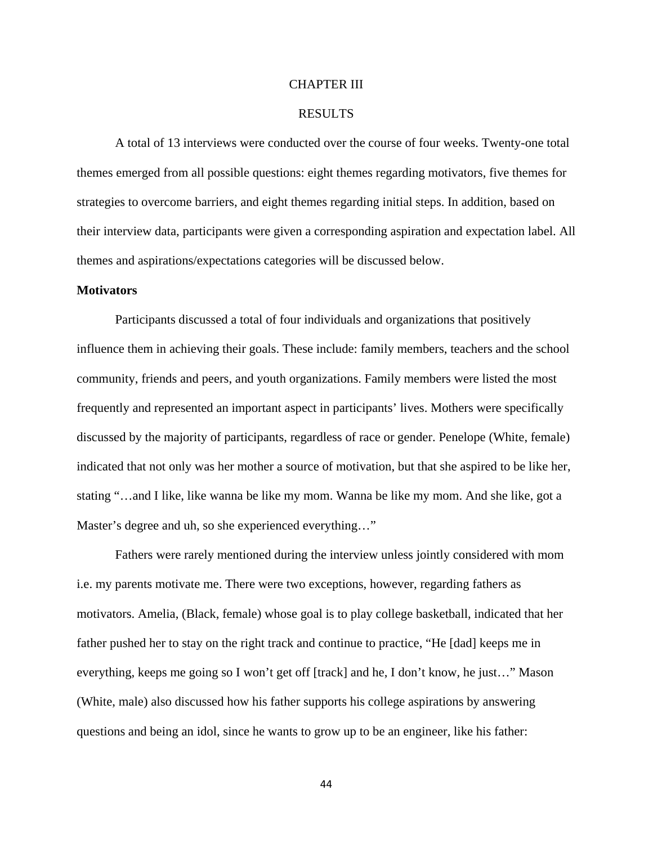# CHAPTER III

# RESULTS

A total of 13 interviews were conducted over the course of four weeks. Twenty-one total themes emerged from all possible questions: eight themes regarding motivators, five themes for strategies to overcome barriers, and eight themes regarding initial steps. In addition, based on their interview data, participants were given a corresponding aspiration and expectation label. All themes and aspirations/expectations categories will be discussed below.

#### **Motivators**

Participants discussed a total of four individuals and organizations that positively influence them in achieving their goals. These include: family members, teachers and the school community, friends and peers, and youth organizations. Family members were listed the most frequently and represented an important aspect in participants' lives. Mothers were specifically discussed by the majority of participants, regardless of race or gender. Penelope (White, female) indicated that not only was her mother a source of motivation, but that she aspired to be like her, stating "…and I like, like wanna be like my mom. Wanna be like my mom. And she like, got a Master's degree and uh, so she experienced everything..."

Fathers were rarely mentioned during the interview unless jointly considered with mom i.e. my parents motivate me. There were two exceptions, however, regarding fathers as motivators. Amelia, (Black, female) whose goal is to play college basketball, indicated that her father pushed her to stay on the right track and continue to practice, "He [dad] keeps me in everything, keeps me going so I won't get off [track] and he, I don't know, he just…" Mason (White, male) also discussed how his father supports his college aspirations by answering questions and being an idol, since he wants to grow up to be an engineer, like his father: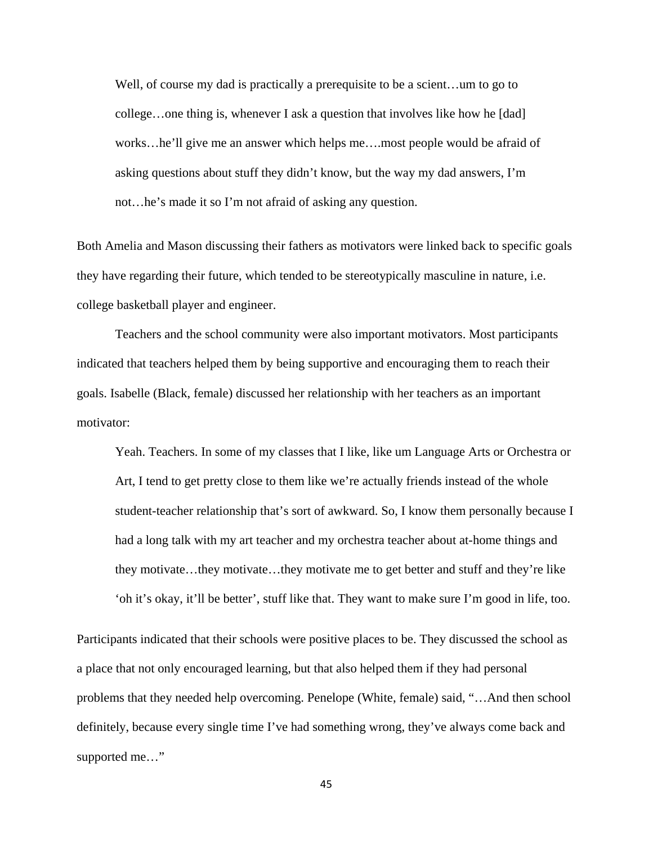Well, of course my dad is practically a prerequisite to be a scient…um to go to college…one thing is, whenever I ask a question that involves like how he [dad] works…he'll give me an answer which helps me….most people would be afraid of asking questions about stuff they didn't know, but the way my dad answers, I'm not…he's made it so I'm not afraid of asking any question.

Both Amelia and Mason discussing their fathers as motivators were linked back to specific goals they have regarding their future, which tended to be stereotypically masculine in nature, i.e. college basketball player and engineer.

Teachers and the school community were also important motivators. Most participants indicated that teachers helped them by being supportive and encouraging them to reach their goals. Isabelle (Black, female) discussed her relationship with her teachers as an important motivator:

Yeah. Teachers. In some of my classes that I like, like um Language Arts or Orchestra or Art, I tend to get pretty close to them like we're actually friends instead of the whole student-teacher relationship that's sort of awkward. So, I know them personally because I had a long talk with my art teacher and my orchestra teacher about at-home things and they motivate…they motivate…they motivate me to get better and stuff and they're like 'oh it's okay, it'll be better', stuff like that. They want to make sure I'm good in life, too.

Participants indicated that their schools were positive places to be. They discussed the school as a place that not only encouraged learning, but that also helped them if they had personal problems that they needed help overcoming. Penelope (White, female) said, "…And then school definitely, because every single time I've had something wrong, they've always come back and supported me…"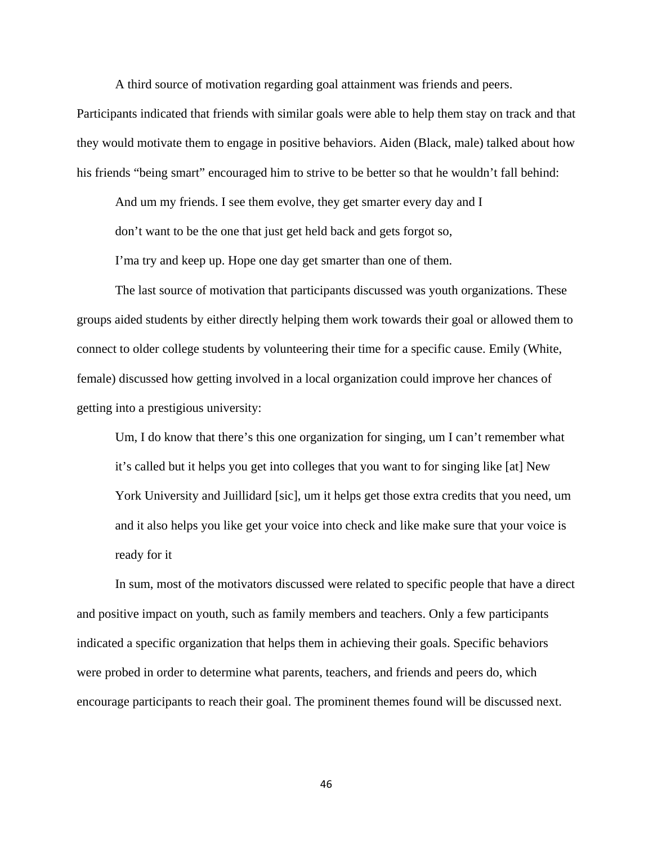A third source of motivation regarding goal attainment was friends and peers.

Participants indicated that friends with similar goals were able to help them stay on track and that they would motivate them to engage in positive behaviors. Aiden (Black, male) talked about how his friends "being smart" encouraged him to strive to be better so that he wouldn't fall behind:

And um my friends. I see them evolve, they get smarter every day and I

don't want to be the one that just get held back and gets forgot so,

I'ma try and keep up. Hope one day get smarter than one of them.

The last source of motivation that participants discussed was youth organizations. These groups aided students by either directly helping them work towards their goal or allowed them to connect to older college students by volunteering their time for a specific cause. Emily (White, female) discussed how getting involved in a local organization could improve her chances of getting into a prestigious university:

Um, I do know that there's this one organization for singing, um I can't remember what it's called but it helps you get into colleges that you want to for singing like [at] New York University and Juillidard [sic], um it helps get those extra credits that you need, um and it also helps you like get your voice into check and like make sure that your voice is ready for it

In sum, most of the motivators discussed were related to specific people that have a direct and positive impact on youth, such as family members and teachers. Only a few participants indicated a specific organization that helps them in achieving their goals. Specific behaviors were probed in order to determine what parents, teachers, and friends and peers do, which encourage participants to reach their goal. The prominent themes found will be discussed next.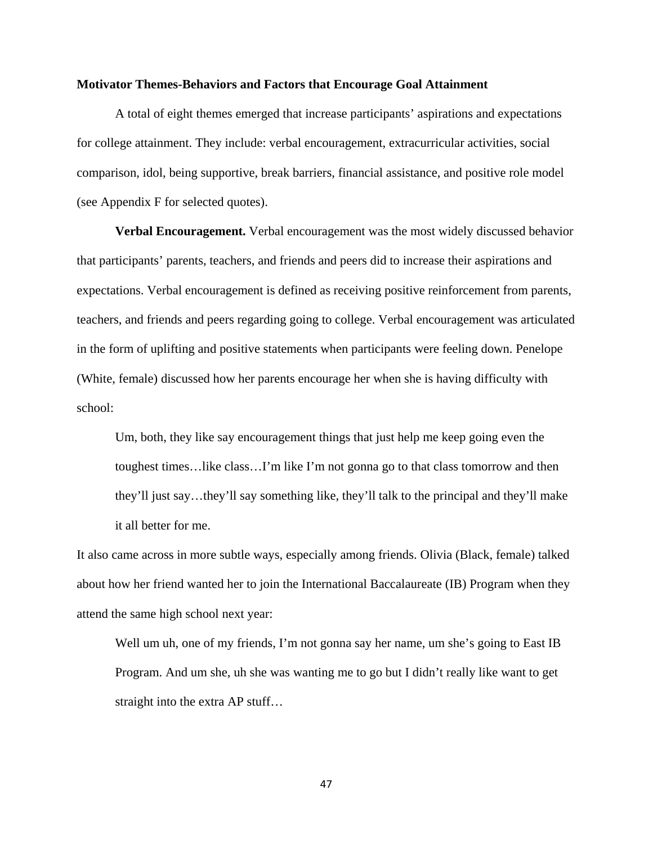## **Motivator Themes-Behaviors and Factors that Encourage Goal Attainment**

A total of eight themes emerged that increase participants' aspirations and expectations for college attainment. They include: verbal encouragement, extracurricular activities, social comparison, idol, being supportive, break barriers, financial assistance, and positive role model (see Appendix F for selected quotes).

**Verbal Encouragement.** Verbal encouragement was the most widely discussed behavior that participants' parents, teachers, and friends and peers did to increase their aspirations and expectations. Verbal encouragement is defined as receiving positive reinforcement from parents, teachers, and friends and peers regarding going to college. Verbal encouragement was articulated in the form of uplifting and positive statements when participants were feeling down. Penelope (White, female) discussed how her parents encourage her when she is having difficulty with school:

Um, both, they like say encouragement things that just help me keep going even the toughest times…like class…I'm like I'm not gonna go to that class tomorrow and then they'll just say…they'll say something like, they'll talk to the principal and they'll make it all better for me.

It also came across in more subtle ways, especially among friends. Olivia (Black, female) talked about how her friend wanted her to join the International Baccalaureate (IB) Program when they attend the same high school next year:

Well um uh, one of my friends, I'm not gonna say her name, um she's going to East IB Program. And um she, uh she was wanting me to go but I didn't really like want to get straight into the extra AP stuff…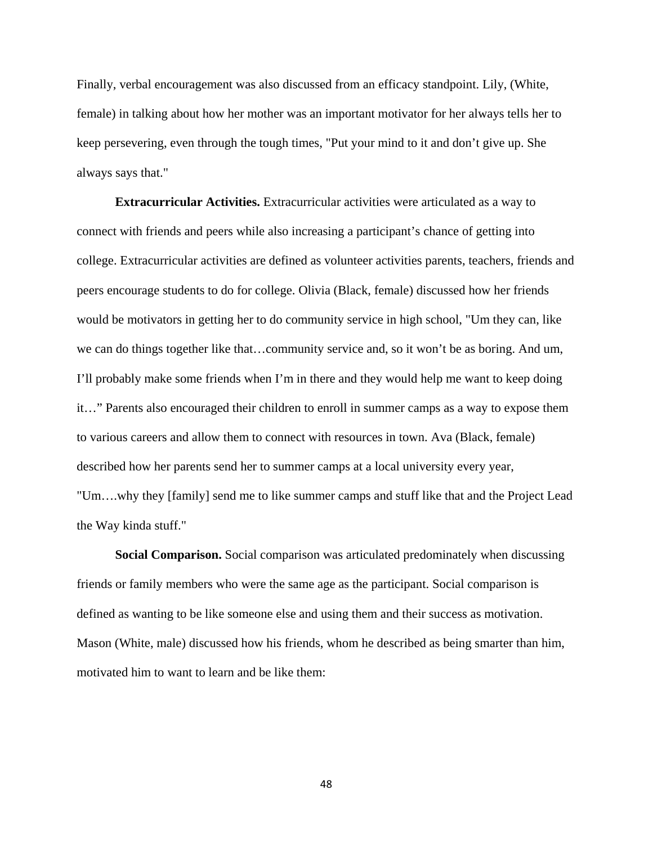Finally, verbal encouragement was also discussed from an efficacy standpoint. Lily, (White, female) in talking about how her mother was an important motivator for her always tells her to keep persevering, even through the tough times, "Put your mind to it and don't give up. She always says that."

**Extracurricular Activities.** Extracurricular activities were articulated as a way to connect with friends and peers while also increasing a participant's chance of getting into college. Extracurricular activities are defined as volunteer activities parents, teachers, friends and peers encourage students to do for college. Olivia (Black, female) discussed how her friends would be motivators in getting her to do community service in high school, "Um they can, like we can do things together like that…community service and, so it won't be as boring. And um, I'll probably make some friends when I'm in there and they would help me want to keep doing it…" Parents also encouraged their children to enroll in summer camps as a way to expose them to various careers and allow them to connect with resources in town. Ava (Black, female) described how her parents send her to summer camps at a local university every year, "Um….why they [family] send me to like summer camps and stuff like that and the Project Lead the Way kinda stuff."

**Social Comparison.** Social comparison was articulated predominately when discussing friends or family members who were the same age as the participant. Social comparison is defined as wanting to be like someone else and using them and their success as motivation. Mason (White, male) discussed how his friends, whom he described as being smarter than him, motivated him to want to learn and be like them: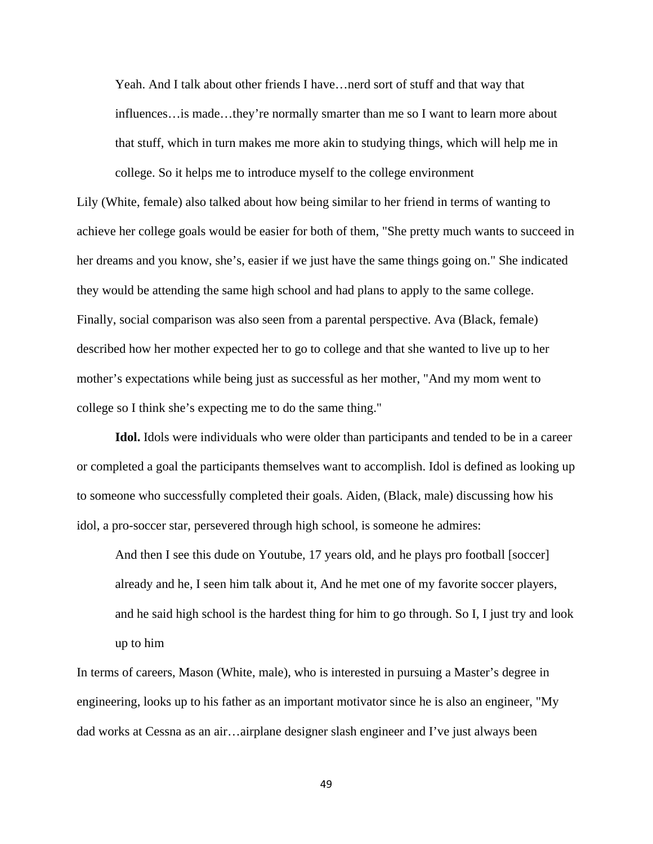Yeah. And I talk about other friends I have…nerd sort of stuff and that way that influences…is made…they're normally smarter than me so I want to learn more about that stuff, which in turn makes me more akin to studying things, which will help me in college. So it helps me to introduce myself to the college environment

Lily (White, female) also talked about how being similar to her friend in terms of wanting to achieve her college goals would be easier for both of them, "She pretty much wants to succeed in her dreams and you know, she's, easier if we just have the same things going on." She indicated they would be attending the same high school and had plans to apply to the same college. Finally, social comparison was also seen from a parental perspective. Ava (Black, female) described how her mother expected her to go to college and that she wanted to live up to her mother's expectations while being just as successful as her mother, "And my mom went to college so I think she's expecting me to do the same thing."

**Idol.** Idols were individuals who were older than participants and tended to be in a career or completed a goal the participants themselves want to accomplish. Idol is defined as looking up to someone who successfully completed their goals. Aiden, (Black, male) discussing how his idol, a pro-soccer star, persevered through high school, is someone he admires:

And then I see this dude on Youtube, 17 years old, and he plays pro football [soccer] already and he, I seen him talk about it, And he met one of my favorite soccer players, and he said high school is the hardest thing for him to go through. So I, I just try and look up to him

In terms of careers, Mason (White, male), who is interested in pursuing a Master's degree in engineering, looks up to his father as an important motivator since he is also an engineer, "My dad works at Cessna as an air…airplane designer slash engineer and I've just always been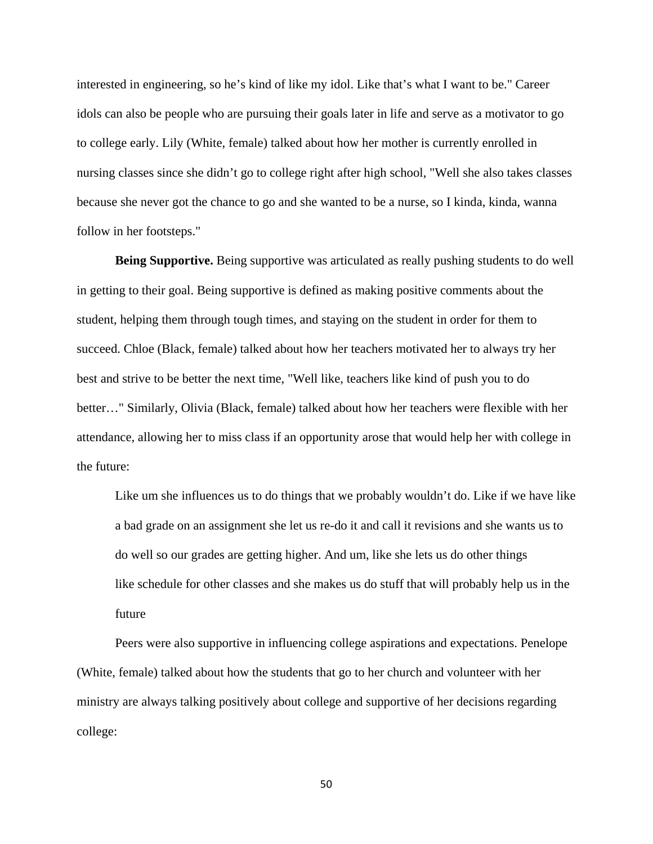interested in engineering, so he's kind of like my idol. Like that's what I want to be." Career idols can also be people who are pursuing their goals later in life and serve as a motivator to go to college early. Lily (White, female) talked about how her mother is currently enrolled in nursing classes since she didn't go to college right after high school, "Well she also takes classes because she never got the chance to go and she wanted to be a nurse, so I kinda, kinda, wanna follow in her footsteps."

**Being Supportive.** Being supportive was articulated as really pushing students to do well in getting to their goal. Being supportive is defined as making positive comments about the student, helping them through tough times, and staying on the student in order for them to succeed. Chloe (Black, female) talked about how her teachers motivated her to always try her best and strive to be better the next time, "Well like, teachers like kind of push you to do better…" Similarly, Olivia (Black, female) talked about how her teachers were flexible with her attendance, allowing her to miss class if an opportunity arose that would help her with college in the future:

Like um she influences us to do things that we probably wouldn't do. Like if we have like a bad grade on an assignment she let us re-do it and call it revisions and she wants us to do well so our grades are getting higher. And um, like she lets us do other things like schedule for other classes and she makes us do stuff that will probably help us in the future

 Peers were also supportive in influencing college aspirations and expectations. Penelope (White, female) talked about how the students that go to her church and volunteer with her ministry are always talking positively about college and supportive of her decisions regarding college: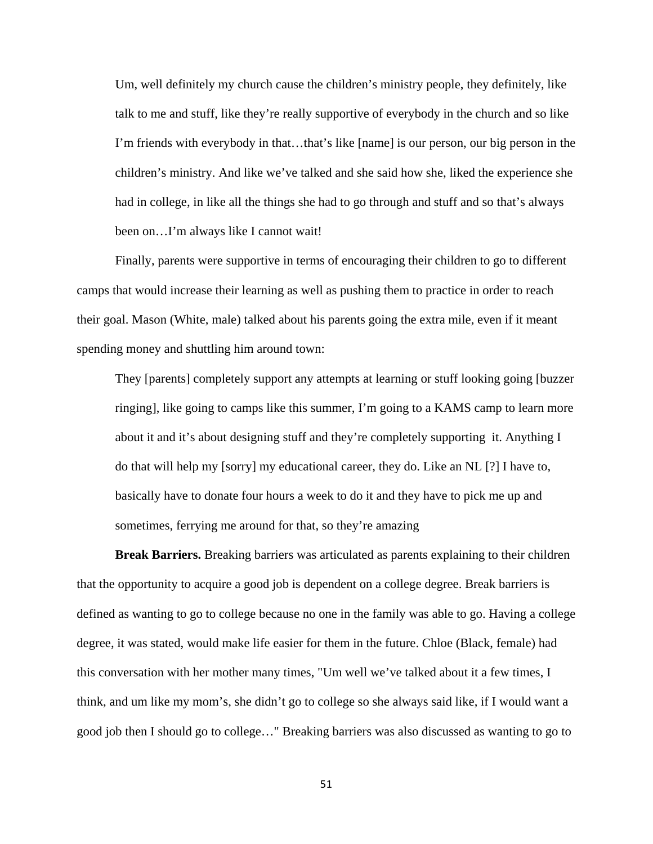Um, well definitely my church cause the children's ministry people, they definitely, like talk to me and stuff, like they're really supportive of everybody in the church and so like I'm friends with everybody in that…that's like [name] is our person, our big person in the children's ministry. And like we've talked and she said how she, liked the experience she had in college, in like all the things she had to go through and stuff and so that's always been on…I'm always like I cannot wait!

Finally, parents were supportive in terms of encouraging their children to go to different camps that would increase their learning as well as pushing them to practice in order to reach their goal. Mason (White, male) talked about his parents going the extra mile, even if it meant spending money and shuttling him around town:

They [parents] completely support any attempts at learning or stuff looking going [buzzer ringing], like going to camps like this summer, I'm going to a KAMS camp to learn more about it and it's about designing stuff and they're completely supporting it. Anything I do that will help my [sorry] my educational career, they do. Like an NL [?] I have to, basically have to donate four hours a week to do it and they have to pick me up and sometimes, ferrying me around for that, so they're amazing

**Break Barriers.** Breaking barriers was articulated as parents explaining to their children that the opportunity to acquire a good job is dependent on a college degree. Break barriers is defined as wanting to go to college because no one in the family was able to go. Having a college degree, it was stated, would make life easier for them in the future. Chloe (Black, female) had this conversation with her mother many times, "Um well we've talked about it a few times, I think, and um like my mom's, she didn't go to college so she always said like, if I would want a good job then I should go to college…" Breaking barriers was also discussed as wanting to go to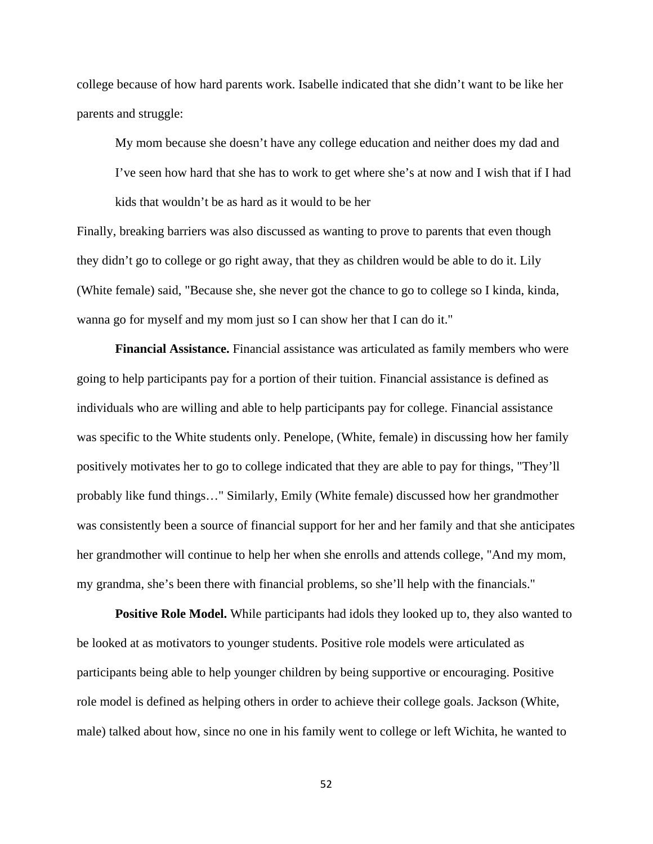college because of how hard parents work. Isabelle indicated that she didn't want to be like her parents and struggle:

My mom because she doesn't have any college education and neither does my dad and I've seen how hard that she has to work to get where she's at now and I wish that if I had kids that wouldn't be as hard as it would to be her

Finally, breaking barriers was also discussed as wanting to prove to parents that even though they didn't go to college or go right away, that they as children would be able to do it. Lily (White female) said, "Because she, she never got the chance to go to college so I kinda, kinda, wanna go for myself and my mom just so I can show her that I can do it."

**Financial Assistance.** Financial assistance was articulated as family members who were going to help participants pay for a portion of their tuition. Financial assistance is defined as individuals who are willing and able to help participants pay for college. Financial assistance was specific to the White students only. Penelope, (White, female) in discussing how her family positively motivates her to go to college indicated that they are able to pay for things, "They'll probably like fund things…" Similarly, Emily (White female) discussed how her grandmother was consistently been a source of financial support for her and her family and that she anticipates her grandmother will continue to help her when she enrolls and attends college, "And my mom, my grandma, she's been there with financial problems, so she'll help with the financials."

**Positive Role Model.** While participants had idols they looked up to, they also wanted to be looked at as motivators to younger students. Positive role models were articulated as participants being able to help younger children by being supportive or encouraging. Positive role model is defined as helping others in order to achieve their college goals. Jackson (White, male) talked about how, since no one in his family went to college or left Wichita, he wanted to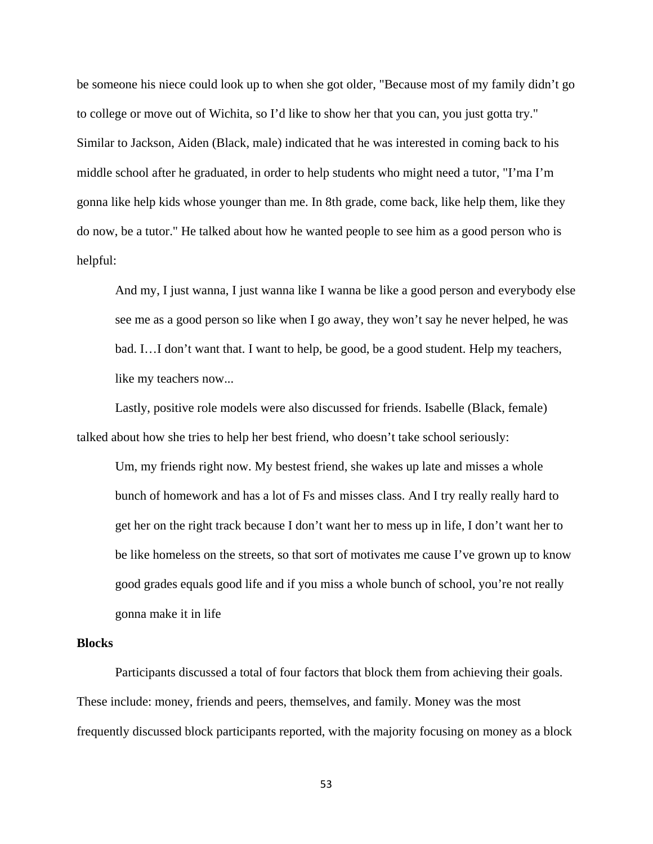be someone his niece could look up to when she got older, "Because most of my family didn't go to college or move out of Wichita, so I'd like to show her that you can, you just gotta try." Similar to Jackson, Aiden (Black, male) indicated that he was interested in coming back to his middle school after he graduated, in order to help students who might need a tutor, "I'ma I'm gonna like help kids whose younger than me. In 8th grade, come back, like help them, like they do now, be a tutor." He talked about how he wanted people to see him as a good person who is helpful:

And my, I just wanna, I just wanna like I wanna be like a good person and everybody else see me as a good person so like when I go away, they won't say he never helped, he was bad. I…I don't want that. I want to help, be good, be a good student. Help my teachers, like my teachers now...

Lastly, positive role models were also discussed for friends. Isabelle (Black, female) talked about how she tries to help her best friend, who doesn't take school seriously:

Um, my friends right now. My bestest friend, she wakes up late and misses a whole bunch of homework and has a lot of Fs and misses class. And I try really really hard to get her on the right track because I don't want her to mess up in life, I don't want her to be like homeless on the streets, so that sort of motivates me cause I've grown up to know good grades equals good life and if you miss a whole bunch of school, you're not really gonna make it in life

### **Blocks**

Participants discussed a total of four factors that block them from achieving their goals. These include: money, friends and peers, themselves, and family. Money was the most frequently discussed block participants reported, with the majority focusing on money as a block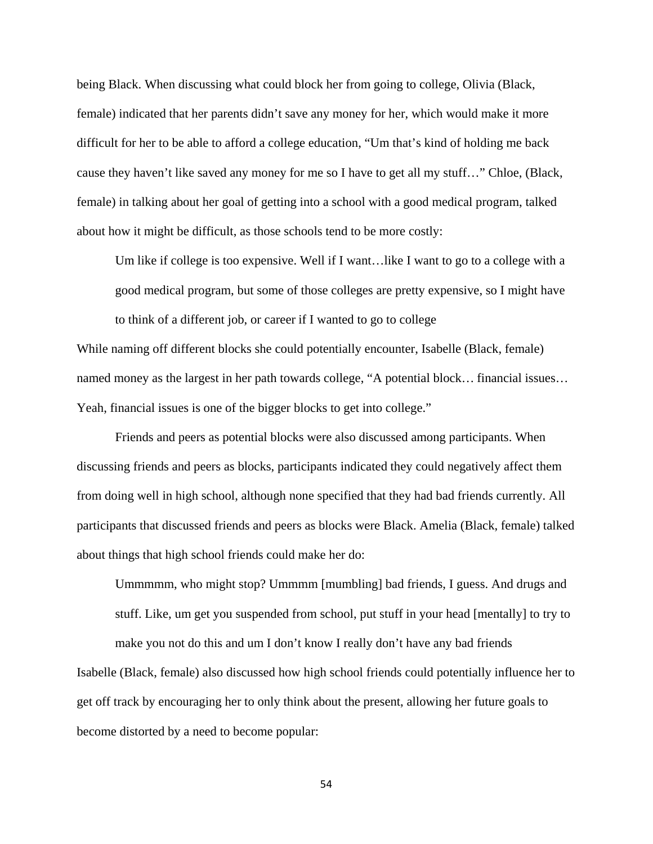being Black. When discussing what could block her from going to college, Olivia (Black, female) indicated that her parents didn't save any money for her, which would make it more difficult for her to be able to afford a college education, "Um that's kind of holding me back cause they haven't like saved any money for me so I have to get all my stuff…" Chloe, (Black, female) in talking about her goal of getting into a school with a good medical program, talked about how it might be difficult, as those schools tend to be more costly:

Um like if college is too expensive. Well if I want…like I want to go to a college with a good medical program, but some of those colleges are pretty expensive, so I might have to think of a different job, or career if I wanted to go to college

While naming off different blocks she could potentially encounter, Isabelle (Black, female) named money as the largest in her path towards college, "A potential block… financial issues… Yeah, financial issues is one of the bigger blocks to get into college."

 Friends and peers as potential blocks were also discussed among participants. When discussing friends and peers as blocks, participants indicated they could negatively affect them from doing well in high school, although none specified that they had bad friends currently. All participants that discussed friends and peers as blocks were Black. Amelia (Black, female) talked about things that high school friends could make her do:

Ummmmm, who might stop? Ummmm [mumbling] bad friends, I guess. And drugs and stuff. Like, um get you suspended from school, put stuff in your head [mentally] to try to make you not do this and um I don't know I really don't have any bad friends

Isabelle (Black, female) also discussed how high school friends could potentially influence her to get off track by encouraging her to only think about the present, allowing her future goals to become distorted by a need to become popular: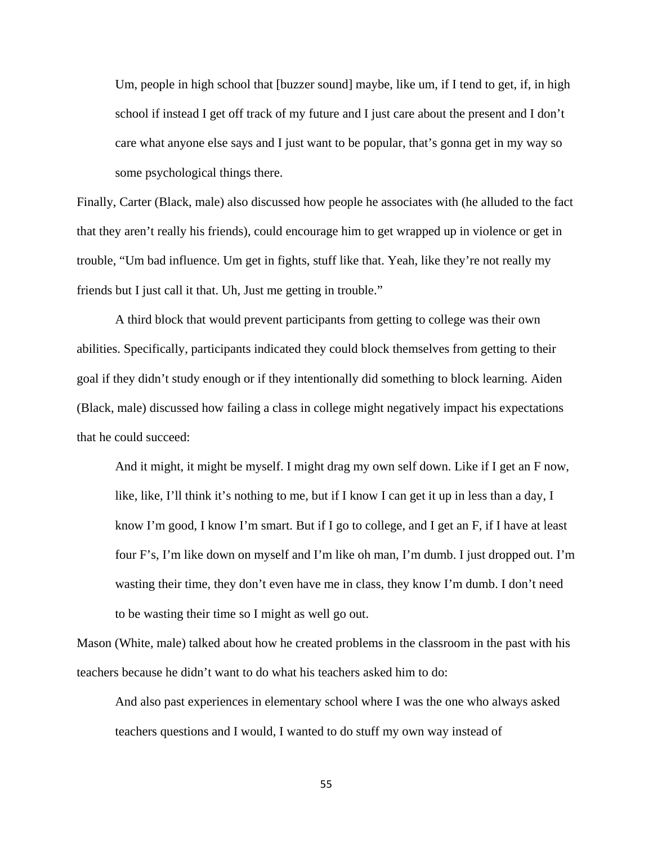Um, people in high school that [buzzer sound] maybe, like um, if I tend to get, if, in high school if instead I get off track of my future and I just care about the present and I don't care what anyone else says and I just want to be popular, that's gonna get in my way so some psychological things there.

Finally, Carter (Black, male) also discussed how people he associates with (he alluded to the fact that they aren't really his friends), could encourage him to get wrapped up in violence or get in trouble, "Um bad influence. Um get in fights, stuff like that. Yeah, like they're not really my friends but I just call it that. Uh, Just me getting in trouble."

 A third block that would prevent participants from getting to college was their own abilities. Specifically, participants indicated they could block themselves from getting to their goal if they didn't study enough or if they intentionally did something to block learning. Aiden (Black, male) discussed how failing a class in college might negatively impact his expectations that he could succeed:

And it might, it might be myself. I might drag my own self down. Like if I get an F now, like, like, I'll think it's nothing to me, but if I know I can get it up in less than a day, I know I'm good, I know I'm smart. But if I go to college, and I get an F, if I have at least four F's, I'm like down on myself and I'm like oh man, I'm dumb. I just dropped out. I'm wasting their time, they don't even have me in class, they know I'm dumb. I don't need to be wasting their time so I might as well go out.

Mason (White, male) talked about how he created problems in the classroom in the past with his teachers because he didn't want to do what his teachers asked him to do:

And also past experiences in elementary school where I was the one who always asked teachers questions and I would, I wanted to do stuff my own way instead of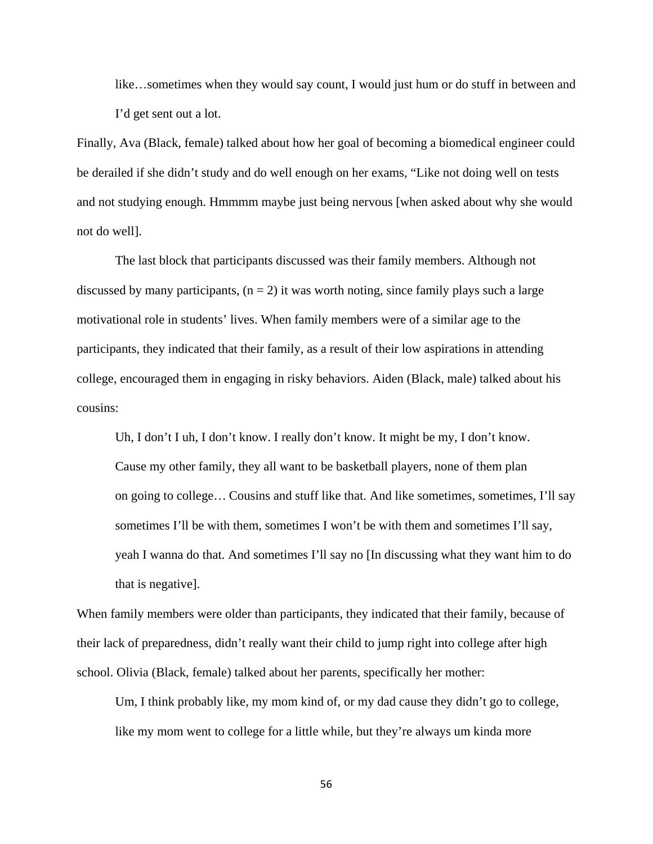like…sometimes when they would say count, I would just hum or do stuff in between and I'd get sent out a lot.

Finally, Ava (Black, female) talked about how her goal of becoming a biomedical engineer could be derailed if she didn't study and do well enough on her exams, "Like not doing well on tests and not studying enough. Hmmmm maybe just being nervous [when asked about why she would not do well].

The last block that participants discussed was their family members. Although not discussed by many participants,  $(n = 2)$  it was worth noting, since family plays such a large motivational role in students' lives. When family members were of a similar age to the participants, they indicated that their family, as a result of their low aspirations in attending college, encouraged them in engaging in risky behaviors. Aiden (Black, male) talked about his cousins:

Uh, I don't I uh, I don't know. I really don't know. It might be my, I don't know. Cause my other family, they all want to be basketball players, none of them plan on going to college… Cousins and stuff like that. And like sometimes, sometimes, I'll say sometimes I'll be with them, sometimes I won't be with them and sometimes I'll say, yeah I wanna do that. And sometimes I'll say no [In discussing what they want him to do that is negative].

When family members were older than participants, they indicated that their family, because of their lack of preparedness, didn't really want their child to jump right into college after high school. Olivia (Black, female) talked about her parents, specifically her mother:

Um, I think probably like, my mom kind of, or my dad cause they didn't go to college, like my mom went to college for a little while, but they're always um kinda more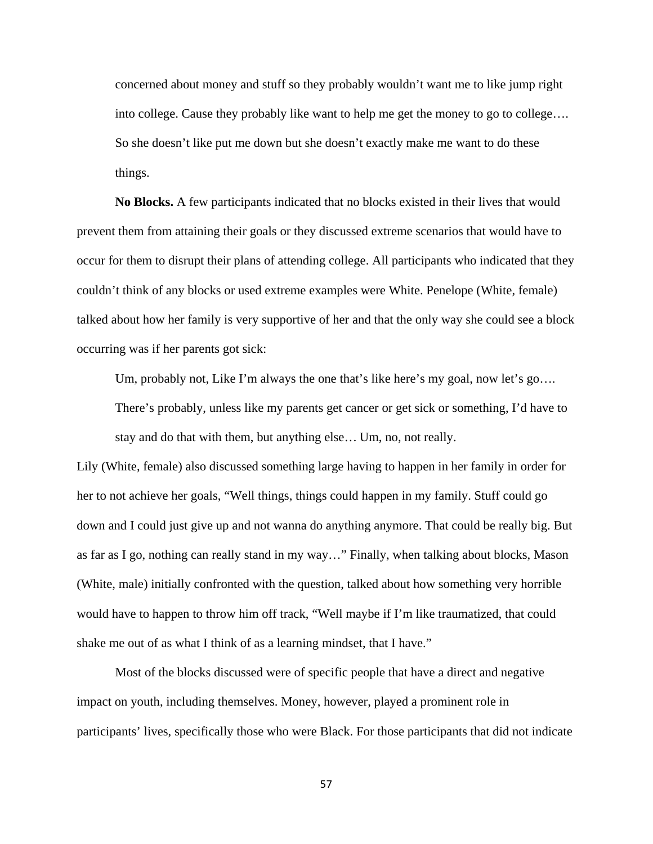concerned about money and stuff so they probably wouldn't want me to like jump right into college. Cause they probably like want to help me get the money to go to college…. So she doesn't like put me down but she doesn't exactly make me want to do these things.

**No Blocks.** A few participants indicated that no blocks existed in their lives that would prevent them from attaining their goals or they discussed extreme scenarios that would have to occur for them to disrupt their plans of attending college. All participants who indicated that they couldn't think of any blocks or used extreme examples were White. Penelope (White, female) talked about how her family is very supportive of her and that the only way she could see a block occurring was if her parents got sick:

Um, probably not, Like I'm always the one that's like here's my goal, now let's go….

There's probably, unless like my parents get cancer or get sick or something, I'd have to stay and do that with them, but anything else… Um, no, not really.

Lily (White, female) also discussed something large having to happen in her family in order for her to not achieve her goals, "Well things, things could happen in my family. Stuff could go down and I could just give up and not wanna do anything anymore. That could be really big. But as far as I go, nothing can really stand in my way…" Finally, when talking about blocks, Mason (White, male) initially confronted with the question, talked about how something very horrible would have to happen to throw him off track, "Well maybe if I'm like traumatized, that could shake me out of as what I think of as a learning mindset, that I have."

Most of the blocks discussed were of specific people that have a direct and negative impact on youth, including themselves. Money, however, played a prominent role in participants' lives, specifically those who were Black. For those participants that did not indicate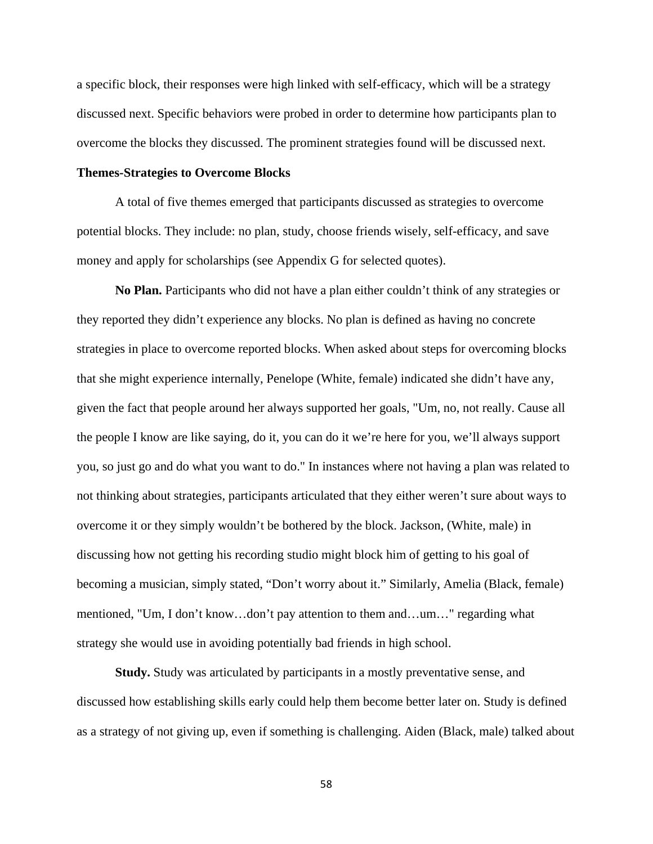a specific block, their responses were high linked with self-efficacy, which will be a strategy discussed next. Specific behaviors were probed in order to determine how participants plan to overcome the blocks they discussed. The prominent strategies found will be discussed next.

# **Themes-Strategies to Overcome Blocks**

A total of five themes emerged that participants discussed as strategies to overcome potential blocks. They include: no plan, study, choose friends wisely, self-efficacy, and save money and apply for scholarships (see Appendix G for selected quotes).

**No Plan.** Participants who did not have a plan either couldn't think of any strategies or they reported they didn't experience any blocks. No plan is defined as having no concrete strategies in place to overcome reported blocks. When asked about steps for overcoming blocks that she might experience internally, Penelope (White, female) indicated she didn't have any, given the fact that people around her always supported her goals, "Um, no, not really. Cause all the people I know are like saying, do it, you can do it we're here for you, we'll always support you, so just go and do what you want to do." In instances where not having a plan was related to not thinking about strategies, participants articulated that they either weren't sure about ways to overcome it or they simply wouldn't be bothered by the block. Jackson, (White, male) in discussing how not getting his recording studio might block him of getting to his goal of becoming a musician, simply stated, "Don't worry about it." Similarly, Amelia (Black, female) mentioned, "Um, I don't know…don't pay attention to them and…um…" regarding what strategy she would use in avoiding potentially bad friends in high school.

**Study.** Study was articulated by participants in a mostly preventative sense, and discussed how establishing skills early could help them become better later on. Study is defined as a strategy of not giving up, even if something is challenging. Aiden (Black, male) talked about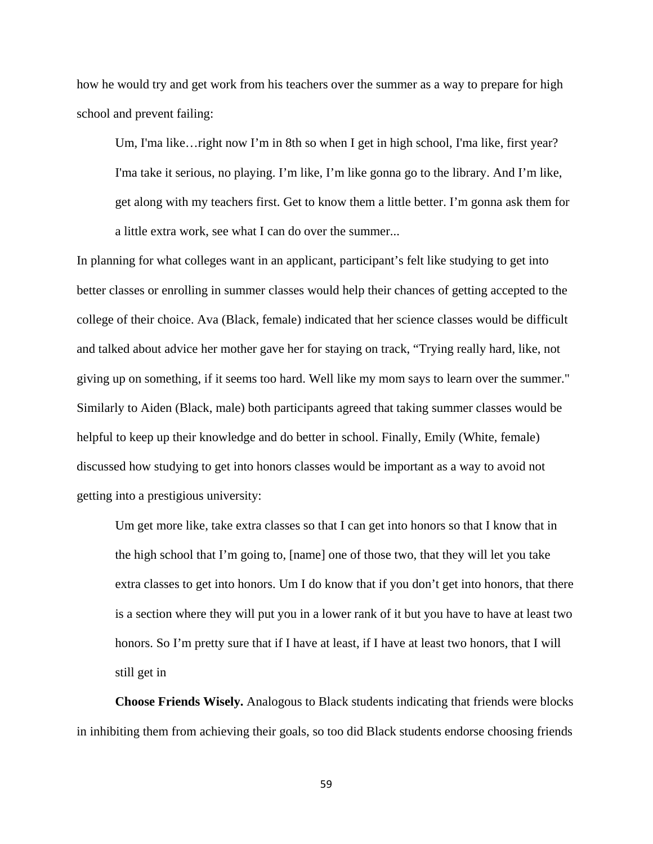how he would try and get work from his teachers over the summer as a way to prepare for high school and prevent failing:

Um, I'ma like…right now I'm in 8th so when I get in high school, I'ma like, first year? I'ma take it serious, no playing. I'm like, I'm like gonna go to the library. And I'm like, get along with my teachers first. Get to know them a little better. I'm gonna ask them for a little extra work, see what I can do over the summer...

In planning for what colleges want in an applicant, participant's felt like studying to get into better classes or enrolling in summer classes would help their chances of getting accepted to the college of their choice. Ava (Black, female) indicated that her science classes would be difficult and talked about advice her mother gave her for staying on track, "Trying really hard, like, not giving up on something, if it seems too hard. Well like my mom says to learn over the summer." Similarly to Aiden (Black, male) both participants agreed that taking summer classes would be helpful to keep up their knowledge and do better in school. Finally, Emily (White, female) discussed how studying to get into honors classes would be important as a way to avoid not getting into a prestigious university:

Um get more like, take extra classes so that I can get into honors so that I know that in the high school that I'm going to, [name] one of those two, that they will let you take extra classes to get into honors. Um I do know that if you don't get into honors, that there is a section where they will put you in a lower rank of it but you have to have at least two honors. So I'm pretty sure that if I have at least, if I have at least two honors, that I will still get in

**Choose Friends Wisely.** Analogous to Black students indicating that friends were blocks in inhibiting them from achieving their goals, so too did Black students endorse choosing friends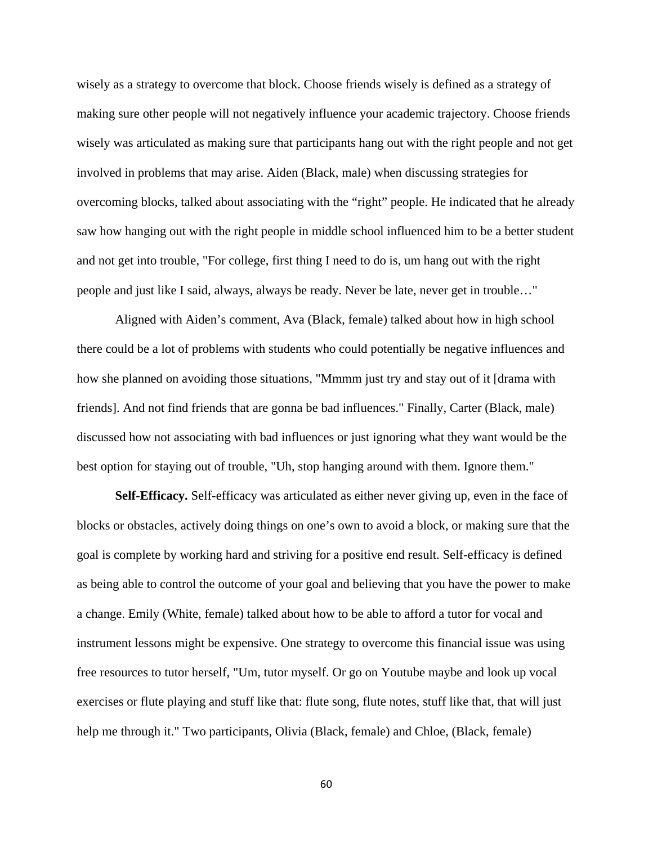wisely as a strategy to overcome that block. Choose friends wisely is defined as a strategy of making sure other people will not negatively influence your academic trajectory. Choose friends wisely was articulated as making sure that participants hang out with the right people and not get involved in problems that may arise. Aiden (Black, male) when discussing strategies for overcoming blocks, talked about associating with the "right" people. He indicated that he already saw how hanging out with the right people in middle school influenced him to be a better student and not get into trouble, "For college, first thing I need to do is, um hang out with the right people and just like I said, always, always be ready. Never be late, never get in trouble…"

 Aligned with Aiden's comment, Ava (Black, female) talked about how in high school there could be a lot of problems with students who could potentially be negative influences and how she planned on avoiding those situations, "Mmmm just try and stay out of it [drama with friends]. And not find friends that are gonna be bad influences." Finally, Carter (Black, male) discussed how not associating with bad influences or just ignoring what they want would be the best option for staying out of trouble, "Uh, stop hanging around with them. Ignore them."

**Self-Efficacy.** Self-efficacy was articulated as either never giving up, even in the face of blocks or obstacles, actively doing things on one's own to avoid a block, or making sure that the goal is complete by working hard and striving for a positive end result. Self-efficacy is defined as being able to control the outcome of your goal and believing that you have the power to make a change. Emily (White, female) talked about how to be able to afford a tutor for vocal and instrument lessons might be expensive. One strategy to overcome this financial issue was using free resources to tutor herself, "Um, tutor myself. Or go on Youtube maybe and look up vocal exercises or flute playing and stuff like that: flute song, flute notes, stuff like that, that will just help me through it." Two participants, Olivia (Black, female) and Chloe, (Black, female)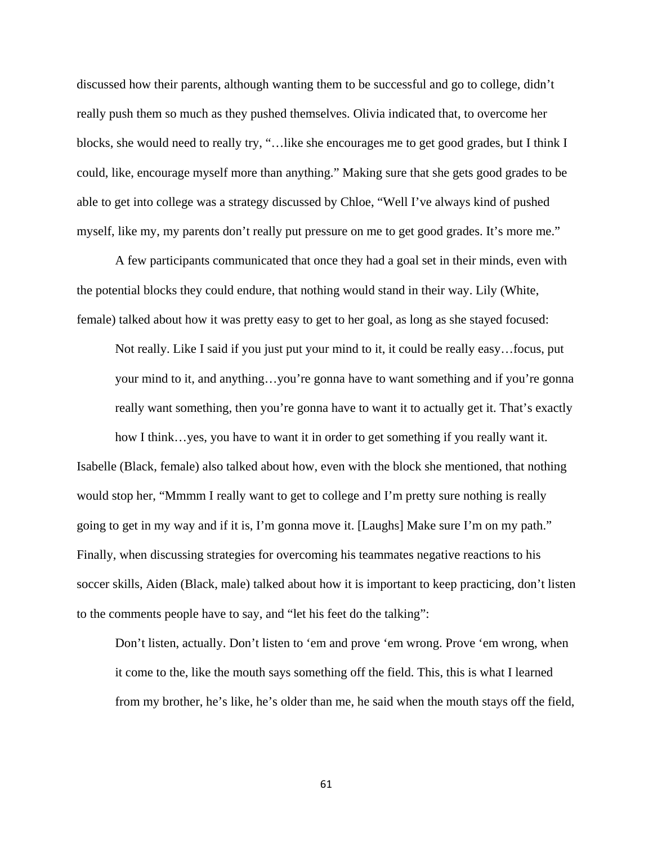discussed how their parents, although wanting them to be successful and go to college, didn't really push them so much as they pushed themselves. Olivia indicated that, to overcome her blocks, she would need to really try, "…like she encourages me to get good grades, but I think I could, like, encourage myself more than anything." Making sure that she gets good grades to be able to get into college was a strategy discussed by Chloe, "Well I've always kind of pushed myself, like my, my parents don't really put pressure on me to get good grades. It's more me."

A few participants communicated that once they had a goal set in their minds, even with the potential blocks they could endure, that nothing would stand in their way. Lily (White, female) talked about how it was pretty easy to get to her goal, as long as she stayed focused:

Not really. Like I said if you just put your mind to it, it could be really easy…focus, put your mind to it, and anything…you're gonna have to want something and if you're gonna really want something, then you're gonna have to want it to actually get it. That's exactly how I think…yes, you have to want it in order to get something if you really want it.

Isabelle (Black, female) also talked about how, even with the block she mentioned, that nothing would stop her, "Mmmm I really want to get to college and I'm pretty sure nothing is really going to get in my way and if it is, I'm gonna move it. [Laughs] Make sure I'm on my path." Finally, when discussing strategies for overcoming his teammates negative reactions to his soccer skills, Aiden (Black, male) talked about how it is important to keep practicing, don't listen to the comments people have to say, and "let his feet do the talking":

Don't listen, actually. Don't listen to 'em and prove 'em wrong. Prove 'em wrong, when it come to the, like the mouth says something off the field. This, this is what I learned from my brother, he's like, he's older than me, he said when the mouth stays off the field,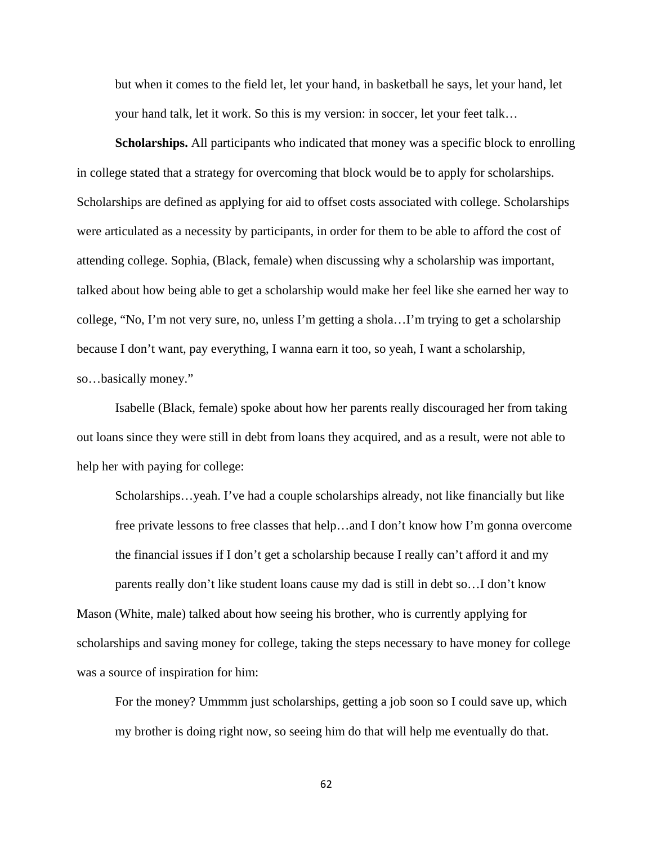but when it comes to the field let, let your hand, in basketball he says, let your hand, let your hand talk, let it work. So this is my version: in soccer, let your feet talk…

**Scholarships.** All participants who indicated that money was a specific block to enrolling in college stated that a strategy for overcoming that block would be to apply for scholarships. Scholarships are defined as applying for aid to offset costs associated with college. Scholarships were articulated as a necessity by participants, in order for them to be able to afford the cost of attending college. Sophia, (Black, female) when discussing why a scholarship was important, talked about how being able to get a scholarship would make her feel like she earned her way to college, "No, I'm not very sure, no, unless I'm getting a shola…I'm trying to get a scholarship because I don't want, pay everything, I wanna earn it too, so yeah, I want a scholarship, so…basically money."

Isabelle (Black, female) spoke about how her parents really discouraged her from taking out loans since they were still in debt from loans they acquired, and as a result, were not able to help her with paying for college:

Scholarships…yeah. I've had a couple scholarships already, not like financially but like free private lessons to free classes that help…and I don't know how I'm gonna overcome the financial issues if I don't get a scholarship because I really can't afford it and my parents really don't like student loans cause my dad is still in debt so…I don't know Mason (White, male) talked about how seeing his brother, who is currently applying for scholarships and saving money for college, taking the steps necessary to have money for college was a source of inspiration for him:

For the money? Ummmm just scholarships, getting a job soon so I could save up, which my brother is doing right now, so seeing him do that will help me eventually do that.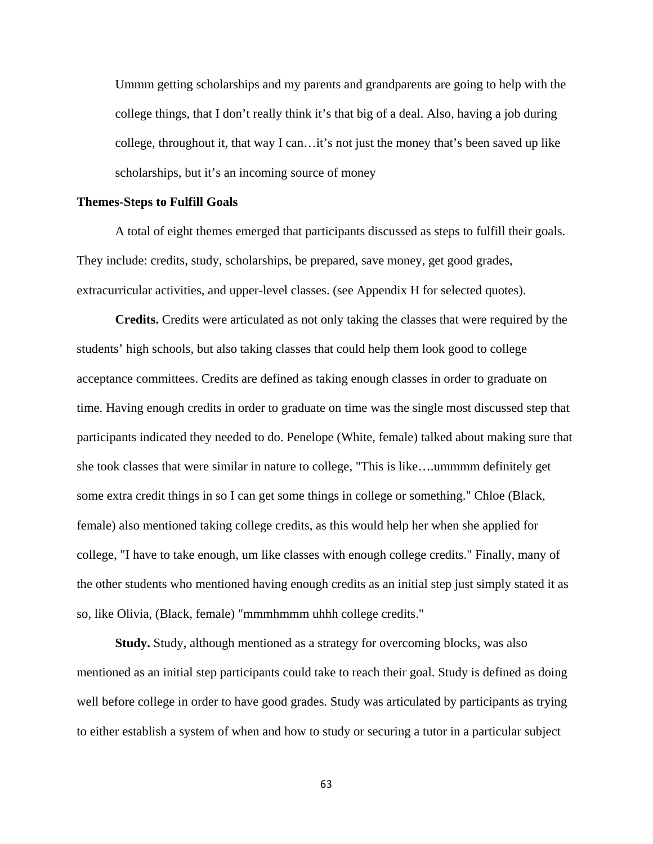Ummm getting scholarships and my parents and grandparents are going to help with the college things, that I don't really think it's that big of a deal. Also, having a job during college, throughout it, that way I can…it's not just the money that's been saved up like scholarships, but it's an incoming source of money

### **Themes-Steps to Fulfill Goals**

A total of eight themes emerged that participants discussed as steps to fulfill their goals. They include: credits, study, scholarships, be prepared, save money, get good grades, extracurricular activities, and upper-level classes. (see Appendix H for selected quotes).

**Credits.** Credits were articulated as not only taking the classes that were required by the students' high schools, but also taking classes that could help them look good to college acceptance committees. Credits are defined as taking enough classes in order to graduate on time. Having enough credits in order to graduate on time was the single most discussed step that participants indicated they needed to do. Penelope (White, female) talked about making sure that she took classes that were similar in nature to college, "This is like….ummmm definitely get some extra credit things in so I can get some things in college or something." Chloe (Black, female) also mentioned taking college credits, as this would help her when she applied for college, "I have to take enough, um like classes with enough college credits." Finally, many of the other students who mentioned having enough credits as an initial step just simply stated it as so, like Olivia, (Black, female) "mmmhmmm uhhh college credits."

**Study.** Study, although mentioned as a strategy for overcoming blocks, was also mentioned as an initial step participants could take to reach their goal. Study is defined as doing well before college in order to have good grades. Study was articulated by participants as trying to either establish a system of when and how to study or securing a tutor in a particular subject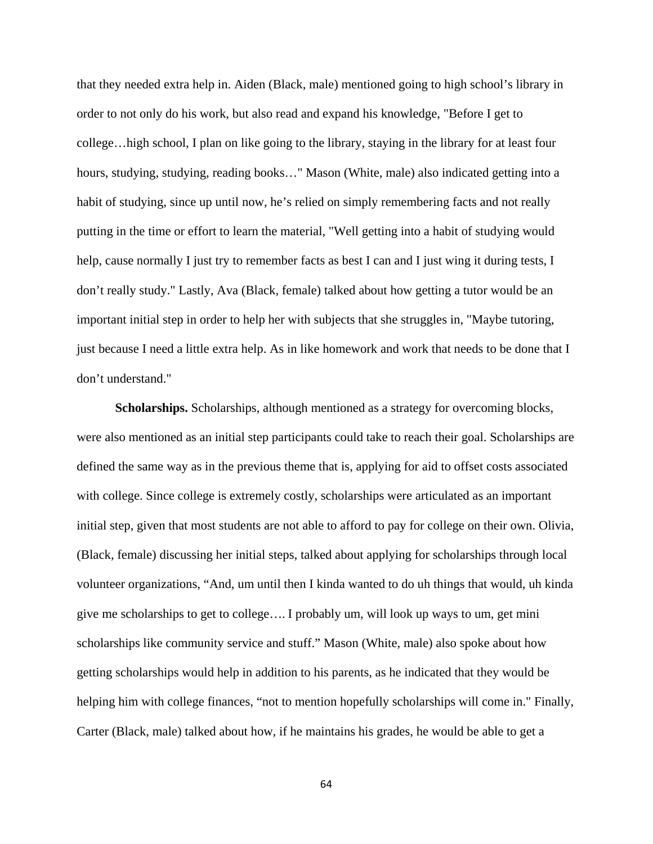that they needed extra help in. Aiden (Black, male) mentioned going to high school's library in order to not only do his work, but also read and expand his knowledge, "Before I get to college…high school, I plan on like going to the library, staying in the library for at least four hours, studying, studying, reading books..." Mason (White, male) also indicated getting into a habit of studying, since up until now, he's relied on simply remembering facts and not really putting in the time or effort to learn the material, "Well getting into a habit of studying would help, cause normally I just try to remember facts as best I can and I just wing it during tests, I don't really study." Lastly, Ava (Black, female) talked about how getting a tutor would be an important initial step in order to help her with subjects that she struggles in, "Maybe tutoring, just because I need a little extra help. As in like homework and work that needs to be done that I don't understand."

**Scholarships.** Scholarships, although mentioned as a strategy for overcoming blocks, were also mentioned as an initial step participants could take to reach their goal. Scholarships are defined the same way as in the previous theme that is, applying for aid to offset costs associated with college. Since college is extremely costly, scholarships were articulated as an important initial step, given that most students are not able to afford to pay for college on their own. Olivia, (Black, female) discussing her initial steps, talked about applying for scholarships through local volunteer organizations, "And, um until then I kinda wanted to do uh things that would, uh kinda give me scholarships to get to college…. I probably um, will look up ways to um, get mini scholarships like community service and stuff." Mason (White, male) also spoke about how getting scholarships would help in addition to his parents, as he indicated that they would be helping him with college finances, "not to mention hopefully scholarships will come in." Finally, Carter (Black, male) talked about how, if he maintains his grades, he would be able to get a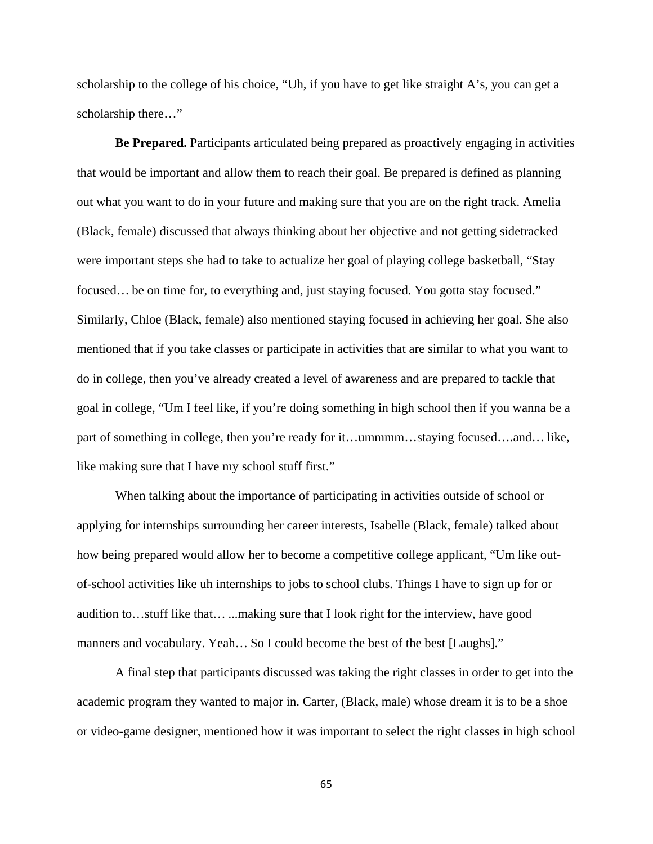scholarship to the college of his choice, "Uh, if you have to get like straight A's, you can get a scholarship there…"

**Be Prepared.** Participants articulated being prepared as proactively engaging in activities that would be important and allow them to reach their goal. Be prepared is defined as planning out what you want to do in your future and making sure that you are on the right track. Amelia (Black, female) discussed that always thinking about her objective and not getting sidetracked were important steps she had to take to actualize her goal of playing college basketball, "Stay focused… be on time for, to everything and, just staying focused. You gotta stay focused." Similarly, Chloe (Black, female) also mentioned staying focused in achieving her goal. She also mentioned that if you take classes or participate in activities that are similar to what you want to do in college, then you've already created a level of awareness and are prepared to tackle that goal in college, "Um I feel like, if you're doing something in high school then if you wanna be a part of something in college, then you're ready for it…ummmm…staying focused….and… like, like making sure that I have my school stuff first."

When talking about the importance of participating in activities outside of school or applying for internships surrounding her career interests, Isabelle (Black, female) talked about how being prepared would allow her to become a competitive college applicant, "Um like outof-school activities like uh internships to jobs to school clubs. Things I have to sign up for or audition to…stuff like that… ...making sure that I look right for the interview, have good manners and vocabulary. Yeah... So I could become the best of the best [Laughs]."

A final step that participants discussed was taking the right classes in order to get into the academic program they wanted to major in. Carter, (Black, male) whose dream it is to be a shoe or video-game designer, mentioned how it was important to select the right classes in high school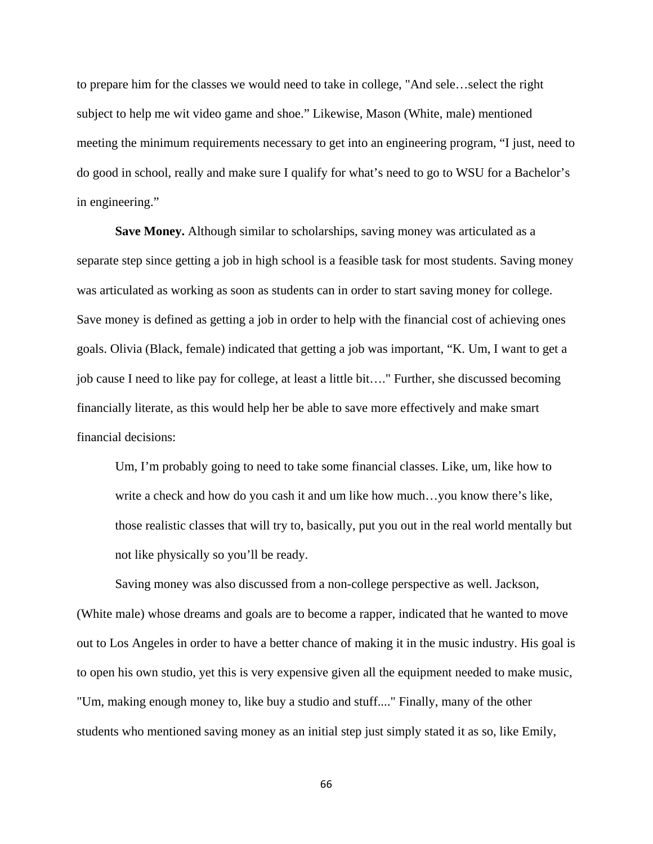to prepare him for the classes we would need to take in college, "And sele…select the right subject to help me wit video game and shoe." Likewise, Mason (White, male) mentioned meeting the minimum requirements necessary to get into an engineering program, "I just, need to do good in school, really and make sure I qualify for what's need to go to WSU for a Bachelor's in engineering."

**Save Money.** Although similar to scholarships, saving money was articulated as a separate step since getting a job in high school is a feasible task for most students. Saving money was articulated as working as soon as students can in order to start saving money for college. Save money is defined as getting a job in order to help with the financial cost of achieving ones goals. Olivia (Black, female) indicated that getting a job was important, "K. Um, I want to get a job cause I need to like pay for college, at least a little bit…." Further, she discussed becoming financially literate, as this would help her be able to save more effectively and make smart financial decisions:

Um, I'm probably going to need to take some financial classes. Like, um, like how to write a check and how do you cash it and um like how much…you know there's like, those realistic classes that will try to, basically, put you out in the real world mentally but not like physically so you'll be ready.

Saving money was also discussed from a non-college perspective as well. Jackson, (White male) whose dreams and goals are to become a rapper, indicated that he wanted to move out to Los Angeles in order to have a better chance of making it in the music industry. His goal is to open his own studio, yet this is very expensive given all the equipment needed to make music, "Um, making enough money to, like buy a studio and stuff...." Finally, many of the other students who mentioned saving money as an initial step just simply stated it as so, like Emily,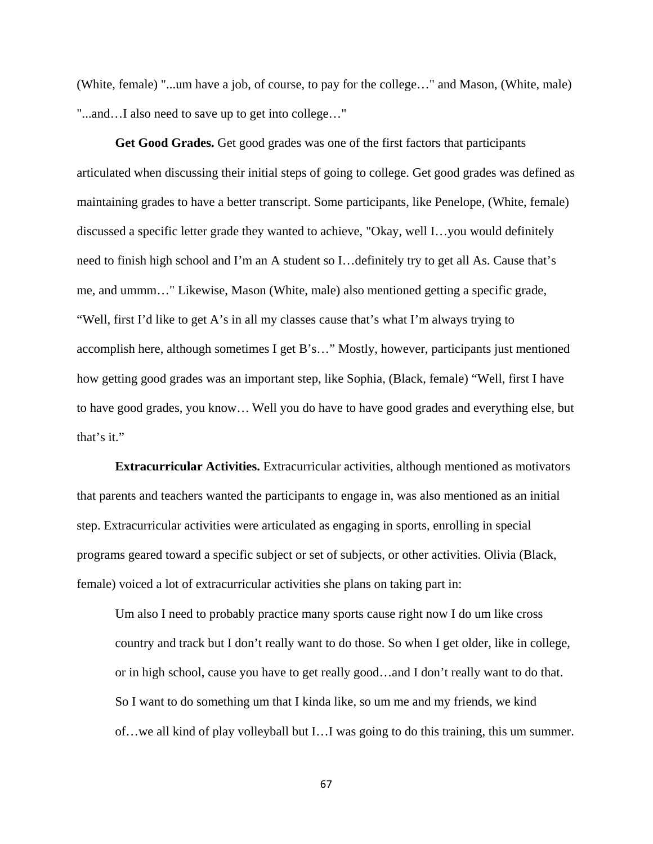(White, female) "...um have a job, of course, to pay for the college…" and Mason, (White, male) "...and…I also need to save up to get into college…"

**Get Good Grades.** Get good grades was one of the first factors that participants articulated when discussing their initial steps of going to college. Get good grades was defined as maintaining grades to have a better transcript. Some participants, like Penelope, (White, female) discussed a specific letter grade they wanted to achieve, "Okay, well I…you would definitely need to finish high school and I'm an A student so I…definitely try to get all As. Cause that's me, and ummm…" Likewise, Mason (White, male) also mentioned getting a specific grade, "Well, first I'd like to get A's in all my classes cause that's what I'm always trying to accomplish here, although sometimes I get B's…" Mostly, however, participants just mentioned how getting good grades was an important step, like Sophia, (Black, female) "Well, first I have to have good grades, you know… Well you do have to have good grades and everything else, but that's it."

**Extracurricular Activities.** Extracurricular activities, although mentioned as motivators that parents and teachers wanted the participants to engage in, was also mentioned as an initial step. Extracurricular activities were articulated as engaging in sports, enrolling in special programs geared toward a specific subject or set of subjects, or other activities. Olivia (Black, female) voiced a lot of extracurricular activities she plans on taking part in:

Um also I need to probably practice many sports cause right now I do um like cross country and track but I don't really want to do those. So when I get older, like in college, or in high school, cause you have to get really good…and I don't really want to do that. So I want to do something um that I kinda like, so um me and my friends, we kind of…we all kind of play volleyball but I…I was going to do this training, this um summer.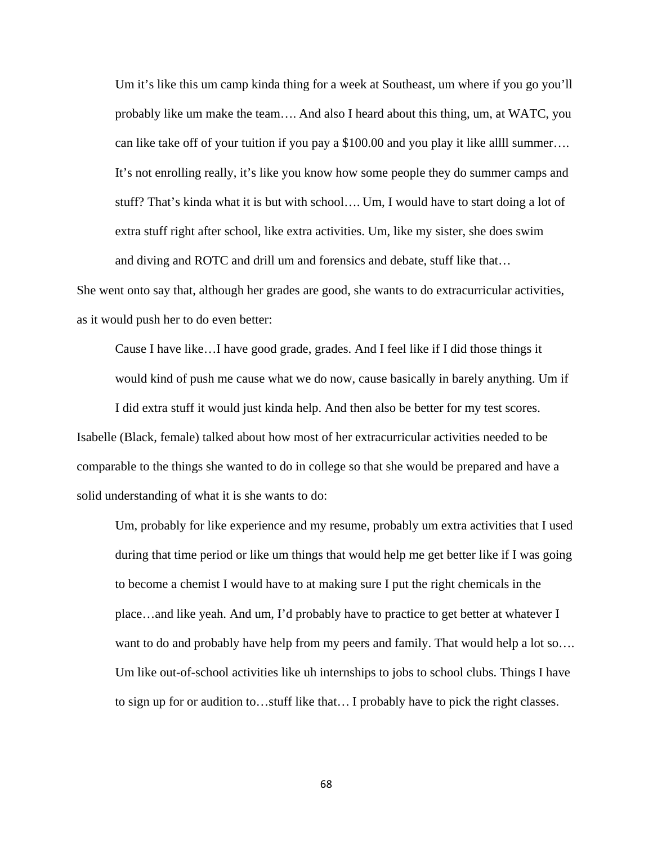Um it's like this um camp kinda thing for a week at Southeast, um where if you go you'll probably like um make the team…. And also I heard about this thing, um, at WATC, you can like take off of your tuition if you pay a \$100.00 and you play it like allll summer…. It's not enrolling really, it's like you know how some people they do summer camps and stuff? That's kinda what it is but with school…. Um, I would have to start doing a lot of extra stuff right after school, like extra activities. Um, like my sister, she does swim and diving and ROTC and drill um and forensics and debate, stuff like that…

She went onto say that, although her grades are good, she wants to do extracurricular activities, as it would push her to do even better:

Cause I have like…I have good grade, grades. And I feel like if I did those things it would kind of push me cause what we do now, cause basically in barely anything. Um if

I did extra stuff it would just kinda help. And then also be better for my test scores. Isabelle (Black, female) talked about how most of her extracurricular activities needed to be comparable to the things she wanted to do in college so that she would be prepared and have a solid understanding of what it is she wants to do:

Um, probably for like experience and my resume, probably um extra activities that I used during that time period or like um things that would help me get better like if I was going to become a chemist I would have to at making sure I put the right chemicals in the place…and like yeah. And um, I'd probably have to practice to get better at whatever I want to do and probably have help from my peers and family. That would help a lot so.... Um like out-of-school activities like uh internships to jobs to school clubs. Things I have to sign up for or audition to…stuff like that… I probably have to pick the right classes.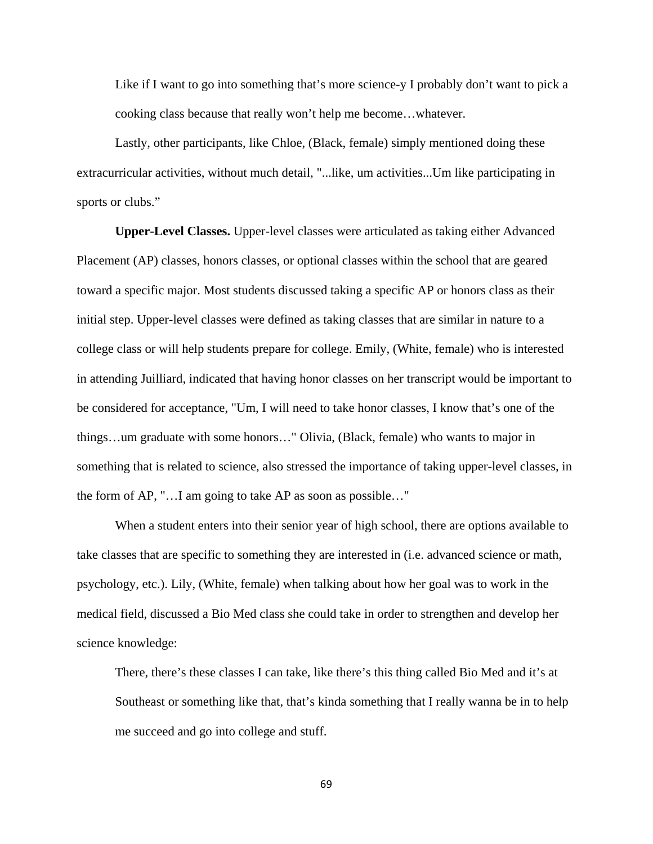Like if I want to go into something that's more science-y I probably don't want to pick a cooking class because that really won't help me become…whatever.

Lastly, other participants, like Chloe, (Black, female) simply mentioned doing these extracurricular activities, without much detail, "...like, um activities...Um like participating in sports or clubs."

**Upper-Level Classes.** Upper-level classes were articulated as taking either Advanced Placement (AP) classes, honors classes, or optional classes within the school that are geared toward a specific major. Most students discussed taking a specific AP or honors class as their initial step. Upper-level classes were defined as taking classes that are similar in nature to a college class or will help students prepare for college. Emily, (White, female) who is interested in attending Juilliard, indicated that having honor classes on her transcript would be important to be considered for acceptance, "Um, I will need to take honor classes, I know that's one of the things…um graduate with some honors…" Olivia, (Black, female) who wants to major in something that is related to science, also stressed the importance of taking upper-level classes, in the form of AP, "…I am going to take AP as soon as possible…"

 When a student enters into their senior year of high school, there are options available to take classes that are specific to something they are interested in (i.e. advanced science or math, psychology, etc.). Lily, (White, female) when talking about how her goal was to work in the medical field, discussed a Bio Med class she could take in order to strengthen and develop her science knowledge:

There, there's these classes I can take, like there's this thing called Bio Med and it's at Southeast or something like that, that's kinda something that I really wanna be in to help me succeed and go into college and stuff.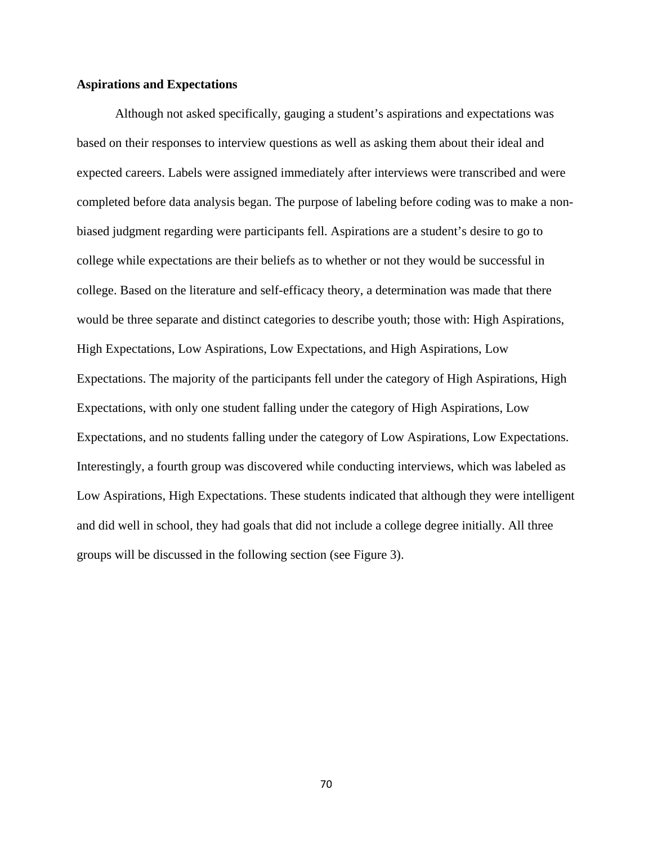# **Aspirations and Expectations**

Although not asked specifically, gauging a student's aspirations and expectations was based on their responses to interview questions as well as asking them about their ideal and expected careers. Labels were assigned immediately after interviews were transcribed and were completed before data analysis began. The purpose of labeling before coding was to make a nonbiased judgment regarding were participants fell. Aspirations are a student's desire to go to college while expectations are their beliefs as to whether or not they would be successful in college. Based on the literature and self-efficacy theory, a determination was made that there would be three separate and distinct categories to describe youth; those with: High Aspirations, High Expectations, Low Aspirations, Low Expectations, and High Aspirations, Low Expectations. The majority of the participants fell under the category of High Aspirations, High Expectations, with only one student falling under the category of High Aspirations, Low Expectations, and no students falling under the category of Low Aspirations, Low Expectations. Interestingly, a fourth group was discovered while conducting interviews, which was labeled as Low Aspirations, High Expectations. These students indicated that although they were intelligent and did well in school, they had goals that did not include a college degree initially. All three groups will be discussed in the following section (see Figure 3).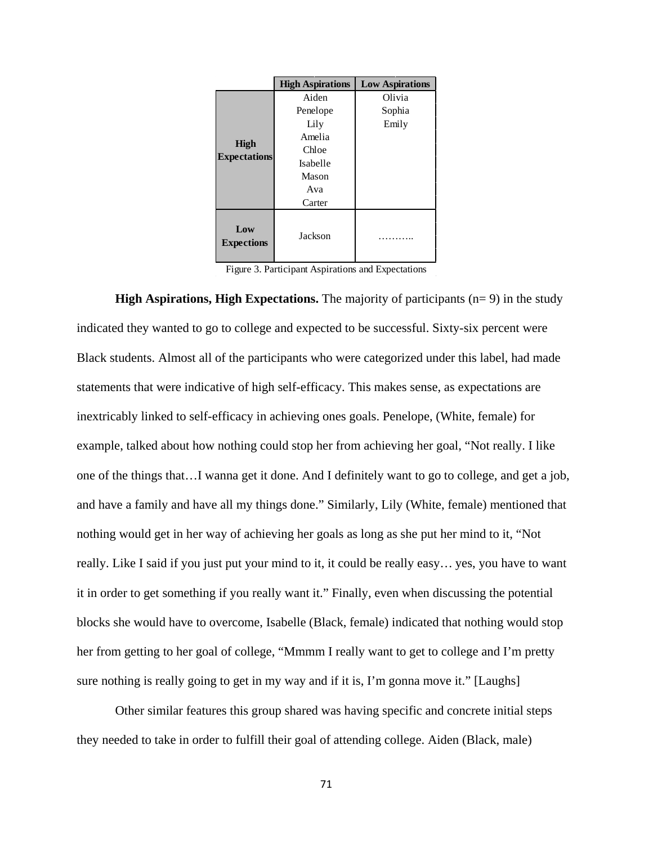|                                    | <b>High Aspirations</b> | <b>Low Aspirations</b> |
|------------------------------------|-------------------------|------------------------|
|                                    | Aiden                   | Olivia                 |
| <b>High</b><br><b>Expectations</b> | Penelope                | Sophia                 |
|                                    | Lily                    | Emily                  |
|                                    | Amelia                  |                        |
|                                    | Chloe                   |                        |
|                                    | Isabelle                |                        |
|                                    | Mason                   |                        |
|                                    | Ava                     |                        |
|                                    | Carter                  |                        |
| Low<br><b>Expections</b>           | Jackson                 |                        |

Figure 3. Participant Aspirations and Expectations

**High Aspirations, High Expectations.** The majority of participants (n= 9) in the study indicated they wanted to go to college and expected to be successful. Sixty-six percent were Black students. Almost all of the participants who were categorized under this label, had made statements that were indicative of high self-efficacy. This makes sense, as expectations are inextricably linked to self-efficacy in achieving ones goals. Penelope, (White, female) for example, talked about how nothing could stop her from achieving her goal, "Not really. I like one of the things that…I wanna get it done. And I definitely want to go to college, and get a job, and have a family and have all my things done." Similarly, Lily (White, female) mentioned that nothing would get in her way of achieving her goals as long as she put her mind to it, "Not really. Like I said if you just put your mind to it, it could be really easy… yes, you have to want it in order to get something if you really want it." Finally, even when discussing the potential blocks she would have to overcome, Isabelle (Black, female) indicated that nothing would stop her from getting to her goal of college, "Mmmm I really want to get to college and I'm pretty sure nothing is really going to get in my way and if it is, I'm gonna move it." [Laughs]

Other similar features this group shared was having specific and concrete initial steps they needed to take in order to fulfill their goal of attending college. Aiden (Black, male)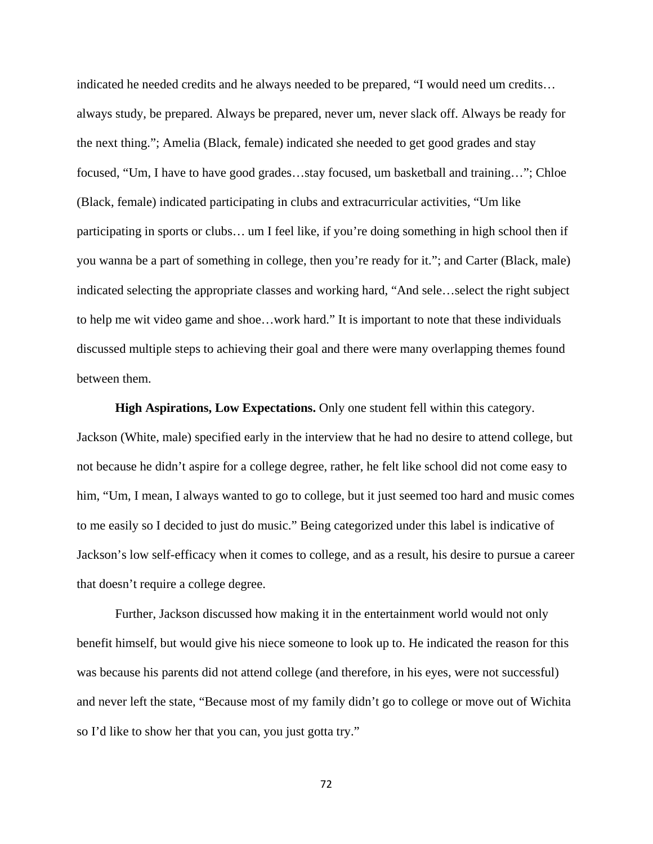indicated he needed credits and he always needed to be prepared, "I would need um credits… always study, be prepared. Always be prepared, never um, never slack off. Always be ready for the next thing."; Amelia (Black, female) indicated she needed to get good grades and stay focused, "Um, I have to have good grades…stay focused, um basketball and training…"; Chloe (Black, female) indicated participating in clubs and extracurricular activities, "Um like participating in sports or clubs… um I feel like, if you're doing something in high school then if you wanna be a part of something in college, then you're ready for it."; and Carter (Black, male) indicated selecting the appropriate classes and working hard, "And sele…select the right subject to help me wit video game and shoe…work hard." It is important to note that these individuals discussed multiple steps to achieving their goal and there were many overlapping themes found between them.

**High Aspirations, Low Expectations.** Only one student fell within this category. Jackson (White, male) specified early in the interview that he had no desire to attend college, but not because he didn't aspire for a college degree, rather, he felt like school did not come easy to him, "Um, I mean, I always wanted to go to college, but it just seemed too hard and music comes to me easily so I decided to just do music." Being categorized under this label is indicative of Jackson's low self-efficacy when it comes to college, and as a result, his desire to pursue a career that doesn't require a college degree.

Further, Jackson discussed how making it in the entertainment world would not only benefit himself, but would give his niece someone to look up to. He indicated the reason for this was because his parents did not attend college (and therefore, in his eyes, were not successful) and never left the state, "Because most of my family didn't go to college or move out of Wichita so I'd like to show her that you can, you just gotta try."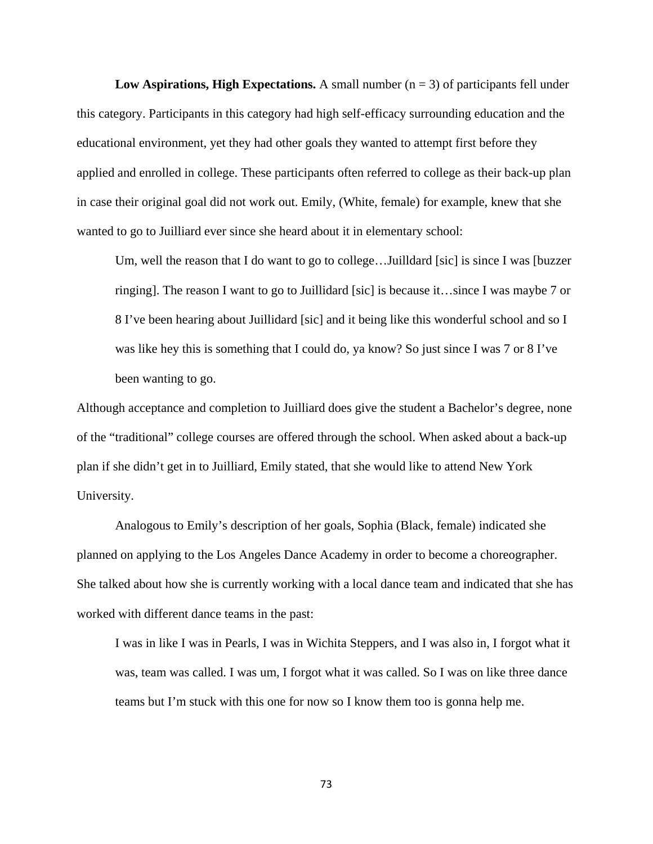**Low Aspirations, High Expectations.** A small number  $(n = 3)$  of participants fell under this category. Participants in this category had high self-efficacy surrounding education and the educational environment, yet they had other goals they wanted to attempt first before they applied and enrolled in college. These participants often referred to college as their back-up plan in case their original goal did not work out. Emily, (White, female) for example, knew that she wanted to go to Juilliard ever since she heard about it in elementary school:

Um, well the reason that I do want to go to college...Juilldard [sic] is since I was [buzzer ringing]. The reason I want to go to Juillidard [sic] is because it…since I was maybe 7 or 8 I've been hearing about Juillidard [sic] and it being like this wonderful school and so I was like hey this is something that I could do, ya know? So just since I was 7 or 8 I've been wanting to go.

Although acceptance and completion to Juilliard does give the student a Bachelor's degree, none of the "traditional" college courses are offered through the school. When asked about a back-up plan if she didn't get in to Juilliard, Emily stated, that she would like to attend New York University.

 Analogous to Emily's description of her goals, Sophia (Black, female) indicated she planned on applying to the Los Angeles Dance Academy in order to become a choreographer. She talked about how she is currently working with a local dance team and indicated that she has worked with different dance teams in the past:

I was in like I was in Pearls, I was in Wichita Steppers, and I was also in, I forgot what it was, team was called. I was um, I forgot what it was called. So I was on like three dance teams but I'm stuck with this one for now so I know them too is gonna help me.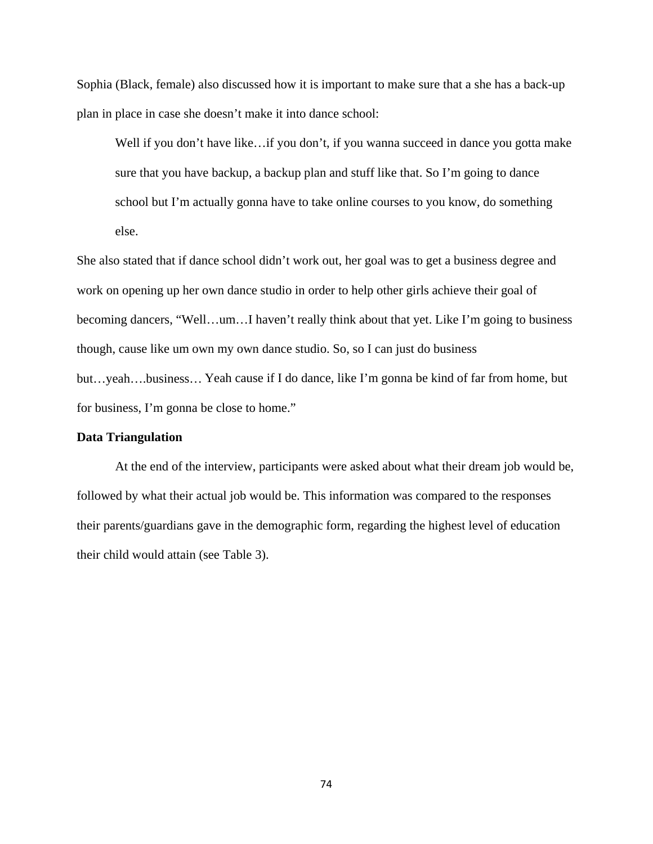Sophia (Black, female) also discussed how it is important to make sure that a she has a back-up plan in place in case she doesn't make it into dance school:

Well if you don't have like...if you don't, if you wanna succeed in dance you gotta make sure that you have backup, a backup plan and stuff like that. So I'm going to dance school but I'm actually gonna have to take online courses to you know, do something else.

She also stated that if dance school didn't work out, her goal was to get a business degree and work on opening up her own dance studio in order to help other girls achieve their goal of becoming dancers, "Well…um…I haven't really think about that yet. Like I'm going to business though, cause like um own my own dance studio. So, so I can just do business but…yeah….business… Yeah cause if I do dance, like I'm gonna be kind of far from home, but for business, I'm gonna be close to home."

# **Data Triangulation**

At the end of the interview, participants were asked about what their dream job would be, followed by what their actual job would be. This information was compared to the responses their parents/guardians gave in the demographic form, regarding the highest level of education their child would attain (see Table 3).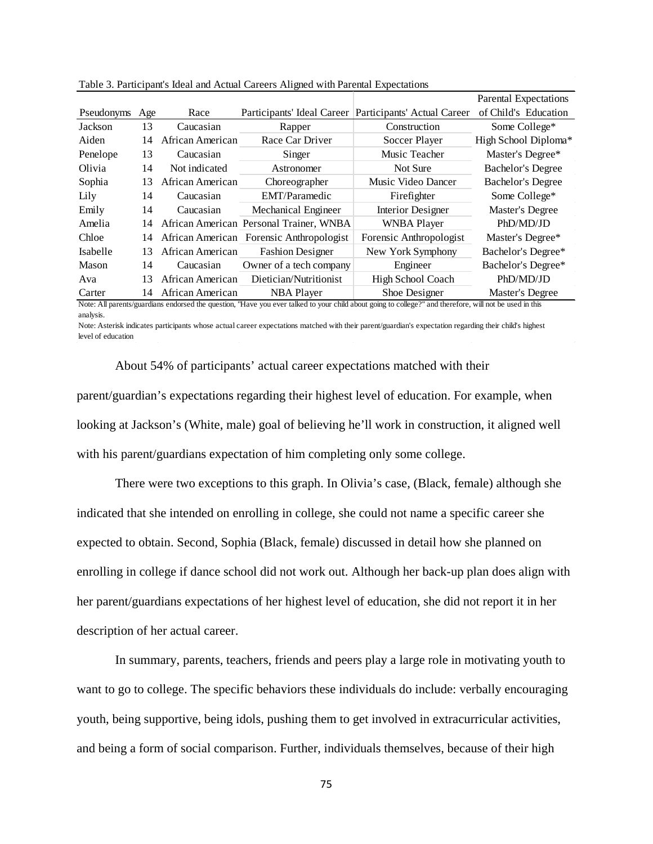|                                                                                                                                                         |     |                  |                                          |                             | Parental Expectations    |  |
|---------------------------------------------------------------------------------------------------------------------------------------------------------|-----|------------------|------------------------------------------|-----------------------------|--------------------------|--|
| Pseudonyms                                                                                                                                              | Age | Race             | Participants' Ideal Career               | Participants' Actual Career | of Child's Education     |  |
| Jackson                                                                                                                                                 | 13  | Caucasian        | Rapper                                   | Construction                | Some College*            |  |
| Aiden                                                                                                                                                   | 14  | African American | Race Car Driver                          | Soccer Player               | High School Diploma*     |  |
| Penelope                                                                                                                                                | 13  | Caucasian        | Singer                                   | Music Teacher               | Master's Degree*         |  |
| Olivia                                                                                                                                                  | 14  | Not indicated    | Astronomer                               | Not Sure                    | <b>Bachelor's Degree</b> |  |
| Sophia                                                                                                                                                  | 13  | African American | Choreographer                            | Music Video Dancer          | <b>Bachelor's Degree</b> |  |
| Lily                                                                                                                                                    | 14  | Caucasian        | EMT/Paramedic                            | Firefighter                 | Some College*            |  |
| Emily                                                                                                                                                   | 14  | Caucasian        | Mechanical Engineer                      | Interior Designer           | Master's Degree          |  |
| Amelia                                                                                                                                                  | 14  |                  | African American Personal Trainer, WNBA  | <b>WNBA Player</b>          | PhD/MD/JD                |  |
| Chloe                                                                                                                                                   | 14  |                  | African American Forensic Anthropologist | Forensic Anthropologist     | Master's Degree*         |  |
| Isabelle                                                                                                                                                | 13  | African American | <b>Fashion Designer</b>                  | New York Symphony           | Bachelor's Degree*       |  |
| Mason                                                                                                                                                   | 14  | Caucasian        | Owner of a tech company                  | Engineer                    | Bachelor's Degree*       |  |
| Ava                                                                                                                                                     | 13  | African American | Dietician/Nutritionist                   | High School Coach           | PhD/MD/JD                |  |
| Carter                                                                                                                                                  | 14  | African American | <b>NBA Player</b>                        | Shoe Designer               | Master's Degree          |  |
| Note: All parents/guardians endorsed the question, "Have you ever talked to your child about going to college?" and therefore, will not be used in this |     |                  |                                          |                             |                          |  |

Table 3. Participant's Ideal and Actual Careers Aligned with Parental Expectations

analysis.

Note: Asterisk indicates participants whose actual career expectations matched with their parent/guardian's expectation regarding their child's highest level of education

About 54% of participants' actual career expectations matched with their

parent/guardian's expectations regarding their highest level of education. For example, when looking at Jackson's (White, male) goal of believing he'll work in construction, it aligned well with his parent/guardians expectation of him completing only some college.

There were two exceptions to this graph. In Olivia's case, (Black, female) although she indicated that she intended on enrolling in college, she could not name a specific career she expected to obtain. Second, Sophia (Black, female) discussed in detail how she planned on enrolling in college if dance school did not work out. Although her back-up plan does align with her parent/guardians expectations of her highest level of education, she did not report it in her description of her actual career.

 In summary, parents, teachers, friends and peers play a large role in motivating youth to want to go to college. The specific behaviors these individuals do include: verbally encouraging youth, being supportive, being idols, pushing them to get involved in extracurricular activities, and being a form of social comparison. Further, individuals themselves, because of their high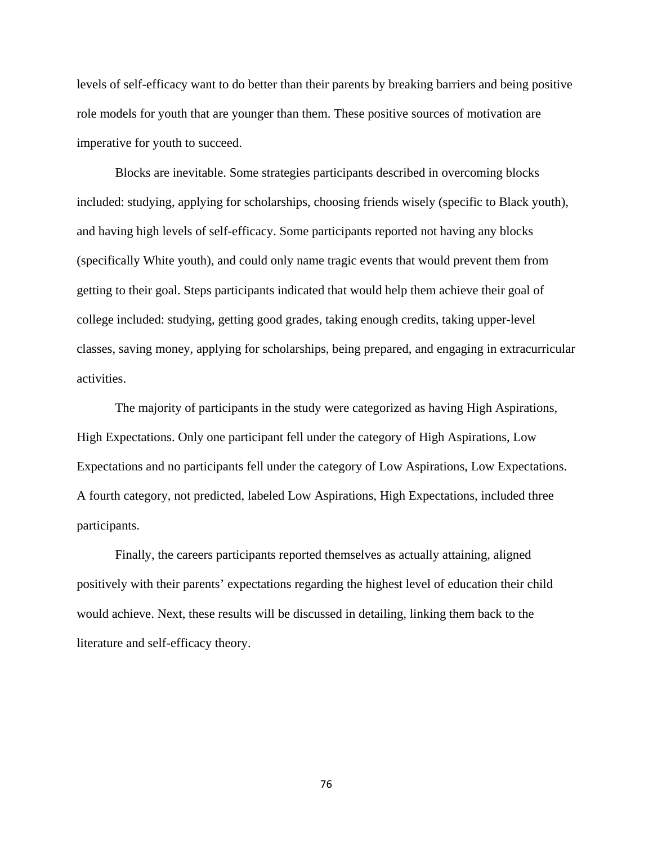levels of self-efficacy want to do better than their parents by breaking barriers and being positive role models for youth that are younger than them. These positive sources of motivation are imperative for youth to succeed.

Blocks are inevitable. Some strategies participants described in overcoming blocks included: studying, applying for scholarships, choosing friends wisely (specific to Black youth), and having high levels of self-efficacy. Some participants reported not having any blocks (specifically White youth), and could only name tragic events that would prevent them from getting to their goal. Steps participants indicated that would help them achieve their goal of college included: studying, getting good grades, taking enough credits, taking upper-level classes, saving money, applying for scholarships, being prepared, and engaging in extracurricular activities.

The majority of participants in the study were categorized as having High Aspirations, High Expectations. Only one participant fell under the category of High Aspirations, Low Expectations and no participants fell under the category of Low Aspirations, Low Expectations. A fourth category, not predicted, labeled Low Aspirations, High Expectations, included three participants.

Finally, the careers participants reported themselves as actually attaining, aligned positively with their parents' expectations regarding the highest level of education their child would achieve. Next, these results will be discussed in detailing, linking them back to the literature and self-efficacy theory.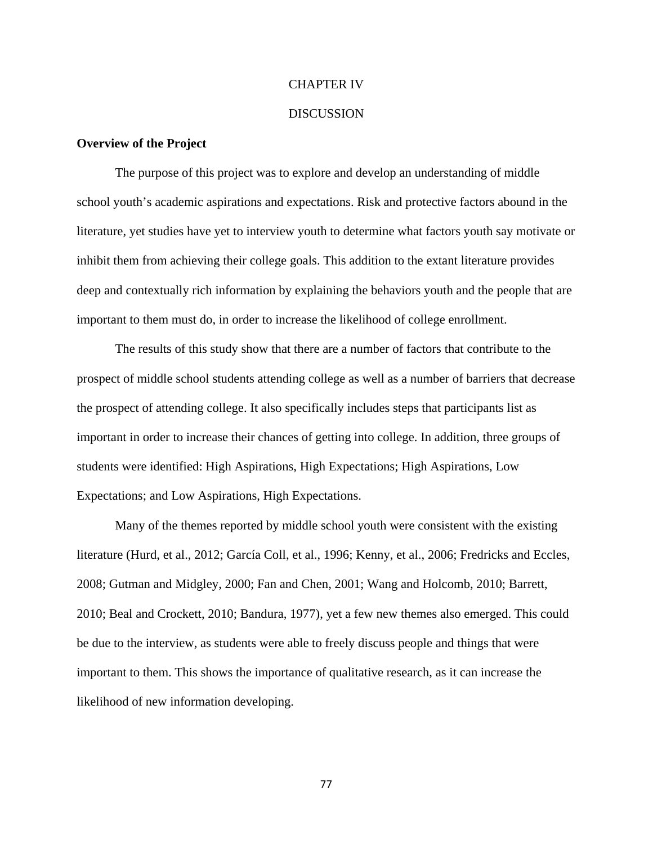#### CHAPTER IV

#### DISCUSSION

### **Overview of the Project**

The purpose of this project was to explore and develop an understanding of middle school youth's academic aspirations and expectations. Risk and protective factors abound in the literature, yet studies have yet to interview youth to determine what factors youth say motivate or inhibit them from achieving their college goals. This addition to the extant literature provides deep and contextually rich information by explaining the behaviors youth and the people that are important to them must do, in order to increase the likelihood of college enrollment.

The results of this study show that there are a number of factors that contribute to the prospect of middle school students attending college as well as a number of barriers that decrease the prospect of attending college. It also specifically includes steps that participants list as important in order to increase their chances of getting into college. In addition, three groups of students were identified: High Aspirations, High Expectations; High Aspirations, Low Expectations; and Low Aspirations, High Expectations.

 Many of the themes reported by middle school youth were consistent with the existing literature (Hurd, et al., 2012; García Coll, et al., 1996; Kenny, et al., 2006; Fredricks and Eccles, 2008; Gutman and Midgley, 2000; Fan and Chen, 2001; Wang and Holcomb, 2010; Barrett, 2010; Beal and Crockett, 2010; Bandura, 1977), yet a few new themes also emerged. This could be due to the interview, as students were able to freely discuss people and things that were important to them. This shows the importance of qualitative research, as it can increase the likelihood of new information developing.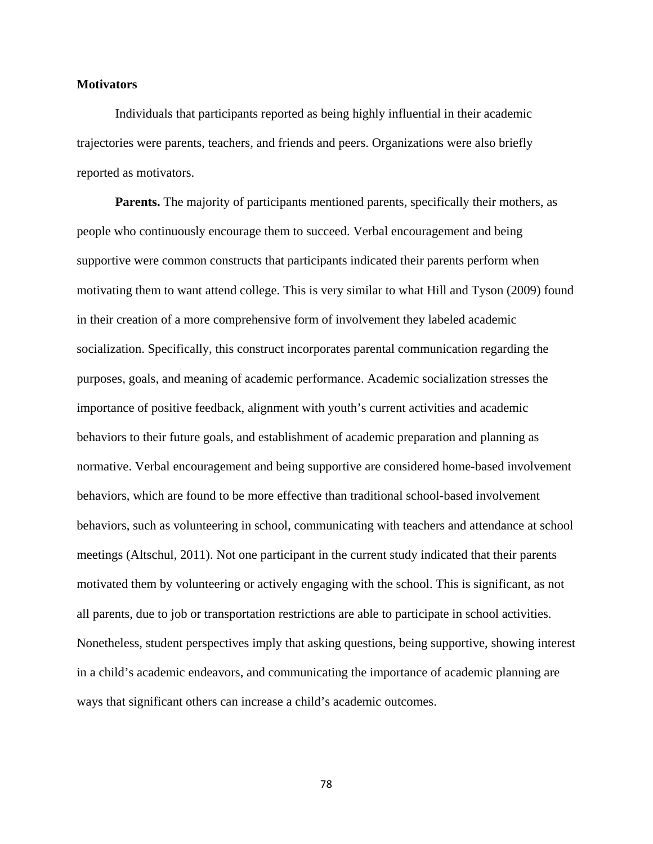# **Motivators**

Individuals that participants reported as being highly influential in their academic trajectories were parents, teachers, and friends and peers. Organizations were also briefly reported as motivators.

**Parents.** The majority of participants mentioned parents, specifically their mothers, as people who continuously encourage them to succeed. Verbal encouragement and being supportive were common constructs that participants indicated their parents perform when motivating them to want attend college. This is very similar to what Hill and Tyson (2009) found in their creation of a more comprehensive form of involvement they labeled academic socialization. Specifically, this construct incorporates parental communication regarding the purposes, goals, and meaning of academic performance. Academic socialization stresses the importance of positive feedback, alignment with youth's current activities and academic behaviors to their future goals, and establishment of academic preparation and planning as normative. Verbal encouragement and being supportive are considered home-based involvement behaviors, which are found to be more effective than traditional school-based involvement behaviors, such as volunteering in school, communicating with teachers and attendance at school meetings (Altschul, 2011). Not one participant in the current study indicated that their parents motivated them by volunteering or actively engaging with the school. This is significant, as not all parents, due to job or transportation restrictions are able to participate in school activities. Nonetheless, student perspectives imply that asking questions, being supportive, showing interest in a child's academic endeavors, and communicating the importance of academic planning are ways that significant others can increase a child's academic outcomes.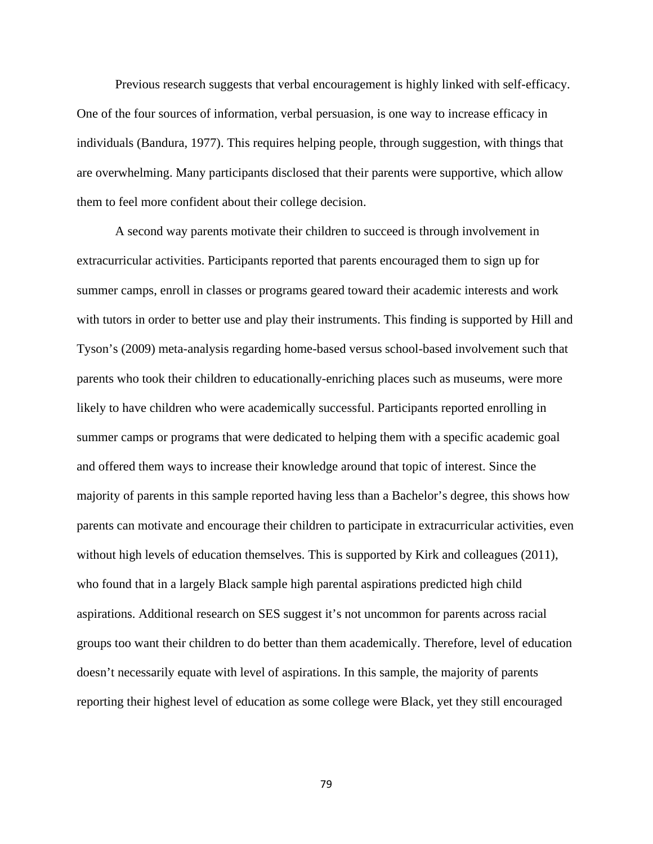Previous research suggests that verbal encouragement is highly linked with self-efficacy. One of the four sources of information, verbal persuasion, is one way to increase efficacy in individuals (Bandura, 1977). This requires helping people, through suggestion, with things that are overwhelming. Many participants disclosed that their parents were supportive, which allow them to feel more confident about their college decision.

 A second way parents motivate their children to succeed is through involvement in extracurricular activities. Participants reported that parents encouraged them to sign up for summer camps, enroll in classes or programs geared toward their academic interests and work with tutors in order to better use and play their instruments. This finding is supported by Hill and Tyson's (2009) meta-analysis regarding home-based versus school-based involvement such that parents who took their children to educationally-enriching places such as museums, were more likely to have children who were academically successful. Participants reported enrolling in summer camps or programs that were dedicated to helping them with a specific academic goal and offered them ways to increase their knowledge around that topic of interest. Since the majority of parents in this sample reported having less than a Bachelor's degree, this shows how parents can motivate and encourage their children to participate in extracurricular activities, even without high levels of education themselves. This is supported by Kirk and colleagues (2011), who found that in a largely Black sample high parental aspirations predicted high child aspirations. Additional research on SES suggest it's not uncommon for parents across racial groups too want their children to do better than them academically. Therefore, level of education doesn't necessarily equate with level of aspirations. In this sample, the majority of parents reporting their highest level of education as some college were Black, yet they still encouraged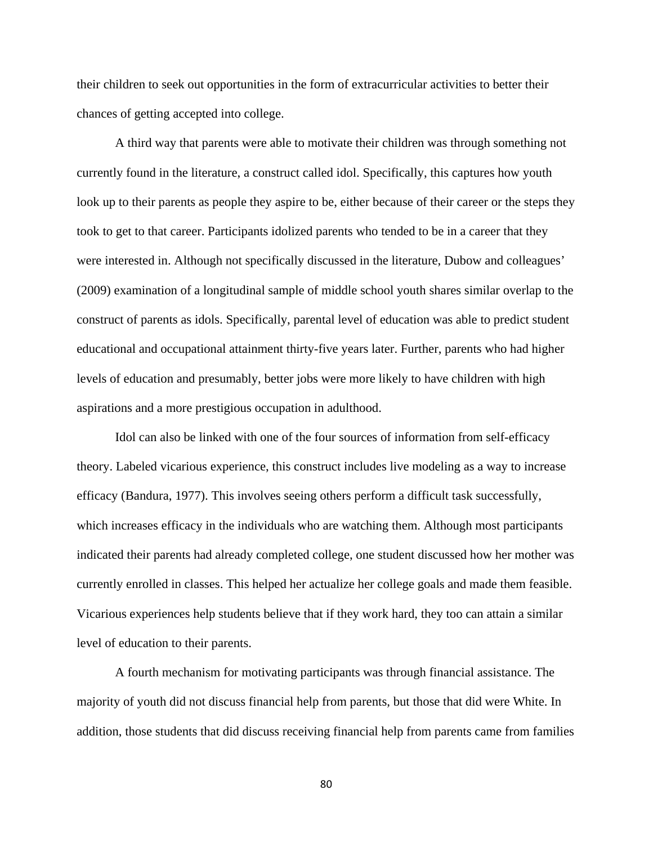their children to seek out opportunities in the form of extracurricular activities to better their chances of getting accepted into college.

A third way that parents were able to motivate their children was through something not currently found in the literature, a construct called idol. Specifically, this captures how youth look up to their parents as people they aspire to be, either because of their career or the steps they took to get to that career. Participants idolized parents who tended to be in a career that they were interested in. Although not specifically discussed in the literature, Dubow and colleagues' (2009) examination of a longitudinal sample of middle school youth shares similar overlap to the construct of parents as idols. Specifically, parental level of education was able to predict student educational and occupational attainment thirty-five years later. Further, parents who had higher levels of education and presumably, better jobs were more likely to have children with high aspirations and a more prestigious occupation in adulthood.

 Idol can also be linked with one of the four sources of information from self-efficacy theory. Labeled vicarious experience, this construct includes live modeling as a way to increase efficacy (Bandura, 1977). This involves seeing others perform a difficult task successfully, which increases efficacy in the individuals who are watching them. Although most participants indicated their parents had already completed college, one student discussed how her mother was currently enrolled in classes. This helped her actualize her college goals and made them feasible. Vicarious experiences help students believe that if they work hard, they too can attain a similar level of education to their parents.

 A fourth mechanism for motivating participants was through financial assistance. The majority of youth did not discuss financial help from parents, but those that did were White. In addition, those students that did discuss receiving financial help from parents came from families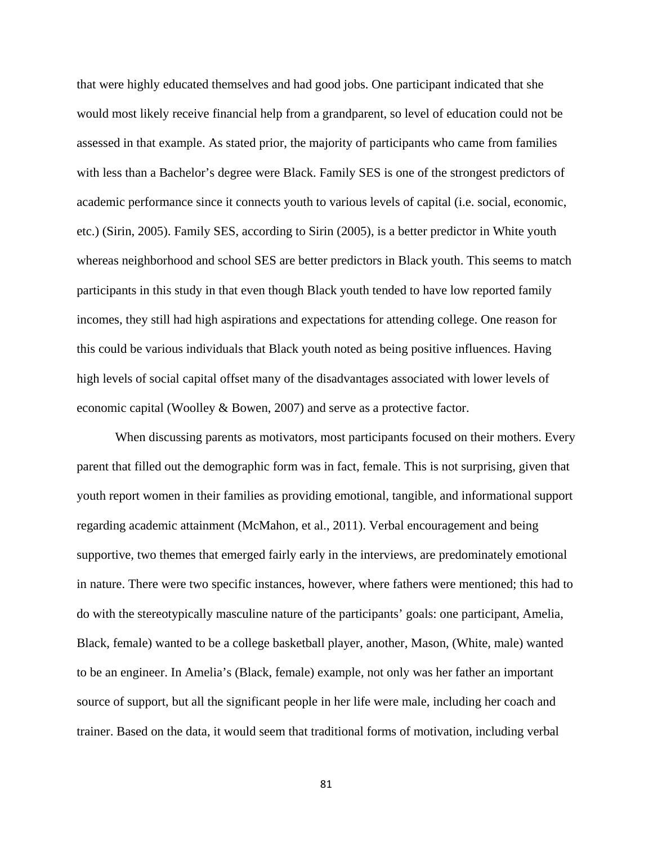that were highly educated themselves and had good jobs. One participant indicated that she would most likely receive financial help from a grandparent, so level of education could not be assessed in that example. As stated prior, the majority of participants who came from families with less than a Bachelor's degree were Black. Family SES is one of the strongest predictors of academic performance since it connects youth to various levels of capital (i.e. social, economic, etc.) (Sirin, 2005). Family SES, according to Sirin (2005), is a better predictor in White youth whereas neighborhood and school SES are better predictors in Black youth. This seems to match participants in this study in that even though Black youth tended to have low reported family incomes, they still had high aspirations and expectations for attending college. One reason for this could be various individuals that Black youth noted as being positive influences. Having high levels of social capital offset many of the disadvantages associated with lower levels of economic capital (Woolley & Bowen, 2007) and serve as a protective factor.

 When discussing parents as motivators, most participants focused on their mothers. Every parent that filled out the demographic form was in fact, female. This is not surprising, given that youth report women in their families as providing emotional, tangible, and informational support regarding academic attainment (McMahon, et al., 2011). Verbal encouragement and being supportive, two themes that emerged fairly early in the interviews, are predominately emotional in nature. There were two specific instances, however, where fathers were mentioned; this had to do with the stereotypically masculine nature of the participants' goals: one participant, Amelia, Black, female) wanted to be a college basketball player, another, Mason, (White, male) wanted to be an engineer. In Amelia's (Black, female) example, not only was her father an important source of support, but all the significant people in her life were male, including her coach and trainer. Based on the data, it would seem that traditional forms of motivation, including verbal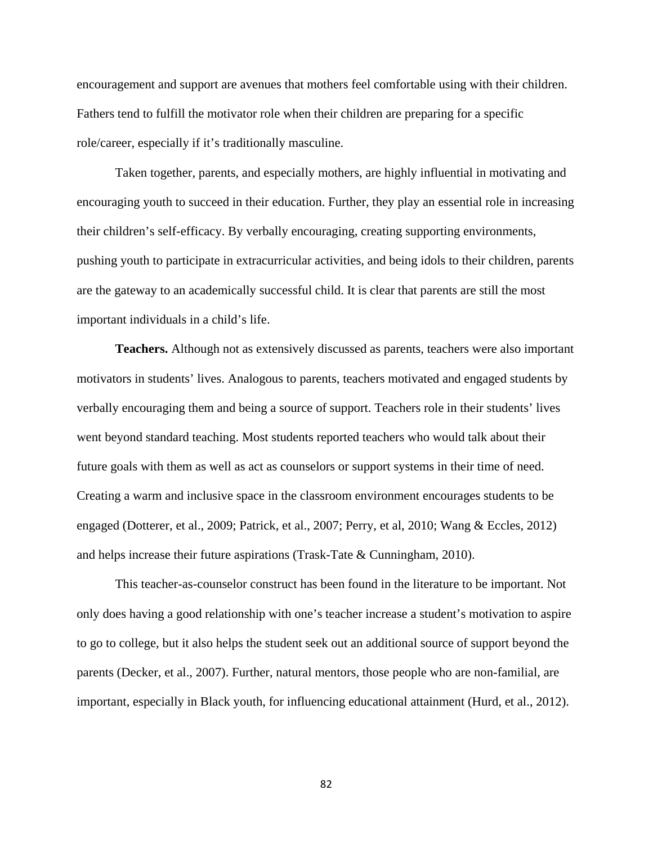encouragement and support are avenues that mothers feel comfortable using with their children. Fathers tend to fulfill the motivator role when their children are preparing for a specific role/career, especially if it's traditionally masculine.

 Taken together, parents, and especially mothers, are highly influential in motivating and encouraging youth to succeed in their education. Further, they play an essential role in increasing their children's self-efficacy. By verbally encouraging, creating supporting environments, pushing youth to participate in extracurricular activities, and being idols to their children, parents are the gateway to an academically successful child. It is clear that parents are still the most important individuals in a child's life.

**Teachers.** Although not as extensively discussed as parents, teachers were also important motivators in students' lives. Analogous to parents, teachers motivated and engaged students by verbally encouraging them and being a source of support. Teachers role in their students' lives went beyond standard teaching. Most students reported teachers who would talk about their future goals with them as well as act as counselors or support systems in their time of need. Creating a warm and inclusive space in the classroom environment encourages students to be engaged (Dotterer, et al., 2009; Patrick, et al., 2007; Perry, et al, 2010; Wang & Eccles, 2012) and helps increase their future aspirations (Trask-Tate & Cunningham, 2010).

This teacher-as-counselor construct has been found in the literature to be important. Not only does having a good relationship with one's teacher increase a student's motivation to aspire to go to college, but it also helps the student seek out an additional source of support beyond the parents (Decker, et al., 2007). Further, natural mentors, those people who are non-familial, are important, especially in Black youth, for influencing educational attainment (Hurd, et al., 2012).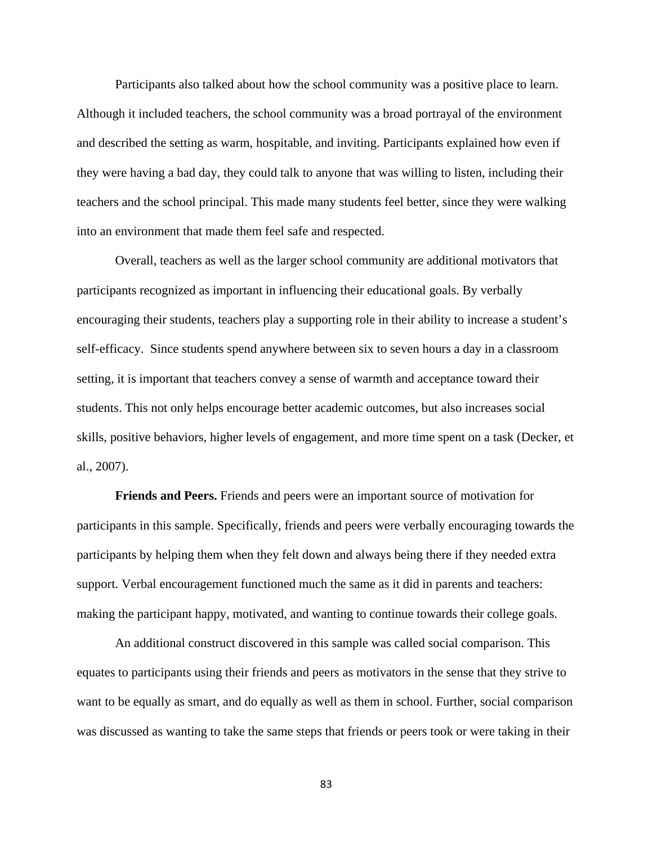Participants also talked about how the school community was a positive place to learn. Although it included teachers, the school community was a broad portrayal of the environment and described the setting as warm, hospitable, and inviting. Participants explained how even if they were having a bad day, they could talk to anyone that was willing to listen, including their teachers and the school principal. This made many students feel better, since they were walking into an environment that made them feel safe and respected.

Overall, teachers as well as the larger school community are additional motivators that participants recognized as important in influencing their educational goals. By verbally encouraging their students, teachers play a supporting role in their ability to increase a student's self-efficacy. Since students spend anywhere between six to seven hours a day in a classroom setting, it is important that teachers convey a sense of warmth and acceptance toward their students. This not only helps encourage better academic outcomes, but also increases social skills, positive behaviors, higher levels of engagement, and more time spent on a task (Decker, et al., 2007).

**Friends and Peers.** Friends and peers were an important source of motivation for participants in this sample. Specifically, friends and peers were verbally encouraging towards the participants by helping them when they felt down and always being there if they needed extra support. Verbal encouragement functioned much the same as it did in parents and teachers: making the participant happy, motivated, and wanting to continue towards their college goals.

An additional construct discovered in this sample was called social comparison. This equates to participants using their friends and peers as motivators in the sense that they strive to want to be equally as smart, and do equally as well as them in school. Further, social comparison was discussed as wanting to take the same steps that friends or peers took or were taking in their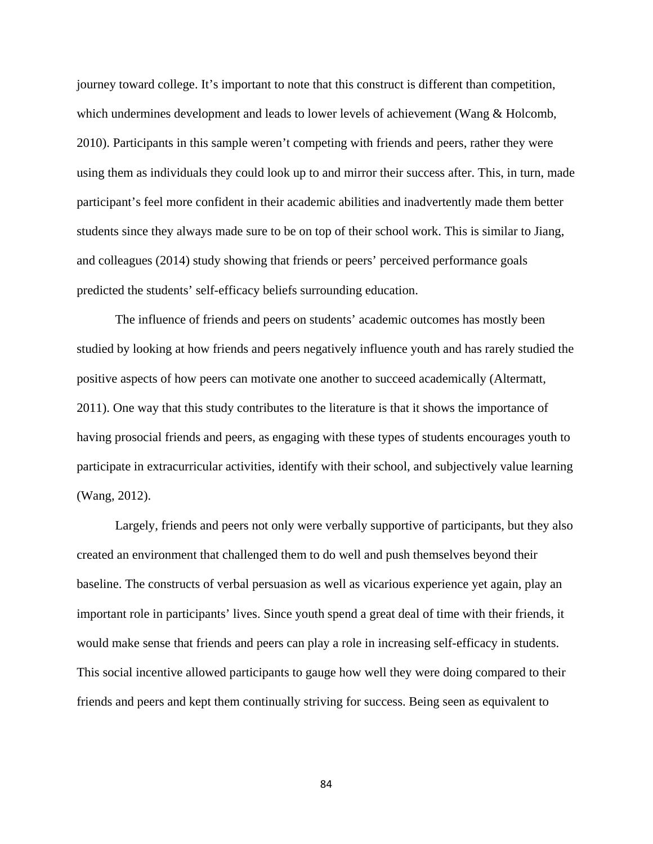journey toward college. It's important to note that this construct is different than competition, which undermines development and leads to lower levels of achievement (Wang & Holcomb, 2010). Participants in this sample weren't competing with friends and peers, rather they were using them as individuals they could look up to and mirror their success after. This, in turn, made participant's feel more confident in their academic abilities and inadvertently made them better students since they always made sure to be on top of their school work. This is similar to Jiang, and colleagues (2014) study showing that friends or peers' perceived performance goals predicted the students' self-efficacy beliefs surrounding education.

 The influence of friends and peers on students' academic outcomes has mostly been studied by looking at how friends and peers negatively influence youth and has rarely studied the positive aspects of how peers can motivate one another to succeed academically (Altermatt, 2011). One way that this study contributes to the literature is that it shows the importance of having prosocial friends and peers, as engaging with these types of students encourages youth to participate in extracurricular activities, identify with their school, and subjectively value learning (Wang, 2012).

Largely, friends and peers not only were verbally supportive of participants, but they also created an environment that challenged them to do well and push themselves beyond their baseline. The constructs of verbal persuasion as well as vicarious experience yet again, play an important role in participants' lives. Since youth spend a great deal of time with their friends, it would make sense that friends and peers can play a role in increasing self-efficacy in students. This social incentive allowed participants to gauge how well they were doing compared to their friends and peers and kept them continually striving for success. Being seen as equivalent to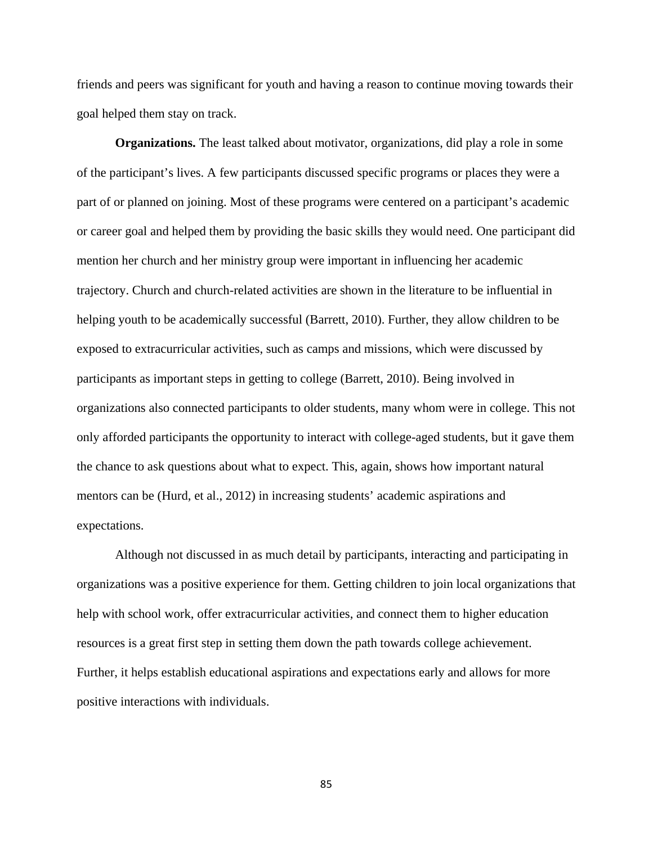friends and peers was significant for youth and having a reason to continue moving towards their goal helped them stay on track.

 **Organizations.** The least talked about motivator, organizations, did play a role in some of the participant's lives. A few participants discussed specific programs or places they were a part of or planned on joining. Most of these programs were centered on a participant's academic or career goal and helped them by providing the basic skills they would need. One participant did mention her church and her ministry group were important in influencing her academic trajectory. Church and church-related activities are shown in the literature to be influential in helping youth to be academically successful (Barrett, 2010). Further, they allow children to be exposed to extracurricular activities, such as camps and missions, which were discussed by participants as important steps in getting to college (Barrett, 2010). Being involved in organizations also connected participants to older students, many whom were in college. This not only afforded participants the opportunity to interact with college-aged students, but it gave them the chance to ask questions about what to expect. This, again, shows how important natural mentors can be (Hurd, et al., 2012) in increasing students' academic aspirations and expectations.

 Although not discussed in as much detail by participants, interacting and participating in organizations was a positive experience for them. Getting children to join local organizations that help with school work, offer extracurricular activities, and connect them to higher education resources is a great first step in setting them down the path towards college achievement. Further, it helps establish educational aspirations and expectations early and allows for more positive interactions with individuals.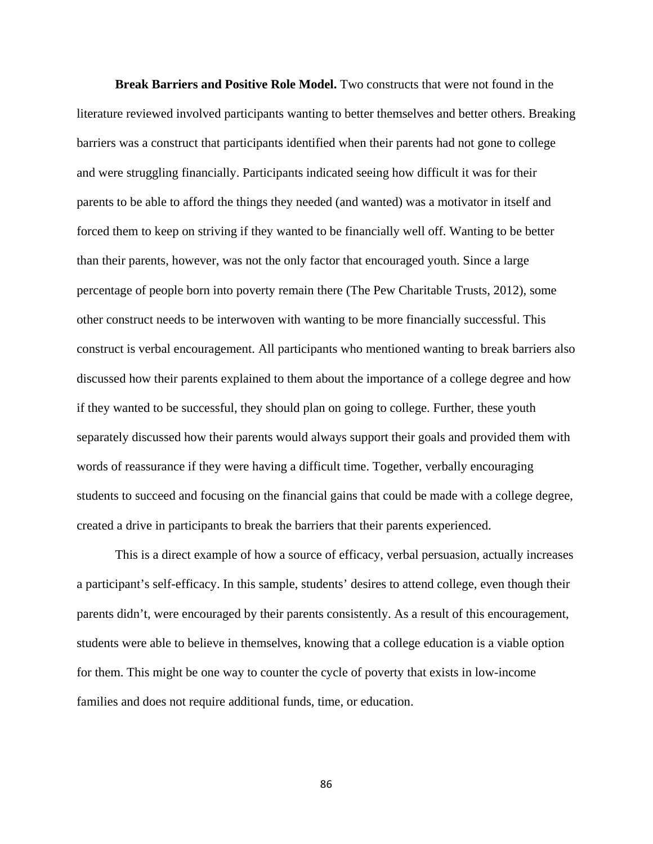**Break Barriers and Positive Role Model.** Two constructs that were not found in the literature reviewed involved participants wanting to better themselves and better others. Breaking barriers was a construct that participants identified when their parents had not gone to college and were struggling financially. Participants indicated seeing how difficult it was for their parents to be able to afford the things they needed (and wanted) was a motivator in itself and forced them to keep on striving if they wanted to be financially well off. Wanting to be better than their parents, however, was not the only factor that encouraged youth. Since a large percentage of people born into poverty remain there (The Pew Charitable Trusts, 2012), some other construct needs to be interwoven with wanting to be more financially successful. This construct is verbal encouragement. All participants who mentioned wanting to break barriers also discussed how their parents explained to them about the importance of a college degree and how if they wanted to be successful, they should plan on going to college. Further, these youth separately discussed how their parents would always support their goals and provided them with words of reassurance if they were having a difficult time. Together, verbally encouraging students to succeed and focusing on the financial gains that could be made with a college degree, created a drive in participants to break the barriers that their parents experienced.

This is a direct example of how a source of efficacy, verbal persuasion, actually increases a participant's self-efficacy. In this sample, students' desires to attend college, even though their parents didn't, were encouraged by their parents consistently. As a result of this encouragement, students were able to believe in themselves, knowing that a college education is a viable option for them. This might be one way to counter the cycle of poverty that exists in low-income families and does not require additional funds, time, or education.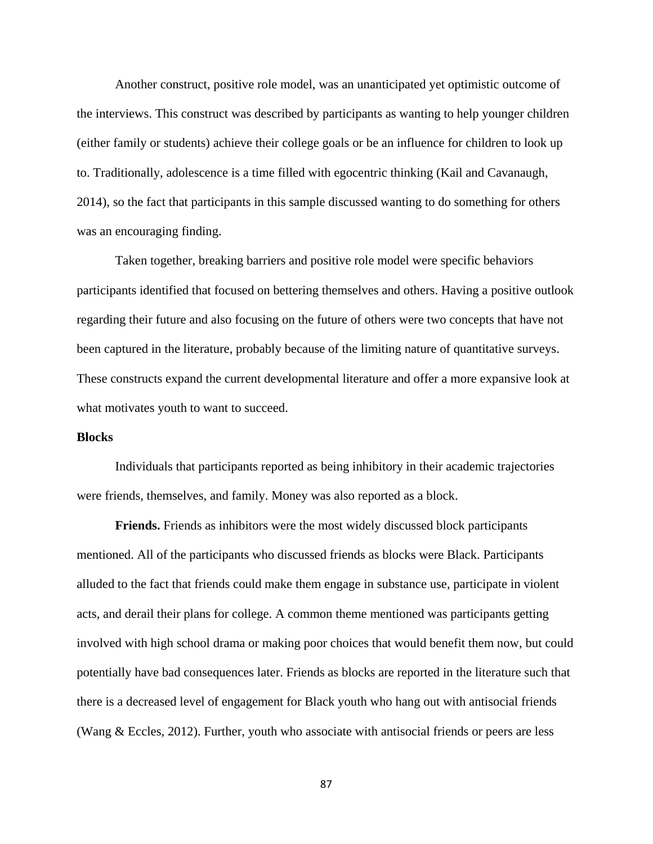Another construct, positive role model, was an unanticipated yet optimistic outcome of the interviews. This construct was described by participants as wanting to help younger children (either family or students) achieve their college goals or be an influence for children to look up to. Traditionally, adolescence is a time filled with egocentric thinking (Kail and Cavanaugh, 2014), so the fact that participants in this sample discussed wanting to do something for others was an encouraging finding.

Taken together, breaking barriers and positive role model were specific behaviors participants identified that focused on bettering themselves and others. Having a positive outlook regarding their future and also focusing on the future of others were two concepts that have not been captured in the literature, probably because of the limiting nature of quantitative surveys. These constructs expand the current developmental literature and offer a more expansive look at what motivates youth to want to succeed.

### **Blocks**

Individuals that participants reported as being inhibitory in their academic trajectories were friends, themselves, and family. Money was also reported as a block.

**Friends.** Friends as inhibitors were the most widely discussed block participants mentioned. All of the participants who discussed friends as blocks were Black. Participants alluded to the fact that friends could make them engage in substance use, participate in violent acts, and derail their plans for college. A common theme mentioned was participants getting involved with high school drama or making poor choices that would benefit them now, but could potentially have bad consequences later. Friends as blocks are reported in the literature such that there is a decreased level of engagement for Black youth who hang out with antisocial friends (Wang & Eccles, 2012). Further, youth who associate with antisocial friends or peers are less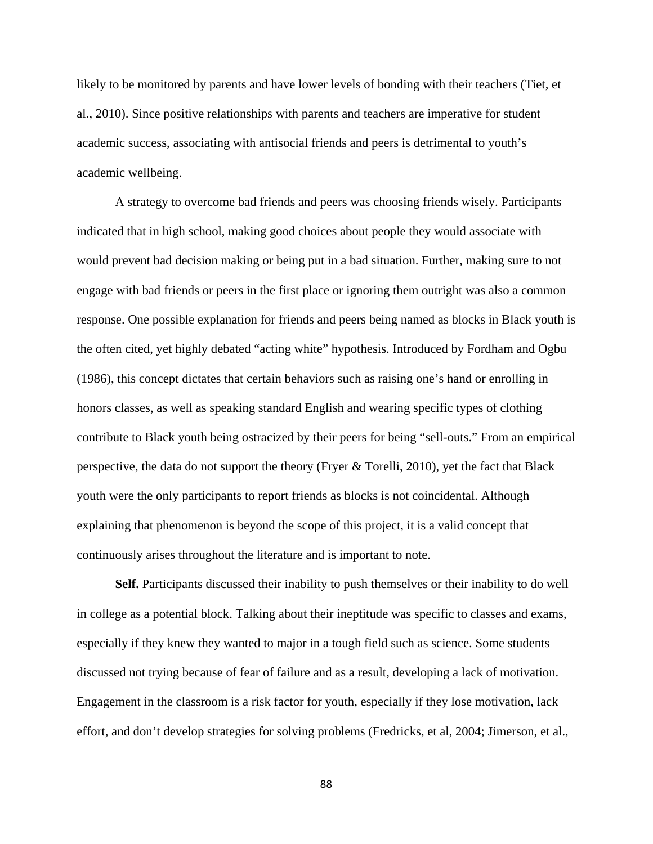likely to be monitored by parents and have lower levels of bonding with their teachers (Tiet, et al., 2010). Since positive relationships with parents and teachers are imperative for student academic success, associating with antisocial friends and peers is detrimental to youth's academic wellbeing.

A strategy to overcome bad friends and peers was choosing friends wisely. Participants indicated that in high school, making good choices about people they would associate with would prevent bad decision making or being put in a bad situation. Further, making sure to not engage with bad friends or peers in the first place or ignoring them outright was also a common response. One possible explanation for friends and peers being named as blocks in Black youth is the often cited, yet highly debated "acting white" hypothesis. Introduced by Fordham and Ogbu (1986), this concept dictates that certain behaviors such as raising one's hand or enrolling in honors classes, as well as speaking standard English and wearing specific types of clothing contribute to Black youth being ostracized by their peers for being "sell-outs." From an empirical perspective, the data do not support the theory (Fryer & Torelli, 2010), yet the fact that Black youth were the only participants to report friends as blocks is not coincidental. Although explaining that phenomenon is beyond the scope of this project, it is a valid concept that continuously arises throughout the literature and is important to note.

**Self.** Participants discussed their inability to push themselves or their inability to do well in college as a potential block. Talking about their ineptitude was specific to classes and exams, especially if they knew they wanted to major in a tough field such as science. Some students discussed not trying because of fear of failure and as a result, developing a lack of motivation. Engagement in the classroom is a risk factor for youth, especially if they lose motivation, lack effort, and don't develop strategies for solving problems (Fredricks, et al, 2004; Jimerson, et al.,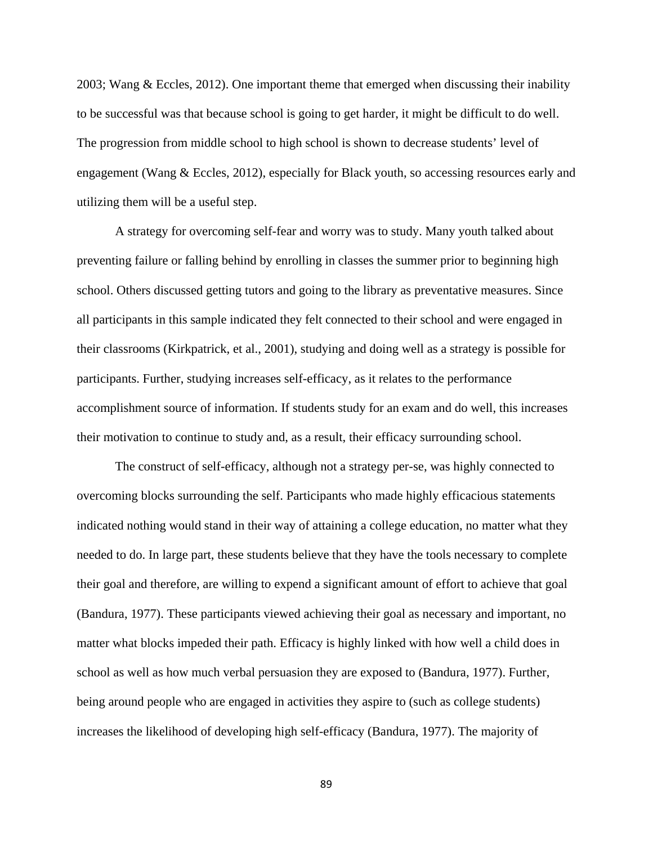2003; Wang & Eccles, 2012). One important theme that emerged when discussing their inability to be successful was that because school is going to get harder, it might be difficult to do well. The progression from middle school to high school is shown to decrease students' level of engagement (Wang & Eccles, 2012), especially for Black youth, so accessing resources early and utilizing them will be a useful step.

A strategy for overcoming self-fear and worry was to study. Many youth talked about preventing failure or falling behind by enrolling in classes the summer prior to beginning high school. Others discussed getting tutors and going to the library as preventative measures. Since all participants in this sample indicated they felt connected to their school and were engaged in their classrooms (Kirkpatrick, et al., 2001), studying and doing well as a strategy is possible for participants. Further, studying increases self-efficacy, as it relates to the performance accomplishment source of information. If students study for an exam and do well, this increases their motivation to continue to study and, as a result, their efficacy surrounding school.

The construct of self-efficacy, although not a strategy per-se, was highly connected to overcoming blocks surrounding the self. Participants who made highly efficacious statements indicated nothing would stand in their way of attaining a college education, no matter what they needed to do. In large part, these students believe that they have the tools necessary to complete their goal and therefore, are willing to expend a significant amount of effort to achieve that goal (Bandura, 1977). These participants viewed achieving their goal as necessary and important, no matter what blocks impeded their path. Efficacy is highly linked with how well a child does in school as well as how much verbal persuasion they are exposed to (Bandura, 1977). Further, being around people who are engaged in activities they aspire to (such as college students) increases the likelihood of developing high self-efficacy (Bandura, 1977). The majority of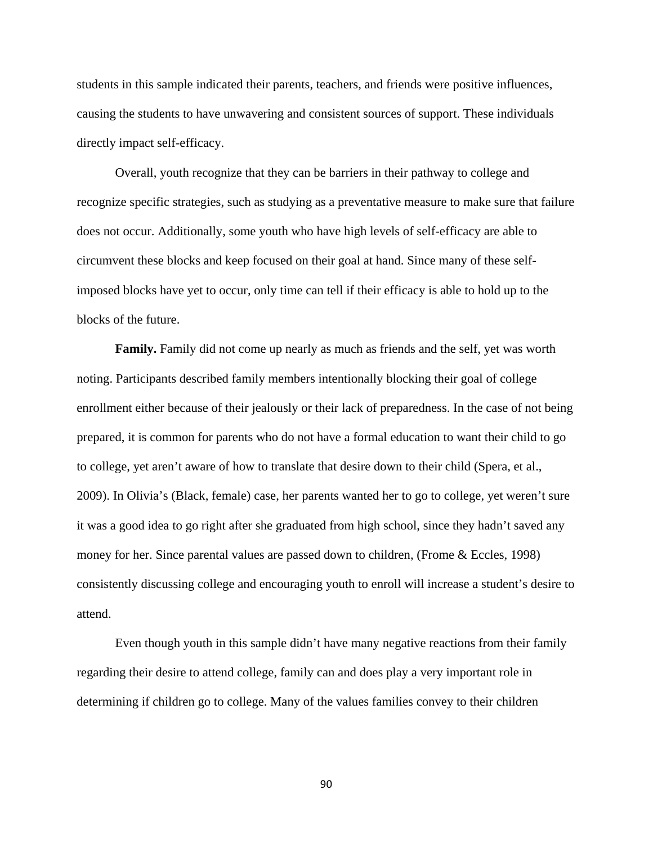students in this sample indicated their parents, teachers, and friends were positive influences, causing the students to have unwavering and consistent sources of support. These individuals directly impact self-efficacy.

Overall, youth recognize that they can be barriers in their pathway to college and recognize specific strategies, such as studying as a preventative measure to make sure that failure does not occur. Additionally, some youth who have high levels of self-efficacy are able to circumvent these blocks and keep focused on their goal at hand. Since many of these selfimposed blocks have yet to occur, only time can tell if their efficacy is able to hold up to the blocks of the future.

**Family.** Family did not come up nearly as much as friends and the self, yet was worth noting. Participants described family members intentionally blocking their goal of college enrollment either because of their jealously or their lack of preparedness. In the case of not being prepared, it is common for parents who do not have a formal education to want their child to go to college, yet aren't aware of how to translate that desire down to their child (Spera, et al., 2009). In Olivia's (Black, female) case, her parents wanted her to go to college, yet weren't sure it was a good idea to go right after she graduated from high school, since they hadn't saved any money for her. Since parental values are passed down to children, (Frome & Eccles, 1998) consistently discussing college and encouraging youth to enroll will increase a student's desire to attend.

Even though youth in this sample didn't have many negative reactions from their family regarding their desire to attend college, family can and does play a very important role in determining if children go to college. Many of the values families convey to their children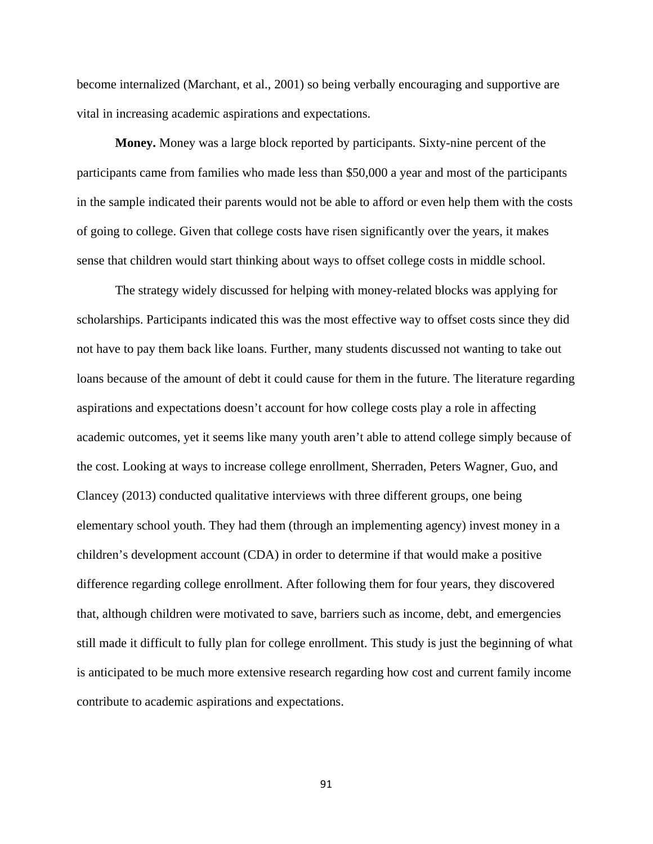become internalized (Marchant, et al., 2001) so being verbally encouraging and supportive are vital in increasing academic aspirations and expectations.

**Money.** Money was a large block reported by participants. Sixty-nine percent of the participants came from families who made less than \$50,000 a year and most of the participants in the sample indicated their parents would not be able to afford or even help them with the costs of going to college. Given that college costs have risen significantly over the years, it makes sense that children would start thinking about ways to offset college costs in middle school.

The strategy widely discussed for helping with money-related blocks was applying for scholarships. Participants indicated this was the most effective way to offset costs since they did not have to pay them back like loans. Further, many students discussed not wanting to take out loans because of the amount of debt it could cause for them in the future. The literature regarding aspirations and expectations doesn't account for how college costs play a role in affecting academic outcomes, yet it seems like many youth aren't able to attend college simply because of the cost. Looking at ways to increase college enrollment, Sherraden, Peters Wagner, Guo, and Clancey (2013) conducted qualitative interviews with three different groups, one being elementary school youth. They had them (through an implementing agency) invest money in a children's development account (CDA) in order to determine if that would make a positive difference regarding college enrollment. After following them for four years, they discovered that, although children were motivated to save, barriers such as income, debt, and emergencies still made it difficult to fully plan for college enrollment. This study is just the beginning of what is anticipated to be much more extensive research regarding how cost and current family income contribute to academic aspirations and expectations.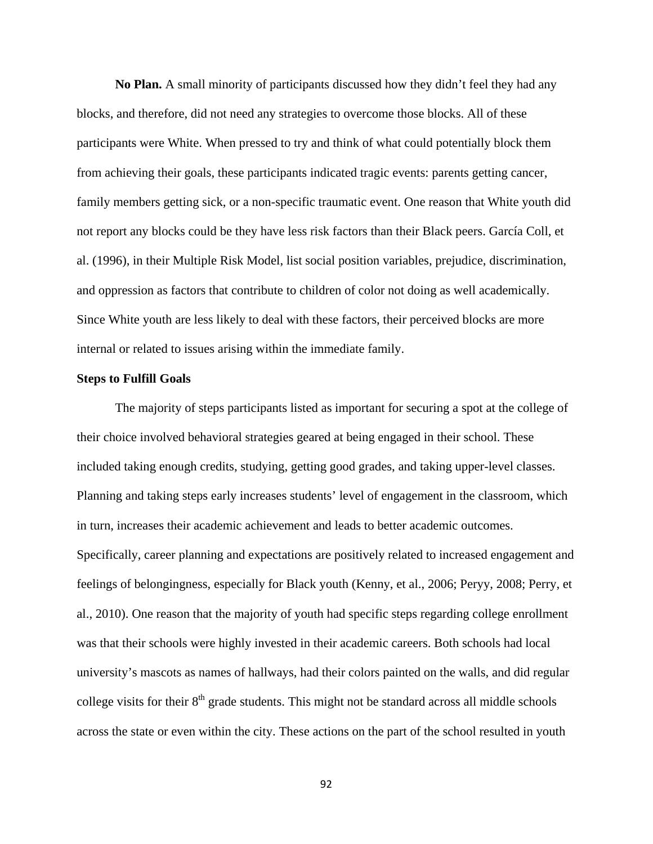**No Plan.** A small minority of participants discussed how they didn't feel they had any blocks, and therefore, did not need any strategies to overcome those blocks. All of these participants were White. When pressed to try and think of what could potentially block them from achieving their goals, these participants indicated tragic events: parents getting cancer, family members getting sick, or a non-specific traumatic event. One reason that White youth did not report any blocks could be they have less risk factors than their Black peers. García Coll, et al. (1996), in their Multiple Risk Model, list social position variables, prejudice, discrimination, and oppression as factors that contribute to children of color not doing as well academically. Since White youth are less likely to deal with these factors, their perceived blocks are more internal or related to issues arising within the immediate family.

## **Steps to Fulfill Goals**

The majority of steps participants listed as important for securing a spot at the college of their choice involved behavioral strategies geared at being engaged in their school. These included taking enough credits, studying, getting good grades, and taking upper-level classes. Planning and taking steps early increases students' level of engagement in the classroom, which in turn, increases their academic achievement and leads to better academic outcomes. Specifically, career planning and expectations are positively related to increased engagement and feelings of belongingness, especially for Black youth (Kenny, et al., 2006; Peryy, 2008; Perry, et al., 2010). One reason that the majority of youth had specific steps regarding college enrollment was that their schools were highly invested in their academic careers. Both schools had local university's mascots as names of hallways, had their colors painted on the walls, and did regular college visits for their  $8<sup>th</sup>$  grade students. This might not be standard across all middle schools across the state or even within the city. These actions on the part of the school resulted in youth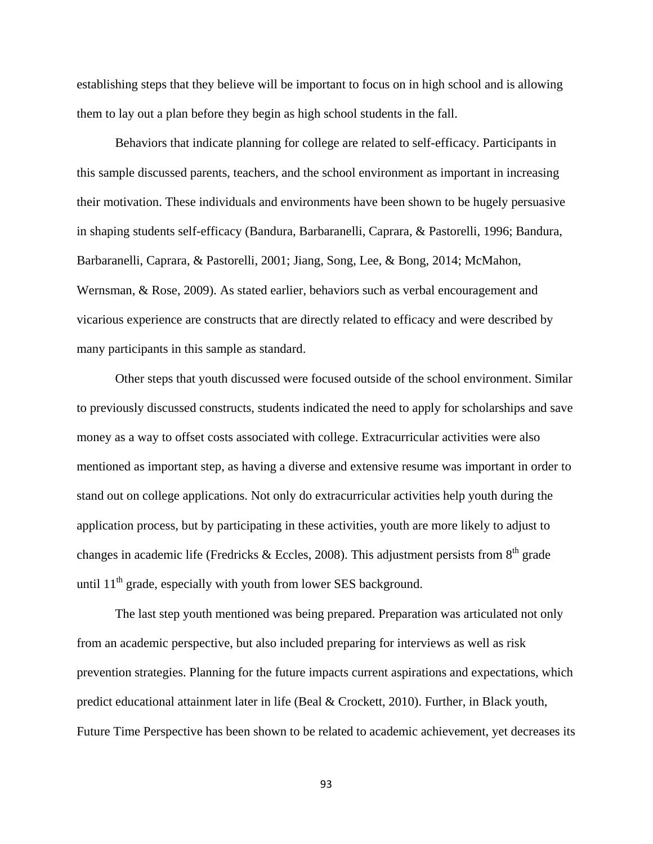establishing steps that they believe will be important to focus on in high school and is allowing them to lay out a plan before they begin as high school students in the fall.

Behaviors that indicate planning for college are related to self-efficacy. Participants in this sample discussed parents, teachers, and the school environment as important in increasing their motivation. These individuals and environments have been shown to be hugely persuasive in shaping students self-efficacy (Bandura, Barbaranelli, Caprara, & Pastorelli, 1996; Bandura, Barbaranelli, Caprara, & Pastorelli, 2001; Jiang, Song, Lee, & Bong, 2014; McMahon, Wernsman, & Rose, 2009). As stated earlier, behaviors such as verbal encouragement and vicarious experience are constructs that are directly related to efficacy and were described by many participants in this sample as standard.

Other steps that youth discussed were focused outside of the school environment. Similar to previously discussed constructs, students indicated the need to apply for scholarships and save money as a way to offset costs associated with college. Extracurricular activities were also mentioned as important step, as having a diverse and extensive resume was important in order to stand out on college applications. Not only do extracurricular activities help youth during the application process, but by participating in these activities, youth are more likely to adjust to changes in academic life (Fredricks & Eccles, 2008). This adjustment persists from  $8<sup>th</sup>$  grade until 11<sup>th</sup> grade, especially with youth from lower SES background.

 The last step youth mentioned was being prepared. Preparation was articulated not only from an academic perspective, but also included preparing for interviews as well as risk prevention strategies. Planning for the future impacts current aspirations and expectations, which predict educational attainment later in life (Beal & Crockett, 2010). Further, in Black youth, Future Time Perspective has been shown to be related to academic achievement, yet decreases its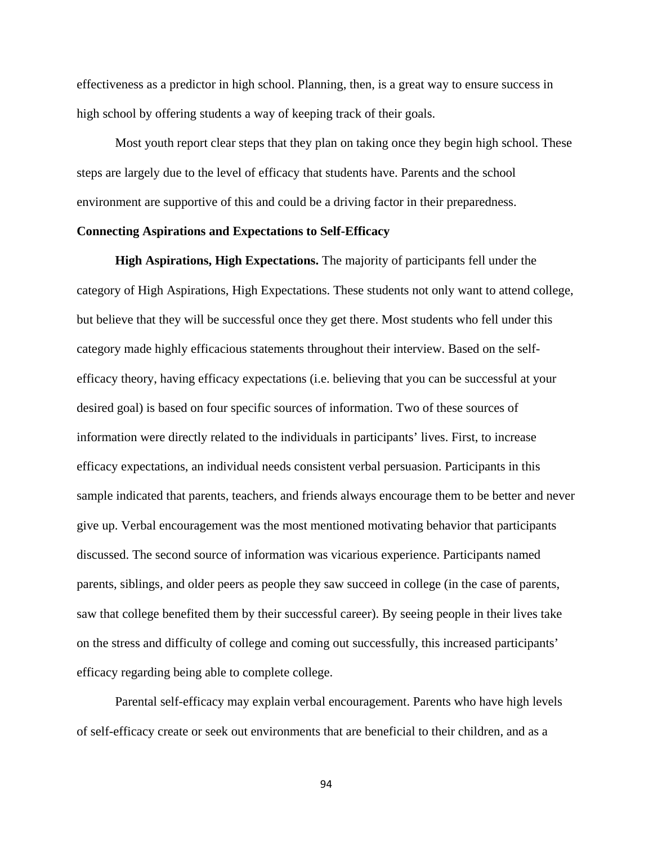effectiveness as a predictor in high school. Planning, then, is a great way to ensure success in high school by offering students a way of keeping track of their goals.

 Most youth report clear steps that they plan on taking once they begin high school. These steps are largely due to the level of efficacy that students have. Parents and the school environment are supportive of this and could be a driving factor in their preparedness.

# **Connecting Aspirations and Expectations to Self-Efficacy**

 **High Aspirations, High Expectations.** The majority of participants fell under the category of High Aspirations, High Expectations. These students not only want to attend college, but believe that they will be successful once they get there. Most students who fell under this category made highly efficacious statements throughout their interview. Based on the selfefficacy theory, having efficacy expectations (i.e. believing that you can be successful at your desired goal) is based on four specific sources of information. Two of these sources of information were directly related to the individuals in participants' lives. First, to increase efficacy expectations, an individual needs consistent verbal persuasion. Participants in this sample indicated that parents, teachers, and friends always encourage them to be better and never give up. Verbal encouragement was the most mentioned motivating behavior that participants discussed. The second source of information was vicarious experience. Participants named parents, siblings, and older peers as people they saw succeed in college (in the case of parents, saw that college benefited them by their successful career). By seeing people in their lives take on the stress and difficulty of college and coming out successfully, this increased participants' efficacy regarding being able to complete college.

Parental self-efficacy may explain verbal encouragement. Parents who have high levels of self-efficacy create or seek out environments that are beneficial to their children, and as a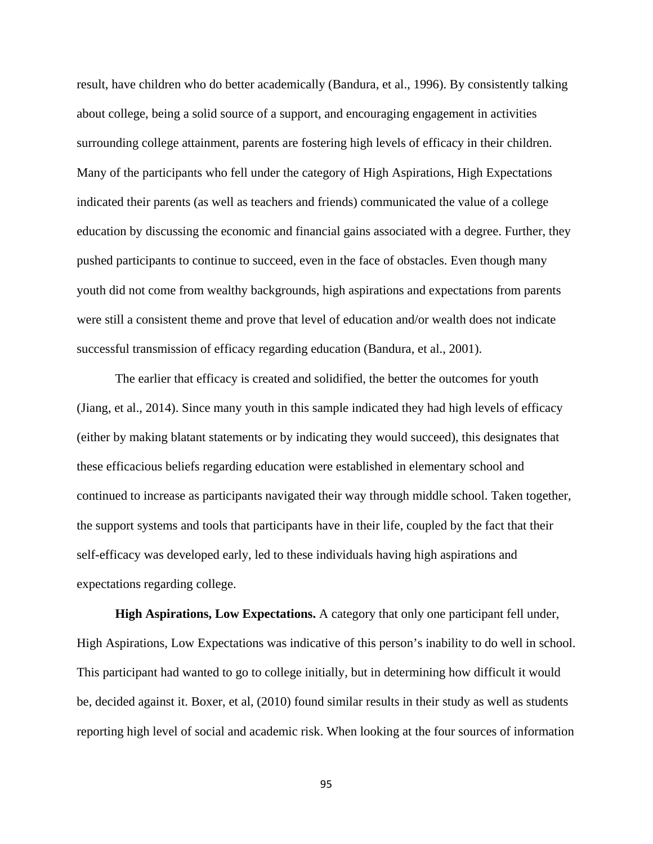result, have children who do better academically (Bandura, et al., 1996). By consistently talking about college, being a solid source of a support, and encouraging engagement in activities surrounding college attainment, parents are fostering high levels of efficacy in their children. Many of the participants who fell under the category of High Aspirations, High Expectations indicated their parents (as well as teachers and friends) communicated the value of a college education by discussing the economic and financial gains associated with a degree. Further, they pushed participants to continue to succeed, even in the face of obstacles. Even though many youth did not come from wealthy backgrounds, high aspirations and expectations from parents were still a consistent theme and prove that level of education and/or wealth does not indicate successful transmission of efficacy regarding education (Bandura, et al., 2001).

The earlier that efficacy is created and solidified, the better the outcomes for youth (Jiang, et al., 2014). Since many youth in this sample indicated they had high levels of efficacy (either by making blatant statements or by indicating they would succeed), this designates that these efficacious beliefs regarding education were established in elementary school and continued to increase as participants navigated their way through middle school. Taken together, the support systems and tools that participants have in their life, coupled by the fact that their self-efficacy was developed early, led to these individuals having high aspirations and expectations regarding college.

 **High Aspirations, Low Expectations.** A category that only one participant fell under, High Aspirations, Low Expectations was indicative of this person's inability to do well in school. This participant had wanted to go to college initially, but in determining how difficult it would be, decided against it. Boxer, et al, (2010) found similar results in their study as well as students reporting high level of social and academic risk. When looking at the four sources of information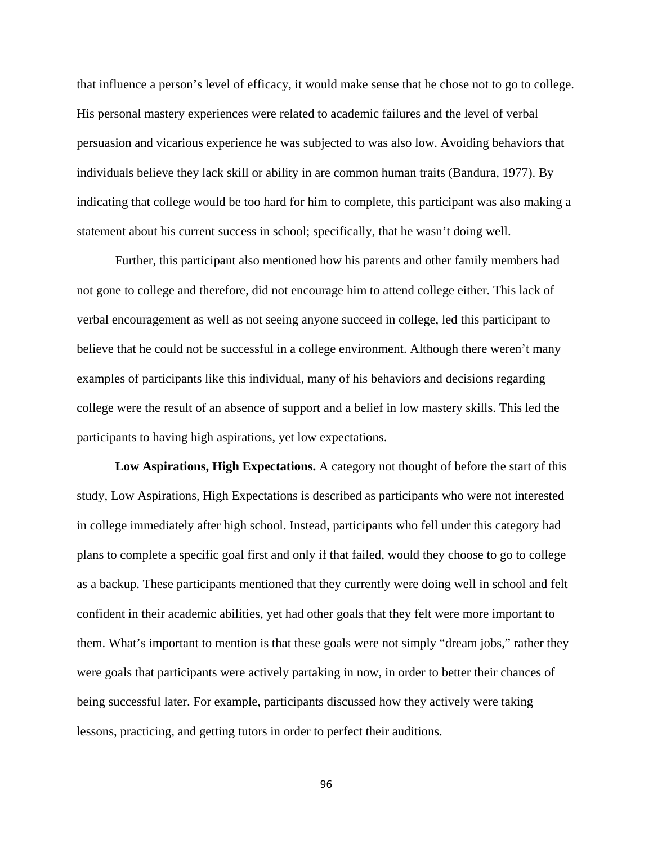that influence a person's level of efficacy, it would make sense that he chose not to go to college. His personal mastery experiences were related to academic failures and the level of verbal persuasion and vicarious experience he was subjected to was also low. Avoiding behaviors that individuals believe they lack skill or ability in are common human traits (Bandura, 1977). By indicating that college would be too hard for him to complete, this participant was also making a statement about his current success in school; specifically, that he wasn't doing well.

Further, this participant also mentioned how his parents and other family members had not gone to college and therefore, did not encourage him to attend college either. This lack of verbal encouragement as well as not seeing anyone succeed in college, led this participant to believe that he could not be successful in a college environment. Although there weren't many examples of participants like this individual, many of his behaviors and decisions regarding college were the result of an absence of support and a belief in low mastery skills. This led the participants to having high aspirations, yet low expectations.

**Low Aspirations, High Expectations.** A category not thought of before the start of this study, Low Aspirations, High Expectations is described as participants who were not interested in college immediately after high school. Instead, participants who fell under this category had plans to complete a specific goal first and only if that failed, would they choose to go to college as a backup. These participants mentioned that they currently were doing well in school and felt confident in their academic abilities, yet had other goals that they felt were more important to them. What's important to mention is that these goals were not simply "dream jobs," rather they were goals that participants were actively partaking in now, in order to better their chances of being successful later. For example, participants discussed how they actively were taking lessons, practicing, and getting tutors in order to perfect their auditions.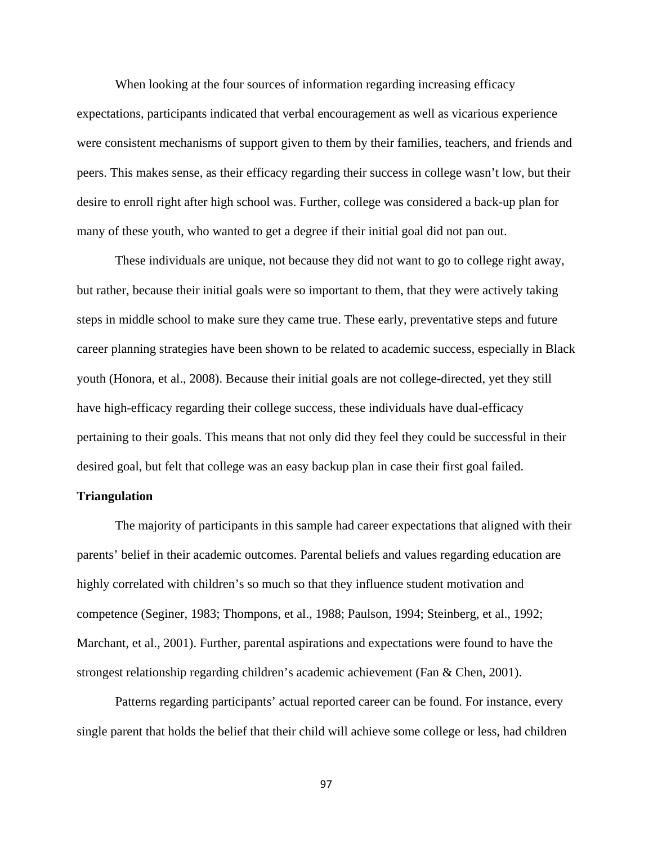When looking at the four sources of information regarding increasing efficacy expectations, participants indicated that verbal encouragement as well as vicarious experience were consistent mechanisms of support given to them by their families, teachers, and friends and peers. This makes sense, as their efficacy regarding their success in college wasn't low, but their desire to enroll right after high school was. Further, college was considered a back-up plan for many of these youth, who wanted to get a degree if their initial goal did not pan out.

 These individuals are unique, not because they did not want to go to college right away, but rather, because their initial goals were so important to them, that they were actively taking steps in middle school to make sure they came true. These early, preventative steps and future career planning strategies have been shown to be related to academic success, especially in Black youth (Honora, et al., 2008). Because their initial goals are not college-directed, yet they still have high-efficacy regarding their college success, these individuals have dual-efficacy pertaining to their goals. This means that not only did they feel they could be successful in their desired goal, but felt that college was an easy backup plan in case their first goal failed.

### **Triangulation**

The majority of participants in this sample had career expectations that aligned with their parents' belief in their academic outcomes. Parental beliefs and values regarding education are highly correlated with children's so much so that they influence student motivation and competence (Seginer, 1983; Thompons, et al., 1988; Paulson, 1994; Steinberg, et al., 1992; Marchant, et al., 2001). Further, parental aspirations and expectations were found to have the strongest relationship regarding children's academic achievement (Fan & Chen, 2001).

Patterns regarding participants' actual reported career can be found. For instance, every single parent that holds the belief that their child will achieve some college or less, had children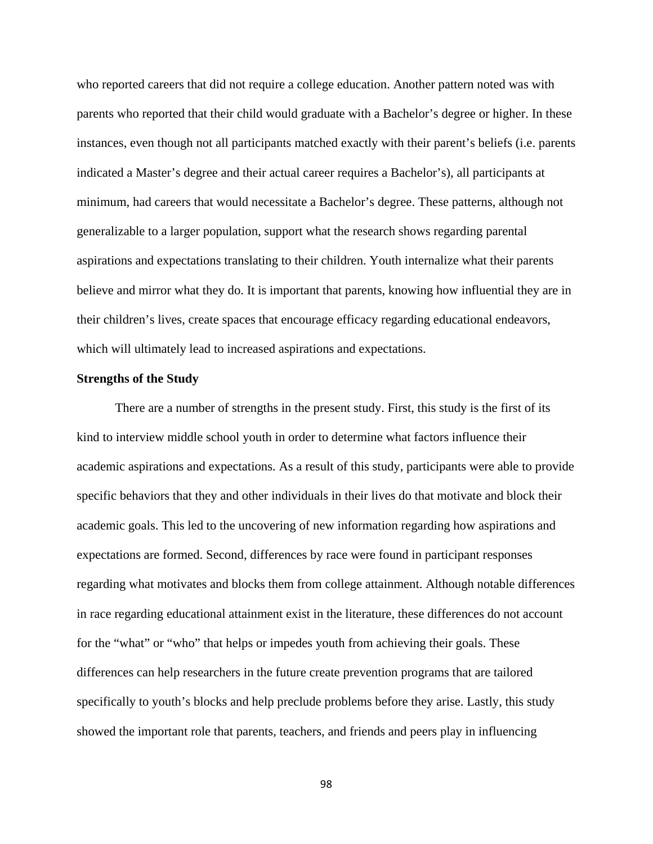who reported careers that did not require a college education. Another pattern noted was with parents who reported that their child would graduate with a Bachelor's degree or higher. In these instances, even though not all participants matched exactly with their parent's beliefs (i.e. parents indicated a Master's degree and their actual career requires a Bachelor's), all participants at minimum, had careers that would necessitate a Bachelor's degree. These patterns, although not generalizable to a larger population, support what the research shows regarding parental aspirations and expectations translating to their children. Youth internalize what their parents believe and mirror what they do. It is important that parents, knowing how influential they are in their children's lives, create spaces that encourage efficacy regarding educational endeavors, which will ultimately lead to increased aspirations and expectations.

#### **Strengths of the Study**

There are a number of strengths in the present study. First, this study is the first of its kind to interview middle school youth in order to determine what factors influence their academic aspirations and expectations. As a result of this study, participants were able to provide specific behaviors that they and other individuals in their lives do that motivate and block their academic goals. This led to the uncovering of new information regarding how aspirations and expectations are formed. Second, differences by race were found in participant responses regarding what motivates and blocks them from college attainment. Although notable differences in race regarding educational attainment exist in the literature, these differences do not account for the "what" or "who" that helps or impedes youth from achieving their goals. These differences can help researchers in the future create prevention programs that are tailored specifically to youth's blocks and help preclude problems before they arise. Lastly, this study showed the important role that parents, teachers, and friends and peers play in influencing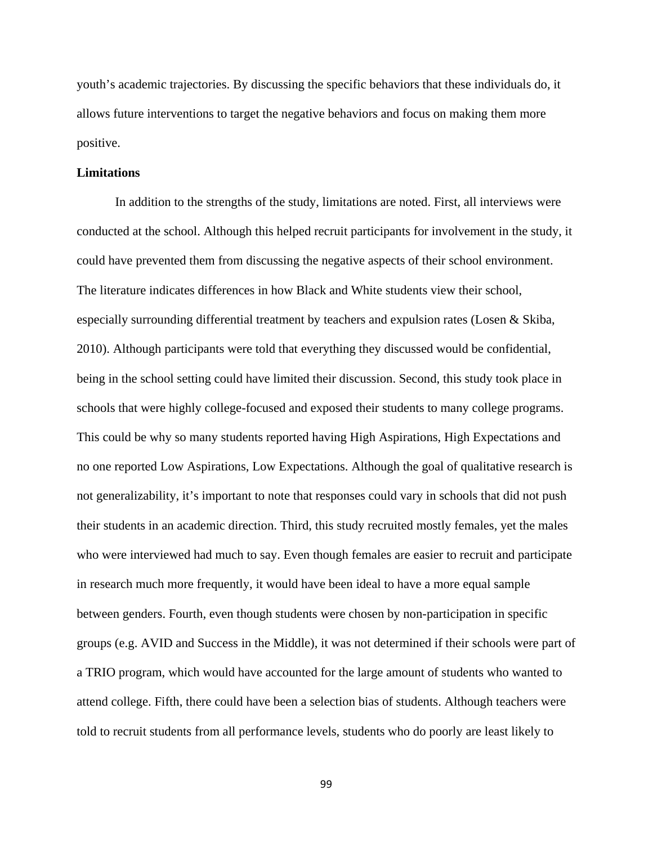youth's academic trajectories. By discussing the specific behaviors that these individuals do, it allows future interventions to target the negative behaviors and focus on making them more positive.

#### **Limitations**

In addition to the strengths of the study, limitations are noted. First, all interviews were conducted at the school. Although this helped recruit participants for involvement in the study, it could have prevented them from discussing the negative aspects of their school environment. The literature indicates differences in how Black and White students view their school, especially surrounding differential treatment by teachers and expulsion rates (Losen & Skiba, 2010). Although participants were told that everything they discussed would be confidential, being in the school setting could have limited their discussion. Second, this study took place in schools that were highly college-focused and exposed their students to many college programs. This could be why so many students reported having High Aspirations, High Expectations and no one reported Low Aspirations, Low Expectations. Although the goal of qualitative research is not generalizability, it's important to note that responses could vary in schools that did not push their students in an academic direction. Third, this study recruited mostly females, yet the males who were interviewed had much to say. Even though females are easier to recruit and participate in research much more frequently, it would have been ideal to have a more equal sample between genders. Fourth, even though students were chosen by non-participation in specific groups (e.g. AVID and Success in the Middle), it was not determined if their schools were part of a TRIO program, which would have accounted for the large amount of students who wanted to attend college. Fifth, there could have been a selection bias of students. Although teachers were told to recruit students from all performance levels, students who do poorly are least likely to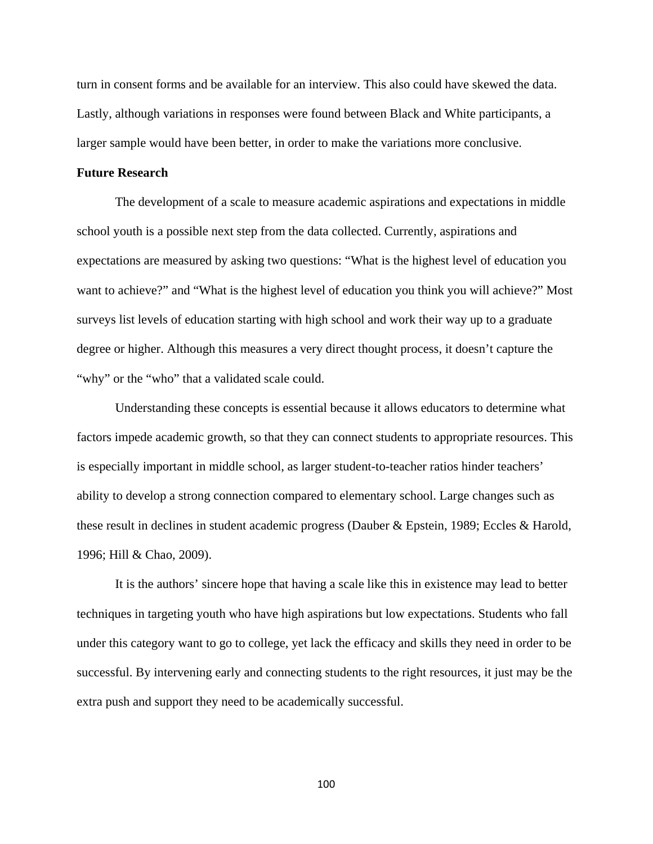turn in consent forms and be available for an interview. This also could have skewed the data. Lastly, although variations in responses were found between Black and White participants, a larger sample would have been better, in order to make the variations more conclusive.

#### **Future Research**

The development of a scale to measure academic aspirations and expectations in middle school youth is a possible next step from the data collected. Currently, aspirations and expectations are measured by asking two questions: "What is the highest level of education you want to achieve?" and "What is the highest level of education you think you will achieve?" Most surveys list levels of education starting with high school and work their way up to a graduate degree or higher. Although this measures a very direct thought process, it doesn't capture the "why" or the "who" that a validated scale could.

Understanding these concepts is essential because it allows educators to determine what factors impede academic growth, so that they can connect students to appropriate resources. This is especially important in middle school, as larger student-to-teacher ratios hinder teachers' ability to develop a strong connection compared to elementary school. Large changes such as these result in declines in student academic progress (Dauber & Epstein, 1989; Eccles & Harold, 1996; Hill & Chao, 2009).

It is the authors' sincere hope that having a scale like this in existence may lead to better techniques in targeting youth who have high aspirations but low expectations. Students who fall under this category want to go to college, yet lack the efficacy and skills they need in order to be successful. By intervening early and connecting students to the right resources, it just may be the extra push and support they need to be academically successful.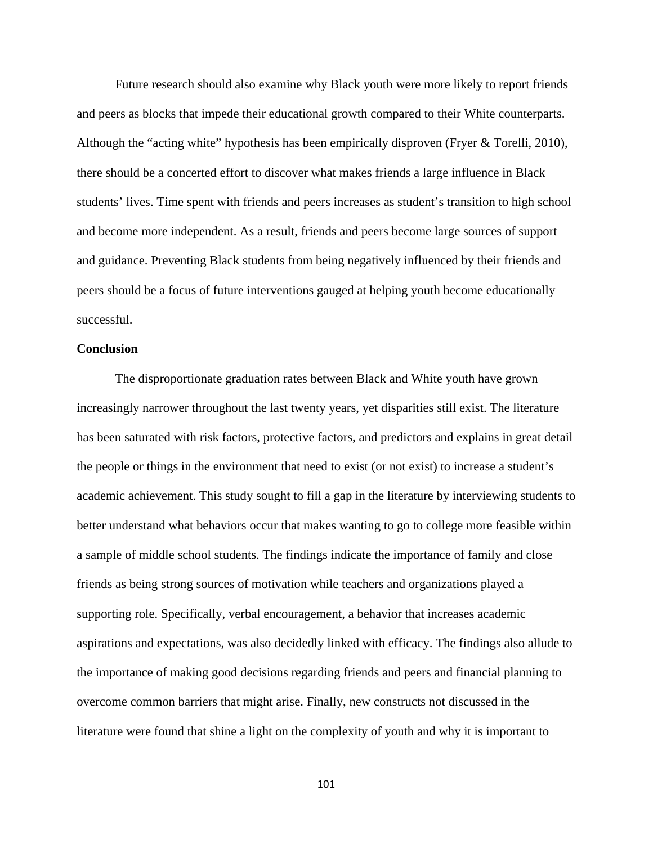Future research should also examine why Black youth were more likely to report friends and peers as blocks that impede their educational growth compared to their White counterparts. Although the "acting white" hypothesis has been empirically disproven (Fryer & Torelli, 2010), there should be a concerted effort to discover what makes friends a large influence in Black students' lives. Time spent with friends and peers increases as student's transition to high school and become more independent. As a result, friends and peers become large sources of support and guidance. Preventing Black students from being negatively influenced by their friends and peers should be a focus of future interventions gauged at helping youth become educationally successful.

#### **Conclusion**

 The disproportionate graduation rates between Black and White youth have grown increasingly narrower throughout the last twenty years, yet disparities still exist. The literature has been saturated with risk factors, protective factors, and predictors and explains in great detail the people or things in the environment that need to exist (or not exist) to increase a student's academic achievement. This study sought to fill a gap in the literature by interviewing students to better understand what behaviors occur that makes wanting to go to college more feasible within a sample of middle school students. The findings indicate the importance of family and close friends as being strong sources of motivation while teachers and organizations played a supporting role. Specifically, verbal encouragement, a behavior that increases academic aspirations and expectations, was also decidedly linked with efficacy. The findings also allude to the importance of making good decisions regarding friends and peers and financial planning to overcome common barriers that might arise. Finally, new constructs not discussed in the literature were found that shine a light on the complexity of youth and why it is important to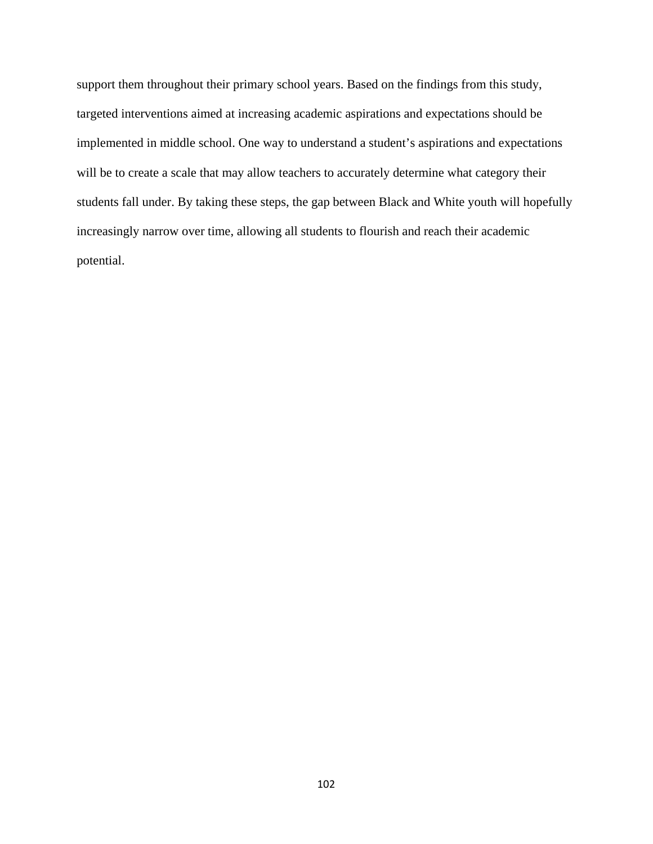support them throughout their primary school years. Based on the findings from this study, targeted interventions aimed at increasing academic aspirations and expectations should be implemented in middle school. One way to understand a student's aspirations and expectations will be to create a scale that may allow teachers to accurately determine what category their students fall under. By taking these steps, the gap between Black and White youth will hopefully increasingly narrow over time, allowing all students to flourish and reach their academic potential.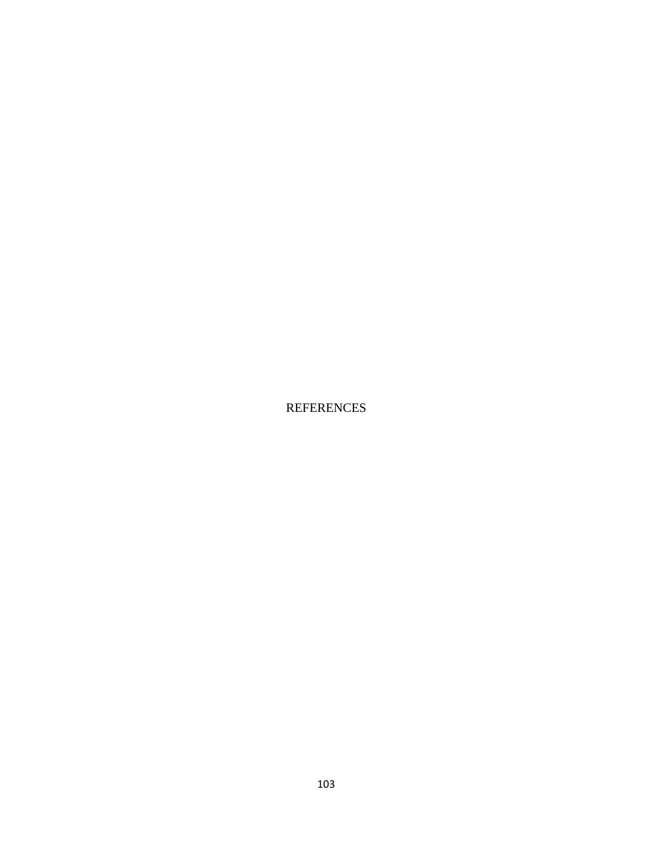REFERENCES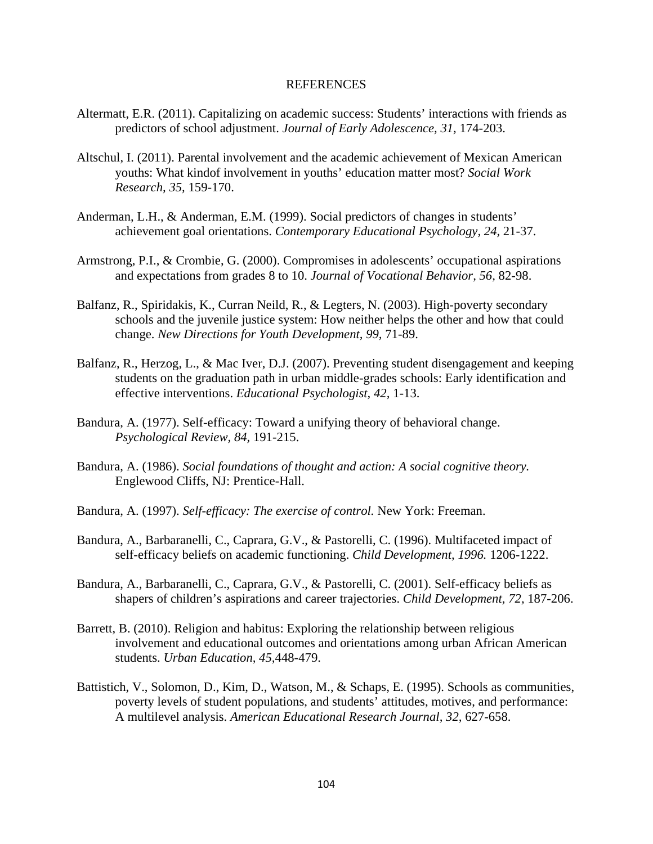#### REFERENCES

- Altermatt, E.R. (2011). Capitalizing on academic success: Students' interactions with friends as predictors of school adjustment. *Journal of Early Adolescence, 31,* 174-203.
- Altschul, I. (2011). Parental involvement and the academic achievement of Mexican American youths: What kindof involvement in youths' education matter most? *Social Work Research, 35,* 159-170.
- Anderman, L.H., & Anderman, E.M. (1999). Social predictors of changes in students' achievement goal orientations. *Contemporary Educational Psychology, 24,* 21-37.
- Armstrong, P.I., & Crombie, G. (2000). Compromises in adolescents' occupational aspirations and expectations from grades 8 to 10. *Journal of Vocational Behavior, 56,* 82-98.
- Balfanz, R., Spiridakis, K., Curran Neild, R., & Legters, N. (2003). High-poverty secondary schools and the juvenile justice system: How neither helps the other and how that could change. *New Directions for Youth Development, 99,* 71-89.
- Balfanz, R., Herzog, L., & Mac Iver, D.J. (2007). Preventing student disengagement and keeping students on the graduation path in urban middle-grades schools: Early identification and effective interventions. *Educational Psychologist, 42,* 1-13.
- Bandura, A. (1977). Self-efficacy: Toward a unifying theory of behavioral change. *Psychological Review, 84,* 191-215.
- Bandura, A. (1986). *Social foundations of thought and action: A social cognitive theory.*  Englewood Cliffs, NJ: Prentice-Hall.
- Bandura, A. (1997). *Self-efficacy: The exercise of control.* New York: Freeman.
- Bandura, A., Barbaranelli, C., Caprara, G.V., & Pastorelli, C. (1996). Multifaceted impact of self-efficacy beliefs on academic functioning. *Child Development, 1996.* 1206-1222.
- Bandura, A., Barbaranelli, C., Caprara, G.V., & Pastorelli, C. (2001). Self-efficacy beliefs as shapers of children's aspirations and career trajectories. *Child Development, 72,* 187-206.
- Barrett, B. (2010). Religion and habitus: Exploring the relationship between religious involvement and educational outcomes and orientations among urban African American students. *Urban Education, 45,*448-479.
- Battistich, V., Solomon, D., Kim, D., Watson, M., & Schaps, E. (1995). Schools as communities, poverty levels of student populations, and students' attitudes, motives, and performance: A multilevel analysis. *American Educational Research Journal, 32,* 627-658.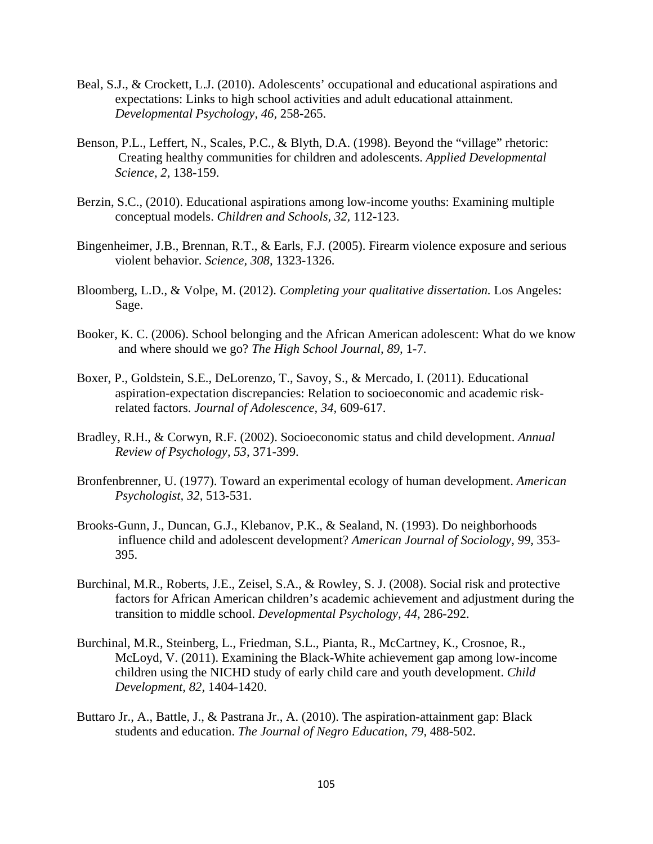- Beal, S.J., & Crockett, L.J. (2010). Adolescents' occupational and educational aspirations and expectations: Links to high school activities and adult educational attainment. *Developmental Psychology, 46,* 258-265.
- Benson, P.L., Leffert, N., Scales, P.C., & Blyth, D.A. (1998). Beyond the "village" rhetoric: Creating healthy communities for children and adolescents. *Applied Developmental Science, 2,* 138-159.
- Berzin, S.C., (2010). Educational aspirations among low-income youths: Examining multiple conceptual models. *Children and Schools, 32,* 112-123.
- Bingenheimer, J.B., Brennan, R.T., & Earls, F.J. (2005). Firearm violence exposure and serious violent behavior. *Science, 308,* 1323-1326.
- Bloomberg, L.D., & Volpe, M. (2012). *Completing your qualitative dissertation.* Los Angeles: Sage.
- Booker, K. C. (2006). School belonging and the African American adolescent: What do we know and where should we go? *The High School Journal, 89,* 1-7.
- Boxer, P., Goldstein, S.E., DeLorenzo, T., Savoy, S., & Mercado, I. (2011). Educational aspiration-expectation discrepancies: Relation to socioeconomic and academic riskrelated factors. *Journal of Adolescence, 34,* 609-617.
- Bradley, R.H., & Corwyn, R.F. (2002). Socioeconomic status and child development. *Annual Review of Psychology, 53,* 371-399.
- Bronfenbrenner, U. (1977). Toward an experimental ecology of human development. *American Psychologist, 32,* 513-531.
- Brooks-Gunn, J., Duncan, G.J., Klebanov, P.K., & Sealand, N. (1993). Do neighborhoods influence child and adolescent development? *American Journal of Sociology, 99,* 353- 395.
- Burchinal, M.R., Roberts, J.E., Zeisel, S.A., & Rowley, S. J. (2008). Social risk and protective factors for African American children's academic achievement and adjustment during the transition to middle school. *Developmental Psychology, 44,* 286-292.
- Burchinal, M.R., Steinberg, L., Friedman, S.L., Pianta, R., McCartney, K., Crosnoe, R., McLoyd, V. (2011). Examining the Black-White achievement gap among low-income children using the NICHD study of early child care and youth development. *Child Development, 82,* 1404-1420.
- Buttaro Jr., A., Battle, J., & Pastrana Jr., A. (2010). The aspiration-attainment gap: Black students and education. *The Journal of Negro Education, 79,* 488-502.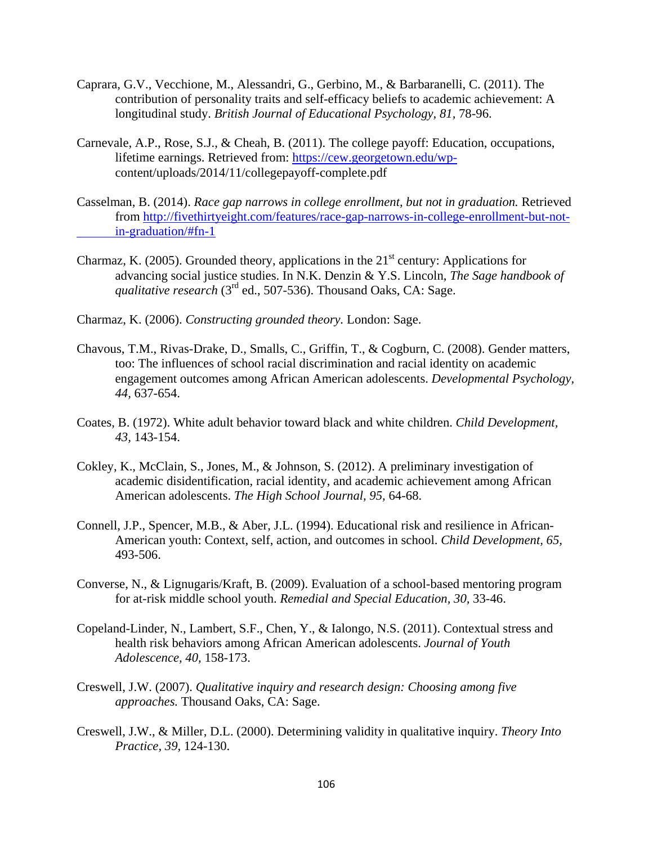- Caprara, G.V., Vecchione, M., Alessandri, G., Gerbino, M., & Barbaranelli, C. (2011). The contribution of personality traits and self-efficacy beliefs to academic achievement: A longitudinal study. *British Journal of Educational Psychology, 81, 78-96.*
- Carnevale, A.P., Rose, S.J., & Cheah, B. (2011). The college payoff: Education, occupations, lifetime earnings. Retrieved from: [https://cew.georgetown.edu/wp](https://cew.georgetown.edu/wp-) content/uploads/2014/11/collegepayoff-complete.pdf
- Casselman, B. (2014). *Race gap narrows in college enrollment, but not in graduation.* Retrieved from [http://fivethirtyeight.com/features/race-gap-narrows-in-college-enrollment-but-not](http://fivethirtyeight.com/features/race-gap-narrows-in-college-enrollment-but-not-%09in-graduation/#fn-1)[in-graduation/#fn-1](http://fivethirtyeight.com/features/race-gap-narrows-in-college-enrollment-but-not-%09in-graduation/#fn-1)
- Charmaz, K. (2005). Grounded theory, applications in the  $21<sup>st</sup>$  century: Applications for advancing social justice studies. In N.K. Denzin & Y.S. Lincoln, *The Sage handbook of qualitative research* (3<sup>rd</sup> ed., 507-536). Thousand Oaks, CA: Sage.
- Charmaz, K. (2006). *Constructing grounded theory.* London: Sage.
- Chavous, T.M., Rivas-Drake, D., Smalls, C., Griffin, T., & Cogburn, C. (2008). Gender matters, too: The influences of school racial discrimination and racial identity on academic engagement outcomes among African American adolescents. *Developmental Psychology, 44,* 637-654.
- Coates, B. (1972). White adult behavior toward black and white children. *Child Development, 43,* 143-154.
- Cokley, K., McClain, S., Jones, M., & Johnson, S. (2012). A preliminary investigation of academic disidentification, racial identity, and academic achievement among African American adolescents. *The High School Journal, 95,* 64-68.
- Connell, J.P., Spencer, M.B., & Aber, J.L. (1994). Educational risk and resilience in African- American youth: Context, self, action, and outcomes in school. *Child Development, 65,*  493-506.
- Converse, N., & Lignugaris/Kraft, B. (2009). Evaluation of a school-based mentoring program for at-risk middle school youth. *Remedial and Special Education, 30,* 33-46.
- Copeland-Linder, N., Lambert, S.F., Chen, Y., & Ialongo, N.S. (2011). Contextual stress and health risk behaviors among African American adolescents. *Journal of Youth Adolescence, 40,* 158-173.
- Creswell, J.W. (2007). *Qualitative inquiry and research design: Choosing among five approaches.* Thousand Oaks, CA: Sage.
- Creswell, J.W., & Miller, D.L. (2000). Determining validity in qualitative inquiry. *Theory Into Practice, 39,* 124-130.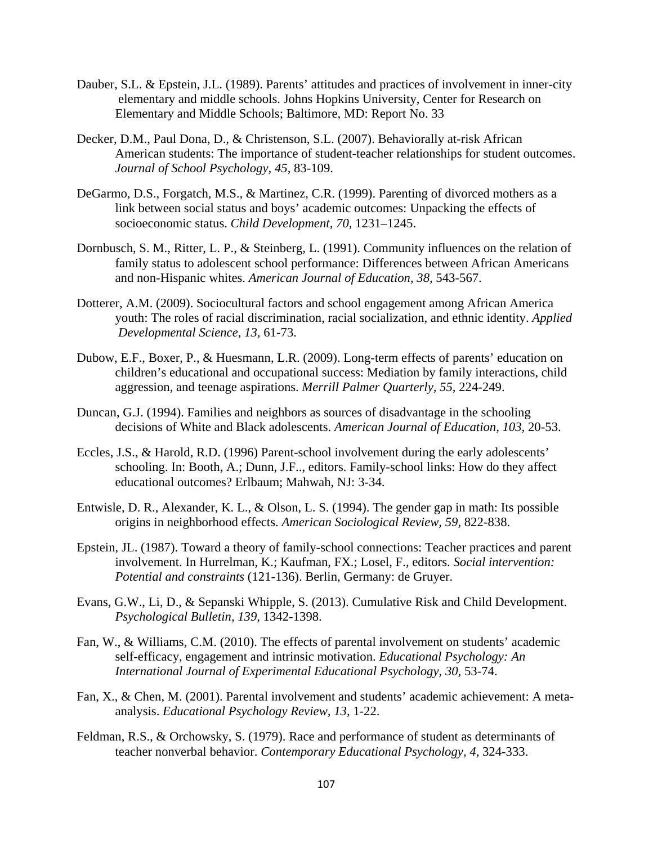- Dauber, S.L. & Epstein, J.L. (1989). Parents' attitudes and practices of involvement in inner-city elementary and middle schools. Johns Hopkins University, Center for Research on Elementary and Middle Schools; Baltimore, MD: Report No. 33
- Decker, D.M., Paul Dona, D., & Christenson, S.L. (2007). Behaviorally at-risk African American students: The importance of student-teacher relationships for student outcomes. *Journal of School Psychology, 45,* 83-109.
- DeGarmo, D.S., Forgatch, M.S., & Martinez, C.R. (1999). Parenting of divorced mothers as a link between social status and boys' academic outcomes: Unpacking the effects of socioeconomic status. *Child Development, 70,* 1231–1245.
- Dornbusch, S. M., Ritter, L. P., & Steinberg, L. (1991). Community influences on the relation of family status to adolescent school performance: Differences between African Americans and non-Hispanic whites. *American Journal of Education, 38,* 543-567.
- Dotterer, A.M. (2009). Sociocultural factors and school engagement among African America youth: The roles of racial discrimination, racial socialization, and ethnic identity. *Applied Developmental Science, 13,* 61-73.
- Dubow, E.F., Boxer, P., & Huesmann, L.R. (2009). Long-term effects of parents' education on children's educational and occupational success: Mediation by family interactions, child aggression, and teenage aspirations. *Merrill Palmer Quarterly, 55,* 224-249.
- Duncan, G.J. (1994). Families and neighbors as sources of disadvantage in the schooling decisions of White and Black adolescents. *American Journal of Education, 103,* 20-53.
- Eccles, J.S., & Harold, R.D. (1996) Parent-school involvement during the early adolescents' schooling. In: Booth, A.; Dunn, J.F.., editors. Family-school links: How do they affect educational outcomes? Erlbaum; Mahwah, NJ: 3-34.
- Entwisle, D. R., Alexander, K. L., & Olson, L. S. (1994). The gender gap in math: Its possible origins in neighborhood effects. *American Sociological Review, 59,* 822-838.
- Epstein, JL. (1987). Toward a theory of family-school connections: Teacher practices and parent involvement. In Hurrelman, K.; Kaufman, FX.; Losel, F., editors. *Social intervention: Potential and constraints* (121-136). Berlin, Germany: de Gruyer.
- Evans, G.W., Li, D., & Sepanski Whipple, S. (2013). Cumulative Risk and Child Development. *Psychological Bulletin, 139,* 1342-1398.
- Fan, W., & Williams, C.M. (2010). The effects of parental involvement on students' academic self-efficacy, engagement and intrinsic motivation. *Educational Psychology: An International Journal of Experimental Educational Psychology, 30,* 53-74.
- Fan, X., & Chen, M. (2001). Parental involvement and students' academic achievement: A meta analysis. *Educational Psychology Review, 13,* 1-22.
- Feldman, R.S., & Orchowsky, S. (1979). Race and performance of student as determinants of teacher nonverbal behavior. *Contemporary Educational Psychology, 4,* 324-333.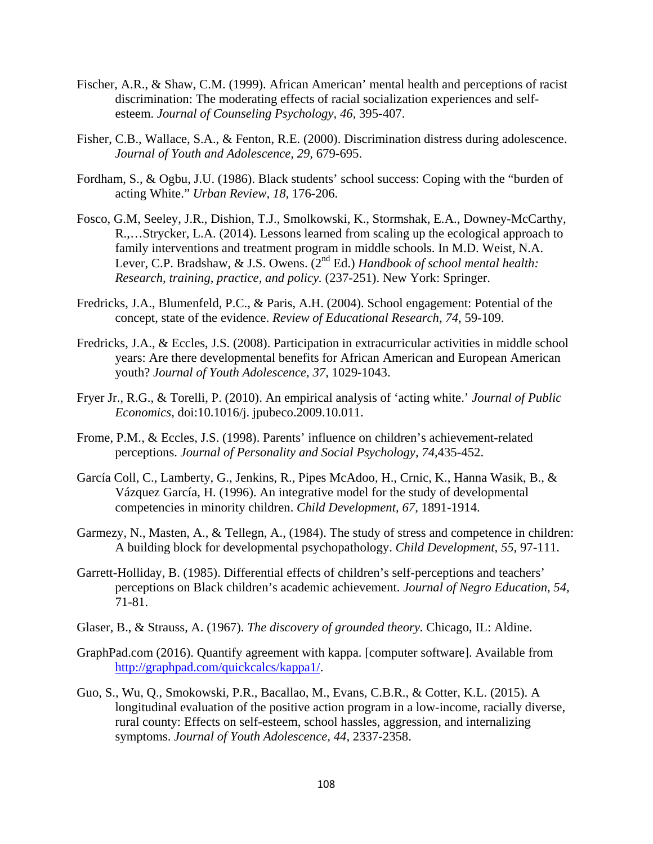- Fischer, A.R., & Shaw, C.M. (1999). African American' mental health and perceptions of racist discrimination: The moderating effects of racial socialization experiences and selfesteem. *Journal of Counseling Psychology, 46,* 395-407.
- Fisher, C.B., Wallace, S.A., & Fenton, R.E. (2000). Discrimination distress during adolescence. *Journal of Youth and Adolescence, 29,* 679-695.
- Fordham, S., & Ogbu, J.U. (1986). Black students' school success: Coping with the "burden of acting White." *Urban Review, 18,* 176-206.
- Fosco, G.M, Seeley, J.R., Dishion, T.J., Smolkowski, K., Stormshak, E.A., Downey-McCarthy, R.,…Strycker, L.A. (2014). Lessons learned from scaling up the ecological approach to family interventions and treatment program in middle schools. In M.D. Weist, N.A. Lever, C.P. Bradshaw, & J.S. Owens. (2nd Ed.) *Handbook of school mental health: Research, training, practice, and policy.* (237-251). New York: Springer.
- Fredricks, J.A., Blumenfeld, P.C., & Paris, A.H. (2004). School engagement: Potential of the concept, state of the evidence. *Review of Educational Research, 74,* 59-109.
- Fredricks, J.A., & Eccles, J.S. (2008). Participation in extracurricular activities in middle school years: Are there developmental benefits for African American and European American youth? *Journal of Youth Adolescence, 37,* 1029-1043.
- Fryer Jr., R.G., & Torelli, P. (2010). An empirical analysis of 'acting white.' *Journal of Public Economics,* doi:10.1016/j. jpubeco.2009.10.011.
- Frome, P.M., & Eccles, J.S. (1998). Parents' influence on children's achievement-related perceptions. *Journal of Personality and Social Psychology, 74,*435-452.
- García Coll, C., Lamberty, G., Jenkins, R., Pipes McAdoo, H., Crnic, K., Hanna Wasik, B., & Vázquez García, H. (1996). An integrative model for the study of developmental competencies in minority children. *Child Development, 67,* 1891-1914.
- Garmezy, N., Masten, A., & Tellegn, A., (1984). The study of stress and competence in children: A building block for developmental psychopathology. *Child Development, 55,* 97-111.
- Garrett-Holliday, B. (1985). Differential effects of children's self-perceptions and teachers' perceptions on Black children's academic achievement. *Journal of Negro Education, 54,*  71-81.
- Glaser, B., & Strauss, A. (1967). *The discovery of grounded theory.* Chicago, IL: Aldine.
- GraphPad.com (2016). Quantify agreement with kappa. [computer software]. Available from [http://graphpad.com/quickcalcs/kappa1/.](http://graphpad.com/quickcalcs/kappa1/)
- Guo, S., Wu, Q., Smokowski, P.R., Bacallao, M., Evans, C.B.R., & Cotter, K.L. (2015). A longitudinal evaluation of the positive action program in a low-income, racially diverse, rural county: Effects on self-esteem, school hassles, aggression, and internalizing symptoms. *Journal of Youth Adolescence, 44,* 2337-2358.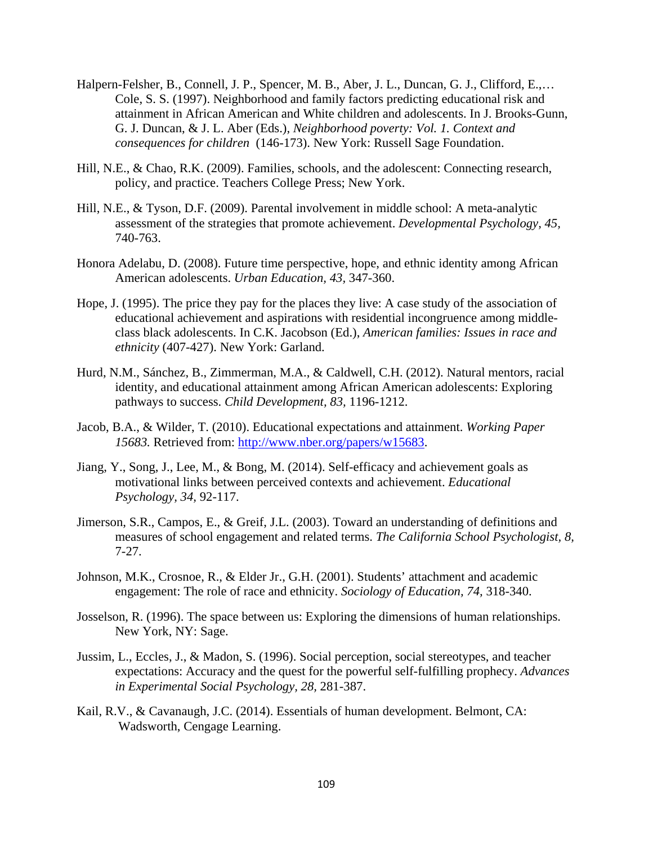- Halpern-Felsher, B., Connell, J. P., Spencer, M. B., Aber, J. L., Duncan, G. J., Clifford, E.,… Cole, S. S. (1997). Neighborhood and family factors predicting educational risk and attainment in African American and White children and adolescents. In J. Brooks-Gunn, G. J. Duncan, & J. L. Aber (Eds.), *Neighborhood poverty: Vol. 1. Context and consequences for children* (146-173). New York: Russell Sage Foundation.
- Hill, N.E., & Chao, R.K. (2009). Families, schools, and the adolescent: Connecting research, policy, and practice. Teachers College Press; New York.
- Hill, N.E., & Tyson, D.F. (2009). Parental involvement in middle school: A meta-analytic assessment of the strategies that promote achievement. *Developmental Psychology, 45,*  740-763.
- Honora Adelabu, D. (2008). Future time perspective, hope, and ethnic identity among African American adolescents. *Urban Education, 43,* 347-360.
- Hope, J. (1995). The price they pay for the places they live: A case study of the association of educational achievement and aspirations with residential incongruence among middleclass black adolescents. In C.K. Jacobson (Ed.), *American families: Issues in race and ethnicity* (407-427). New York: Garland.
- Hurd, N.M., Sánchez, B., Zimmerman, M.A., & Caldwell, C.H. (2012). Natural mentors, racial identity, and educational attainment among African American adolescents: Exploring pathways to success. *Child Development, 83,* 1196-1212.
- Jacob, B.A., & Wilder, T. (2010). Educational expectations and attainment. *Working Paper 15683.* Retrieved from: [http://www.nber.org/papers/w15683.](http://www.nber.org/papers/w15683)
- Jiang, Y., Song, J., Lee, M., & Bong, M. (2014). Self-efficacy and achievement goals as motivational links between perceived contexts and achievement. *Educational Psychology, 34,* 92-117.
- Jimerson, S.R., Campos, E., & Greif, J.L. (2003). Toward an understanding of definitions and measures of school engagement and related terms. *The California School Psychologist, 8,*  7-27.
- Johnson, M.K., Crosnoe, R., & Elder Jr., G.H. (2001). Students' attachment and academic engagement: The role of race and ethnicity. *Sociology of Education, 74,* 318-340.
- Josselson, R. (1996). The space between us: Exploring the dimensions of human relationships. New York, NY: Sage.
- Jussim, L., Eccles, J., & Madon, S. (1996). Social perception, social stereotypes, and teacher expectations: Accuracy and the quest for the powerful self-fulfilling prophecy. *Advances in Experimental Social Psychology, 28,* 281-387.
- Kail, R.V., & Cavanaugh, J.C. (2014). Essentials of human development. Belmont, CA: Wadsworth, Cengage Learning.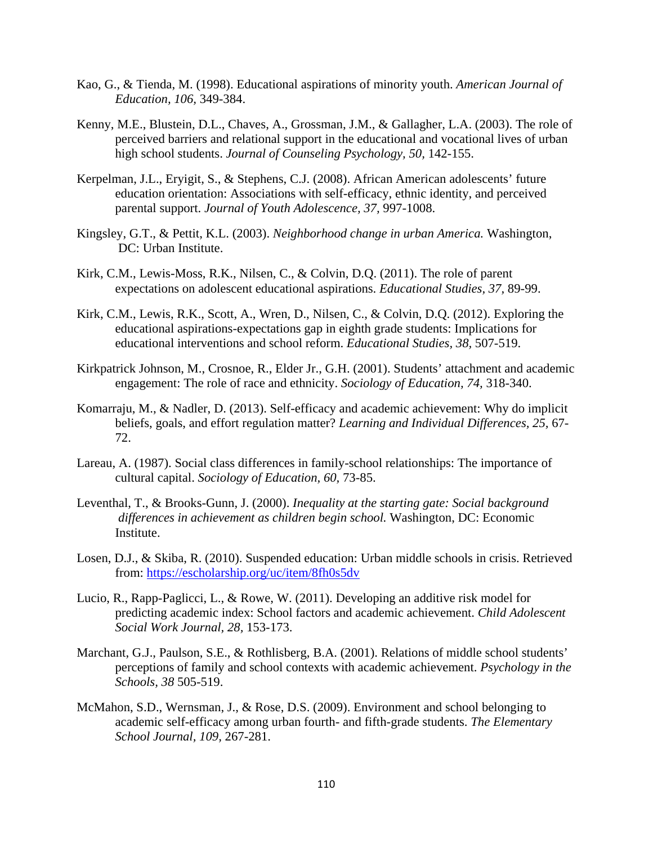- Kao, G., & Tienda, M. (1998). Educational aspirations of minority youth. *American Journal of Education, 106,* 349-384.
- Kenny, M.E., Blustein, D.L., Chaves, A., Grossman, J.M., & Gallagher, L.A. (2003). The role of perceived barriers and relational support in the educational and vocational lives of urban high school students. *Journal of Counseling Psychology, 50,* 142-155.
- Kerpelman, J.L., Eryigit, S., & Stephens, C.J. (2008). African American adolescents' future education orientation: Associations with self-efficacy, ethnic identity, and perceived parental support. *Journal of Youth Adolescence, 37,* 997-1008.
- Kingsley, G.T., & Pettit, K.L. (2003). *Neighborhood change in urban America.* Washington, DC: Urban Institute.
- Kirk, C.M., Lewis-Moss, R.K., Nilsen, C., & Colvin, D.Q. (2011). The role of parent expectations on adolescent educational aspirations. *Educational Studies, 37,* 89-99.
- Kirk, C.M., Lewis, R.K., Scott, A., Wren, D., Nilsen, C., & Colvin, D.Q. (2012). Exploring the educational aspirations-expectations gap in eighth grade students: Implications for educational interventions and school reform. *Educational Studies, 38,* 507-519.
- Kirkpatrick Johnson, M., Crosnoe, R., Elder Jr., G.H. (2001). Students' attachment and academic engagement: The role of race and ethnicity. *Sociology of Education, 74,* 318-340.
- Komarraju, M., & Nadler, D. (2013). Self-efficacy and academic achievement: Why do implicit beliefs, goals, and effort regulation matter? *Learning and Individual Differences, 25,* 67- 72.
- Lareau, A. (1987). Social class differences in family-school relationships: The importance of cultural capital. *Sociology of Education, 60,* 73-85.
- Leventhal, T., & Brooks-Gunn, J. (2000). *Inequality at the starting gate: Social background differences in achievement as children begin school.* Washington, DC: Economic Institute.
- Losen, D.J., & Skiba, R. (2010). Suspended education: Urban middle schools in crisis. Retrieved from:<https://escholarship.org/uc/item/8fh0s5dv>
- Lucio, R., Rapp-Paglicci, L., & Rowe, W. (2011). Developing an additive risk model for predicting academic index: School factors and academic achievement. *Child Adolescent Social Work Journal, 28,* 153-173.
- Marchant, G.J., Paulson, S.E., & Rothlisberg, B.A. (2001). Relations of middle school students' perceptions of family and school contexts with academic achievement. *Psychology in the Schools, 38* 505-519.
- McMahon, S.D., Wernsman, J., & Rose, D.S. (2009). Environment and school belonging to academic self-efficacy among urban fourth- and fifth-grade students. *The Elementary School Journal, 109,* 267-281.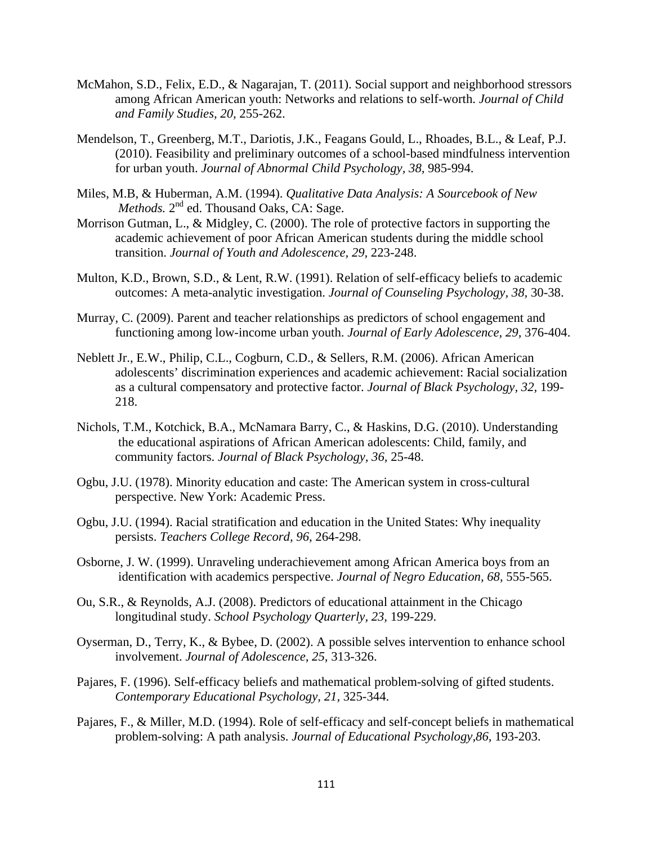- McMahon, S.D., Felix, E.D., & Nagarajan, T. (2011). Social support and neighborhood stressors among African American youth: Networks and relations to self-worth. *Journal of Child and Family Studies, 20,* 255-262.
- Mendelson, T., Greenberg, M.T., Dariotis, J.K., Feagans Gould, L., Rhoades, B.L., & Leaf, P.J. (2010). Feasibility and preliminary outcomes of a school-based mindfulness intervention for urban youth. *Journal of Abnormal Child Psychology, 38,* 985-994.
- Miles, M.B, & Huberman, A.M. (1994). *Qualitative Data Analysis: A Sourcebook of New Methods.*  $2^{nd}$  ed. Thousand Oaks, CA: Sage.
- Morrison Gutman, L., & Midgley, C. (2000). The role of protective factors in supporting the academic achievement of poor African American students during the middle school transition. *Journal of Youth and Adolescence, 29,* 223-248.
- Multon, K.D., Brown, S.D., & Lent, R.W. (1991). Relation of self-efficacy beliefs to academic outcomes: A meta-analytic investigation. *Journal of Counseling Psychology, 38,* 30-38.
- Murray, C. (2009). Parent and teacher relationships as predictors of school engagement and functioning among low-income urban youth. *Journal of Early Adolescence, 29,* 376-404.
- Neblett Jr., E.W., Philip, C.L., Cogburn, C.D., & Sellers, R.M. (2006). African American adolescents' discrimination experiences and academic achievement: Racial socialization as a cultural compensatory and protective factor. *Journal of Black Psychology, 32,* 199- 218.
- Nichols, T.M., Kotchick, B.A., McNamara Barry, C., & Haskins, D.G. (2010). Understanding the educational aspirations of African American adolescents: Child, family, and community factors. *Journal of Black Psychology, 36,* 25-48.
- Ogbu, J.U. (1978). Minority education and caste: The American system in cross-cultural perspective. New York: Academic Press.
- Ogbu, J.U. (1994). Racial stratification and education in the United States: Why inequality persists. *Teachers College Record, 96,* 264-298.
- Osborne, J. W. (1999). Unraveling underachievement among African America boys from an identification with academics perspective. *Journal of Negro Education, 68,* 555-565.
- Ou, S.R., & Reynolds, A.J. (2008). Predictors of educational attainment in the Chicago longitudinal study. *School Psychology Quarterly, 23,* 199-229.
- Oyserman, D., Terry, K., & Bybee, D. (2002). A possible selves intervention to enhance school involvement. *Journal of Adolescence, 25,* 313-326.
- Pajares, F. (1996). Self-efficacy beliefs and mathematical problem-solving of gifted students. *Contemporary Educational Psychology, 21,* 325-344.
- Pajares, F., & Miller, M.D. (1994). Role of self-efficacy and self-concept beliefs in mathematical problem-solving: A path analysis. *Journal of Educational Psychology,86,* 193-203.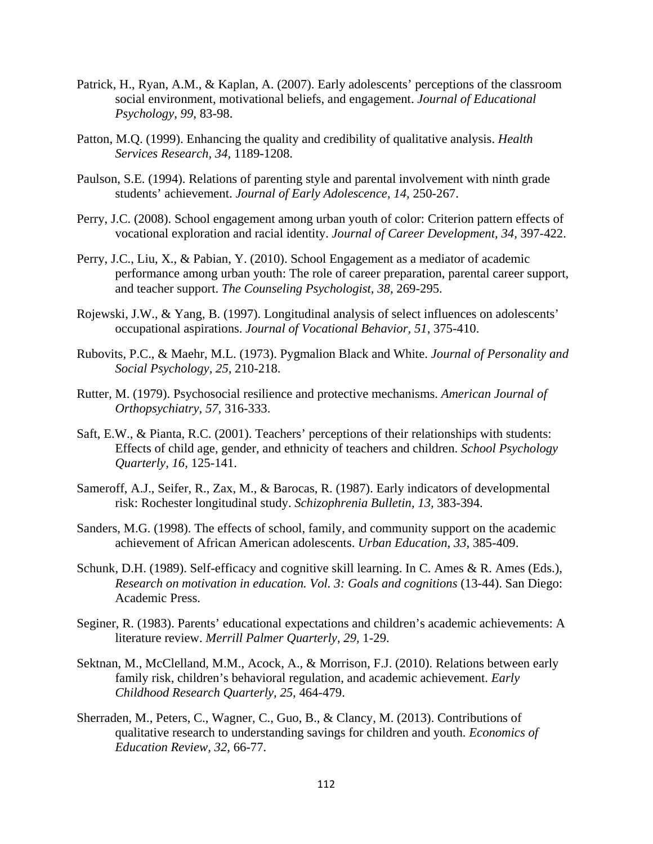- Patrick, H., Ryan, A.M., & Kaplan, A. (2007). Early adolescents' perceptions of the classroom social environment, motivational beliefs, and engagement. *Journal of Educational Psychology, 99,* 83-98.
- Patton, M.Q. (1999). Enhancing the quality and credibility of qualitative analysis. *Health Services Research, 34,* 1189-1208.
- Paulson, S.E. (1994). Relations of parenting style and parental involvement with ninth grade students' achievement. *Journal of Early Adolescence, 14,* 250-267.
- Perry, J.C. (2008). School engagement among urban youth of color: Criterion pattern effects of vocational exploration and racial identity. *Journal of Career Development, 34,* 397-422.
- Perry, J.C., Liu, X., & Pabian, Y. (2010). School Engagement as a mediator of academic performance among urban youth: The role of career preparation, parental career support, and teacher support. *The Counseling Psychologist, 38,* 269-295.
- Rojewski, J.W., & Yang, B. (1997). Longitudinal analysis of select influences on adolescents' occupational aspirations. *Journal of Vocational Behavior, 51,* 375-410.
- Rubovits, P.C., & Maehr, M.L. (1973). Pygmalion Black and White. *Journal of Personality and Social Psychology, 25,* 210-218.
- Rutter, M. (1979). Psychosocial resilience and protective mechanisms. *American Journal of Orthopsychiatry, 57,* 316-333.
- Saft, E.W., & Pianta, R.C. (2001). Teachers' perceptions of their relationships with students: Effects of child age, gender, and ethnicity of teachers and children. *School Psychology Quarterly, 16,* 125-141.
- Sameroff, A.J., Seifer, R., Zax, M., & Barocas, R. (1987). Early indicators of developmental risk: Rochester longitudinal study. *Schizophrenia Bulletin, 13,* 383-394.
- Sanders, M.G. (1998). The effects of school, family, and community support on the academic achievement of African American adolescents. *Urban Education, 33,* 385-409.
- Schunk, D.H. (1989). Self-efficacy and cognitive skill learning. In C. Ames & R. Ames (Eds.), *Research on motivation in education. Vol. 3: Goals and cognitions* (13-44). San Diego: Academic Press.
- Seginer, R. (1983). Parents' educational expectations and children's academic achievements: A literature review. *Merrill Palmer Quarterly, 29,* 1-29.
- Sektnan, M., McClelland, M.M., Acock, A., & Morrison, F.J. (2010). Relations between early family risk, children's behavioral regulation, and academic achievement. *Early Childhood Research Quarterly, 25,* 464-479.
- Sherraden, M., Peters, C., Wagner, C., Guo, B., & Clancy, M. (2013). Contributions of qualitative research to understanding savings for children and youth. *Economics of Education Review, 32,* 66-77.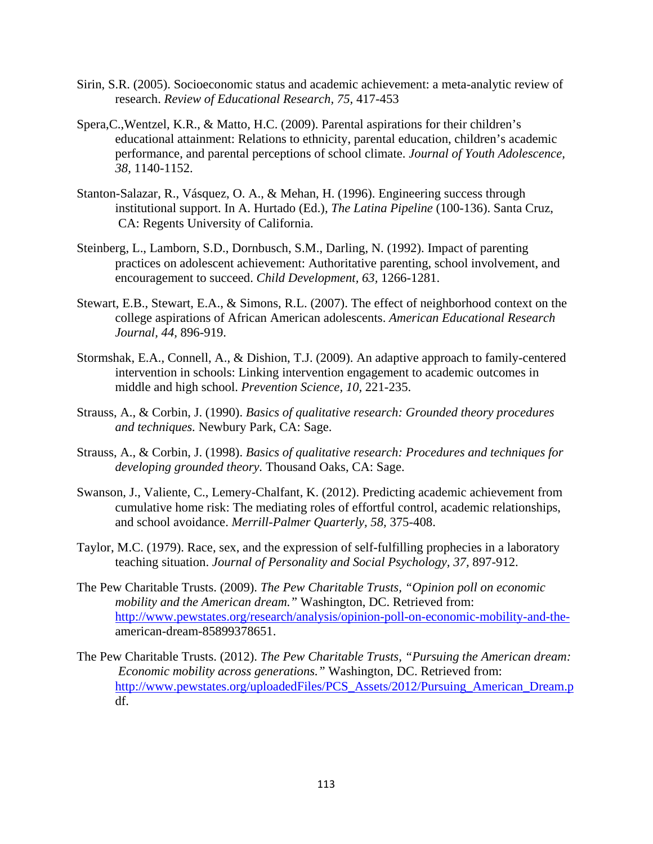- Sirin, S.R. (2005). Socioeconomic status and academic achievement: a meta-analytic review of research. *Review of Educational Research, 75,* 417-453
- Spera,C.,Wentzel, K.R., & Matto, H.C. (2009). Parental aspirations for their children's educational attainment: Relations to ethnicity, parental education, children's academic performance, and parental perceptions of school climate. *Journal of Youth Adolescence, 38,* 1140-1152.
- Stanton-Salazar, R., Vásquez, O. A., & Mehan, H. (1996). Engineering success through institutional support. In A. Hurtado (Ed.), *The Latina Pipeline* (100-136). Santa Cruz, CA: Regents University of California.
- Steinberg, L., Lamborn, S.D., Dornbusch, S.M., Darling, N. (1992). Impact of parenting practices on adolescent achievement: Authoritative parenting, school involvement, and encouragement to succeed. *Child Development, 63,* 1266-1281.
- Stewart, E.B., Stewart, E.A., & Simons, R.L. (2007). The effect of neighborhood context on the college aspirations of African American adolescents. *American Educational Research Journal, 44,* 896-919.
- Stormshak, E.A., Connell, A., & Dishion, T.J. (2009). An adaptive approach to family-centered intervention in schools: Linking intervention engagement to academic outcomes in middle and high school. *Prevention Science, 10,* 221-235.
- Strauss, A., & Corbin, J. (1990). *Basics of qualitative research: Grounded theory procedures and techniques.* Newbury Park, CA: Sage.
- Strauss, A., & Corbin, J. (1998). *Basics of qualitative research: Procedures and techniques for developing grounded theory.* Thousand Oaks, CA: Sage.
- Swanson, J., Valiente, C., Lemery-Chalfant, K. (2012). Predicting academic achievement from cumulative home risk: The mediating roles of effortful control, academic relationships, and school avoidance. *Merrill-Palmer Quarterly, 58,* 375-408.
- Taylor, M.C. (1979). Race, sex, and the expression of self-fulfilling prophecies in a laboratory teaching situation. *Journal of Personality and Social Psychology, 37,* 897-912.
- The Pew Charitable Trusts. (2009). *The Pew Charitable Trusts, "Opinion poll on economic mobility and the American dream."* Washington, DC. Retrieved from: [http://www.pewstates.org/research/analysis/opinion-poll-on-economic-mobility-and-the](http://www.pewstates.org/research/analysis/opinion-poll-on-economic-mobility-and-the-)american-dream-85899378651.
- The Pew Charitable Trusts. (2012). *The Pew Charitable Trusts, "Pursuing the American dream: Economic mobility across generations."* Washington, DC. Retrieved from: http://www.pewstates.org/uploadedFiles/PCS Assets/2012/Pursuing American Dream.p df.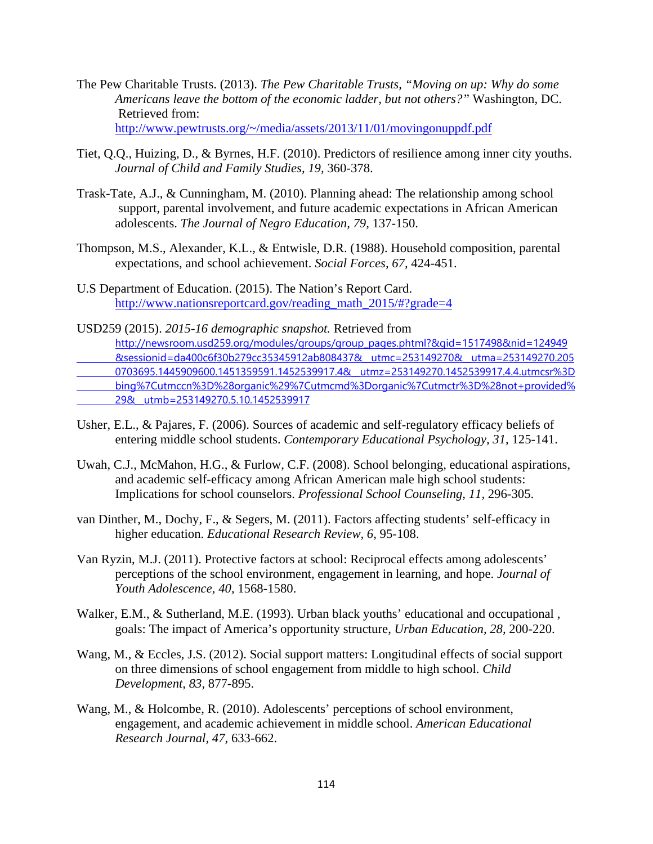- The Pew Charitable Trusts. (2013). *The Pew Charitable Trusts, "Moving on up: Why do some Americans leave the bottom of the economic ladder, but not others?"* Washington, DC. Retrieved from: [http://www.pewtrusts.org/~/media/assets/2013/11/01/movingonuppdf.pdf](http://www.pewtrusts.org/%7E/media/assets/2013/11/01/movingonuppdf.pdf)
- Tiet, Q.Q., Huizing, D., & Byrnes, H.F. (2010). Predictors of resilience among inner city youths. *Journal of Child and Family Studies, 19,* 360-378.
- Trask-Tate, A.J., & Cunningham, M. (2010). Planning ahead: The relationship among school support, parental involvement, and future academic expectations in African American adolescents. *The Journal of Negro Education, 79,* 137-150.
- Thompson, M.S., Alexander, K.L., & Entwisle, D.R. (1988). Household composition, parental expectations, and school achievement. *Social Forces, 67,* 424-451.
- U.S Department of Education. (2015). The Nation's Report Card. [http://www.nationsreportcard.gov/reading\\_math\\_2015/#?grade=4](http://www.nationsreportcard.gov/reading_math_2015/#?grade=4)
- USD259 (2015). *2015-16 demographic snapshot.* Retrieved from [http://newsroom.usd259.org/modules/groups/group\\_pages.phtml?&gid=1517498&nid=124949](http://newsroom.usd259.org/modules/groups/group_pages.phtml?&gid=1517498&nid=124949%09&sessionid=da400c6f30b279cc35345912ab808437&__utmc=253149270&__utma=253149270.205%090703695.1445909600.1451359591.1452539917.4&__utmz=253149270.1452539917.4.4.utmcsr%3D%09bing%7Cutmccn%3D%28organic%29%7Cutmcmd%3Dorganic%7Cutmctr%3D%28not+provided%25%0929&__utmb=253149270.5.10.1452539917)  [&sessionid=da400c6f30b279cc35345912ab808437&\\_\\_utmc=253149270&\\_\\_utma=253149270.205](http://newsroom.usd259.org/modules/groups/group_pages.phtml?&gid=1517498&nid=124949%09&sessionid=da400c6f30b279cc35345912ab808437&__utmc=253149270&__utma=253149270.205%090703695.1445909600.1451359591.1452539917.4&__utmz=253149270.1452539917.4.4.utmcsr%3D%09bing%7Cutmccn%3D%28organic%29%7Cutmcmd%3Dorganic%7Cutmctr%3D%28not+provided%25%0929&__utmb=253149270.5.10.1452539917)  [0703695.1445909600.1451359591.1452539917.4&\\_\\_utmz=253149270.1452539917.4.4.utmcsr%3D](http://newsroom.usd259.org/modules/groups/group_pages.phtml?&gid=1517498&nid=124949%09&sessionid=da400c6f30b279cc35345912ab808437&__utmc=253149270&__utma=253149270.205%090703695.1445909600.1451359591.1452539917.4&__utmz=253149270.1452539917.4.4.utmcsr%3D%09bing%7Cutmccn%3D%28organic%29%7Cutmcmd%3Dorganic%7Cutmctr%3D%28not+provided%25%0929&__utmb=253149270.5.10.1452539917)  [bing%7Cutmccn%3D%28organic%29%7Cutmcmd%3Dorganic%7Cutmctr%3D%28not+provided%](http://newsroom.usd259.org/modules/groups/group_pages.phtml?&gid=1517498&nid=124949%09&sessionid=da400c6f30b279cc35345912ab808437&__utmc=253149270&__utma=253149270.205%090703695.1445909600.1451359591.1452539917.4&__utmz=253149270.1452539917.4.4.utmcsr%3D%09bing%7Cutmccn%3D%28organic%29%7Cutmcmd%3Dorganic%7Cutmctr%3D%28not+provided%25%0929&__utmb=253149270.5.10.1452539917)  [29&\\_\\_utmb=253149270.5.10.1452539917](http://newsroom.usd259.org/modules/groups/group_pages.phtml?&gid=1517498&nid=124949%09&sessionid=da400c6f30b279cc35345912ab808437&__utmc=253149270&__utma=253149270.205%090703695.1445909600.1451359591.1452539917.4&__utmz=253149270.1452539917.4.4.utmcsr%3D%09bing%7Cutmccn%3D%28organic%29%7Cutmcmd%3Dorganic%7Cutmctr%3D%28not+provided%25%0929&__utmb=253149270.5.10.1452539917)
- Usher, E.L., & Pajares, F. (2006). Sources of academic and self-regulatory efficacy beliefs of entering middle school students. *Contemporary Educational Psychology, 31,* 125-141.
- Uwah, C.J., McMahon, H.G., & Furlow, C.F. (2008). School belonging, educational aspirations, and academic self-efficacy among African American male high school students: Implications for school counselors. *Professional School Counseling, 11,* 296-305.
- van Dinther, M., Dochy, F., & Segers, M. (2011). Factors affecting students' self-efficacy in higher education. *Educational Research Review, 6,* 95-108.
- Van Ryzin, M.J. (2011). Protective factors at school: Reciprocal effects among adolescents' perceptions of the school environment, engagement in learning, and hope. *Journal of Youth Adolescence, 40,* 1568-1580.
- Walker, E.M., & Sutherland, M.E. (1993). Urban black youths' educational and occupational , goals: The impact of America's opportunity structure, *Urban Education, 28,* 200-220.
- Wang, M., & Eccles, J.S. (2012). Social support matters: Longitudinal effects of social support on three dimensions of school engagement from middle to high school. *Child Development, 83,* 877-895.
- Wang, M., & Holcombe, R. (2010). Adolescents' perceptions of school environment, engagement, and academic achievement in middle school. *American Educational Research Journal, 47,* 633-662.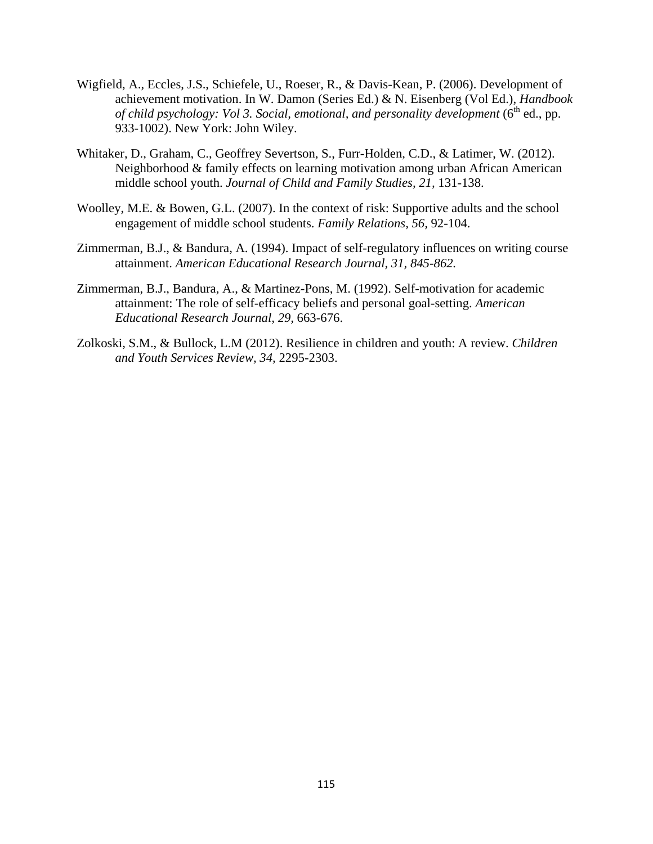- Wigfield, A., Eccles, J.S., Schiefele, U., Roeser, R., & Davis-Kean, P. (2006). Development of achievement motivation. In W. Damon (Series Ed.) & N. Eisenberg (Vol Ed.), *Handbook of child psychology: Vol 3. Social, emotional, and personality development* (6<sup>th</sup> ed., pp. 933-1002). New York: John Wiley.
- Whitaker, D., Graham, C., Geoffrey Severtson, S., Furr-Holden, C.D., & Latimer, W. (2012). Neighborhood & family effects on learning motivation among urban African American middle school youth. *Journal of Child and Family Studies, 21,* 131-138.
- Woolley, M.E. & Bowen, G.L. (2007). In the context of risk: Supportive adults and the school engagement of middle school students. *Family Relations, 56,* 92-104.
- Zimmerman, B.J., & Bandura, A. (1994). Impact of self-regulatory influences on writing course attainment. *American Educational Research Journal, 31, 845-862.*
- Zimmerman, B.J., Bandura, A., & Martinez-Pons, M. (1992). Self-motivation for academic attainment: The role of self-efficacy beliefs and personal goal-setting. *American Educational Research Journal, 29,* 663-676.
- Zolkoski, S.M., & Bullock, L.M (2012). Resilience in children and youth: A review. *Children and Youth Services Review, 34,* 2295-2303.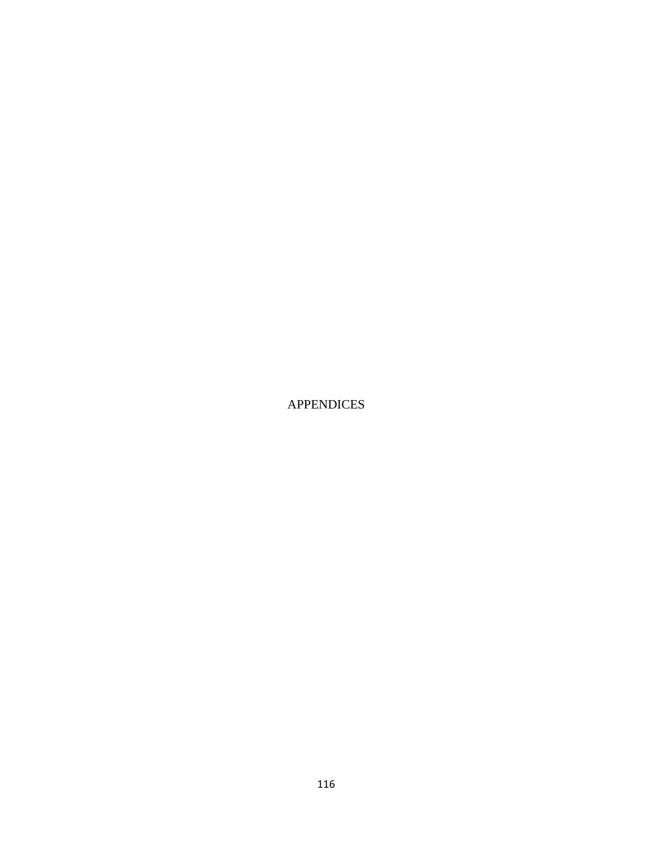APPENDICES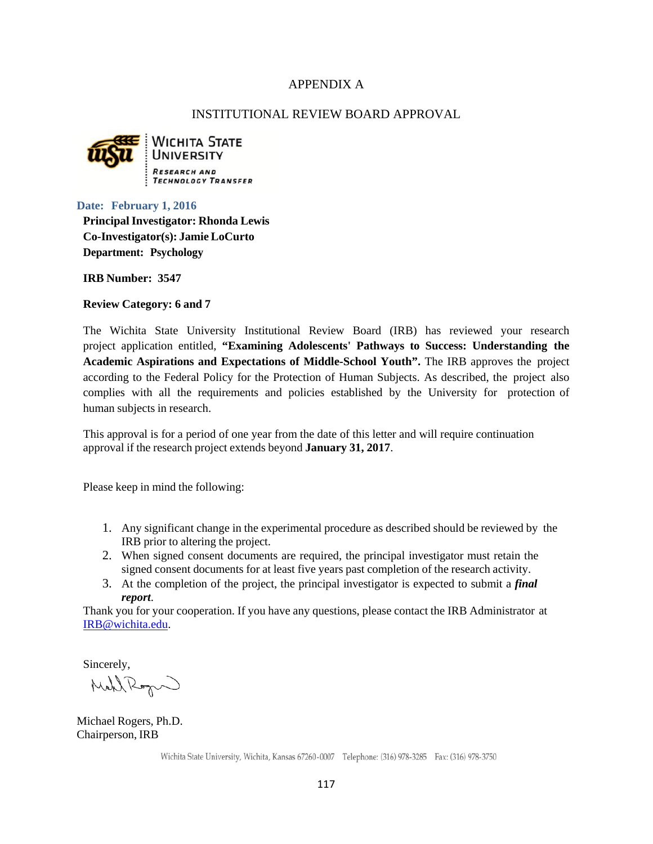# APPENDIX A

### INSTITUTIONAL REVIEW BOARD APPROVAL



**WICHITA STATE UNIVERSITY TECHNOLOGY TRANSFER** 

#### **Date: February 1, 2016**

**PrincipalInvestigator: Rhonda Lewis Co-Investigator(s): Jamie LoCurto Department: Psychology**

**IRB Number: 3547**

**Review Category: 6 and 7**

The Wichita State University Institutional Review Board (IRB) has reviewed your research project application entitled, **"Examining Adolescents' Pathways to Success: Understanding the Academic Aspirations and Expectations of Middle-School Youth".** The IRB approves the project according to the Federal Policy for the Protection of Human Subjects. As described, the project also complies with all the requirements and policies established by the University for protection of human subjects in research.

This approval is for a period of one year from the date of this letter and will require continuation approval if the research project extends beyond **January 31, 2017**.

Please keep in mind the following:

- 1. Any significant change in the experimental procedure as described should be reviewed by the IRB prior to altering the project.
- 2. When signed consent documents are required, the principal investigator must retain the signed consent documents for at least five years past completion of the research activity.
- 3. At the completion of the project, the principal investigator is expected to submit a *final report*.

Thank you for your cooperation. If you have any questions, please contact the IRB Administrator at [IRB@wichita.edu.](mailto:IRB@wichita.edu)

Sincerely,<br>Mahl Rog

Michael Rogers, Ph.D. Chairperson, IRB

Wichita State University, Wichita, Kansas 67260-0007 Telephone: (316) 978-3285 Fax: (316) 978-3750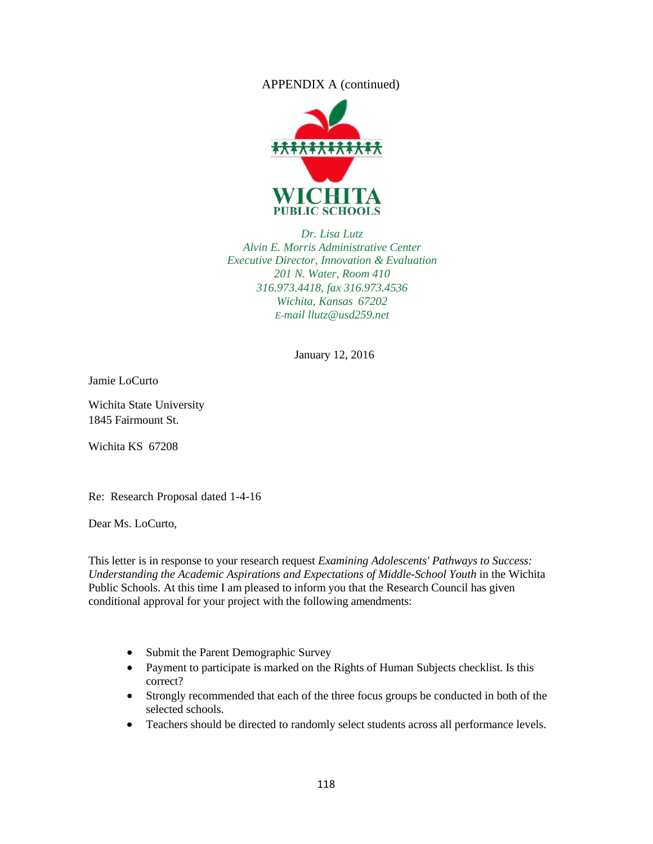### APPENDIX A (continued)



*Dr. Lisa Lutz Alvin E. Morris Administrative Center Executive Director, Innovation & Evaluation 201 N. Water, Room 410 316.973.4418, fax 316.973.4536 Wichita, Kansas 67202 E-m[ail llutz@usd259.net](mailto:llutz@usd259.net)*

January 12, 2016

Jamie LoCurto

Wichita State University 1845 Fairmount St.

Wichita KS 67208

Re: Research Proposal dated 1-4-16

Dear Ms. LoCurto,

This letter is in response to your research request *Examining Adolescents' Pathways to Success: Understanding the Academic Aspirations and Expectations of Middle-School Youth* in the Wichita Public Schools. At this time I am pleased to inform you that the Research Council has given conditional approval for your project with the following amendments:

- Submit the Parent Demographic Survey
- Payment to participate is marked on the Rights of Human Subjects checklist. Is this correct?
- Strongly recommended that each of the three focus groups be conducted in both of the selected schools.
- Teachers should be directed to randomly select students across all performance levels.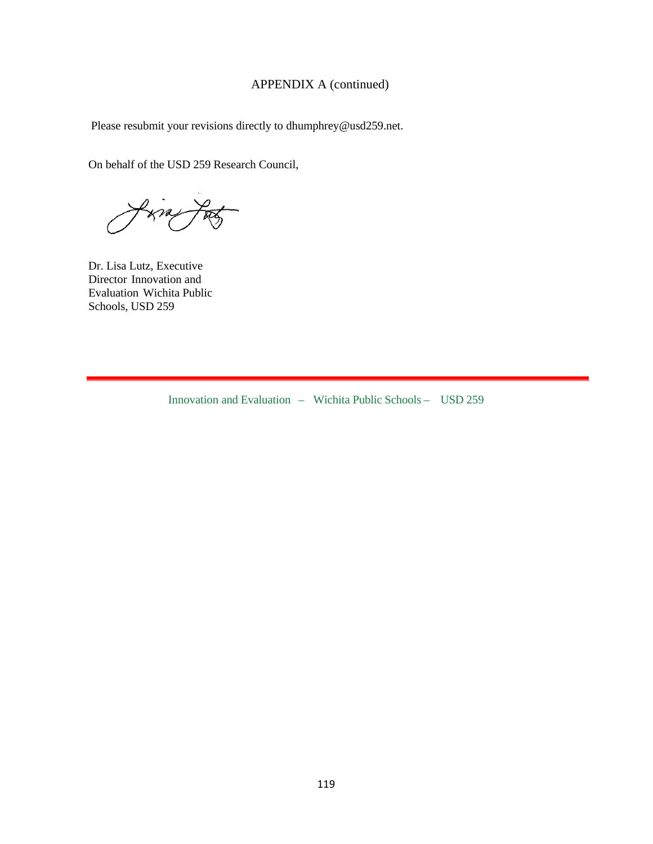# APPENDIX A (continued)

Please resubmit your revisions directly [to dhumphrey@usd259.net.](mailto:dhumphrey@usd259.net)

On behalf of the USD 259 Research Council,

Va

Dr. Lisa Lutz, Executive Director Innovation and Evaluation Wichita Public Schools, USD 259

Innovation and Evaluation – Wichita Public Schools – USD 259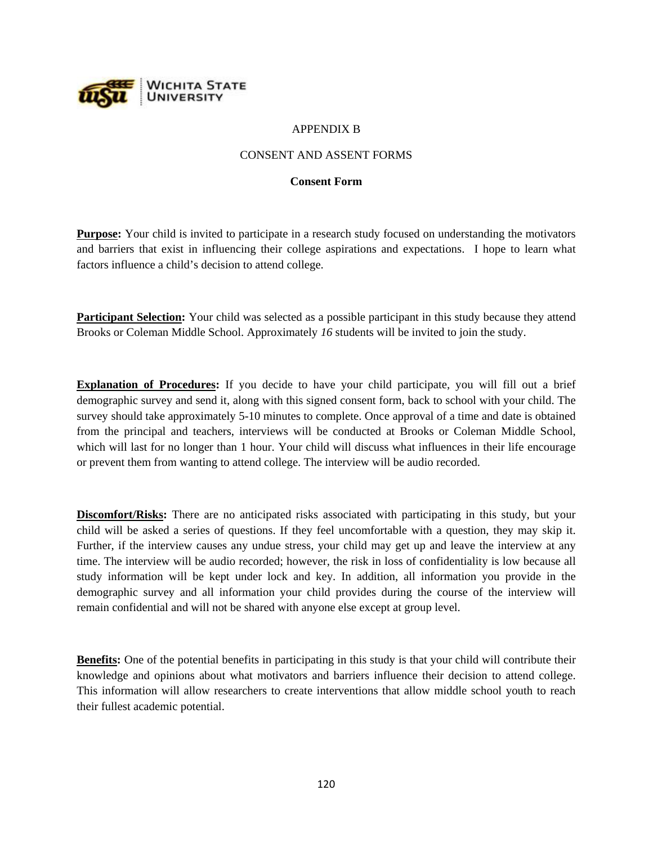

### APPENDIX B

### CONSENT AND ASSENT FORMS

#### **Consent Form**

**Purpose:** Your child is invited to participate in a research study focused on understanding the motivators and barriers that exist in influencing their college aspirations and expectations. I hope to learn what factors influence a child's decision to attend college.

**Participant Selection:** Your child was selected as a possible participant in this study because they attend Brooks or Coleman Middle School. Approximately *16* students will be invited to join the study.

**Explanation of Procedures:** If you decide to have your child participate, you will fill out a brief demographic survey and send it, along with this signed consent form, back to school with your child. The survey should take approximately 5-10 minutes to complete. Once approval of a time and date is obtained from the principal and teachers, interviews will be conducted at Brooks or Coleman Middle School, which will last for no longer than 1 hour. Your child will discuss what influences in their life encourage or prevent them from wanting to attend college. The interview will be audio recorded.

**Discomfort/Risks:** There are no anticipated risks associated with participating in this study, but your child will be asked a series of questions. If they feel uncomfortable with a question, they may skip it. Further, if the interview causes any undue stress, your child may get up and leave the interview at any time. The interview will be audio recorded; however, the risk in loss of confidentiality is low because all study information will be kept under lock and key. In addition, all information you provide in the demographic survey and all information your child provides during the course of the interview will remain confidential and will not be shared with anyone else except at group level.

**Benefits:** One of the potential benefits in participating in this study is that your child will contribute their knowledge and opinions about what motivators and barriers influence their decision to attend college. This information will allow researchers to create interventions that allow middle school youth to reach their fullest academic potential.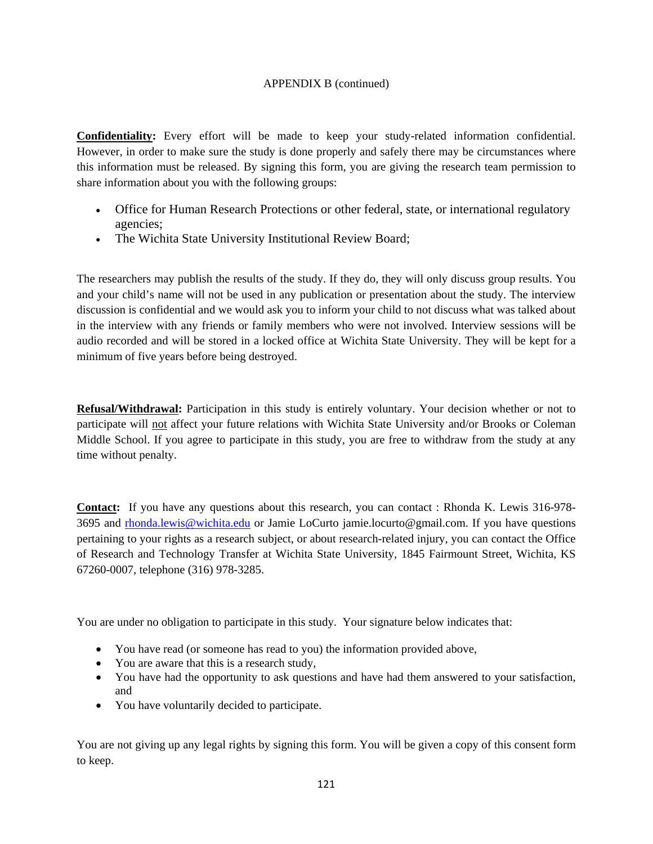### APPENDIX B (continued)

**Confidentiality:** Every effort will be made to keep your study-related information confidential. However, in order to make sure the study is done properly and safely there may be circumstances where this information must be released. By signing this form, you are giving the research team permission to share information about you with the following groups:

- Office for Human Research Protections or other federal, state, or international regulatory agencies;
- The Wichita State University Institutional Review Board;

The researchers may publish the results of the study. If they do, they will only discuss group results. You and your child's name will not be used in any publication or presentation about the study. The interview discussion is confidential and we would ask you to inform your child to not discuss what was talked about in the interview with any friends or family members who were not involved. Interview sessions will be audio recorded and will be stored in a locked office at Wichita State University. They will be kept for a minimum of five years before being destroyed.

**Refusal/Withdrawal:** Participation in this study is entirely voluntary. Your decision whether or not to participate will not affect your future relations with Wichita State University and/or Brooks or Coleman Middle School. If you agree to participate in this study, you are free to withdraw from the study at any time without penalty.

**Contact:** If you have any questions about this research, you can contact : Rhonda K. Lewis 316-978- 3695 and [rhonda.lewis@wichita.edu](mailto:rhonda.lewis@wichita.edu) or Jamie LoCurto jamie.locurto@gmail.com. If you have questions pertaining to your rights as a research subject, or about research-related injury, you can contact the Office of Research and Technology Transfer at Wichita State University, 1845 Fairmount Street, Wichita, KS 67260-0007, telephone (316) 978-3285.

You are under no obligation to participate in this study. Your signature below indicates that:

- You have read (or someone has read to you) the information provided above,
- You are aware that this is a research study,
- You have had the opportunity to ask questions and have had them answered to your satisfaction, and
- You have voluntarily decided to participate.

You are not giving up any legal rights by signing this form. You will be given a copy of this consent form to keep.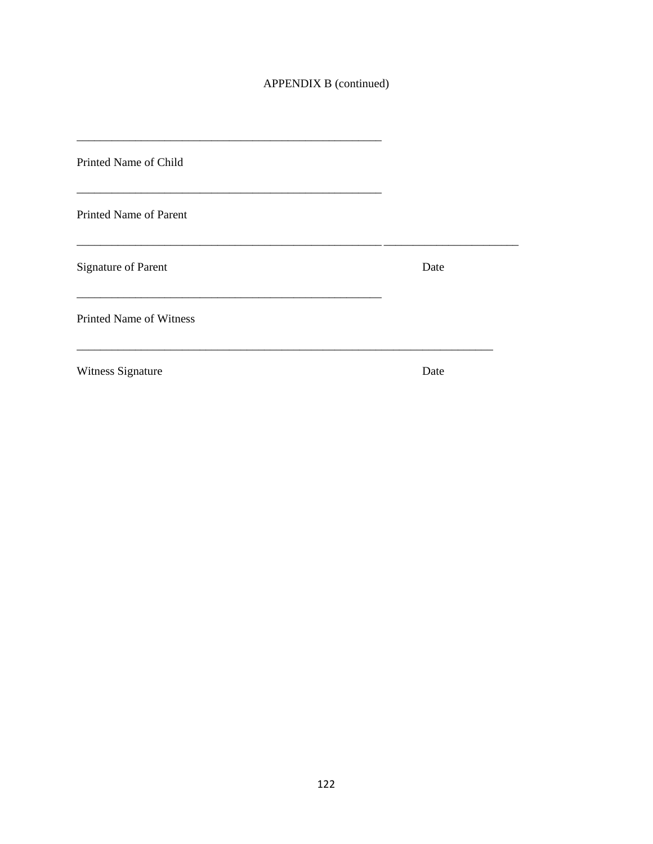# APPENDIX B (continued)

| Printed Name of Child          |      |
|--------------------------------|------|
| Printed Name of Parent         |      |
| <b>Signature of Parent</b>     | Date |
| <b>Printed Name of Witness</b> |      |
| Witness Signature              | Date |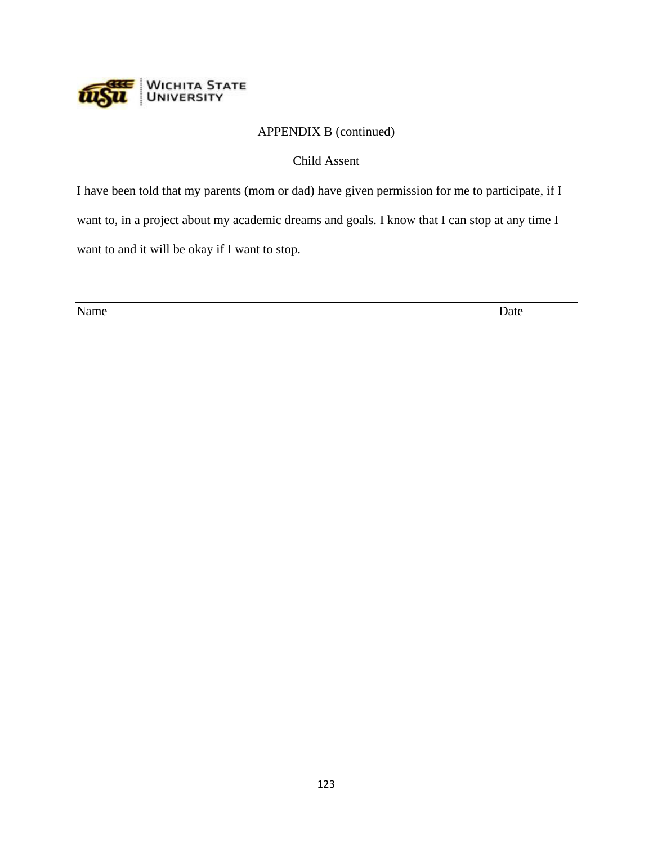

# APPENDIX B (continued)

Child Assent

I have been told that my parents (mom or dad) have given permission for me to participate, if I want to, in a project about my academic dreams and goals. I know that I can stop at any time I want to and it will be okay if I want to stop.

Name Date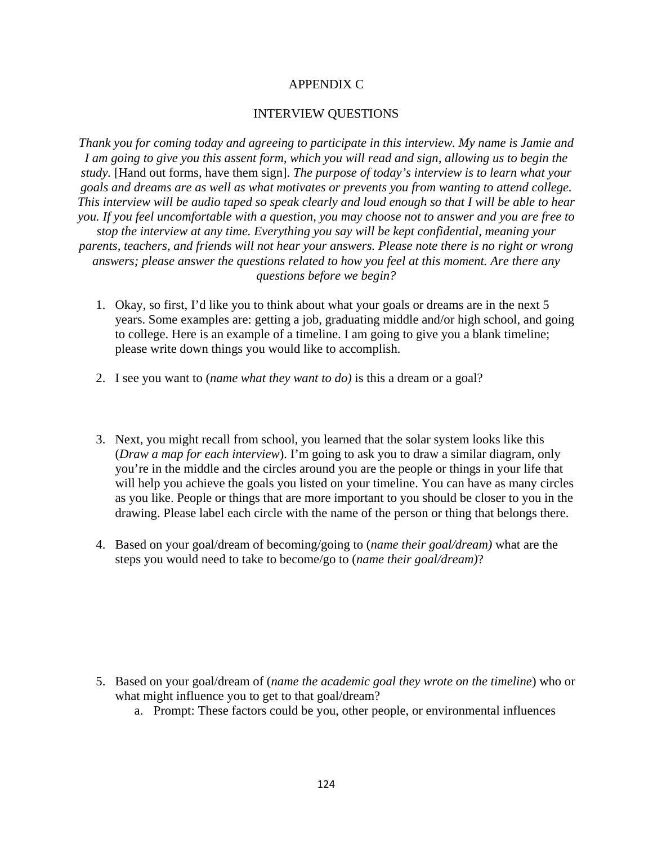# APPENDIX C

### INTERVIEW QUESTIONS

*Thank you for coming today and agreeing to participate in this interview. My name is Jamie and I am going to give you this assent form, which you will read and sign, allowing us to begin the study.* [Hand out forms, have them sign]. *The purpose of today's interview is to learn what your goals and dreams are as well as what motivates or prevents you from wanting to attend college. This interview will be audio taped so speak clearly and loud enough so that I will be able to hear you. If you feel uncomfortable with a question, you may choose not to answer and you are free to stop the interview at any time. Everything you say will be kept confidential, meaning your parents, teachers, and friends will not hear your answers. Please note there is no right or wrong answers; please answer the questions related to how you feel at this moment. Are there any questions before we begin?* 

- 1. Okay, so first, I'd like you to think about what your goals or dreams are in the next 5 years. Some examples are: getting a job, graduating middle and/or high school, and going to college. Here is an example of a timeline. I am going to give you a blank timeline; please write down things you would like to accomplish.
- 2. I see you want to (*name what they want to do)* is this a dream or a goal?
- 3. Next, you might recall from school, you learned that the solar system looks like this (*Draw a map for each interview*). I'm going to ask you to draw a similar diagram, only you're in the middle and the circles around you are the people or things in your life that will help you achieve the goals you listed on your timeline. You can have as many circles as you like. People or things that are more important to you should be closer to you in the drawing. Please label each circle with the name of the person or thing that belongs there.
- 4. Based on your goal/dream of becoming/going to (*name their goal/dream)* what are the steps you would need to take to become/go to (*name their goal/dream)*?

- 5. Based on your goal/dream of (*name the academic goal they wrote on the timeline*) who or what might influence you to get to that goal/dream?
	- a. Prompt: These factors could be you, other people, or environmental influences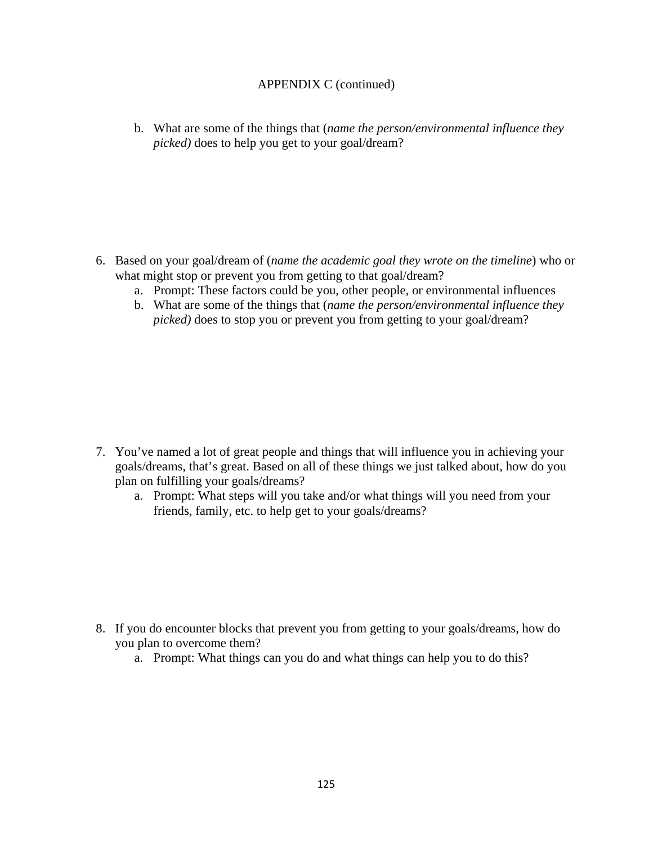# APPENDIX C (continued)

b. What are some of the things that (*name the person/environmental influence they picked)* does to help you get to your goal/dream?

- 6. Based on your goal/dream of (*name the academic goal they wrote on the timeline*) who or what might stop or prevent you from getting to that goal/dream?
	- a. Prompt: These factors could be you, other people, or environmental influences
	- b. What are some of the things that (*name the person/environmental influence they picked)* does to stop you or prevent you from getting to your goal/dream?

- 7. You've named a lot of great people and things that will influence you in achieving your goals/dreams, that's great. Based on all of these things we just talked about, how do you plan on fulfilling your goals/dreams?
	- a. Prompt: What steps will you take and/or what things will you need from your friends, family, etc. to help get to your goals/dreams?

- 8. If you do encounter blocks that prevent you from getting to your goals/dreams, how do you plan to overcome them?
	- a. Prompt: What things can you do and what things can help you to do this?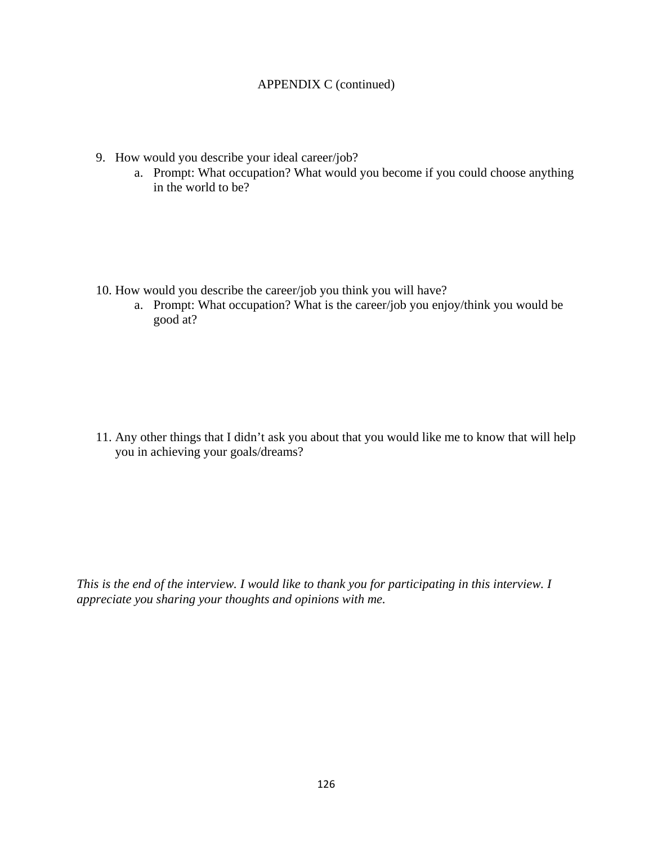# APPENDIX C (continued)

- 9. How would you describe your ideal career/job?
	- a. Prompt: What occupation? What would you become if you could choose anything in the world to be?

- 10. How would you describe the career/job you think you will have?
	- a. Prompt: What occupation? What is the career/job you enjoy/think you would be good at?

11. Any other things that I didn't ask you about that you would like me to know that will help you in achieving your goals/dreams?

*This is the end of the interview. I would like to thank you for participating in this interview. I appreciate you sharing your thoughts and opinions with me.*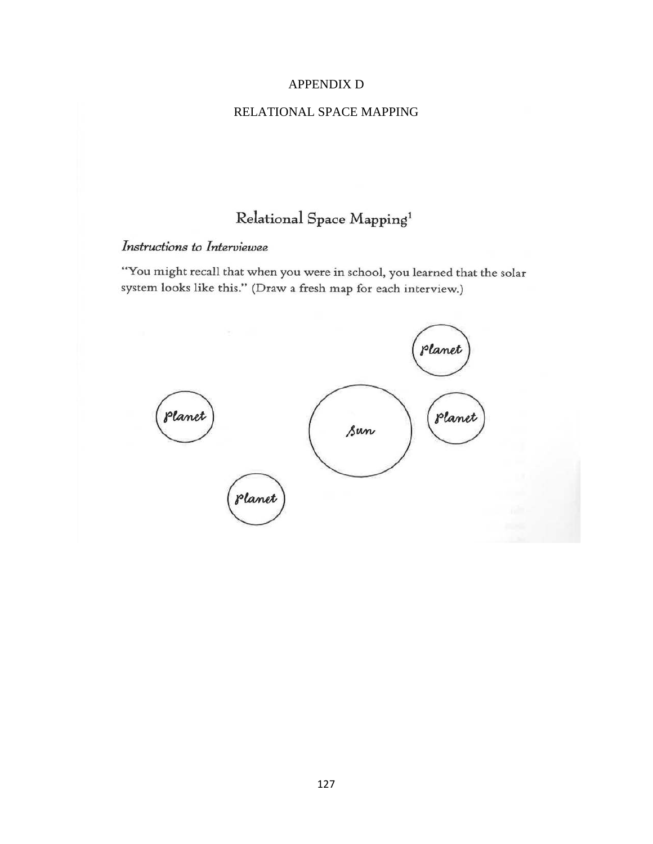# APPENDIX D

### RELATIONAL SPACE MAPPING

# Relational Space Mapping<sup>1</sup>

# Instructions to Interviewee

"You might recall that when you were in school, you learned that the solar system looks like this." (Draw a fresh map for each interview.)

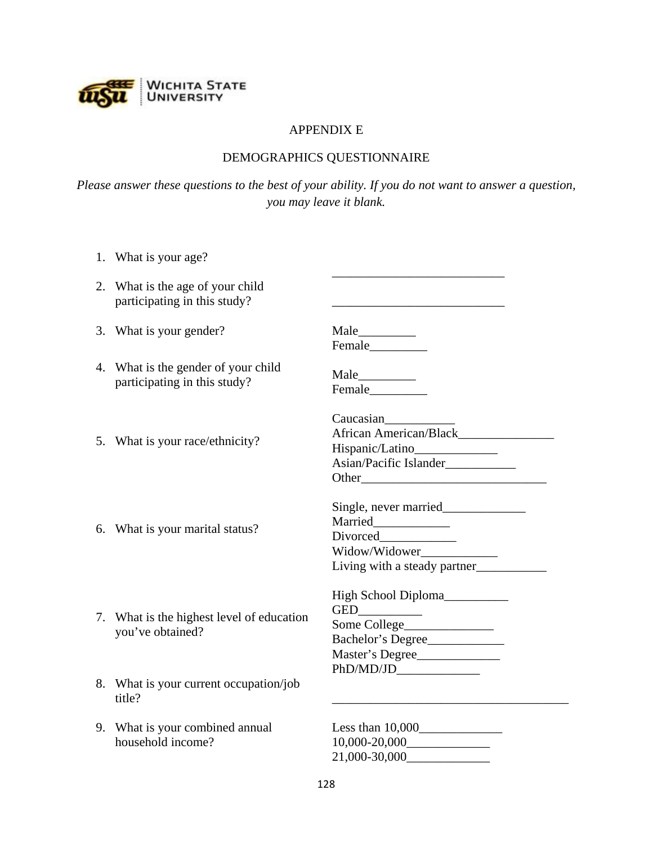

# APPENDIX E

# DEMOGRAPHICS QUESTIONNAIRE

*Please answer these questions to the best of your ability. If you do not want to answer a question, you may leave it blank.*

| 1. What is your age?                                                |                                                                                    |
|---------------------------------------------------------------------|------------------------------------------------------------------------------------|
| 2. What is the age of your child<br>participating in this study?    |                                                                                    |
| 3. What is your gender?                                             |                                                                                    |
| 4. What is the gender of your child<br>participating in this study? |                                                                                    |
| 5. What is your race/ethnicity?                                     | Caucasian<br>Hispanic/Latino_______________<br>Asian/Pacific Islander____________  |
| 6. What is your marital status?                                     | Married____________<br>Widow/Widower_____________<br>Living with a steady partner  |
| 7. What is the highest level of education<br>you've obtained?       | High School Diploma__________<br>Bachelor's Degree<br>Master's Degree<br>PhD/MD/JD |
| 8. What is your current occupation/job<br>title?                    |                                                                                    |
| 9. What is your combined annual<br>household income?                | $10,000 - 20,000$                                                                  |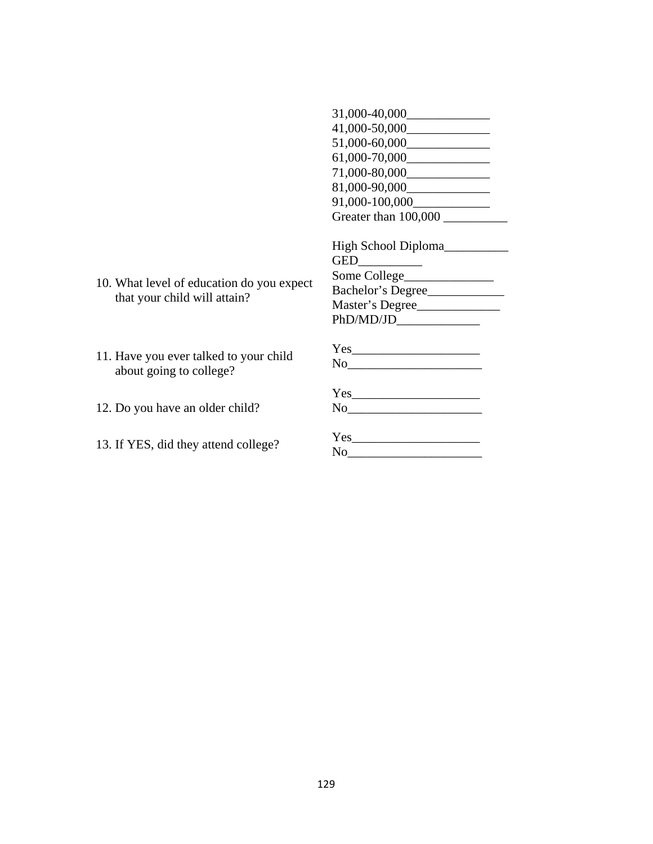|                                                                   | $61,000-70,000$                                                                                                                                                                                                                                                                                                                                                    |
|-------------------------------------------------------------------|--------------------------------------------------------------------------------------------------------------------------------------------------------------------------------------------------------------------------------------------------------------------------------------------------------------------------------------------------------------------|
|                                                                   |                                                                                                                                                                                                                                                                                                                                                                    |
|                                                                   |                                                                                                                                                                                                                                                                                                                                                                    |
|                                                                   |                                                                                                                                                                                                                                                                                                                                                                    |
|                                                                   | Greater than 100,000                                                                                                                                                                                                                                                                                                                                               |
|                                                                   | High School Diploma                                                                                                                                                                                                                                                                                                                                                |
|                                                                   |                                                                                                                                                                                                                                                                                                                                                                    |
| 10. What level of education do you expect                         |                                                                                                                                                                                                                                                                                                                                                                    |
| that your child will attain?                                      | Bachelor's Degree                                                                                                                                                                                                                                                                                                                                                  |
|                                                                   | Master's Degree                                                                                                                                                                                                                                                                                                                                                    |
|                                                                   | PhD/MD/JD                                                                                                                                                                                                                                                                                                                                                          |
|                                                                   |                                                                                                                                                                                                                                                                                                                                                                    |
| 11. Have you ever talked to your child<br>about going to college? | $\begin{picture}(150,10) \put(0,0){\vector(1,0){100}} \put(15,0){\vector(1,0){100}} \put(15,0){\vector(1,0){100}} \put(15,0){\vector(1,0){100}} \put(15,0){\vector(1,0){100}} \put(15,0){\vector(1,0){100}} \put(15,0){\vector(1,0){100}} \put(15,0){\vector(1,0){100}} \put(15,0){\vector(1,0){100}} \put(15,0){\vector(1,0){100}} \put(15,0){\vector(1,0){100}}$ |
|                                                                   |                                                                                                                                                                                                                                                                                                                                                                    |
| 12. Do you have an older child?                                   |                                                                                                                                                                                                                                                                                                                                                                    |
| 13. If YES, did they attend college?                              |                                                                                                                                                                                                                                                                                                                                                                    |
|                                                                   |                                                                                                                                                                                                                                                                                                                                                                    |

31,000-40,000\_\_\_\_\_\_\_\_\_\_\_\_\_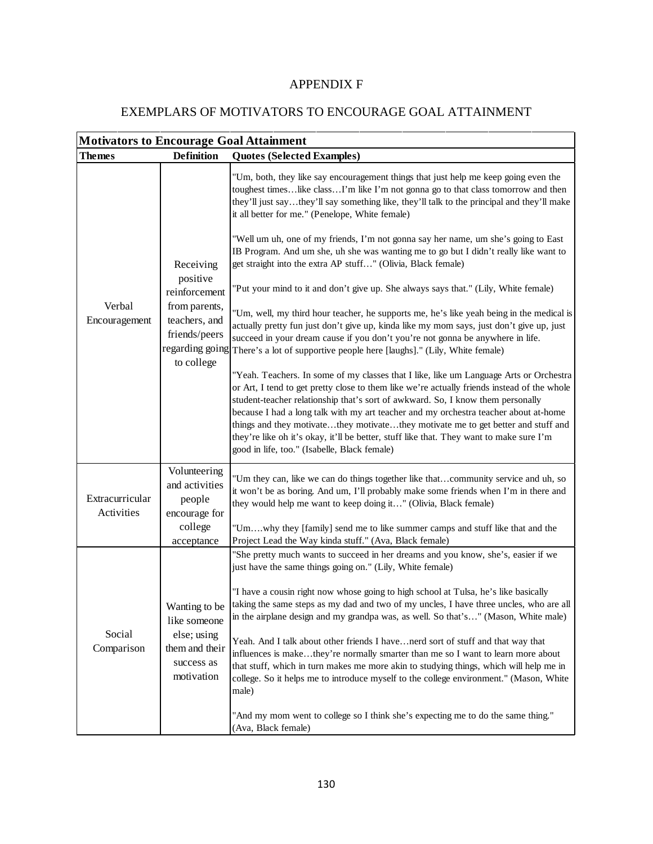# APPENDIX F

# EXEMPLARS OF MOTIVATORS TO ENCOURAGE GOAL ATTAINMENT

| <b>Motivators to Encourage Goal Attainment</b> |                                                                                                                            |                                                                                                                                                                                                                                                                                                                                                                                                                                                                                                                                                                                                                                                                                                                                                                                                                                                                                                                                                                                                                                                                                                                                                                                                                                                                                                                                                                                                                                                                                                                                                                                                                         |  |  |  |
|------------------------------------------------|----------------------------------------------------------------------------------------------------------------------------|-------------------------------------------------------------------------------------------------------------------------------------------------------------------------------------------------------------------------------------------------------------------------------------------------------------------------------------------------------------------------------------------------------------------------------------------------------------------------------------------------------------------------------------------------------------------------------------------------------------------------------------------------------------------------------------------------------------------------------------------------------------------------------------------------------------------------------------------------------------------------------------------------------------------------------------------------------------------------------------------------------------------------------------------------------------------------------------------------------------------------------------------------------------------------------------------------------------------------------------------------------------------------------------------------------------------------------------------------------------------------------------------------------------------------------------------------------------------------------------------------------------------------------------------------------------------------------------------------------------------------|--|--|--|
| <b>Themes</b>                                  | <b>Definition</b>                                                                                                          | <b>Quotes (Selected Examples)</b>                                                                                                                                                                                                                                                                                                                                                                                                                                                                                                                                                                                                                                                                                                                                                                                                                                                                                                                                                                                                                                                                                                                                                                                                                                                                                                                                                                                                                                                                                                                                                                                       |  |  |  |
| Verbal<br>Encouragement                        | Receiving<br>positive<br>reinforcement<br>from parents,<br>teachers, and<br>friends/peers<br>regarding going<br>to college | "Um, both, they like say encouragement things that just help me keep going even the<br>toughest timeslike classI'm like I'm not gonna go to that class tomorrow and then<br>they'll just saythey'll say something like, they'll talk to the principal and they'll make<br>it all better for me." (Penelope, White female)<br>"Well um uh, one of my friends, I'm not gonna say her name, um she's going to East<br>IB Program. And um she, uh she was wanting me to go but I didn't really like want to<br>get straight into the extra AP stuff" (Olivia, Black female)<br>"Put your mind to it and don't give up. She always says that." (Lily, White female)<br>"Um, well, my third hour teacher, he supports me, he's like yeah being in the medical is<br>actually pretty fun just don't give up, kinda like my mom says, just don't give up, just<br>succeed in your dream cause if you don't you're not gonna be anywhere in life.<br>There's a lot of supportive people here [laughs]." (Lily, White female)<br>"Yeah. Teachers. In some of my classes that I like, like um Language Arts or Orchestra<br>or Art, I tend to get pretty close to them like we're actually friends instead of the whole<br>student-teacher relationship that's sort of awkward. So, I know them personally<br>because I had a long talk with my art teacher and my orchestra teacher about at-home<br>things and they motivatethey motivatethey motivate me to get better and stuff and<br>they're like oh it's okay, it'll be better, stuff like that. They want to make sure I'm<br>good in life, too." (Isabelle, Black female) |  |  |  |
| Extracurricular<br>Activities                  | Volunteering<br>and activities<br>people<br>encourage for<br>college<br>acceptance                                         | "Um they can, like we can do things together like thatcommunity service and uh, so<br>it won't be as boring. And um, I'll probably make some friends when I'm in there and<br>they would help me want to keep doing it" (Olivia, Black female)<br>"Umwhy they [family] send me to like summer camps and stuff like that and the<br>Project Lead the Way kinda stuff." (Ava, Black female)                                                                                                                                                                                                                                                                                                                                                                                                                                                                                                                                                                                                                                                                                                                                                                                                                                                                                                                                                                                                                                                                                                                                                                                                                               |  |  |  |
| Social<br>Comparison                           | Wanting to be<br>like someone<br>else; using<br>them and their<br>success as<br>motivation                                 | "She pretty much wants to succeed in her dreams and you know, she's, easier if we<br>just have the same things going on." (Lily, White female)<br>"I have a cousin right now whose going to high school at Tulsa, he's like basically<br>taking the same steps as my dad and two of my uncles, I have three uncles, who are all<br>in the airplane design and my grandpa was, as well. So that's" (Mason, White male)<br>Yeah. And I talk about other friends I havenerd sort of stuff and that way that<br>influences is makethey're normally smarter than me so I want to learn more about<br>that stuff, which in turn makes me more akin to studying things, which will help me in<br>college. So it helps me to introduce myself to the college environment." (Mason, White<br>male)<br>"And my mom went to college so I think she's expecting me to do the same thing."<br>(Ava, Black female)                                                                                                                                                                                                                                                                                                                                                                                                                                                                                                                                                                                                                                                                                                                    |  |  |  |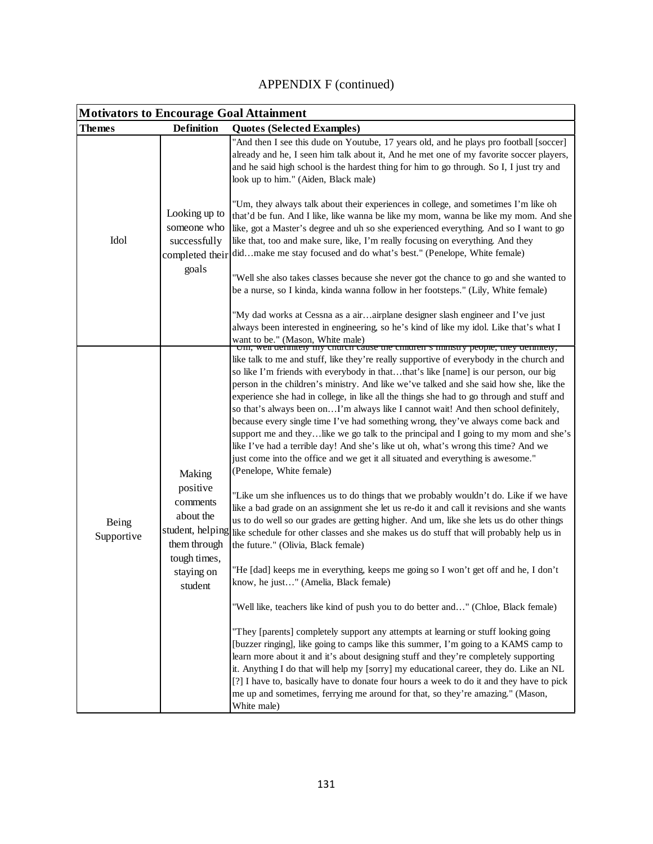| <b>APPENDIX F (continued)</b> |  |
|-------------------------------|--|
|-------------------------------|--|

| <b>Motivators to Encourage Goal Attainment</b> |                                                                                                      |                                                                                                                                                                                                                                                                                                                                                                                                                                                                                                                                                                                                                                                                                                                                                                                                                                                                                                                                                                                                                                                                                                                                                                                                                                                                                                                                                                                                                                                                                                                                                                                                                                                                                                                                                                                                                                                                                                                                                                                                                                                                       |  |
|------------------------------------------------|------------------------------------------------------------------------------------------------------|-----------------------------------------------------------------------------------------------------------------------------------------------------------------------------------------------------------------------------------------------------------------------------------------------------------------------------------------------------------------------------------------------------------------------------------------------------------------------------------------------------------------------------------------------------------------------------------------------------------------------------------------------------------------------------------------------------------------------------------------------------------------------------------------------------------------------------------------------------------------------------------------------------------------------------------------------------------------------------------------------------------------------------------------------------------------------------------------------------------------------------------------------------------------------------------------------------------------------------------------------------------------------------------------------------------------------------------------------------------------------------------------------------------------------------------------------------------------------------------------------------------------------------------------------------------------------------------------------------------------------------------------------------------------------------------------------------------------------------------------------------------------------------------------------------------------------------------------------------------------------------------------------------------------------------------------------------------------------------------------------------------------------------------------------------------------------|--|
| <b>Themes</b>                                  | <b>Definition</b>                                                                                    | <b>Quotes (Selected Examples)</b>                                                                                                                                                                                                                                                                                                                                                                                                                                                                                                                                                                                                                                                                                                                                                                                                                                                                                                                                                                                                                                                                                                                                                                                                                                                                                                                                                                                                                                                                                                                                                                                                                                                                                                                                                                                                                                                                                                                                                                                                                                     |  |
| Idol                                           | Looking up to<br>someone who<br>successfully<br>goals                                                | "And then I see this dude on Youtube, 17 years old, and he plays pro football [soccer]<br>already and he, I seen him talk about it, And he met one of my favorite soccer players,<br>and he said high school is the hardest thing for him to go through. So I, I just try and<br>look up to him." (Aiden, Black male)                                                                                                                                                                                                                                                                                                                                                                                                                                                                                                                                                                                                                                                                                                                                                                                                                                                                                                                                                                                                                                                                                                                                                                                                                                                                                                                                                                                                                                                                                                                                                                                                                                                                                                                                                 |  |
|                                                |                                                                                                      | "Um, they always talk about their experiences in college, and sometimes I'm like oh<br>that'd be fun. And I like, like wanna be like my mom, wanna be like my mom. And she<br>like, got a Master's degree and uh so she experienced everything. And so I want to go<br>like that, too and make sure, like, I'm really focusing on everything. And they<br>completed their didmake me stay focused and do what's best." (Penelope, White female)                                                                                                                                                                                                                                                                                                                                                                                                                                                                                                                                                                                                                                                                                                                                                                                                                                                                                                                                                                                                                                                                                                                                                                                                                                                                                                                                                                                                                                                                                                                                                                                                                       |  |
|                                                |                                                                                                      | "Well she also takes classes because she never got the chance to go and she wanted to<br>be a nurse, so I kinda, kinda wanna follow in her footsteps." (Lily, White female)                                                                                                                                                                                                                                                                                                                                                                                                                                                                                                                                                                                                                                                                                                                                                                                                                                                                                                                                                                                                                                                                                                                                                                                                                                                                                                                                                                                                                                                                                                                                                                                                                                                                                                                                                                                                                                                                                           |  |
|                                                |                                                                                                      | "My dad works at Cessna as a air airplane designer slash engineer and I've just<br>always been interested in engineering, so he's kind of like my idol. Like that's what I<br>want to be." (Mason, White male)<br>Uni, wen gerinnery my church cause the children's ministry people, they gerinnery,                                                                                                                                                                                                                                                                                                                                                                                                                                                                                                                                                                                                                                                                                                                                                                                                                                                                                                                                                                                                                                                                                                                                                                                                                                                                                                                                                                                                                                                                                                                                                                                                                                                                                                                                                                  |  |
| Being<br>Supportive                            | Making<br>positive<br>comments<br>about the<br>them through<br>tough times,<br>staying on<br>student | like talk to me and stuff, like they're really supportive of everybody in the church and<br>so like I'm friends with everybody in thatthat's like [name] is our person, our big<br>person in the children's ministry. And like we've talked and she said how she, like the<br>experience she had in college, in like all the things she had to go through and stuff and<br>so that's always been onI'm always like I cannot wait! And then school definitely,<br>because every single time I've had something wrong, they've always come back and<br>support me and theylike we go talk to the principal and I going to my mom and she's<br>like I've had a terrible day! And she's like ut oh, what's wrong this time? And we<br>just come into the office and we get it all situated and everything is awesome."<br>(Penelope, White female)<br>"Like um she influences us to do things that we probably wouldn't do. Like if we have<br>like a bad grade on an assignment she let us re-do it and call it revisions and she wants<br>us to do well so our grades are getting higher. And um, like she lets us do other things<br>student, helping like schedule for other classes and she makes us do stuff that will probably help us in<br>the future." (Olivia, Black female)<br>"He [dad] keeps me in everything, keeps me going so I won't get off and he, I don't<br>know, he just" (Amelia, Black female)<br>"Well like, teachers like kind of push you to do better and" (Chloe, Black female)<br>"They [parents] completely support any attempts at learning or stuff looking going<br>[buzzer ringing], like going to camps like this summer, I'm going to a KAMS camp to<br>learn more about it and it's about designing stuff and they're completely supporting<br>it. Anything I do that will help my [sorry] my educational career, they do. Like an NL<br>[?] I have to, basically have to donate four hours a week to do it and they have to pick<br>me up and sometimes, ferrying me around for that, so they're amazing." (Mason,<br>White male) |  |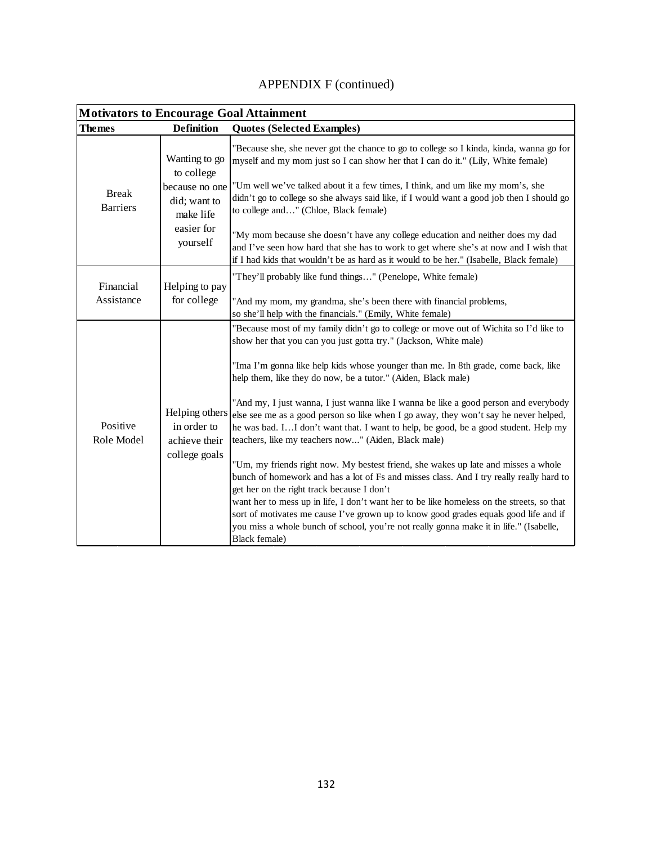| <b>Motivators to Encourage Goal Attainment</b> |                                                                                                      |                                                                                                                                                                                                                                                                                                                                                                                                                                                                                                                             |
|------------------------------------------------|------------------------------------------------------------------------------------------------------|-----------------------------------------------------------------------------------------------------------------------------------------------------------------------------------------------------------------------------------------------------------------------------------------------------------------------------------------------------------------------------------------------------------------------------------------------------------------------------------------------------------------------------|
| Themes                                         | <b>Definition</b>                                                                                    | <b>Quotes (Selected Examples)</b>                                                                                                                                                                                                                                                                                                                                                                                                                                                                                           |
| <b>Break</b><br><b>Barriers</b>                | Wanting to go<br>to college<br>because no one<br>did; want to<br>make life<br>easier for<br>yourself | "Because she, she never got the chance to go to college so I kinda, kinda, wanna go for<br>myself and my mom just so I can show her that I can do it." (Lily, White female)                                                                                                                                                                                                                                                                                                                                                 |
|                                                |                                                                                                      | "Um well we've talked about it a few times, I think, and um like my mom's, she<br>didn't go to college so she always said like, if I would want a good job then I should go<br>to college and" (Chloe, Black female)                                                                                                                                                                                                                                                                                                        |
|                                                |                                                                                                      | "My mom because she doesn't have any college education and neither does my dad<br>and I've seen how hard that she has to work to get where she's at now and I wish that<br>if I had kids that wouldn't be as hard as it would to be her." (Isabelle, Black female)                                                                                                                                                                                                                                                          |
| Financial                                      | Helping to pay<br>for college<br>Assistance                                                          | "They'll probably like fund things" (Penelope, White female)                                                                                                                                                                                                                                                                                                                                                                                                                                                                |
|                                                |                                                                                                      | "And my mom, my grandma, she's been there with financial problems,<br>so she'll help with the financials." (Emily, White female)                                                                                                                                                                                                                                                                                                                                                                                            |
| Positive<br>Role Model                         | Helping others<br>in order to<br>achieve their<br>college goals                                      | "Because most of my family didn't go to college or move out of Wichita so I'd like to<br>show her that you can you just gotta try." (Jackson, White male)                                                                                                                                                                                                                                                                                                                                                                   |
|                                                |                                                                                                      | "Ima I'm gonna like help kids whose younger than me. In 8th grade, come back, like<br>help them, like they do now, be a tutor." (Aiden, Black male)                                                                                                                                                                                                                                                                                                                                                                         |
|                                                |                                                                                                      | "And my, I just wanna, I just wanna like I wanna be like a good person and everybody<br>else see me as a good person so like when I go away, they won't say he never helped,<br>he was bad. II don't want that. I want to help, be good, be a good student. Help my<br>teachers, like my teachers now" (Aiden, Black male)                                                                                                                                                                                                  |
|                                                |                                                                                                      | "Um, my friends right now. My bestest friend, she wakes up late and misses a whole<br>bunch of homework and has a lot of Fs and misses class. And I try really really hard to<br>get her on the right track because I don't<br>want her to mess up in life, I don't want her to be like homeless on the streets, so that<br>sort of motivates me cause I've grown up to know good grades equals good life and if<br>you miss a whole bunch of school, you're not really gonna make it in life." (Isabelle,<br>Black female) |

# APPENDIX F (continued)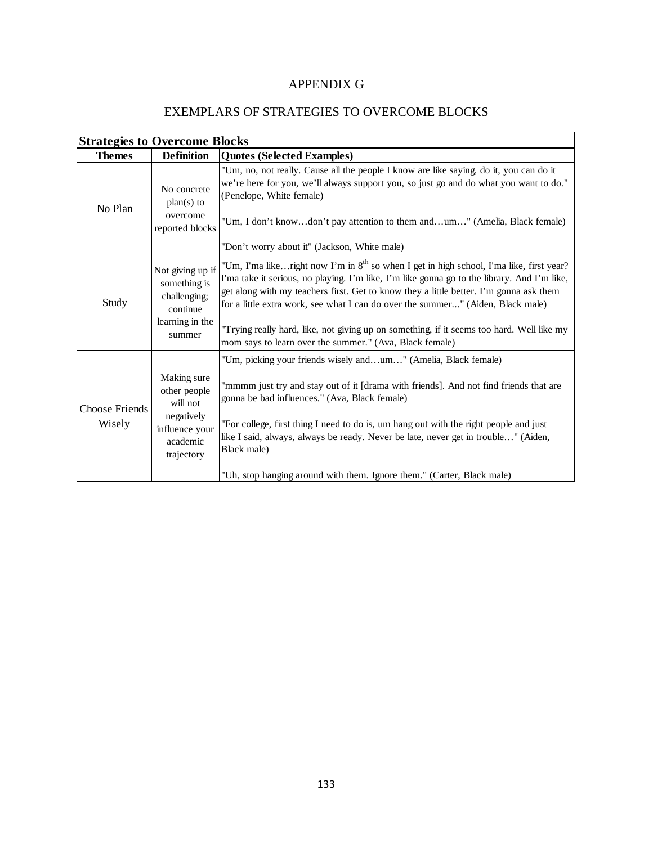## APPENDIX G

#### EXEMPLARS OF STRATEGIES TO OVERCOME BLOCKS

| <b>Strategies to Overcome Blocks</b> |                                                                                                   |                                                                                                                                                                                                                                                                                                                                                                                                                                                                                                                                         |
|--------------------------------------|---------------------------------------------------------------------------------------------------|-----------------------------------------------------------------------------------------------------------------------------------------------------------------------------------------------------------------------------------------------------------------------------------------------------------------------------------------------------------------------------------------------------------------------------------------------------------------------------------------------------------------------------------------|
| <b>Themes</b>                        | <b>Definition</b>                                                                                 | <b>Quotes (Selected Examples)</b>                                                                                                                                                                                                                                                                                                                                                                                                                                                                                                       |
| No Plan                              | No concrete<br>$plan(s)$ to<br>overcome<br>reported blocks                                        | "Um, no, not really. Cause all the people I know are like saying, do it, you can do it<br>we're here for you, we'll always support you, so just go and do what you want to do."<br>(Penelope, White female)<br>"Um, I don't knowdon't pay attention to them andum" (Amelia, Black female)<br>"Don't worry about it" (Jackson, White male)                                                                                                                                                                                               |
| Study                                | Not giving up if<br>something is<br>challenging;<br>continue<br>learning in the<br>summer         | "Um, I'ma likeright now I'm in 8 <sup>th</sup> so when I get in high school, I'ma like, first year?<br>I'ma take it serious, no playing. I'm like, I'm like gonna go to the library. And I'm like,<br>get along with my teachers first. Get to know they a little better. I'm gonna ask them<br>for a little extra work, see what I can do over the summer" (Aiden, Black male)<br>"Trying really hard, like, not giving up on something, if it seems too hard. Well like my<br>mom says to learn over the summer." (Ava, Black female) |
| <b>Choose Friends</b><br>Wisely      | Making sure<br>other people<br>will not<br>negatively<br>influence your<br>academic<br>trajectory | "Um, picking your friends wisely andum" (Amelia, Black female)<br>"mmmm just try and stay out of it [drama with friends]. And not find friends that are<br>gonna be bad influences." (Ava, Black female)<br>"For college, first thing I need to do is, um hang out with the right people and just<br>like I said, always, always be ready. Never be late, never get in trouble" (Aiden,<br>Black male)<br>"Uh, stop hanging around with them. Ignore them." (Carter, Black male)                                                        |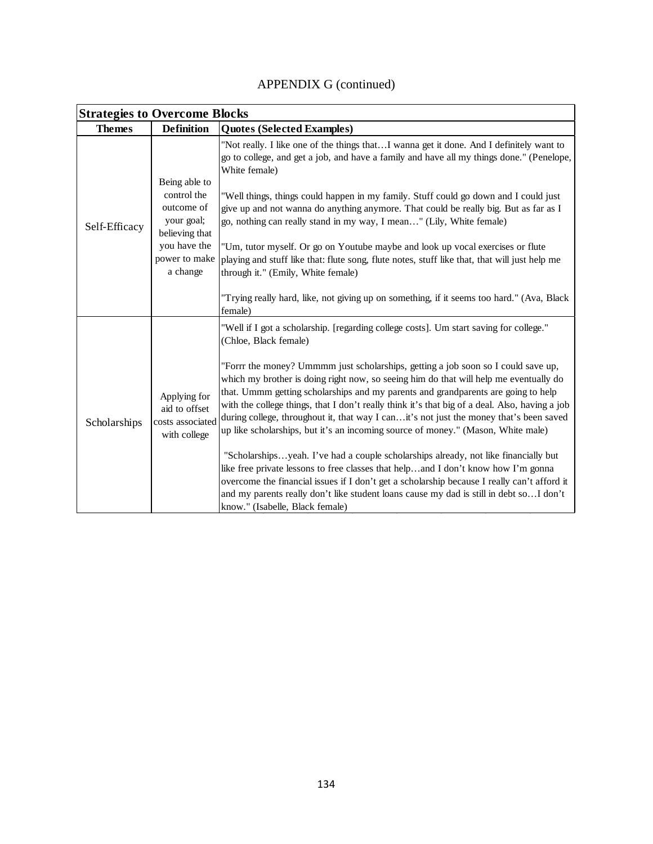| APPENDIX G (continued) |  |
|------------------------|--|
|------------------------|--|

| <b>Strategies to Overcome Blocks</b> |                                                                                                                         |                                                                                                                                                                                                                                                                                                                                                                                                                                                                                                                                                                                                                                                                                                                                                                                                                                                                                                                                                                                                                                                                             |
|--------------------------------------|-------------------------------------------------------------------------------------------------------------------------|-----------------------------------------------------------------------------------------------------------------------------------------------------------------------------------------------------------------------------------------------------------------------------------------------------------------------------------------------------------------------------------------------------------------------------------------------------------------------------------------------------------------------------------------------------------------------------------------------------------------------------------------------------------------------------------------------------------------------------------------------------------------------------------------------------------------------------------------------------------------------------------------------------------------------------------------------------------------------------------------------------------------------------------------------------------------------------|
| <b>Themes</b>                        | <b>Definition</b>                                                                                                       | <b>Quotes (Selected Examples)</b>                                                                                                                                                                                                                                                                                                                                                                                                                                                                                                                                                                                                                                                                                                                                                                                                                                                                                                                                                                                                                                           |
| Self-Efficacy                        | Being able to<br>control the<br>outcome of<br>your goal;<br>believing that<br>you have the<br>power to make<br>a change | "Not really. I like one of the things thatI wanna get it done. And I definitely want to<br>go to college, and get a job, and have a family and have all my things done." (Penelope,<br>White female)<br>"Well things, things could happen in my family. Stuff could go down and I could just<br>give up and not wanna do anything anymore. That could be really big. But as far as I<br>go, nothing can really stand in my way, I mean" (Lily, White female)<br>"Um, tutor myself. Or go on Youtube maybe and look up vocal exercises or flute<br>playing and stuff like that: flute song, flute notes, stuff like that, that will just help me<br>through it." (Emily, White female)<br>"Trying really hard, like, not giving up on something, if it seems too hard." (Ava, Black<br>female)                                                                                                                                                                                                                                                                               |
| Scholarships                         | Applying for<br>aid to offset<br>costs associated<br>with college                                                       | "Well if I got a scholarship. [regarding college costs]. Um start saving for college."<br>(Chloe, Black female)<br>"Forrr the money? Ummmm just scholarships, getting a job soon so I could save up,<br>which my brother is doing right now, so seeing him do that will help me eventually do<br>that. Ummm getting scholarships and my parents and grandparents are going to help<br>with the college things, that I don't really think it's that big of a deal. Also, having a job<br>during college, throughout it, that way I canit's not just the money that's been saved<br>up like scholarships, but it's an incoming source of money." (Mason, White male)<br>"Scholarshipsyeah. I've had a couple scholarships already, not like financially but<br>like free private lessons to free classes that helpand I don't know how I'm gonna<br>overcome the financial issues if I don't get a scholarship because I really can't afford it<br>and my parents really don't like student loans cause my dad is still in debt so I don't<br>know." (Isabelle, Black female) |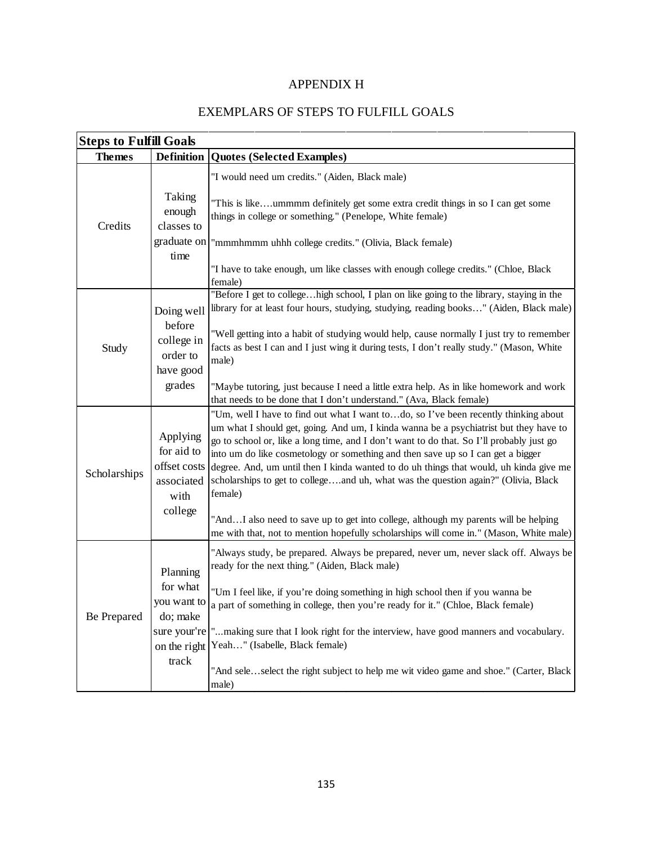### APPENDIX H

#### EXEMPLARS OF STEPS TO FULFILL GOALS

| <b>Steps to Fulfill Goals</b> |                                                                                          |                                                                                                                                                                                                                                                                                                                                                                                                                                                                                                                                                                                                                                                                                                                                         |
|-------------------------------|------------------------------------------------------------------------------------------|-----------------------------------------------------------------------------------------------------------------------------------------------------------------------------------------------------------------------------------------------------------------------------------------------------------------------------------------------------------------------------------------------------------------------------------------------------------------------------------------------------------------------------------------------------------------------------------------------------------------------------------------------------------------------------------------------------------------------------------------|
| <b>Themes</b>                 | <b>Definition</b>                                                                        | <b>Quotes (Selected Examples)</b>                                                                                                                                                                                                                                                                                                                                                                                                                                                                                                                                                                                                                                                                                                       |
| Credits                       | Taking<br>enough<br>classes to<br>graduate on<br>time                                    | "I would need um credits." (Aiden, Black male)<br>"This is likeummmm definitely get some extra credit things in so I can get some<br>things in college or something." (Penelope, White female)<br>"mmmhmmm uhhh college credits." (Olivia, Black female)<br>"I have to take enough, um like classes with enough college credits." (Chloe, Black                                                                                                                                                                                                                                                                                                                                                                                         |
| Study                         | Doing well<br>before<br>college in<br>order to<br>have good<br>grades                    | female)<br>"Before I get to collegehigh school, I plan on like going to the library, staying in the<br>library for at least four hours, studying, studying, reading books" (Aiden, Black male)<br>"Well getting into a habit of studying would help, cause normally I just try to remember<br>facts as best I can and I just wing it during tests, I don't really study." (Mason, White<br>male)<br>"Maybe tutoring, just because I need a little extra help. As in like homework and work<br>that needs to be done that I don't understand." (Ava, Black female)                                                                                                                                                                       |
| Scholarships                  | Applying<br>for aid to<br>offset costs<br>associated<br>with<br>college                  | "Um, well I have to find out what I want todo, so I've been recently thinking about<br>um what I should get, going. And um, I kinda wanna be a psychiatrist but they have to<br>go to school or, like a long time, and I don't want to do that. So I'll probably just go<br>into um do like cosmetology or something and then save up so I can get a bigger<br>degree. And, um until then I kinda wanted to do uh things that would, uh kinda give me<br>scholarships to get to collegeand uh, what was the question again?" (Olivia, Black<br>female)<br>"AndI also need to save up to get into college, although my parents will be helping<br>me with that, not to mention hopefully scholarships will come in." (Mason, White male) |
| Be Prepared                   | Planning<br>for what<br>you want to<br>do; make<br>sure your're<br>on the right<br>track | "Always study, be prepared. Always be prepared, never um, never slack off. Always be<br>ready for the next thing." (Aiden, Black male)<br>"Um I feel like, if you're doing something in high school then if you wanna be<br>a part of something in college, then you're ready for it." (Chloe, Black female)<br>"making sure that I look right for the interview, have good manners and vocabulary.<br>Yeah" (Isabelle, Black female)<br>"And seleselect the right subject to help me wit video game and shoe." (Carter, Black<br>male)                                                                                                                                                                                                 |